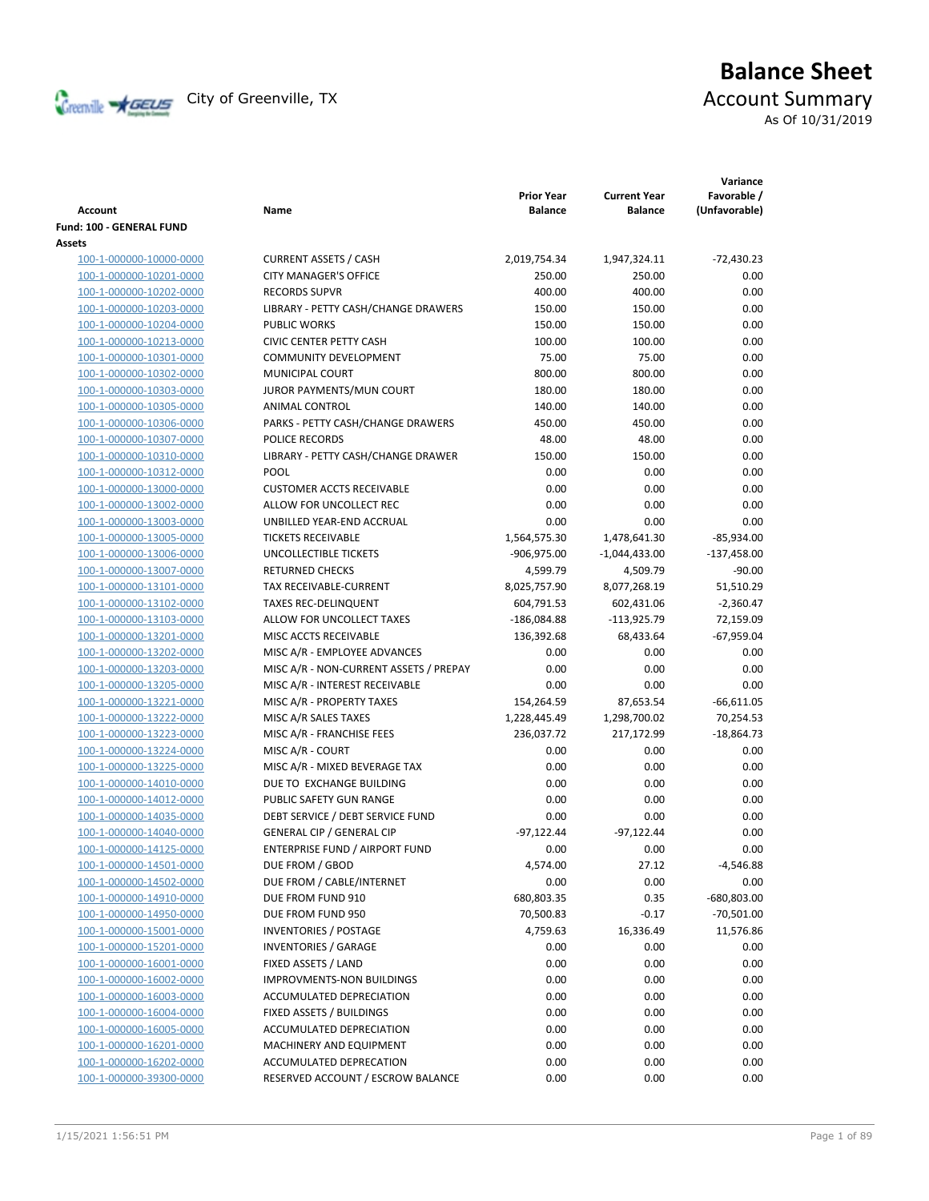

# **Balance Sheet** Creenville **X** GEUS</del> City of Greenville, TX **ACCOUNT** Summary As Of 10/31/2019

| <b>Account</b>           | Name                                   | <b>Prior Year</b><br><b>Balance</b> | <b>Current Year</b><br><b>Balance</b> | Variance<br>Favorable /<br>(Unfavorable) |
|--------------------------|----------------------------------------|-------------------------------------|---------------------------------------|------------------------------------------|
| Fund: 100 - GENERAL FUND |                                        |                                     |                                       |                                          |
| Assets                   |                                        |                                     |                                       |                                          |
| 100-1-000000-10000-0000  | <b>CURRENT ASSETS / CASH</b>           | 2,019,754.34                        | 1,947,324.11                          | $-72,430.23$                             |
| 100-1-000000-10201-0000  | <b>CITY MANAGER'S OFFICE</b>           | 250.00                              | 250.00                                | 0.00                                     |
| 100-1-000000-10202-0000  | <b>RECORDS SUPVR</b>                   | 400.00                              | 400.00                                | 0.00                                     |
| 100-1-000000-10203-0000  | LIBRARY - PETTY CASH/CHANGE DRAWERS    | 150.00                              | 150.00                                | 0.00                                     |
| 100-1-000000-10204-0000  | <b>PUBLIC WORKS</b>                    | 150.00                              | 150.00                                | 0.00                                     |
| 100-1-000000-10213-0000  | <b>CIVIC CENTER PETTY CASH</b>         | 100.00                              | 100.00                                | 0.00                                     |
| 100-1-000000-10301-0000  | <b>COMMUNITY DEVELOPMENT</b>           | 75.00                               | 75.00                                 | 0.00                                     |
| 100-1-000000-10302-0000  | MUNICIPAL COURT                        | 800.00                              | 800.00                                | 0.00                                     |
| 100-1-000000-10303-0000  | JUROR PAYMENTS/MUN COURT               | 180.00                              | 180.00                                | 0.00                                     |
| 100-1-000000-10305-0000  | ANIMAL CONTROL                         | 140.00                              | 140.00                                | 0.00                                     |
| 100-1-000000-10306-0000  | PARKS - PETTY CASH/CHANGE DRAWERS      | 450.00                              | 450.00                                | 0.00                                     |
| 100-1-000000-10307-0000  | POLICE RECORDS                         | 48.00                               | 48.00                                 | 0.00                                     |
| 100-1-000000-10310-0000  | LIBRARY - PETTY CASH/CHANGE DRAWER     | 150.00                              | 150.00                                | 0.00                                     |
| 100-1-000000-10312-0000  | <b>POOL</b>                            | 0.00                                | 0.00                                  | 0.00                                     |
| 100-1-000000-13000-0000  | <b>CUSTOMER ACCTS RECEIVABLE</b>       | 0.00                                | 0.00                                  | 0.00                                     |
| 100-1-000000-13002-0000  | ALLOW FOR UNCOLLECT REC                | 0.00                                | 0.00                                  | 0.00                                     |
| 100-1-000000-13003-0000  | UNBILLED YEAR-END ACCRUAL              | 0.00                                | 0.00                                  | 0.00                                     |
| 100-1-000000-13005-0000  | <b>TICKETS RECEIVABLE</b>              | 1,564,575.30                        | 1,478,641.30                          | $-85,934.00$                             |
| 100-1-000000-13006-0000  | UNCOLLECTIBLE TICKETS                  | -906,975.00                         | -1,044,433.00                         | $-137,458.00$                            |
| 100-1-000000-13007-0000  | <b>RETURNED CHECKS</b>                 | 4,599.79                            | 4,509.79                              | $-90.00$                                 |
| 100-1-000000-13101-0000  | TAX RECEIVABLE-CURRENT                 | 8,025,757.90                        | 8,077,268.19                          | 51,510.29                                |
| 100-1-000000-13102-0000  | <b>TAXES REC-DELINQUENT</b>            | 604,791.53                          | 602,431.06                            | $-2,360.47$                              |
| 100-1-000000-13103-0000  | ALLOW FOR UNCOLLECT TAXES              | $-186,084.88$                       | $-113,925.79$                         | 72,159.09                                |
| 100-1-000000-13201-0000  | MISC ACCTS RECEIVABLE                  | 136,392.68                          | 68,433.64                             | -67,959.04                               |
| 100-1-000000-13202-0000  | MISC A/R - EMPLOYEE ADVANCES           | 0.00                                | 0.00                                  | 0.00                                     |
| 100-1-000000-13203-0000  | MISC A/R - NON-CURRENT ASSETS / PREPAY | 0.00                                | 0.00                                  | 0.00                                     |
| 100-1-000000-13205-0000  | MISC A/R - INTEREST RECEIVABLE         | 0.00                                | 0.00                                  | 0.00                                     |
| 100-1-000000-13221-0000  | MISC A/R - PROPERTY TAXES              | 154,264.59                          | 87,653.54                             | $-66,611.05$                             |
| 100-1-000000-13222-0000  | MISC A/R SALES TAXES                   | 1,228,445.49                        | 1,298,700.02                          | 70,254.53                                |
| 100-1-000000-13223-0000  | MISC A/R - FRANCHISE FEES              | 236,037.72                          | 217,172.99                            | $-18,864.73$                             |
| 100-1-000000-13224-0000  | MISC A/R - COURT                       | 0.00                                | 0.00                                  | 0.00                                     |
| 100-1-000000-13225-0000  | MISC A/R - MIXED BEVERAGE TAX          | 0.00                                | 0.00                                  | 0.00                                     |
| 100-1-000000-14010-0000  | DUE TO EXCHANGE BUILDING               | 0.00                                | 0.00                                  | 0.00                                     |
| 100-1-000000-14012-0000  | PUBLIC SAFETY GUN RANGE                | 0.00                                | 0.00                                  | 0.00                                     |
| 100-1-000000-14035-0000  | DEBT SERVICE / DEBT SERVICE FUND       | 0.00                                | 0.00                                  | 0.00                                     |
| 100-1-000000-14040-0000  | <b>GENERAL CIP / GENERAL CIP</b>       | $-97,122.44$                        | $-97,122.44$                          | 0.00                                     |
| 100-1-000000-14125-0000  | <b>ENTERPRISE FUND / AIRPORT FUND</b>  | 0.00                                | 0.00                                  | 0.00                                     |
| 100-1-000000-14501-0000  | DUE FROM / GBOD                        | 4,574.00                            | 27.12                                 | -4,546.88                                |
| 100-1-000000-14502-0000  | DUE FROM / CABLE/INTERNET              | 0.00                                | 0.00                                  | 0.00                                     |
| 100-1-000000-14910-0000  | DUE FROM FUND 910                      | 680,803.35                          | 0.35                                  | -680,803.00                              |
| 100-1-000000-14950-0000  | DUE FROM FUND 950                      | 70,500.83                           | $-0.17$                               | $-70,501.00$                             |
| 100-1-000000-15001-0000  | <b>INVENTORIES / POSTAGE</b>           | 4,759.63                            | 16,336.49                             | 11,576.86                                |
| 100-1-000000-15201-0000  | <b>INVENTORIES / GARAGE</b>            | 0.00                                | 0.00                                  | 0.00                                     |
| 100-1-000000-16001-0000  | FIXED ASSETS / LAND                    | 0.00                                | 0.00                                  | 0.00                                     |
| 100-1-000000-16002-0000  | IMPROVMENTS-NON BUILDINGS              | 0.00                                | 0.00                                  | 0.00                                     |
| 100-1-000000-16003-0000  | ACCUMULATED DEPRECIATION               | 0.00                                | 0.00                                  | 0.00                                     |
| 100-1-000000-16004-0000  | FIXED ASSETS / BUILDINGS               | 0.00                                | 0.00                                  | 0.00                                     |
| 100-1-000000-16005-0000  | ACCUMULATED DEPRECIATION               | 0.00                                | 0.00                                  | 0.00                                     |
| 100-1-000000-16201-0000  | MACHINERY AND EQUIPMENT                | 0.00                                | 0.00                                  | 0.00                                     |
| 100-1-000000-16202-0000  | ACCUMULATED DEPRECATION                | 0.00                                | 0.00                                  | 0.00                                     |
| 100-1-000000-39300-0000  | RESERVED ACCOUNT / ESCROW BALANCE      | 0.00                                | 0.00                                  | 0.00                                     |
|                          |                                        |                                     |                                       |                                          |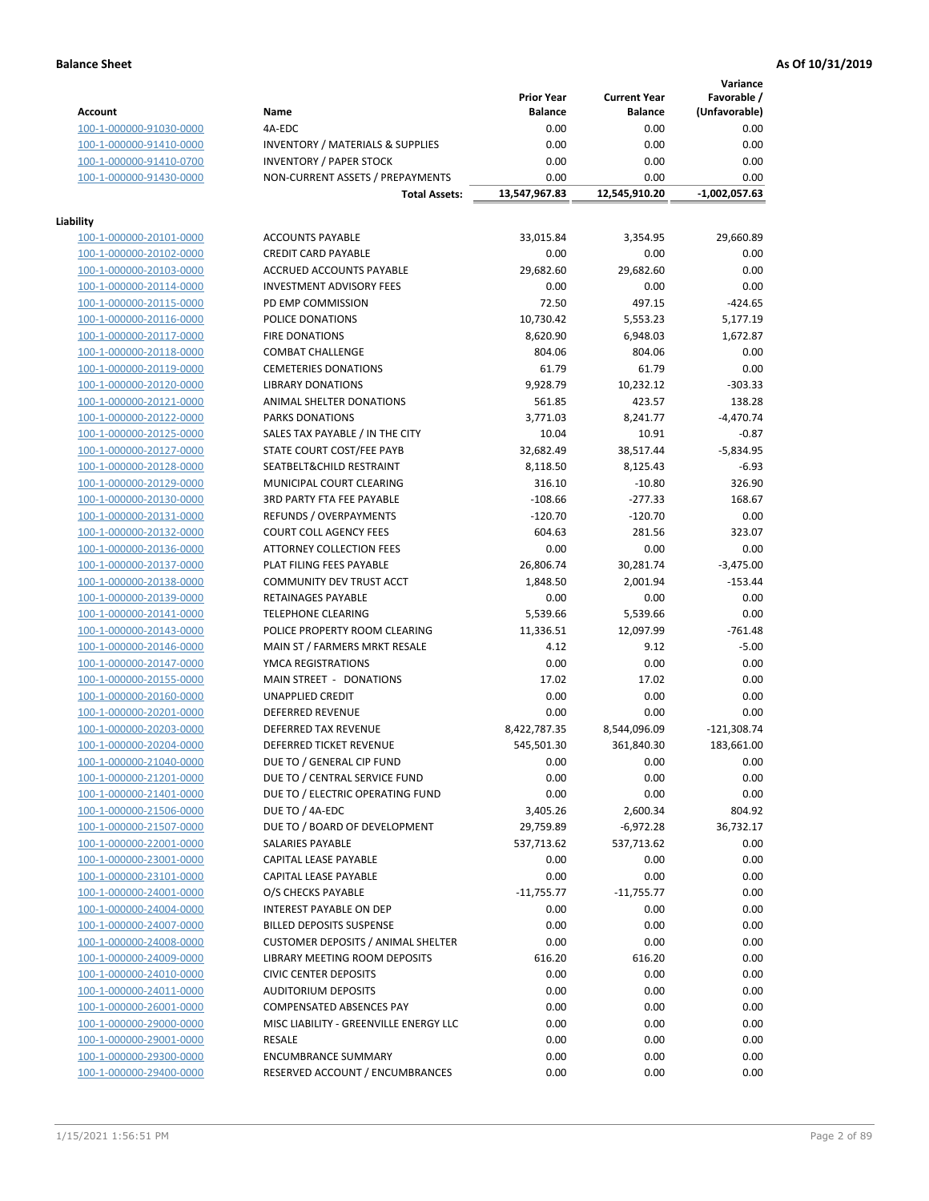**Variance**

|                         |                                             | <b>Prior Year</b> | <b>Current Year</b> | Favorable /   |
|-------------------------|---------------------------------------------|-------------------|---------------------|---------------|
| Account                 | Name                                        | <b>Balance</b>    | <b>Balance</b>      | (Unfavorable) |
| 100-1-000000-91030-0000 | 4A-EDC                                      | 0.00              | 0.00                | 0.00          |
| 100-1-000000-91410-0000 | <b>INVENTORY / MATERIALS &amp; SUPPLIES</b> | 0.00              | 0.00                | 0.00          |
| 100-1-000000-91410-0700 | <b>INVENTORY / PAPER STOCK</b>              | 0.00              | 0.00                | 0.00          |
| 100-1-000000-91430-0000 | NON-CURRENT ASSETS / PREPAYMENTS            | 0.00              | 0.00                | 0.00          |
|                         | <b>Total Assets:</b>                        | 13,547,967.83     | 12,545,910.20       | -1,002,057.63 |
|                         |                                             |                   |                     |               |
| Liability               |                                             |                   |                     |               |
| 100-1-000000-20101-0000 | <b>ACCOUNTS PAYABLE</b>                     | 33,015.84         | 3,354.95            | 29,660.89     |
| 100-1-000000-20102-0000 | <b>CREDIT CARD PAYABLE</b>                  | 0.00              | 0.00                | 0.00          |
| 100-1-000000-20103-0000 | ACCRUED ACCOUNTS PAYABLE                    | 29,682.60         | 29,682.60           | 0.00          |
| 100-1-000000-20114-0000 | <b>INVESTMENT ADVISORY FEES</b>             | 0.00              | 0.00                | 0.00          |
| 100-1-000000-20115-0000 | PD EMP COMMISSION                           | 72.50             | 497.15              | $-424.65$     |
| 100-1-000000-20116-0000 | POLICE DONATIONS                            | 10,730.42         | 5,553.23            | 5,177.19      |
| 100-1-000000-20117-0000 | <b>FIRE DONATIONS</b>                       | 8,620.90          | 6,948.03            | 1,672.87      |
| 100-1-000000-20118-0000 | <b>COMBAT CHALLENGE</b>                     | 804.06            | 804.06              | 0.00          |
| 100-1-000000-20119-0000 | <b>CEMETERIES DONATIONS</b>                 | 61.79             | 61.79               | 0.00          |
| 100-1-000000-20120-0000 | <b>LIBRARY DONATIONS</b>                    | 9,928.79          | 10,232.12           | $-303.33$     |
| 100-1-000000-20121-0000 | ANIMAL SHELTER DONATIONS                    | 561.85            | 423.57              | 138.28        |
| 100-1-000000-20122-0000 | <b>PARKS DONATIONS</b>                      | 3,771.03          | 8,241.77            | $-4,470.74$   |
|                         | SALES TAX PAYABLE / IN THE CITY             | 10.04             |                     |               |
| 100-1-000000-20125-0000 |                                             |                   | 10.91               | $-0.87$       |
| 100-1-000000-20127-0000 | STATE COURT COST/FEE PAYB                   | 32,682.49         | 38,517.44           | $-5,834.95$   |
| 100-1-000000-20128-0000 | SEATBELT&CHILD RESTRAINT                    | 8,118.50          | 8,125.43            | $-6.93$       |
| 100-1-000000-20129-0000 | MUNICIPAL COURT CLEARING                    | 316.10            | $-10.80$            | 326.90        |
| 100-1-000000-20130-0000 | <b>3RD PARTY FTA FEE PAYABLE</b>            | $-108.66$         | $-277.33$           | 168.67        |
| 100-1-000000-20131-0000 | <b>REFUNDS / OVERPAYMENTS</b>               | $-120.70$         | $-120.70$           | 0.00          |
| 100-1-000000-20132-0000 | <b>COURT COLL AGENCY FEES</b>               | 604.63            | 281.56              | 323.07        |
| 100-1-000000-20136-0000 | ATTORNEY COLLECTION FEES                    | 0.00              | 0.00                | 0.00          |
| 100-1-000000-20137-0000 | PLAT FILING FEES PAYABLE                    | 26,806.74         | 30,281.74           | $-3,475.00$   |
| 100-1-000000-20138-0000 | COMMUNITY DEV TRUST ACCT                    | 1,848.50          | 2,001.94            | $-153.44$     |
| 100-1-000000-20139-0000 | RETAINAGES PAYABLE                          | 0.00              | 0.00                | 0.00          |
| 100-1-000000-20141-0000 | <b>TELEPHONE CLEARING</b>                   | 5,539.66          | 5,539.66            | 0.00          |
| 100-1-000000-20143-0000 | POLICE PROPERTY ROOM CLEARING               | 11,336.51         | 12,097.99           | $-761.48$     |
| 100-1-000000-20146-0000 | MAIN ST / FARMERS MRKT RESALE               | 4.12              | 9.12                | $-5.00$       |
| 100-1-000000-20147-0000 | YMCA REGISTRATIONS                          | 0.00              | 0.00                | 0.00          |
| 100-1-000000-20155-0000 | MAIN STREET - DONATIONS                     | 17.02             | 17.02               | 0.00          |
| 100-1-000000-20160-0000 | <b>UNAPPLIED CREDIT</b>                     | 0.00              | 0.00                | 0.00          |
| 100-1-000000-20201-0000 | <b>DEFERRED REVENUE</b>                     | 0.00              | 0.00                | 0.00          |
| 100-1-000000-20203-0000 | DEFERRED TAX REVENUE                        | 8,422,787.35      | 8,544,096.09        | $-121,308.74$ |
| 100-1-000000-20204-0000 | DEFERRED TICKET REVENUE                     | 545,501.30        | 361,840.30          | 183,661.00    |
| 100-1-000000-21040-0000 | DUE TO / GENERAL CIP FUND                   | 0.00              | 0.00                | 0.00          |
| 100-1-000000-21201-0000 | DUE TO / CENTRAL SERVICE FUND               | 0.00              | 0.00                | 0.00          |
| 100-1-000000-21401-0000 | DUE TO / ELECTRIC OPERATING FUND            | 0.00              | 0.00                | 0.00          |
| 100-1-000000-21506-0000 | DUE TO / 4A-EDC                             | 3,405.26          | 2,600.34            | 804.92        |
| 100-1-000000-21507-0000 | DUE TO / BOARD OF DEVELOPMENT               | 29,759.89         | $-6,972.28$         | 36,732.17     |
| 100-1-000000-22001-0000 | <b>SALARIES PAYABLE</b>                     | 537,713.62        | 537,713.62          | 0.00          |
| 100-1-000000-23001-0000 | CAPITAL LEASE PAYABLE                       | 0.00              | 0.00                | 0.00          |
| 100-1-000000-23101-0000 | <b>CAPITAL LEASE PAYABLE</b>                | 0.00              | 0.00                | 0.00          |
| 100-1-000000-24001-0000 | O/S CHECKS PAYABLE                          | $-11,755.77$      | $-11,755.77$        | 0.00          |
| 100-1-000000-24004-0000 | INTEREST PAYABLE ON DEP                     | 0.00              | 0.00                | 0.00          |
| 100-1-000000-24007-0000 | <b>BILLED DEPOSITS SUSPENSE</b>             | 0.00              | 0.00                | 0.00          |
|                         |                                             |                   |                     |               |
| 100-1-000000-24008-0000 | <b>CUSTOMER DEPOSITS / ANIMAL SHELTER</b>   | 0.00              | 0.00                | 0.00          |
| 100-1-000000-24009-0000 | <b>LIBRARY MEETING ROOM DEPOSITS</b>        | 616.20            | 616.20              | 0.00          |
| 100-1-000000-24010-0000 | <b>CIVIC CENTER DEPOSITS</b>                | 0.00              | 0.00                | 0.00          |
| 100-1-000000-24011-0000 | <b>AUDITORIUM DEPOSITS</b>                  | 0.00              | 0.00                | 0.00          |
| 100-1-000000-26001-0000 | COMPENSATED ABSENCES PAY                    | 0.00              | 0.00                | 0.00          |
| 100-1-000000-29000-0000 | MISC LIABILITY - GREENVILLE ENERGY LLC      | 0.00              | 0.00                | 0.00          |
| 100-1-000000-29001-0000 | RESALE                                      | 0.00              | 0.00                | 0.00          |
| 100-1-000000-29300-0000 | <b>ENCUMBRANCE SUMMARY</b>                  | 0.00              | 0.00                | 0.00          |
| 100-1-000000-29400-0000 | RESERVED ACCOUNT / ENCUMBRANCES             | 0.00              | 0.00                | 0.00          |
|                         |                                             |                   |                     |               |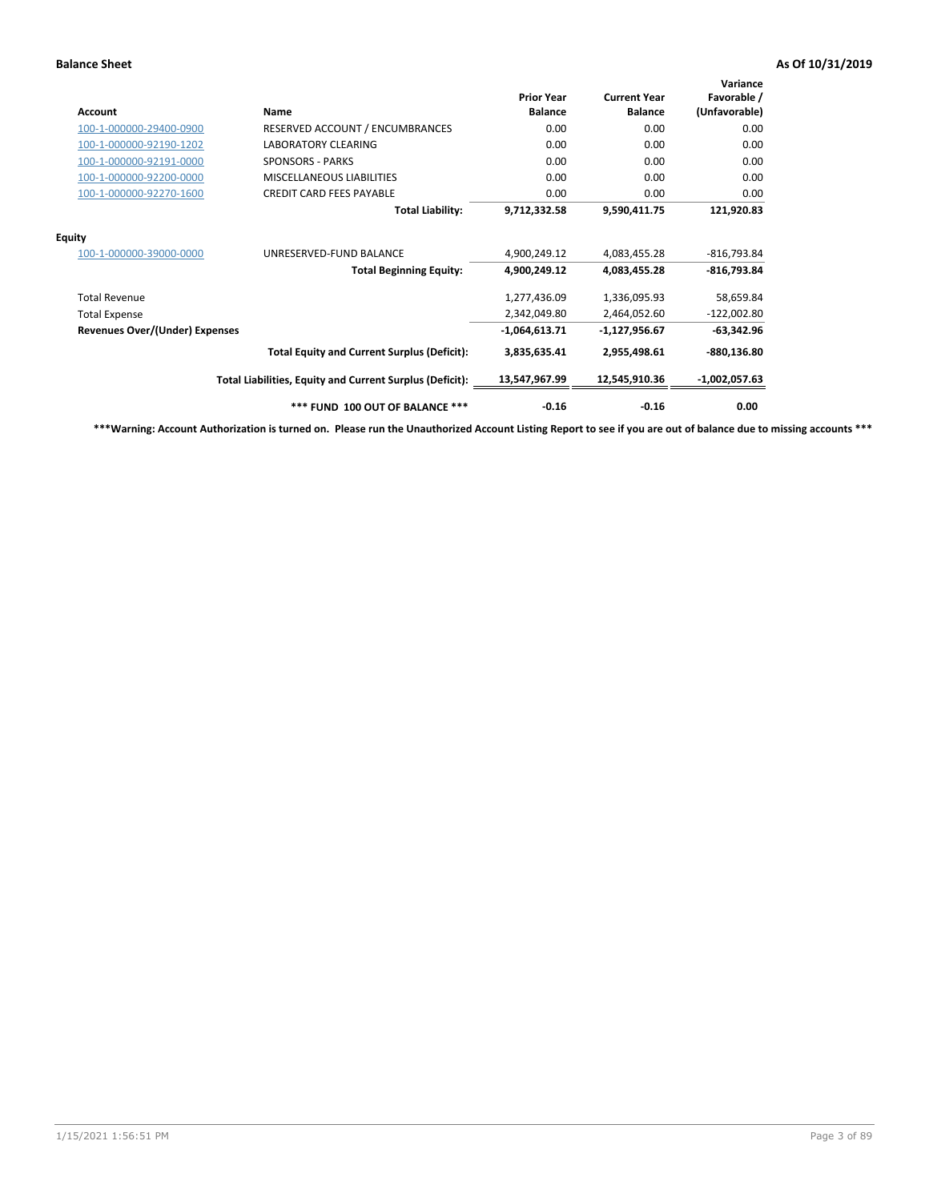| <b>Account</b>                        | Name                                                     | <b>Prior Year</b><br><b>Balance</b> | <b>Current Year</b><br><b>Balance</b> | Variance<br>Favorable /<br>(Unfavorable) |
|---------------------------------------|----------------------------------------------------------|-------------------------------------|---------------------------------------|------------------------------------------|
| 100-1-000000-29400-0900               | RESERVED ACCOUNT / ENCUMBRANCES                          | 0.00                                | 0.00                                  | 0.00                                     |
| 100-1-000000-92190-1202               | <b>LABORATORY CLEARING</b>                               | 0.00                                | 0.00                                  | 0.00                                     |
| 100-1-000000-92191-0000               | <b>SPONSORS - PARKS</b>                                  | 0.00                                | 0.00                                  | 0.00                                     |
| 100-1-000000-92200-0000               | MISCELLANEOUS LIABILITIES                                | 0.00                                | 0.00                                  | 0.00                                     |
| 100-1-000000-92270-1600               | <b>CREDIT CARD FEES PAYABLE</b>                          | 0.00                                | 0.00                                  | 0.00                                     |
|                                       | <b>Total Liability:</b>                                  | 9,712,332.58                        | 9,590,411.75                          | 121,920.83                               |
| <b>Equity</b>                         |                                                          |                                     |                                       |                                          |
| 100-1-000000-39000-0000               | UNRESERVED-FUND BALANCE                                  | 4,900,249.12                        | 4,083,455.28                          | $-816,793.84$                            |
|                                       | <b>Total Beginning Equity:</b>                           | 4,900,249.12                        | 4,083,455.28                          | $-816,793.84$                            |
| <b>Total Revenue</b>                  |                                                          | 1,277,436.09                        | 1,336,095.93                          | 58,659.84                                |
| <b>Total Expense</b>                  |                                                          | 2,342,049.80                        | 2,464,052.60                          | $-122,002.80$                            |
| <b>Revenues Over/(Under) Expenses</b> |                                                          | $-1,064,613.71$                     | -1,127,956.67                         | $-63,342.96$                             |
|                                       | <b>Total Equity and Current Surplus (Deficit):</b>       | 3,835,635.41                        | 2,955,498.61                          | -880,136.80                              |
|                                       | Total Liabilities, Equity and Current Surplus (Deficit): | 13,547,967.99                       | 12,545,910.36                         | $-1,002,057.63$                          |
|                                       | *** FUND 100 OUT OF BALANCE ***                          | $-0.16$                             | $-0.16$                               | 0.00                                     |

**\*\*\*Warning: Account Authorization is turned on. Please run the Unauthorized Account Listing Report to see if you are out of balance due to missing accounts \*\*\***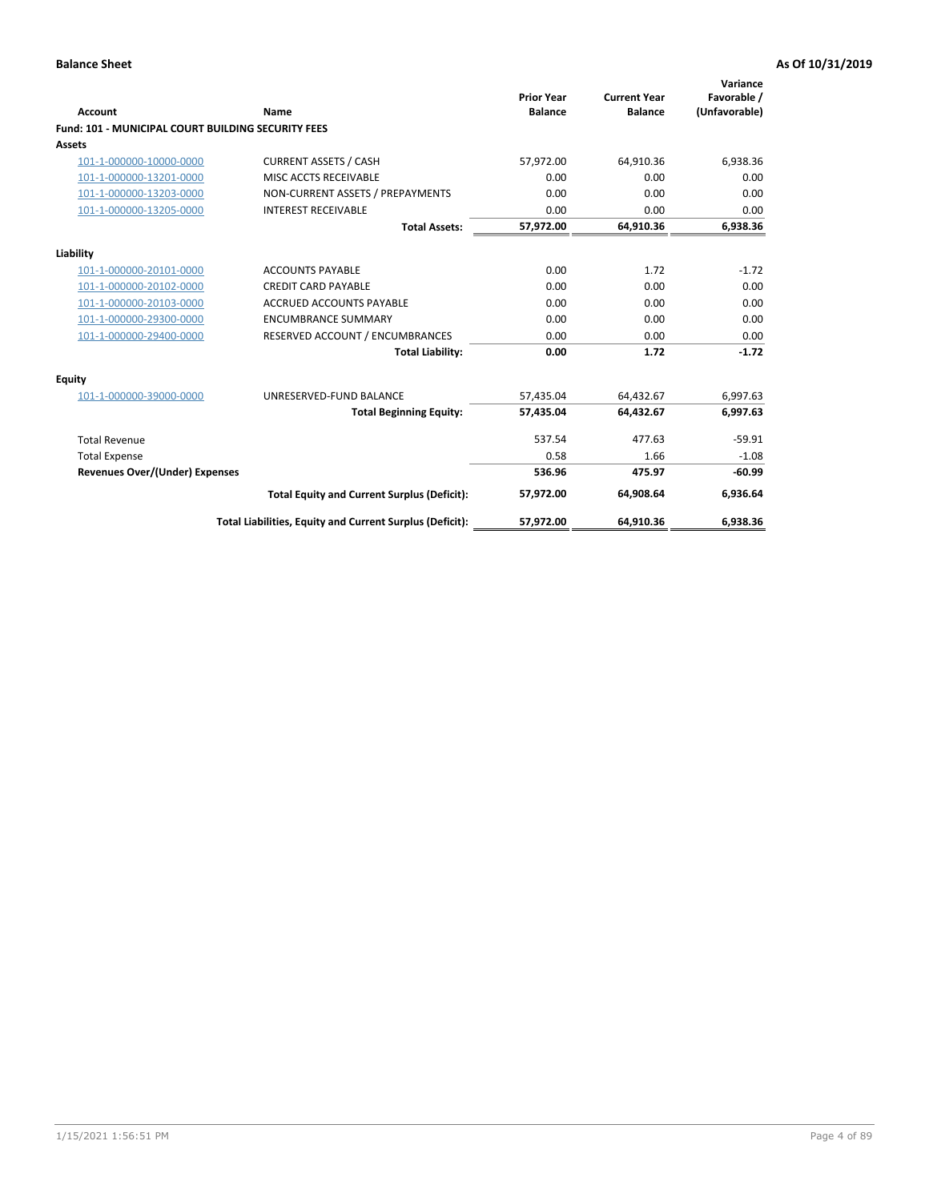| <b>Account</b>                                            | Name                                                     | <b>Prior Year</b><br><b>Balance</b> | <b>Current Year</b><br><b>Balance</b> | Variance<br>Favorable /<br>(Unfavorable) |
|-----------------------------------------------------------|----------------------------------------------------------|-------------------------------------|---------------------------------------|------------------------------------------|
| <b>Fund: 101 - MUNICIPAL COURT BUILDING SECURITY FEES</b> |                                                          |                                     |                                       |                                          |
| Assets                                                    |                                                          |                                     |                                       |                                          |
| 101-1-000000-10000-0000                                   | <b>CURRENT ASSETS / CASH</b>                             | 57,972.00                           | 64,910.36                             | 6,938.36                                 |
| 101-1-000000-13201-0000                                   | MISC ACCTS RECEIVABLE                                    | 0.00                                | 0.00                                  | 0.00                                     |
| 101-1-000000-13203-0000                                   | NON-CURRENT ASSETS / PREPAYMENTS                         | 0.00                                | 0.00                                  | 0.00                                     |
| 101-1-000000-13205-0000                                   | <b>INTEREST RECEIVABLE</b>                               | 0.00                                | 0.00                                  | 0.00                                     |
|                                                           | <b>Total Assets:</b>                                     | 57,972.00                           | 64,910.36                             | 6,938.36                                 |
| Liability                                                 |                                                          |                                     |                                       |                                          |
| 101-1-000000-20101-0000                                   | <b>ACCOUNTS PAYABLE</b>                                  | 0.00                                | 1.72                                  | $-1.72$                                  |
| 101-1-000000-20102-0000                                   | <b>CREDIT CARD PAYABLE</b>                               | 0.00                                | 0.00                                  | 0.00                                     |
| 101-1-000000-20103-0000                                   | <b>ACCRUED ACCOUNTS PAYABLE</b>                          | 0.00                                | 0.00                                  | 0.00                                     |
| 101-1-000000-29300-0000                                   | <b>ENCUMBRANCE SUMMARY</b>                               | 0.00                                | 0.00                                  | 0.00                                     |
| 101-1-000000-29400-0000                                   | RESERVED ACCOUNT / ENCUMBRANCES                          | 0.00                                | 0.00                                  | 0.00                                     |
|                                                           | <b>Total Liability:</b>                                  | 0.00                                | 1.72                                  | $-1.72$                                  |
| Equity                                                    |                                                          |                                     |                                       |                                          |
| 101-1-000000-39000-0000                                   | UNRESERVED-FUND BALANCE                                  | 57,435.04                           | 64,432.67                             | 6,997.63                                 |
|                                                           | <b>Total Beginning Equity:</b>                           | 57,435.04                           | 64,432.67                             | 6,997.63                                 |
| <b>Total Revenue</b>                                      |                                                          | 537.54                              | 477.63                                | $-59.91$                                 |
| <b>Total Expense</b>                                      |                                                          | 0.58                                | 1.66                                  | $-1.08$                                  |
| <b>Revenues Over/(Under) Expenses</b>                     |                                                          | 536.96                              | 475.97                                | $-60.99$                                 |
|                                                           | <b>Total Equity and Current Surplus (Deficit):</b>       | 57,972.00                           | 64,908.64                             | 6,936.64                                 |
|                                                           | Total Liabilities, Equity and Current Surplus (Deficit): | 57,972.00                           | 64,910.36                             | 6,938.36                                 |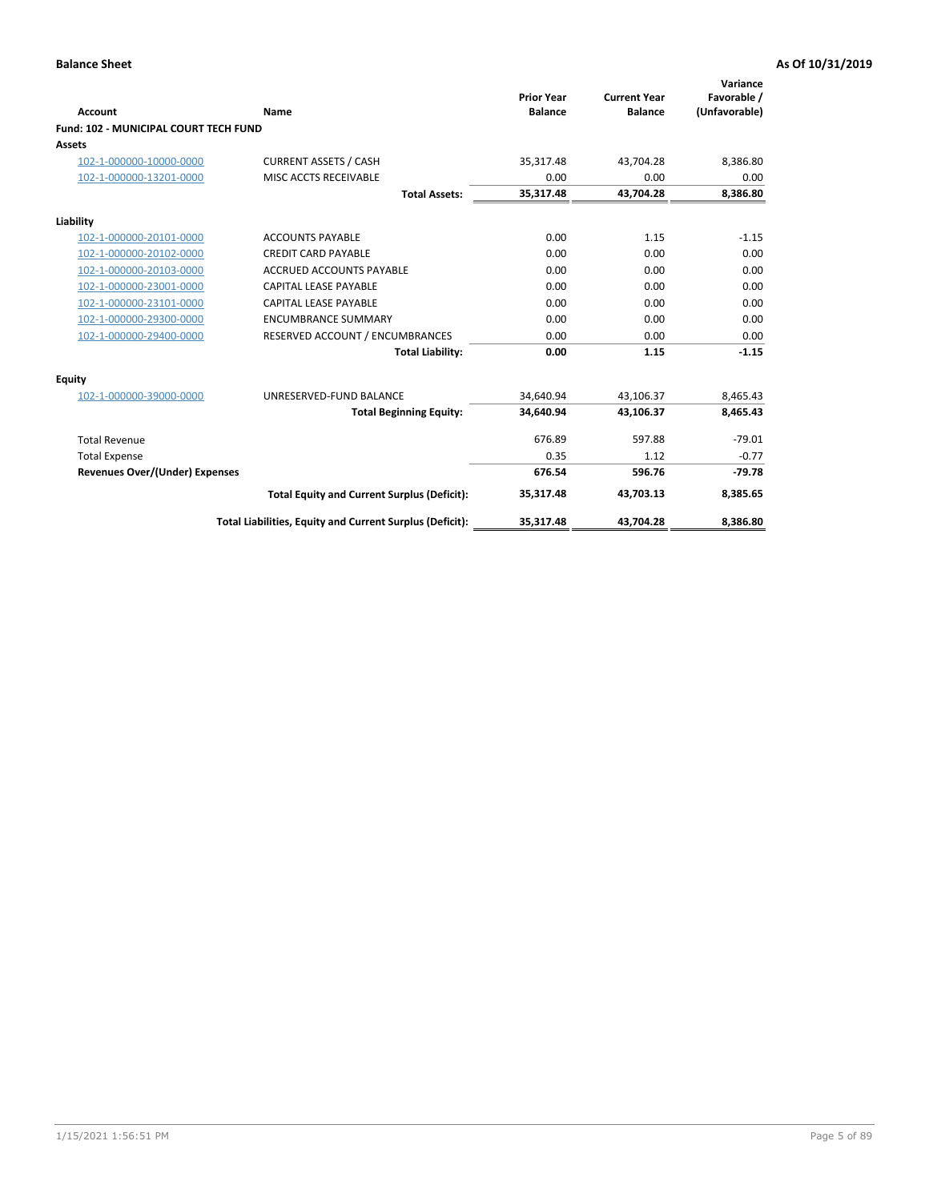| <b>Account</b>                        | Name                                                     | <b>Prior Year</b><br><b>Balance</b> | <b>Current Year</b><br><b>Balance</b> | Variance<br>Favorable /<br>(Unfavorable) |
|---------------------------------------|----------------------------------------------------------|-------------------------------------|---------------------------------------|------------------------------------------|
| Fund: 102 - MUNICIPAL COURT TECH FUND |                                                          |                                     |                                       |                                          |
| Assets                                |                                                          |                                     |                                       |                                          |
| 102-1-000000-10000-0000               | <b>CURRENT ASSETS / CASH</b>                             | 35,317.48                           | 43,704.28                             | 8,386.80                                 |
| 102-1-000000-13201-0000               | MISC ACCTS RECEIVABLE                                    | 0.00                                | 0.00                                  | 0.00                                     |
|                                       | <b>Total Assets:</b>                                     | 35,317.48                           | 43,704.28                             | 8,386.80                                 |
| Liability                             |                                                          |                                     |                                       |                                          |
| 102-1-000000-20101-0000               | <b>ACCOUNTS PAYABLE</b>                                  | 0.00                                | 1.15                                  | $-1.15$                                  |
| 102-1-000000-20102-0000               | <b>CREDIT CARD PAYABLE</b>                               | 0.00                                | 0.00                                  | 0.00                                     |
| 102-1-000000-20103-0000               | <b>ACCRUED ACCOUNTS PAYABLE</b>                          | 0.00                                | 0.00                                  | 0.00                                     |
| 102-1-000000-23001-0000               | <b>CAPITAL LEASE PAYABLE</b>                             | 0.00                                | 0.00                                  | 0.00                                     |
| 102-1-000000-23101-0000               | <b>CAPITAL LEASE PAYABLE</b>                             | 0.00                                | 0.00                                  | 0.00                                     |
| 102-1-000000-29300-0000               | <b>ENCUMBRANCE SUMMARY</b>                               | 0.00                                | 0.00                                  | 0.00                                     |
| 102-1-000000-29400-0000               | RESERVED ACCOUNT / ENCUMBRANCES                          | 0.00                                | 0.00                                  | 0.00                                     |
|                                       | <b>Total Liability:</b>                                  | 0.00                                | 1.15                                  | $-1.15$                                  |
| <b>Equity</b>                         |                                                          |                                     |                                       |                                          |
| 102-1-000000-39000-0000               | UNRESERVED-FUND BALANCE                                  | 34,640.94                           | 43,106.37                             | 8,465.43                                 |
|                                       | <b>Total Beginning Equity:</b>                           | 34.640.94                           | 43,106.37                             | 8,465.43                                 |
| <b>Total Revenue</b>                  |                                                          | 676.89                              | 597.88                                | $-79.01$                                 |
| <b>Total Expense</b>                  |                                                          | 0.35                                | 1.12                                  | $-0.77$                                  |
| <b>Revenues Over/(Under) Expenses</b> |                                                          | 676.54                              | 596.76                                | $-79.78$                                 |
|                                       | <b>Total Equity and Current Surplus (Deficit):</b>       | 35,317.48                           | 43,703.13                             | 8,385.65                                 |
|                                       | Total Liabilities, Equity and Current Surplus (Deficit): | 35,317.48                           | 43,704.28                             | 8,386.80                                 |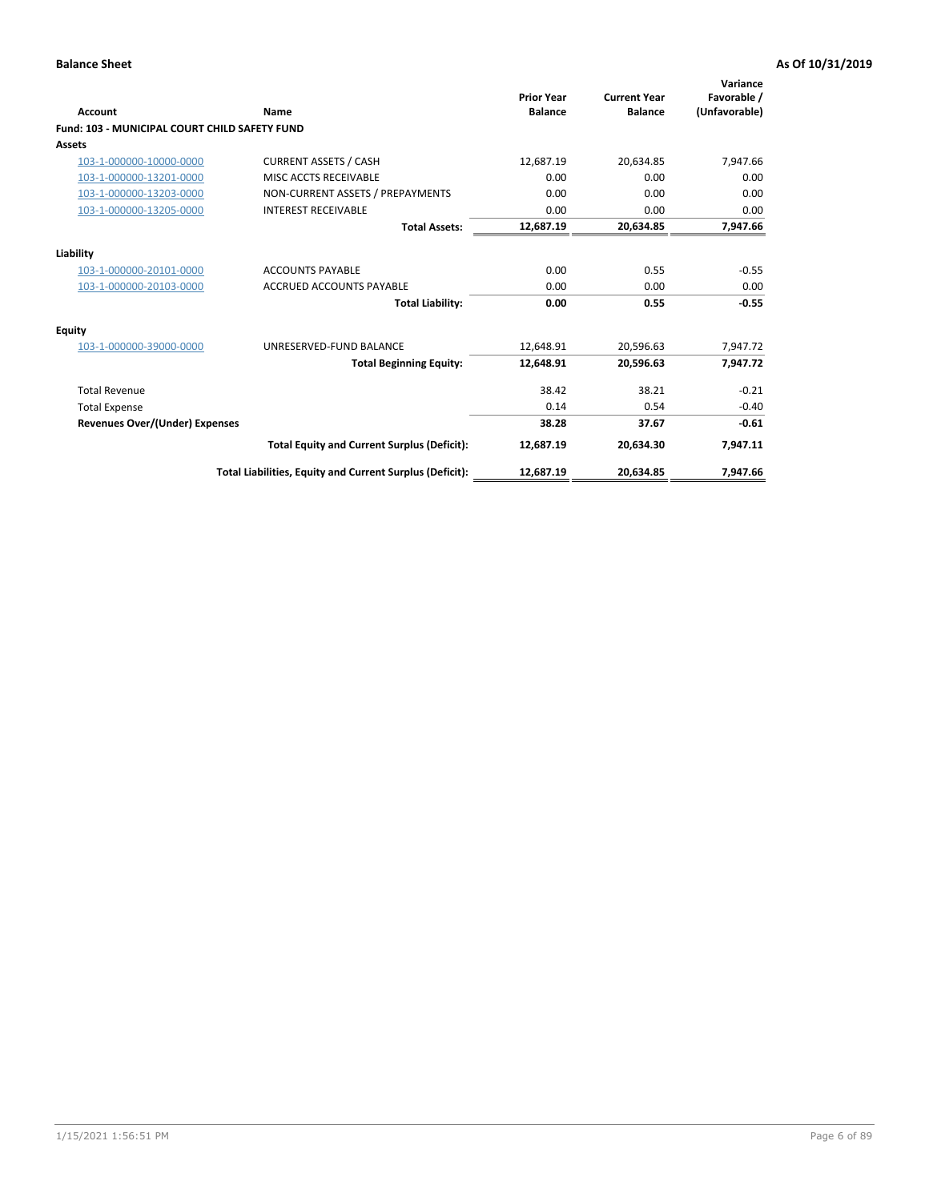| <b>Account</b>                                       | Name                                                     | <b>Prior Year</b><br><b>Balance</b> | <b>Current Year</b><br><b>Balance</b> | Variance<br>Favorable /<br>(Unfavorable) |
|------------------------------------------------------|----------------------------------------------------------|-------------------------------------|---------------------------------------|------------------------------------------|
| <b>Fund: 103 - MUNICIPAL COURT CHILD SAFETY FUND</b> |                                                          |                                     |                                       |                                          |
| <b>Assets</b>                                        |                                                          |                                     |                                       |                                          |
| 103-1-000000-10000-0000                              | <b>CURRENT ASSETS / CASH</b>                             | 12,687.19                           | 20,634.85                             | 7,947.66                                 |
| 103-1-000000-13201-0000                              | MISC ACCTS RECEIVABLE                                    | 0.00                                | 0.00                                  | 0.00                                     |
| 103-1-000000-13203-0000                              | NON-CURRENT ASSETS / PREPAYMENTS                         | 0.00                                | 0.00                                  | 0.00                                     |
| 103-1-000000-13205-0000                              | <b>INTEREST RECEIVABLE</b>                               | 0.00                                | 0.00                                  | 0.00                                     |
|                                                      | <b>Total Assets:</b>                                     | 12,687.19                           | 20,634.85                             | 7,947.66                                 |
| Liability                                            |                                                          |                                     |                                       |                                          |
| 103-1-000000-20101-0000                              | <b>ACCOUNTS PAYABLE</b>                                  | 0.00                                | 0.55                                  | $-0.55$                                  |
| 103-1-000000-20103-0000                              | <b>ACCRUED ACCOUNTS PAYABLE</b>                          | 0.00                                | 0.00                                  | 0.00                                     |
|                                                      | <b>Total Liability:</b>                                  | 0.00                                | 0.55                                  | $-0.55$                                  |
| <b>Equity</b>                                        |                                                          |                                     |                                       |                                          |
| 103-1-000000-39000-0000                              | UNRESERVED-FUND BALANCE                                  | 12,648.91                           | 20,596.63                             | 7,947.72                                 |
|                                                      | <b>Total Beginning Equity:</b>                           | 12,648.91                           | 20,596.63                             | 7,947.72                                 |
| <b>Total Revenue</b>                                 |                                                          | 38.42                               | 38.21                                 | $-0.21$                                  |
| <b>Total Expense</b>                                 |                                                          | 0.14                                | 0.54                                  | $-0.40$                                  |
| <b>Revenues Over/(Under) Expenses</b>                |                                                          | 38.28                               | 37.67                                 | $-0.61$                                  |
|                                                      | <b>Total Equity and Current Surplus (Deficit):</b>       | 12,687.19                           | 20,634.30                             | 7,947.11                                 |
|                                                      | Total Liabilities, Equity and Current Surplus (Deficit): | 12,687.19                           | 20,634.85                             | 7,947.66                                 |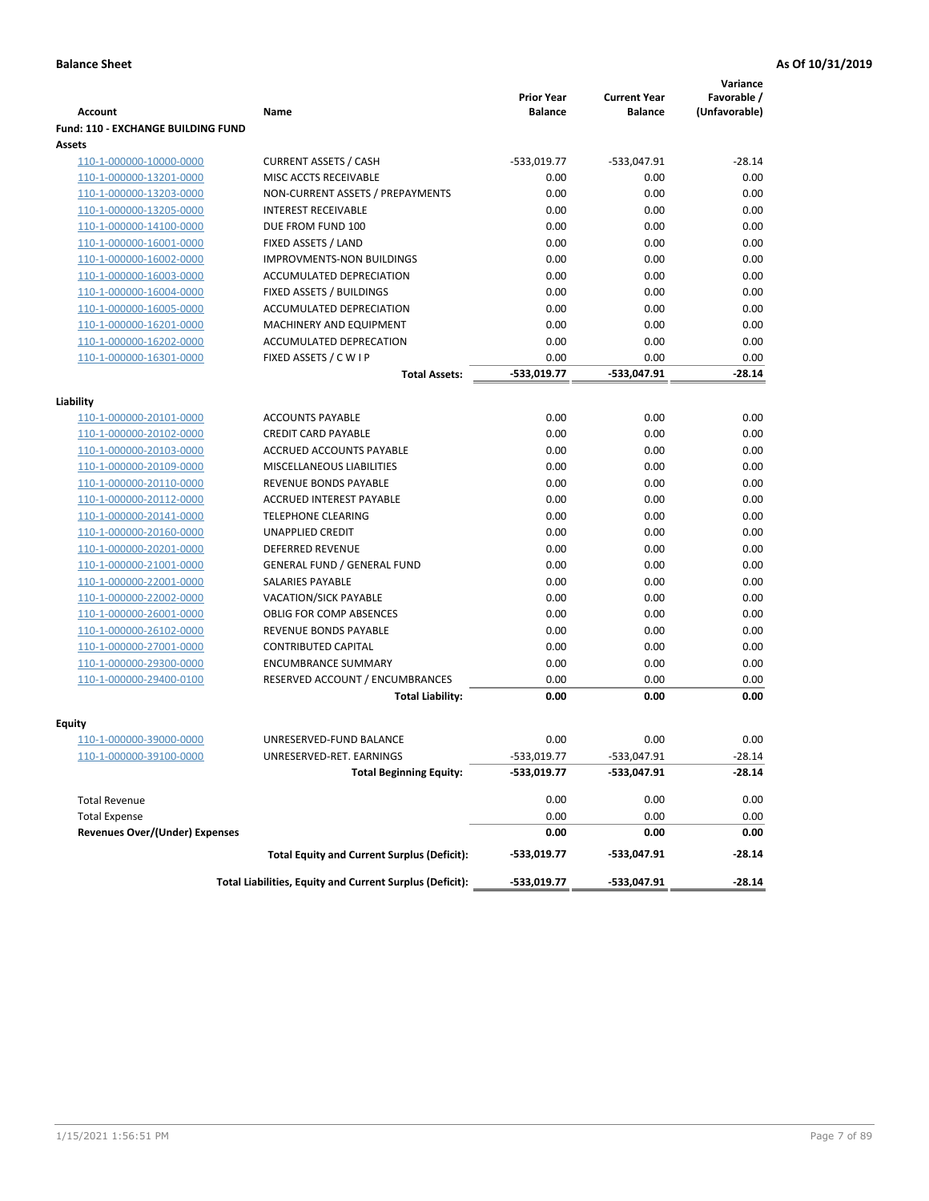|                                           |                                                          |                                     |                                       | Variance                     |
|-------------------------------------------|----------------------------------------------------------|-------------------------------------|---------------------------------------|------------------------------|
| <b>Account</b>                            | Name                                                     | <b>Prior Year</b><br><b>Balance</b> | <b>Current Year</b><br><b>Balance</b> | Favorable /<br>(Unfavorable) |
| <b>Fund: 110 - EXCHANGE BUILDING FUND</b> |                                                          |                                     |                                       |                              |
| Assets                                    |                                                          |                                     |                                       |                              |
| 110-1-000000-10000-0000                   | <b>CURRENT ASSETS / CASH</b>                             | -533,019.77                         | -533,047.91                           | $-28.14$                     |
| 110-1-000000-13201-0000                   | MISC ACCTS RECEIVABLE                                    | 0.00                                | 0.00                                  | 0.00                         |
| 110-1-000000-13203-0000                   | NON-CURRENT ASSETS / PREPAYMENTS                         | 0.00                                | 0.00                                  | 0.00                         |
| 110-1-000000-13205-0000                   | <b>INTEREST RECEIVABLE</b>                               | 0.00                                | 0.00                                  | 0.00                         |
| 110-1-000000-14100-0000                   | DUE FROM FUND 100                                        | 0.00                                | 0.00                                  | 0.00                         |
| 110-1-000000-16001-0000                   | FIXED ASSETS / LAND                                      | 0.00                                | 0.00                                  | 0.00                         |
| 110-1-000000-16002-0000                   | <b>IMPROVMENTS-NON BUILDINGS</b>                         | 0.00                                | 0.00                                  | 0.00                         |
| 110-1-000000-16003-0000                   | ACCUMULATED DEPRECIATION                                 | 0.00                                | 0.00                                  | 0.00                         |
| 110-1-000000-16004-0000                   | FIXED ASSETS / BUILDINGS                                 | 0.00                                | 0.00                                  | 0.00                         |
| 110-1-000000-16005-0000                   | ACCUMULATED DEPRECIATION                                 | 0.00                                | 0.00                                  | 0.00                         |
| 110-1-000000-16201-0000                   | <b>MACHINERY AND EQUIPMENT</b>                           | 0.00                                | 0.00                                  | 0.00                         |
| 110-1-000000-16202-0000                   | ACCUMULATED DEPRECATION                                  | 0.00                                | 0.00                                  | 0.00                         |
| 110-1-000000-16301-0000                   | FIXED ASSETS / C W I P                                   | 0.00                                | 0.00                                  | 0.00                         |
|                                           | <b>Total Assets:</b>                                     | $-533,019.77$                       | -533,047.91                           | $-28.14$                     |
|                                           |                                                          |                                     |                                       |                              |
| Liability<br>110-1-000000-20101-0000      | <b>ACCOUNTS PAYABLE</b>                                  | 0.00                                | 0.00                                  | 0.00                         |
| 110-1-000000-20102-0000                   | <b>CREDIT CARD PAYABLE</b>                               | 0.00                                | 0.00                                  | 0.00                         |
| 110-1-000000-20103-0000                   | ACCRUED ACCOUNTS PAYABLE                                 | 0.00                                | 0.00                                  | 0.00                         |
| 110-1-000000-20109-0000                   | MISCELLANEOUS LIABILITIES                                | 0.00                                | 0.00                                  | 0.00                         |
| 110-1-000000-20110-0000                   | REVENUE BONDS PAYABLE                                    | 0.00                                | 0.00                                  | 0.00                         |
| 110-1-000000-20112-0000                   | <b>ACCRUED INTEREST PAYABLE</b>                          | 0.00                                | 0.00                                  | 0.00                         |
| 110-1-000000-20141-0000                   | <b>TELEPHONE CLEARING</b>                                | 0.00                                | 0.00                                  | 0.00                         |
| 110-1-000000-20160-0000                   | <b>UNAPPLIED CREDIT</b>                                  | 0.00                                | 0.00                                  | 0.00                         |
| 110-1-000000-20201-0000                   | <b>DEFERRED REVENUE</b>                                  | 0.00                                | 0.00                                  | 0.00                         |
| 110-1-000000-21001-0000                   | <b>GENERAL FUND / GENERAL FUND</b>                       | 0.00                                | 0.00                                  | 0.00                         |
| 110-1-000000-22001-0000                   | SALARIES PAYABLE                                         | 0.00                                | 0.00                                  | 0.00                         |
| 110-1-000000-22002-0000                   | <b>VACATION/SICK PAYABLE</b>                             | 0.00                                | 0.00                                  | 0.00                         |
| 110-1-000000-26001-0000                   | <b>OBLIG FOR COMP ABSENCES</b>                           | 0.00                                | 0.00                                  | 0.00                         |
| 110-1-000000-26102-0000                   | REVENUE BONDS PAYABLE                                    | 0.00                                | 0.00                                  | 0.00                         |
| 110-1-000000-27001-0000                   | <b>CONTRIBUTED CAPITAL</b>                               | 0.00                                | 0.00                                  | 0.00                         |
| 110-1-000000-29300-0000                   | <b>ENCUMBRANCE SUMMARY</b>                               | 0.00                                | 0.00                                  | 0.00                         |
| 110-1-000000-29400-0100                   | RESERVED ACCOUNT / ENCUMBRANCES                          | 0.00                                | 0.00                                  | 0.00                         |
|                                           | <b>Total Liability:</b>                                  | 0.00                                | 0.00                                  | 0.00                         |
|                                           |                                                          |                                     |                                       |                              |
| <b>Equity</b>                             |                                                          |                                     |                                       |                              |
| 110-1-000000-39000-0000                   | UNRESERVED-FUND BALANCE                                  | 0.00                                | 0.00                                  | 0.00                         |
| <u>110-1-000000-39100-0000</u>            | UNRESERVED-RET. EARNINGS                                 | -533,019.77                         | $-533,047.91$                         | $-28.14$                     |
|                                           | <b>Total Beginning Equity:</b>                           | -533,019.77                         | -533,047.91                           | $-28.14$                     |
| <b>Total Revenue</b>                      |                                                          | 0.00                                | 0.00                                  | 0.00                         |
| <b>Total Expense</b>                      |                                                          | 0.00                                | 0.00                                  | 0.00                         |
| <b>Revenues Over/(Under) Expenses</b>     |                                                          | 0.00                                | 0.00                                  | 0.00                         |
|                                           | <b>Total Equity and Current Surplus (Deficit):</b>       | -533,019.77                         | -533,047.91                           | -28.14                       |
|                                           | Total Liabilities, Equity and Current Surplus (Deficit): | -533,019.77                         | -533,047.91                           | $-28.14$                     |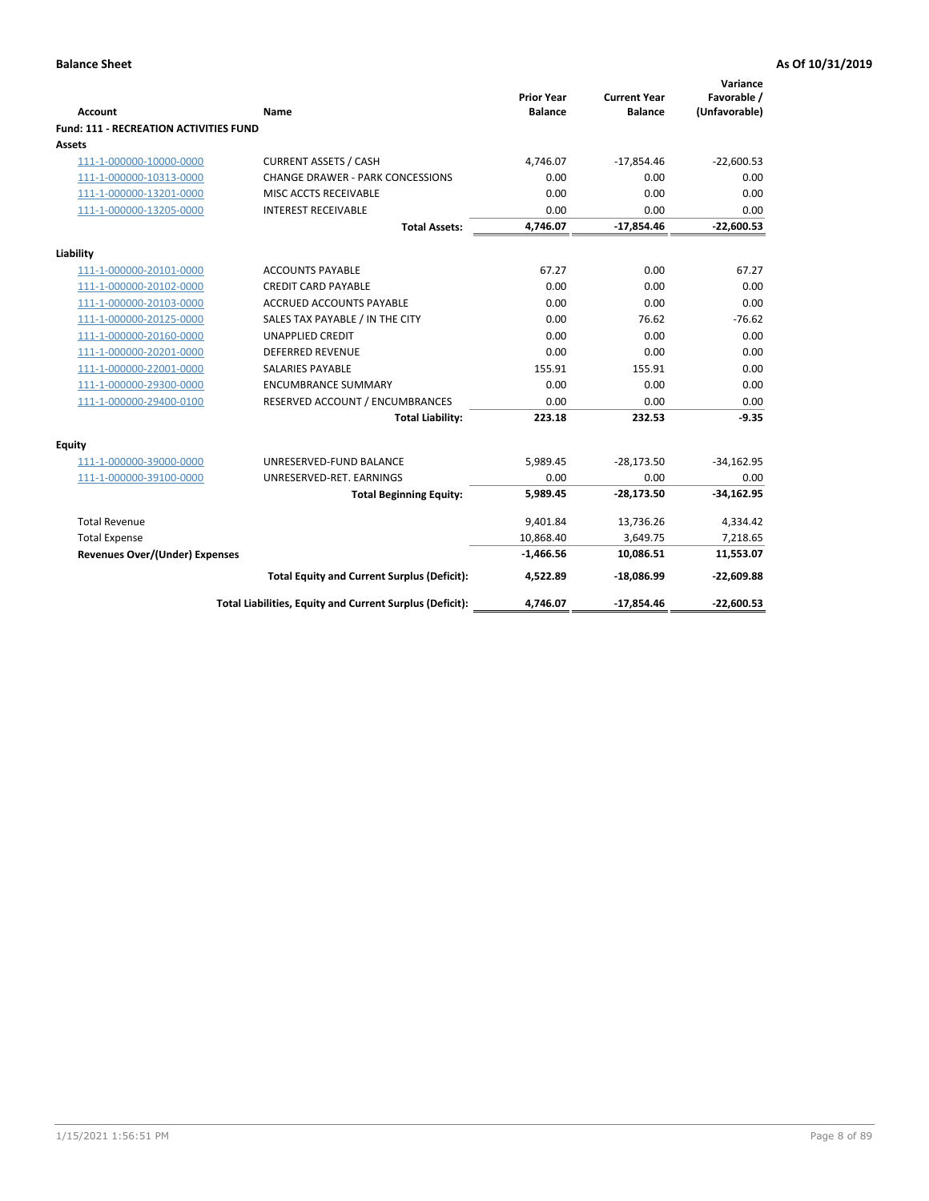| <b>Account</b>                         | Name                                                     | <b>Prior Year</b><br><b>Balance</b> | <b>Current Year</b><br><b>Balance</b> | Variance<br>Favorable /<br>(Unfavorable) |
|----------------------------------------|----------------------------------------------------------|-------------------------------------|---------------------------------------|------------------------------------------|
| Fund: 111 - RECREATION ACTIVITIES FUND |                                                          |                                     |                                       |                                          |
| <b>Assets</b>                          |                                                          |                                     |                                       |                                          |
| 111-1-000000-10000-0000                | <b>CURRENT ASSETS / CASH</b>                             | 4,746.07                            | $-17,854.46$                          | $-22,600.53$                             |
| 111-1-000000-10313-0000                | <b>CHANGE DRAWER - PARK CONCESSIONS</b>                  | 0.00                                | 0.00                                  | 0.00                                     |
| 111-1-000000-13201-0000                | MISC ACCTS RECEIVABLE                                    | 0.00                                | 0.00                                  | 0.00                                     |
| 111-1-000000-13205-0000                | <b>INTEREST RECEIVABLE</b>                               | 0.00                                | 0.00                                  | 0.00                                     |
|                                        | <b>Total Assets:</b>                                     | 4,746.07                            | $-17,854.46$                          | $-22,600.53$                             |
| Liability                              |                                                          |                                     |                                       |                                          |
| 111-1-000000-20101-0000                | <b>ACCOUNTS PAYABLE</b>                                  | 67.27                               | 0.00                                  | 67.27                                    |
| 111-1-000000-20102-0000                | <b>CREDIT CARD PAYABLE</b>                               | 0.00                                | 0.00                                  | 0.00                                     |
| 111-1-000000-20103-0000                | <b>ACCRUED ACCOUNTS PAYABLE</b>                          | 0.00                                | 0.00                                  | 0.00                                     |
| 111-1-000000-20125-0000                | SALES TAX PAYABLE / IN THE CITY                          | 0.00                                | 76.62                                 | $-76.62$                                 |
| 111-1-000000-20160-0000                | <b>UNAPPLIED CREDIT</b>                                  | 0.00                                | 0.00                                  | 0.00                                     |
| 111-1-000000-20201-0000                | <b>DEFERRED REVENUE</b>                                  | 0.00                                | 0.00                                  | 0.00                                     |
| 111-1-000000-22001-0000                | <b>SALARIES PAYABLE</b>                                  | 155.91                              | 155.91                                | 0.00                                     |
| 111-1-000000-29300-0000                | <b>ENCUMBRANCE SUMMARY</b>                               | 0.00                                | 0.00                                  | 0.00                                     |
| 111-1-000000-29400-0100                | RESERVED ACCOUNT / ENCUMBRANCES                          | 0.00                                | 0.00                                  | 0.00                                     |
|                                        | <b>Total Liability:</b>                                  | 223.18                              | 232.53                                | $-9.35$                                  |
| Equity                                 |                                                          |                                     |                                       |                                          |
| 111-1-000000-39000-0000                | UNRESERVED-FUND BALANCE                                  | 5,989.45                            | $-28,173.50$                          | $-34,162.95$                             |
| 111-1-000000-39100-0000                | UNRESERVED-RET. EARNINGS                                 | 0.00                                | 0.00                                  | 0.00                                     |
|                                        | <b>Total Beginning Equity:</b>                           | 5,989.45                            | $-28,173.50$                          | $-34,162.95$                             |
| <b>Total Revenue</b>                   |                                                          | 9,401.84                            | 13,736.26                             | 4,334.42                                 |
| <b>Total Expense</b>                   |                                                          | 10,868.40                           | 3,649.75                              | 7,218.65                                 |
| <b>Revenues Over/(Under) Expenses</b>  |                                                          | $-1,466.56$                         | 10,086.51                             | 11,553.07                                |
|                                        | <b>Total Equity and Current Surplus (Deficit):</b>       | 4,522.89                            | $-18,086.99$                          | $-22,609.88$                             |
|                                        | Total Liabilities, Equity and Current Surplus (Deficit): | 4,746.07                            | $-17,854.46$                          | $-22,600.53$                             |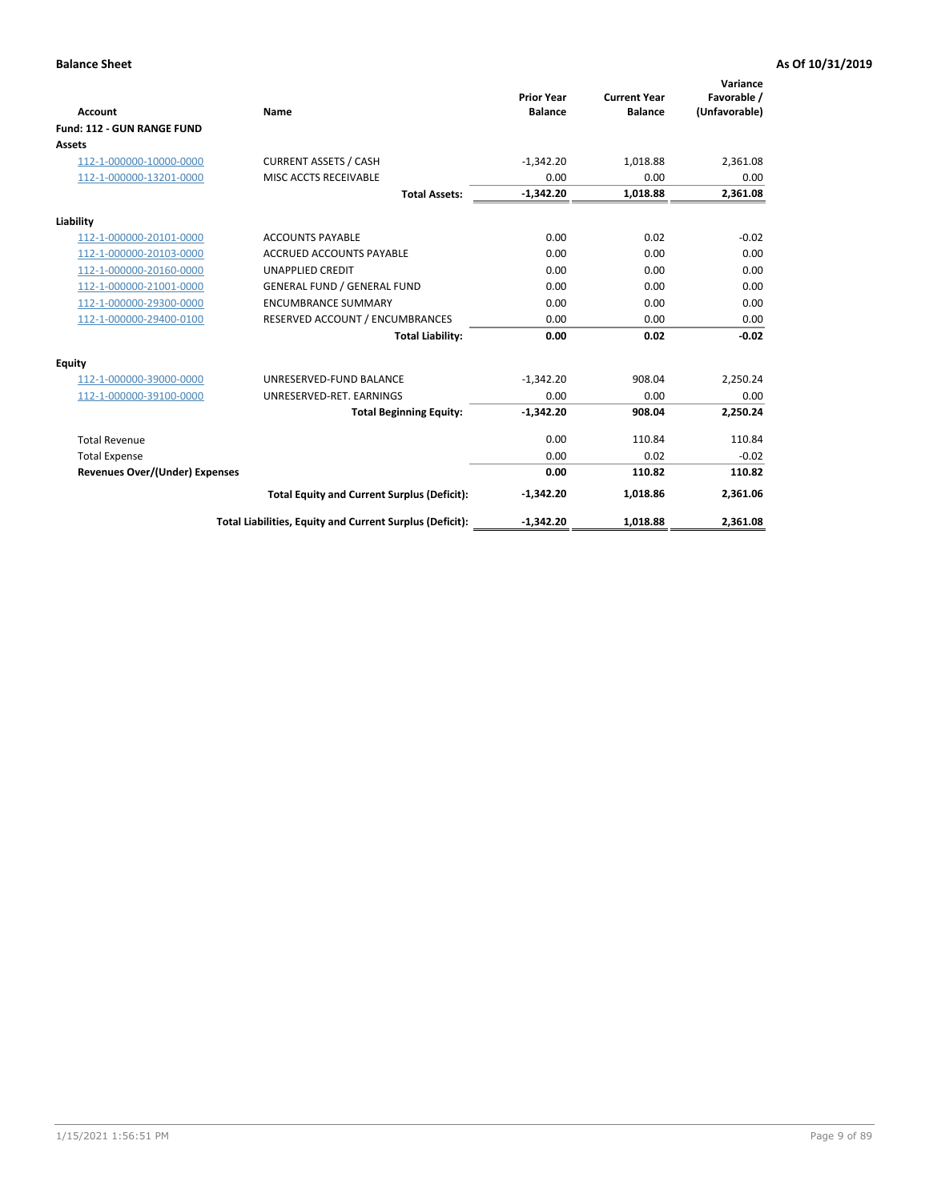|                                       |                                                          |                                     |                                       | Variance                     |
|---------------------------------------|----------------------------------------------------------|-------------------------------------|---------------------------------------|------------------------------|
| <b>Account</b>                        | Name                                                     | <b>Prior Year</b><br><b>Balance</b> | <b>Current Year</b><br><b>Balance</b> | Favorable /<br>(Unfavorable) |
| Fund: 112 - GUN RANGE FUND            |                                                          |                                     |                                       |                              |
| <b>Assets</b>                         |                                                          |                                     |                                       |                              |
| 112-1-000000-10000-0000               | <b>CURRENT ASSETS / CASH</b>                             | $-1,342.20$                         | 1,018.88                              | 2,361.08                     |
| 112-1-000000-13201-0000               | MISC ACCTS RECEIVABLE                                    | 0.00                                | 0.00                                  | 0.00                         |
|                                       | <b>Total Assets:</b>                                     | $-1,342.20$                         | 1,018.88                              | 2,361.08                     |
| Liability                             |                                                          |                                     |                                       |                              |
| 112-1-000000-20101-0000               | <b>ACCOUNTS PAYABLE</b>                                  | 0.00                                | 0.02                                  | $-0.02$                      |
| 112-1-000000-20103-0000               | <b>ACCRUED ACCOUNTS PAYABLE</b>                          | 0.00                                | 0.00                                  | 0.00                         |
| 112-1-000000-20160-0000               | <b>UNAPPLIED CREDIT</b>                                  | 0.00                                | 0.00                                  | 0.00                         |
| 112-1-000000-21001-0000               | <b>GENERAL FUND / GENERAL FUND</b>                       | 0.00                                | 0.00                                  | 0.00                         |
| 112-1-000000-29300-0000               | <b>ENCUMBRANCE SUMMARY</b>                               | 0.00                                | 0.00                                  | 0.00                         |
| 112-1-000000-29400-0100               | RESERVED ACCOUNT / ENCUMBRANCES                          | 0.00                                | 0.00                                  | 0.00                         |
|                                       | <b>Total Liability:</b>                                  | 0.00                                | 0.02                                  | $-0.02$                      |
| <b>Equity</b>                         |                                                          |                                     |                                       |                              |
| 112-1-000000-39000-0000               | UNRESERVED-FUND BALANCE                                  | $-1,342.20$                         | 908.04                                | 2,250.24                     |
| 112-1-000000-39100-0000               | UNRESERVED-RET. EARNINGS                                 | 0.00                                | 0.00                                  | 0.00                         |
|                                       | <b>Total Beginning Equity:</b>                           | $-1.342.20$                         | 908.04                                | 2,250.24                     |
| <b>Total Revenue</b>                  |                                                          | 0.00                                | 110.84                                | 110.84                       |
| <b>Total Expense</b>                  |                                                          | 0.00                                | 0.02                                  | $-0.02$                      |
| <b>Revenues Over/(Under) Expenses</b> |                                                          | 0.00                                | 110.82                                | 110.82                       |
|                                       | <b>Total Equity and Current Surplus (Deficit):</b>       | $-1,342.20$                         | 1,018.86                              | 2,361.06                     |
|                                       | Total Liabilities, Equity and Current Surplus (Deficit): | $-1,342.20$                         | 1,018.88                              | 2,361.08                     |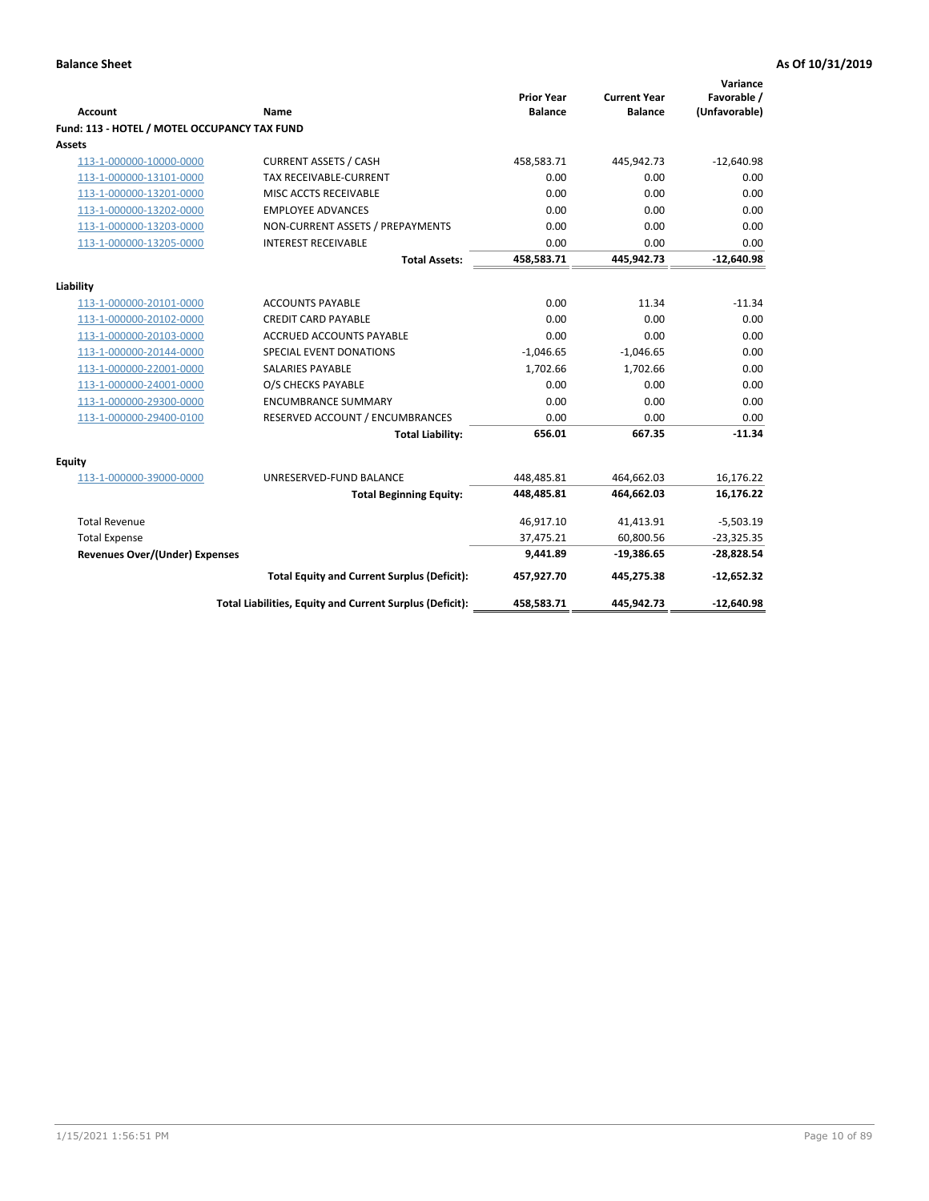| <b>Account</b>                               | Name                                                     | <b>Prior Year</b><br><b>Balance</b> | <b>Current Year</b><br><b>Balance</b> | Variance<br>Favorable /<br>(Unfavorable) |
|----------------------------------------------|----------------------------------------------------------|-------------------------------------|---------------------------------------|------------------------------------------|
| Fund: 113 - HOTEL / MOTEL OCCUPANCY TAX FUND |                                                          |                                     |                                       |                                          |
| Assets                                       |                                                          |                                     |                                       |                                          |
| 113-1-000000-10000-0000                      | <b>CURRENT ASSETS / CASH</b>                             | 458,583.71                          | 445,942.73                            | $-12,640.98$                             |
| 113-1-000000-13101-0000                      | TAX RECEIVABLE-CURRENT                                   | 0.00                                | 0.00                                  | 0.00                                     |
| 113-1-000000-13201-0000                      | MISC ACCTS RECEIVABLE                                    | 0.00                                | 0.00                                  | 0.00                                     |
| 113-1-000000-13202-0000                      | <b>EMPLOYEE ADVANCES</b>                                 | 0.00                                | 0.00                                  | 0.00                                     |
| 113-1-000000-13203-0000                      | NON-CURRENT ASSETS / PREPAYMENTS                         | 0.00                                | 0.00                                  | 0.00                                     |
| 113-1-000000-13205-0000                      | <b>INTEREST RECEIVABLE</b>                               | 0.00                                | 0.00                                  | 0.00                                     |
|                                              | <b>Total Assets:</b>                                     | 458,583.71                          | 445,942.73                            | $-12,640.98$                             |
|                                              |                                                          |                                     |                                       |                                          |
| Liability<br>113-1-000000-20101-0000         | <b>ACCOUNTS PAYABLE</b>                                  | 0.00                                | 11.34                                 | $-11.34$                                 |
| 113-1-000000-20102-0000                      | <b>CREDIT CARD PAYABLE</b>                               | 0.00                                | 0.00                                  | 0.00                                     |
| 113-1-000000-20103-0000                      | ACCRUED ACCOUNTS PAYABLE                                 | 0.00                                | 0.00                                  | 0.00                                     |
| 113-1-000000-20144-0000                      | SPECIAL EVENT DONATIONS                                  | $-1,046.65$                         | $-1,046.65$                           | 0.00                                     |
| 113-1-000000-22001-0000                      | <b>SALARIES PAYABLE</b>                                  | 1.702.66                            | 1,702.66                              | 0.00                                     |
| 113-1-000000-24001-0000                      | O/S CHECKS PAYABLE                                       | 0.00                                | 0.00                                  | 0.00                                     |
| 113-1-000000-29300-0000                      | <b>ENCUMBRANCE SUMMARY</b>                               | 0.00                                | 0.00                                  | 0.00                                     |
| 113-1-000000-29400-0100                      | RESERVED ACCOUNT / ENCUMBRANCES                          | 0.00                                | 0.00                                  | 0.00                                     |
|                                              | <b>Total Liability:</b>                                  | 656.01                              | 667.35                                | $-11.34$                                 |
|                                              |                                                          |                                     |                                       |                                          |
| Equity                                       |                                                          |                                     |                                       |                                          |
| 113-1-000000-39000-0000                      | UNRESERVED-FUND BALANCE                                  | 448,485.81                          | 464,662.03                            | 16,176.22                                |
|                                              | <b>Total Beginning Equity:</b>                           | 448,485.81                          | 464,662.03                            | 16,176.22                                |
| <b>Total Revenue</b>                         |                                                          | 46,917.10                           | 41,413.91                             | $-5,503.19$                              |
| <b>Total Expense</b>                         |                                                          | 37,475.21                           | 60,800.56                             | $-23,325.35$                             |
| Revenues Over/(Under) Expenses               |                                                          | 9,441.89                            | $-19,386.65$                          | $-28,828.54$                             |
|                                              | <b>Total Equity and Current Surplus (Deficit):</b>       | 457,927.70                          | 445,275.38                            | $-12,652.32$                             |
|                                              | Total Liabilities, Equity and Current Surplus (Deficit): | 458,583.71                          | 445,942.73                            | $-12,640.98$                             |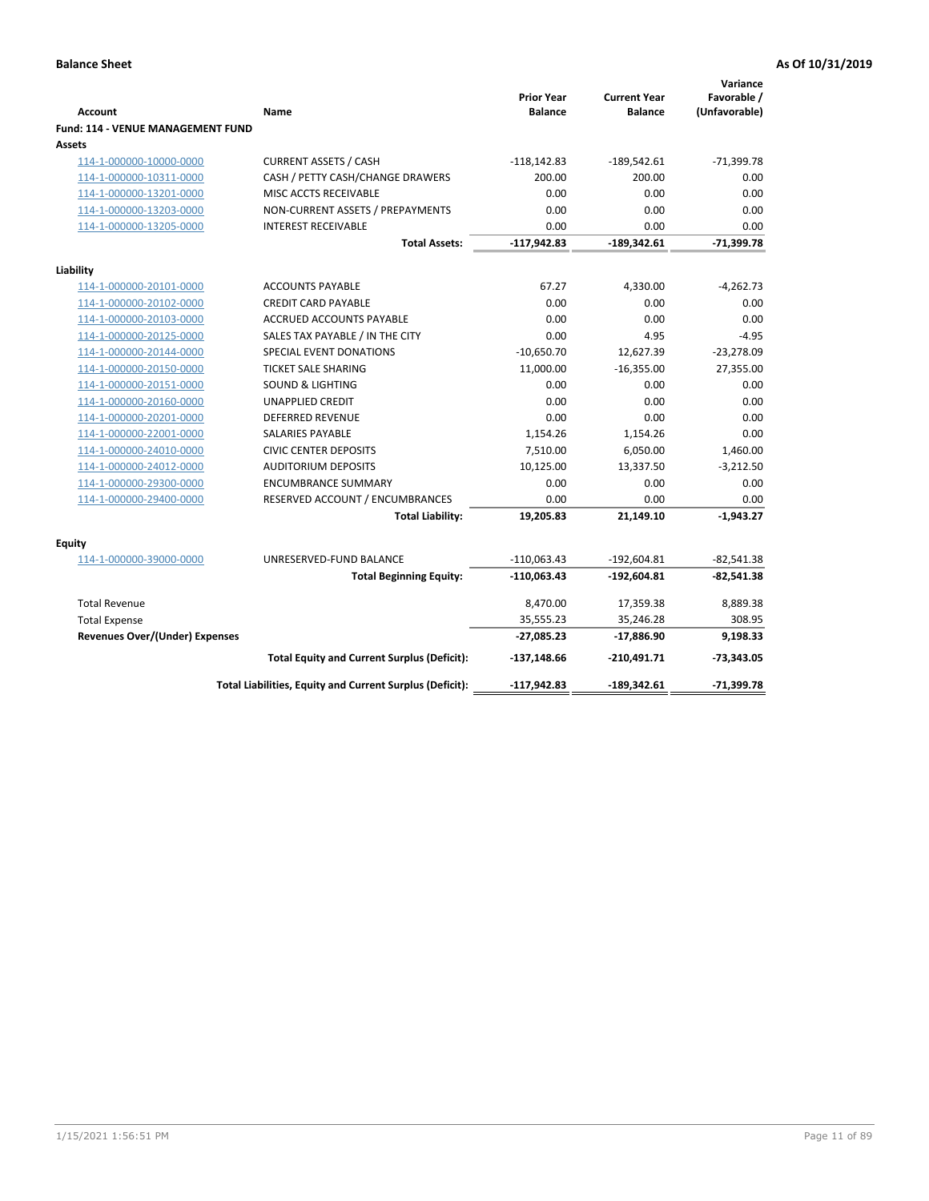|                                          |                                                          |                                     |                                       | Variance                     |
|------------------------------------------|----------------------------------------------------------|-------------------------------------|---------------------------------------|------------------------------|
| <b>Account</b>                           | Name                                                     | <b>Prior Year</b><br><b>Balance</b> | <b>Current Year</b><br><b>Balance</b> | Favorable /<br>(Unfavorable) |
| <b>Fund: 114 - VENUE MANAGEMENT FUND</b> |                                                          |                                     |                                       |                              |
| <b>Assets</b>                            |                                                          |                                     |                                       |                              |
| 114-1-000000-10000-0000                  | <b>CURRENT ASSETS / CASH</b>                             | $-118, 142.83$                      | $-189,542.61$                         | $-71,399.78$                 |
| 114-1-000000-10311-0000                  | CASH / PETTY CASH/CHANGE DRAWERS                         | 200.00                              | 200.00                                | 0.00                         |
| 114-1-000000-13201-0000                  | MISC ACCTS RECEIVABLE                                    | 0.00                                | 0.00                                  | 0.00                         |
| 114-1-000000-13203-0000                  | NON-CURRENT ASSETS / PREPAYMENTS                         | 0.00                                | 0.00                                  | 0.00                         |
| 114-1-000000-13205-0000                  | <b>INTEREST RECEIVABLE</b>                               | 0.00                                | 0.00                                  | 0.00                         |
|                                          | <b>Total Assets:</b>                                     | $-117,942.83$                       | $-189,342.61$                         | $-71,399.78$                 |
| Liability                                |                                                          |                                     |                                       |                              |
| 114-1-000000-20101-0000                  | <b>ACCOUNTS PAYABLE</b>                                  | 67.27                               | 4,330.00                              | $-4,262.73$                  |
| 114-1-000000-20102-0000                  | <b>CREDIT CARD PAYABLE</b>                               | 0.00                                | 0.00                                  | 0.00                         |
| 114-1-000000-20103-0000                  | <b>ACCRUED ACCOUNTS PAYABLE</b>                          | 0.00                                | 0.00                                  | 0.00                         |
| 114-1-000000-20125-0000                  | SALES TAX PAYABLE / IN THE CITY                          | 0.00                                | 4.95                                  | $-4.95$                      |
| 114-1-000000-20144-0000                  | SPECIAL EVENT DONATIONS                                  | $-10,650.70$                        | 12,627.39                             | $-23,278.09$                 |
| 114-1-000000-20150-0000                  | <b>TICKET SALE SHARING</b>                               | 11,000.00                           | $-16,355.00$                          | 27,355.00                    |
| 114-1-000000-20151-0000                  | <b>SOUND &amp; LIGHTING</b>                              | 0.00                                | 0.00                                  | 0.00                         |
| 114-1-000000-20160-0000                  | <b>UNAPPLIED CREDIT</b>                                  | 0.00                                | 0.00                                  | 0.00                         |
| 114-1-000000-20201-0000                  | <b>DEFERRED REVENUE</b>                                  | 0.00                                | 0.00                                  | 0.00                         |
| 114-1-000000-22001-0000                  | <b>SALARIES PAYABLE</b>                                  | 1,154.26                            | 1,154.26                              | 0.00                         |
| 114-1-000000-24010-0000                  | <b>CIVIC CENTER DEPOSITS</b>                             | 7,510.00                            | 6,050.00                              | 1,460.00                     |
| 114-1-000000-24012-0000                  | <b>AUDITORIUM DEPOSITS</b>                               | 10,125.00                           | 13,337.50                             | $-3,212.50$                  |
| 114-1-000000-29300-0000                  | <b>ENCUMBRANCE SUMMARY</b>                               | 0.00                                | 0.00                                  | 0.00                         |
| 114-1-000000-29400-0000                  | RESERVED ACCOUNT / ENCUMBRANCES                          | 0.00                                | 0.00                                  | 0.00                         |
|                                          | <b>Total Liability:</b>                                  | 19,205.83                           | 21,149.10                             | $-1,943.27$                  |
| <b>Equity</b>                            |                                                          |                                     |                                       |                              |
| 114-1-000000-39000-0000                  | UNRESERVED-FUND BALANCE                                  | $-110,063.43$                       | $-192,604.81$                         | $-82,541.38$                 |
|                                          | <b>Total Beginning Equity:</b>                           | $-110,063.43$                       | $-192,604.81$                         | $-82,541.38$                 |
| <b>Total Revenue</b>                     |                                                          | 8,470.00                            | 17,359.38                             | 8,889.38                     |
| <b>Total Expense</b>                     |                                                          | 35,555.23                           | 35,246.28                             | 308.95                       |
| <b>Revenues Over/(Under) Expenses</b>    |                                                          | $-27,085.23$                        | -17,886.90                            | 9,198.33                     |
|                                          | <b>Total Equity and Current Surplus (Deficit):</b>       | $-137,148.66$                       | $-210,491.71$                         | $-73,343.05$                 |
|                                          | Total Liabilities, Equity and Current Surplus (Deficit): | $-117,942.83$                       | $-189,342.61$                         | -71,399.78                   |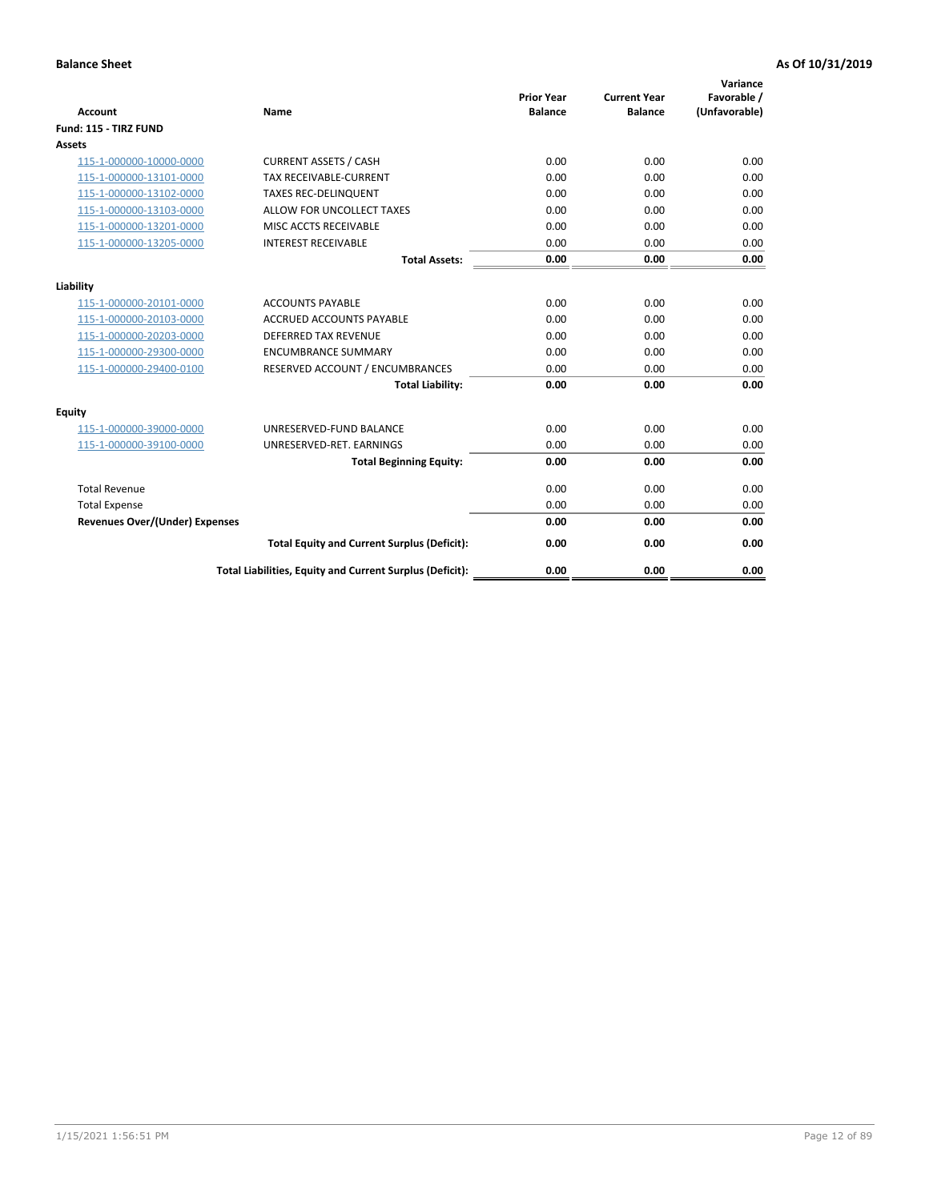| <b>Account</b>                        | <b>Name</b>                                              | <b>Prior Year</b><br><b>Balance</b> | <b>Current Year</b><br><b>Balance</b> | Variance<br>Favorable /<br>(Unfavorable) |
|---------------------------------------|----------------------------------------------------------|-------------------------------------|---------------------------------------|------------------------------------------|
| Fund: 115 - TIRZ FUND                 |                                                          |                                     |                                       |                                          |
| <b>Assets</b>                         |                                                          |                                     |                                       |                                          |
| 115-1-000000-10000-0000               | <b>CURRENT ASSETS / CASH</b>                             | 0.00                                | 0.00                                  | 0.00                                     |
| 115-1-000000-13101-0000               | <b>TAX RECEIVABLE-CURRENT</b>                            | 0.00                                | 0.00                                  | 0.00                                     |
| 115-1-000000-13102-0000               | <b>TAXES REC-DELINQUENT</b>                              | 0.00                                | 0.00                                  | 0.00                                     |
| 115-1-000000-13103-0000               | ALLOW FOR UNCOLLECT TAXES                                | 0.00                                | 0.00                                  | 0.00                                     |
| 115-1-000000-13201-0000               | MISC ACCTS RECEIVABLE                                    | 0.00                                | 0.00                                  | 0.00                                     |
| 115-1-000000-13205-0000               | <b>INTEREST RECEIVABLE</b>                               | 0.00                                | 0.00                                  | 0.00                                     |
|                                       | <b>Total Assets:</b>                                     | 0.00                                | 0.00                                  | 0.00                                     |
| Liability                             |                                                          |                                     |                                       |                                          |
| 115-1-000000-20101-0000               | <b>ACCOUNTS PAYABLE</b>                                  | 0.00                                | 0.00                                  | 0.00                                     |
| 115-1-000000-20103-0000               | <b>ACCRUED ACCOUNTS PAYABLE</b>                          | 0.00                                | 0.00                                  | 0.00                                     |
| 115-1-000000-20203-0000               | <b>DEFERRED TAX REVENUE</b>                              | 0.00                                | 0.00                                  | 0.00                                     |
| 115-1-000000-29300-0000               | <b>ENCUMBRANCE SUMMARY</b>                               | 0.00                                | 0.00                                  | 0.00                                     |
| 115-1-000000-29400-0100               | RESERVED ACCOUNT / ENCUMBRANCES                          | 0.00                                | 0.00                                  | 0.00                                     |
|                                       | <b>Total Liability:</b>                                  | 0.00                                | 0.00                                  | 0.00                                     |
| Equity                                |                                                          |                                     |                                       |                                          |
| 115-1-000000-39000-0000               | UNRESERVED-FUND BALANCE                                  | 0.00                                | 0.00                                  | 0.00                                     |
| 115-1-000000-39100-0000               | UNRESERVED-RET. EARNINGS                                 | 0.00                                | 0.00                                  | 0.00                                     |
|                                       | <b>Total Beginning Equity:</b>                           | 0.00                                | 0.00                                  | 0.00                                     |
| <b>Total Revenue</b>                  |                                                          | 0.00                                | 0.00                                  | 0.00                                     |
| <b>Total Expense</b>                  |                                                          | 0.00                                | 0.00                                  | 0.00                                     |
| <b>Revenues Over/(Under) Expenses</b> |                                                          | 0.00                                | 0.00                                  | 0.00                                     |
|                                       | <b>Total Equity and Current Surplus (Deficit):</b>       | 0.00                                | 0.00                                  | 0.00                                     |
|                                       | Total Liabilities, Equity and Current Surplus (Deficit): | 0.00                                | 0.00                                  | 0.00                                     |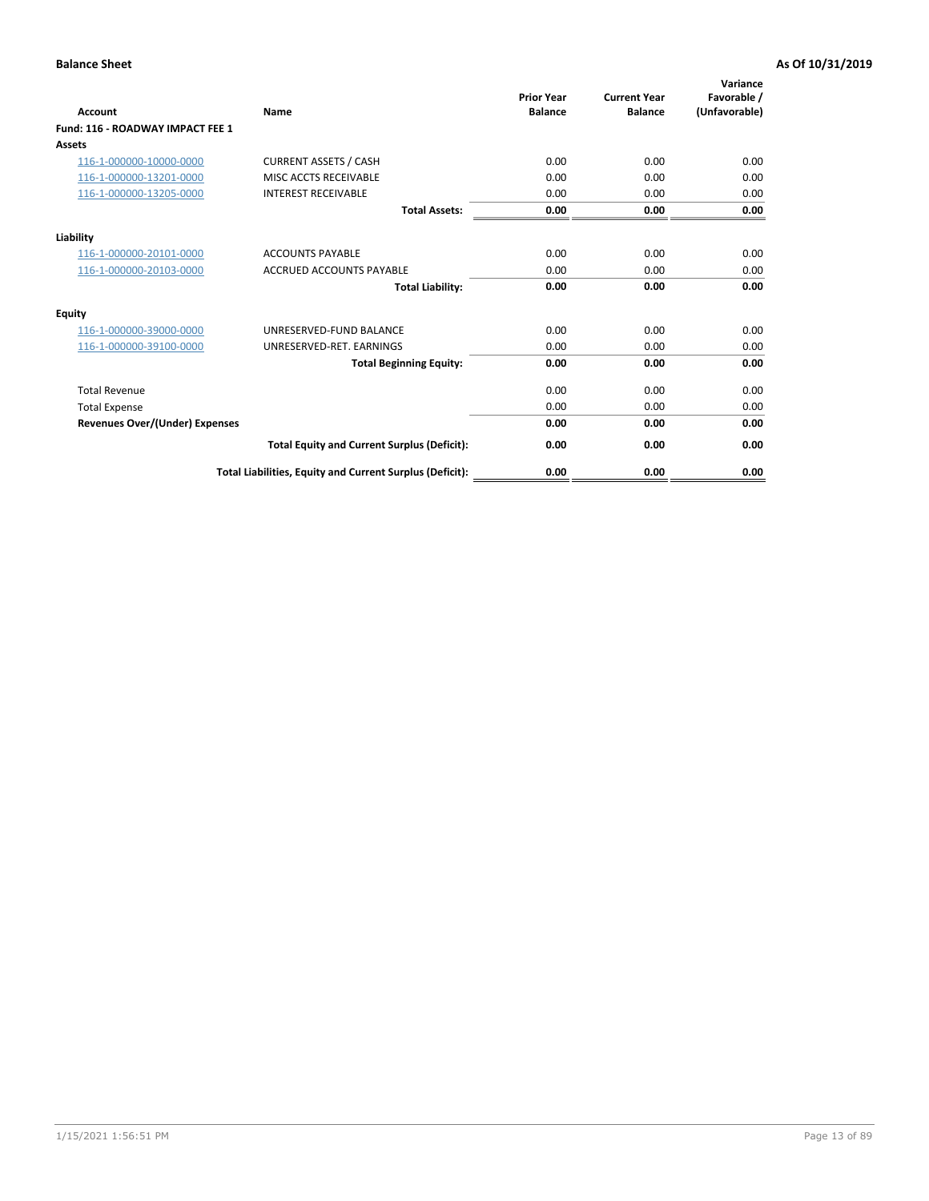| <b>Account</b>                        | Name                                                     | <b>Prior Year</b><br><b>Balance</b> | <b>Current Year</b><br><b>Balance</b> | Variance<br>Favorable /<br>(Unfavorable) |
|---------------------------------------|----------------------------------------------------------|-------------------------------------|---------------------------------------|------------------------------------------|
| Fund: 116 - ROADWAY IMPACT FEE 1      |                                                          |                                     |                                       |                                          |
| <b>Assets</b>                         |                                                          |                                     |                                       |                                          |
| 116-1-000000-10000-0000               | <b>CURRENT ASSETS / CASH</b>                             | 0.00                                | 0.00                                  | 0.00                                     |
| 116-1-000000-13201-0000               | MISC ACCTS RECEIVABLE                                    | 0.00                                | 0.00                                  | 0.00                                     |
| 116-1-000000-13205-0000               | <b>INTEREST RECEIVABLE</b>                               | 0.00                                | 0.00                                  | 0.00                                     |
|                                       | <b>Total Assets:</b>                                     | 0.00                                | 0.00                                  | 0.00                                     |
| Liability                             |                                                          |                                     |                                       |                                          |
| 116-1-000000-20101-0000               | <b>ACCOUNTS PAYABLE</b>                                  | 0.00                                | 0.00                                  | 0.00                                     |
| 116-1-000000-20103-0000               | <b>ACCRUED ACCOUNTS PAYABLE</b>                          | 0.00                                | 0.00                                  | 0.00                                     |
|                                       | <b>Total Liability:</b>                                  | 0.00                                | 0.00                                  | 0.00                                     |
| Equity                                |                                                          |                                     |                                       |                                          |
| 116-1-000000-39000-0000               | UNRESERVED-FUND BALANCE                                  | 0.00                                | 0.00                                  | 0.00                                     |
| 116-1-000000-39100-0000               | UNRESERVED-RET. EARNINGS                                 | 0.00                                | 0.00                                  | 0.00                                     |
|                                       | <b>Total Beginning Equity:</b>                           | 0.00                                | 0.00                                  | 0.00                                     |
| <b>Total Revenue</b>                  |                                                          | 0.00                                | 0.00                                  | 0.00                                     |
| <b>Total Expense</b>                  |                                                          | 0.00                                | 0.00                                  | 0.00                                     |
| <b>Revenues Over/(Under) Expenses</b> |                                                          | 0.00                                | 0.00                                  | 0.00                                     |
|                                       | <b>Total Equity and Current Surplus (Deficit):</b>       | 0.00                                | 0.00                                  | 0.00                                     |
|                                       | Total Liabilities, Equity and Current Surplus (Deficit): | 0.00                                | 0.00                                  | 0.00                                     |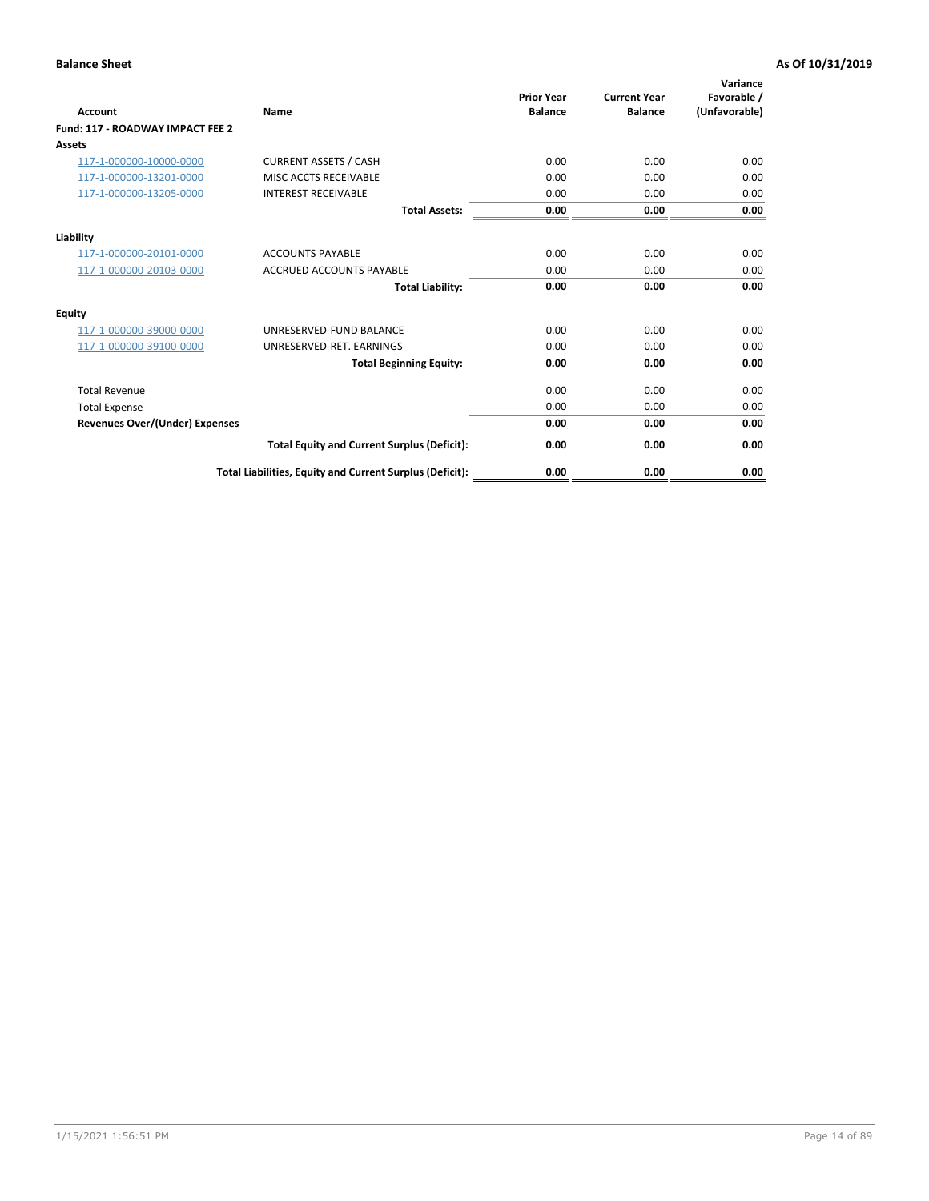| <b>Account</b>                        | Name                                                     | <b>Prior Year</b><br><b>Balance</b> | <b>Current Year</b><br><b>Balance</b> | Variance<br>Favorable /<br>(Unfavorable) |
|---------------------------------------|----------------------------------------------------------|-------------------------------------|---------------------------------------|------------------------------------------|
| Fund: 117 - ROADWAY IMPACT FEE 2      |                                                          |                                     |                                       |                                          |
| Assets                                |                                                          |                                     |                                       |                                          |
| 117-1-000000-10000-0000               | <b>CURRENT ASSETS / CASH</b>                             | 0.00                                | 0.00                                  | 0.00                                     |
| 117-1-000000-13201-0000               | MISC ACCTS RECEIVABLE                                    | 0.00                                | 0.00                                  | 0.00                                     |
| 117-1-000000-13205-0000               | <b>INTEREST RECEIVABLE</b>                               | 0.00                                | 0.00                                  | 0.00                                     |
|                                       | <b>Total Assets:</b>                                     | 0.00                                | 0.00                                  | 0.00                                     |
| Liability                             |                                                          |                                     |                                       |                                          |
| 117-1-000000-20101-0000               | <b>ACCOUNTS PAYABLE</b>                                  | 0.00                                | 0.00                                  | 0.00                                     |
| 117-1-000000-20103-0000               | <b>ACCRUED ACCOUNTS PAYABLE</b>                          | 0.00                                | 0.00                                  | 0.00                                     |
|                                       | <b>Total Liability:</b>                                  | 0.00                                | 0.00                                  | 0.00                                     |
| Equity                                |                                                          |                                     |                                       |                                          |
| 117-1-000000-39000-0000               | UNRESERVED-FUND BALANCE                                  | 0.00                                | 0.00                                  | 0.00                                     |
| 117-1-000000-39100-0000               | UNRESERVED-RET, EARNINGS                                 | 0.00                                | 0.00                                  | 0.00                                     |
|                                       | <b>Total Beginning Equity:</b>                           | 0.00                                | 0.00                                  | 0.00                                     |
| <b>Total Revenue</b>                  |                                                          | 0.00                                | 0.00                                  | 0.00                                     |
| <b>Total Expense</b>                  |                                                          | 0.00                                | 0.00                                  | 0.00                                     |
| <b>Revenues Over/(Under) Expenses</b> |                                                          | 0.00                                | 0.00                                  | 0.00                                     |
|                                       | <b>Total Equity and Current Surplus (Deficit):</b>       | 0.00                                | 0.00                                  | 0.00                                     |
|                                       | Total Liabilities, Equity and Current Surplus (Deficit): | 0.00                                | 0.00                                  | 0.00                                     |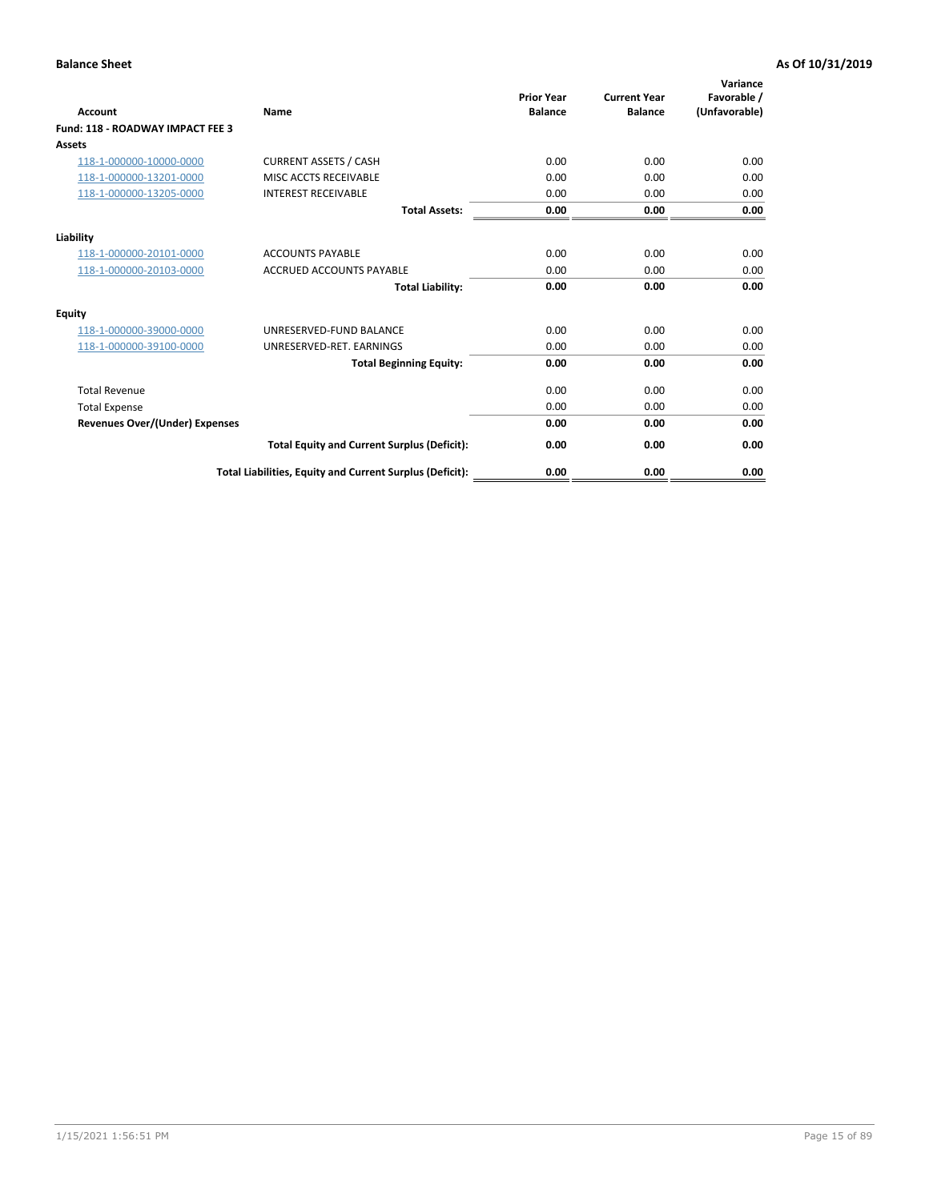| <b>Account</b>                        | Name                                                     | <b>Prior Year</b><br><b>Balance</b> | <b>Current Year</b><br><b>Balance</b> | Variance<br>Favorable /<br>(Unfavorable) |
|---------------------------------------|----------------------------------------------------------|-------------------------------------|---------------------------------------|------------------------------------------|
| Fund: 118 - ROADWAY IMPACT FEE 3      |                                                          |                                     |                                       |                                          |
| <b>Assets</b>                         |                                                          |                                     |                                       |                                          |
| 118-1-000000-10000-0000               | <b>CURRENT ASSETS / CASH</b>                             | 0.00                                | 0.00                                  | 0.00                                     |
| 118-1-000000-13201-0000               | MISC ACCTS RECEIVABLE                                    | 0.00                                | 0.00                                  | 0.00                                     |
| 118-1-000000-13205-0000               | <b>INTEREST RECEIVABLE</b>                               | 0.00                                | 0.00                                  | 0.00                                     |
|                                       | <b>Total Assets:</b>                                     | 0.00                                | 0.00                                  | 0.00                                     |
| Liability                             |                                                          |                                     |                                       |                                          |
| 118-1-000000-20101-0000               | <b>ACCOUNTS PAYABLE</b>                                  | 0.00                                | 0.00                                  | 0.00                                     |
| 118-1-000000-20103-0000               | <b>ACCRUED ACCOUNTS PAYABLE</b>                          | 0.00                                | 0.00                                  | 0.00                                     |
|                                       | <b>Total Liability:</b>                                  | 0.00                                | 0.00                                  | 0.00                                     |
| Equity                                |                                                          |                                     |                                       |                                          |
| 118-1-000000-39000-0000               | UNRESERVED-FUND BALANCE                                  | 0.00                                | 0.00                                  | 0.00                                     |
| 118-1-000000-39100-0000               | UNRESERVED-RET. EARNINGS                                 | 0.00                                | 0.00                                  | 0.00                                     |
|                                       | <b>Total Beginning Equity:</b>                           | 0.00                                | 0.00                                  | 0.00                                     |
| <b>Total Revenue</b>                  |                                                          | 0.00                                | 0.00                                  | 0.00                                     |
| <b>Total Expense</b>                  |                                                          | 0.00                                | 0.00                                  | 0.00                                     |
| <b>Revenues Over/(Under) Expenses</b> |                                                          | 0.00                                | 0.00                                  | 0.00                                     |
|                                       | <b>Total Equity and Current Surplus (Deficit):</b>       | 0.00                                | 0.00                                  | 0.00                                     |
|                                       | Total Liabilities, Equity and Current Surplus (Deficit): | 0.00                                | 0.00                                  | 0.00                                     |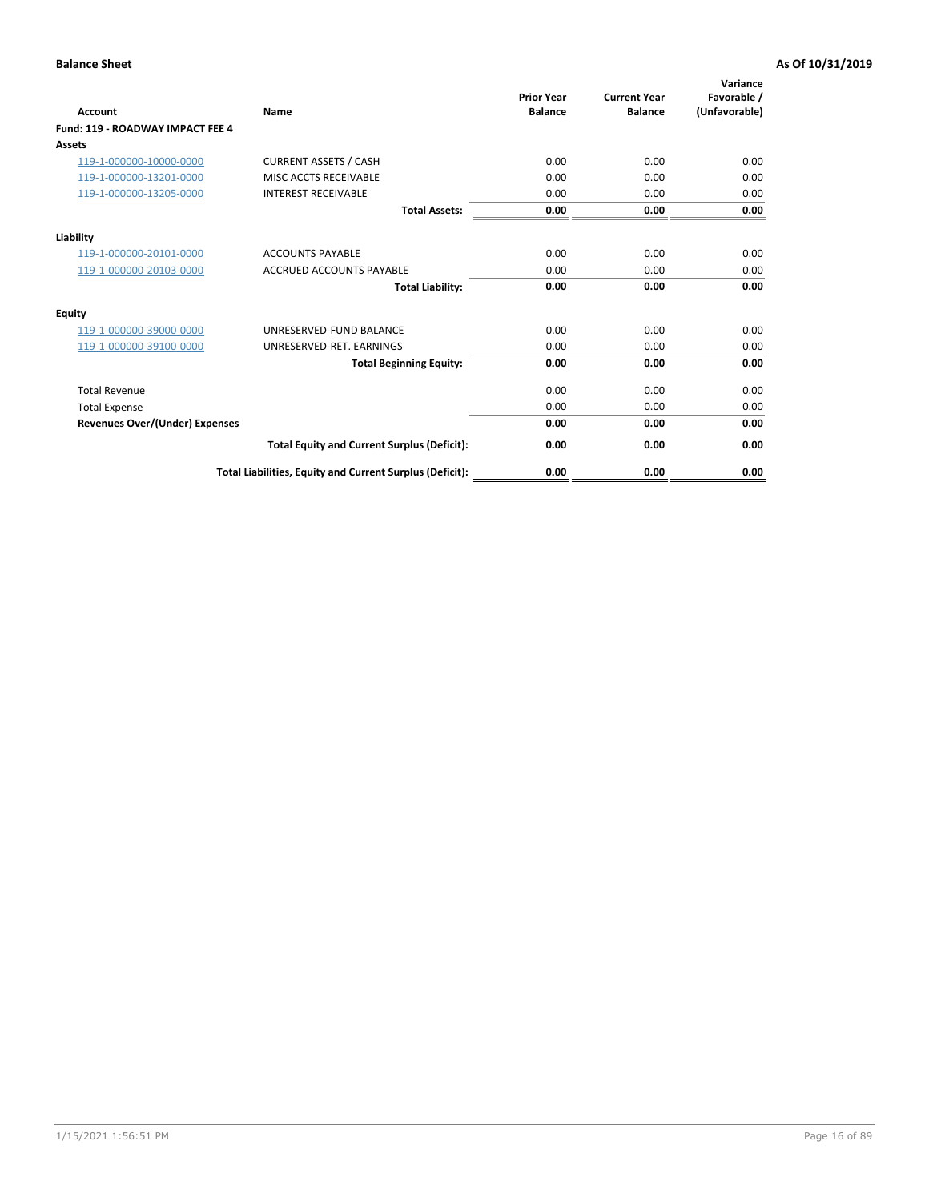| <b>Account</b>                        | Name                                                     | <b>Prior Year</b><br><b>Balance</b> | <b>Current Year</b><br><b>Balance</b> | Variance<br>Favorable /<br>(Unfavorable) |
|---------------------------------------|----------------------------------------------------------|-------------------------------------|---------------------------------------|------------------------------------------|
| Fund: 119 - ROADWAY IMPACT FEE 4      |                                                          |                                     |                                       |                                          |
| Assets                                |                                                          |                                     |                                       |                                          |
| 119-1-000000-10000-0000               | <b>CURRENT ASSETS / CASH</b>                             | 0.00                                | 0.00                                  | 0.00                                     |
| 119-1-000000-13201-0000               | MISC ACCTS RECEIVABLE                                    | 0.00                                | 0.00                                  | 0.00                                     |
| 119-1-000000-13205-0000               | <b>INTEREST RECEIVABLE</b>                               | 0.00                                | 0.00                                  | 0.00                                     |
|                                       | <b>Total Assets:</b>                                     | 0.00                                | 0.00                                  | 0.00                                     |
| Liability                             |                                                          |                                     |                                       |                                          |
| 119-1-000000-20101-0000               | <b>ACCOUNTS PAYABLE</b>                                  | 0.00                                | 0.00                                  | 0.00                                     |
| 119-1-000000-20103-0000               | <b>ACCRUED ACCOUNTS PAYABLE</b>                          | 0.00                                | 0.00                                  | 0.00                                     |
|                                       | <b>Total Liability:</b>                                  | 0.00                                | 0.00                                  | 0.00                                     |
| Equity                                |                                                          |                                     |                                       |                                          |
| 119-1-000000-39000-0000               | UNRESERVED-FUND BALANCE                                  | 0.00                                | 0.00                                  | 0.00                                     |
| 119-1-000000-39100-0000               | UNRESERVED-RET. EARNINGS                                 | 0.00                                | 0.00                                  | 0.00                                     |
|                                       | <b>Total Beginning Equity:</b>                           | 0.00                                | 0.00                                  | 0.00                                     |
| <b>Total Revenue</b>                  |                                                          | 0.00                                | 0.00                                  | 0.00                                     |
| <b>Total Expense</b>                  |                                                          | 0.00                                | 0.00                                  | 0.00                                     |
| <b>Revenues Over/(Under) Expenses</b> |                                                          | 0.00                                | 0.00                                  | 0.00                                     |
|                                       | <b>Total Equity and Current Surplus (Deficit):</b>       | 0.00                                | 0.00                                  | 0.00                                     |
|                                       | Total Liabilities, Equity and Current Surplus (Deficit): | 0.00                                | 0.00                                  | 0.00                                     |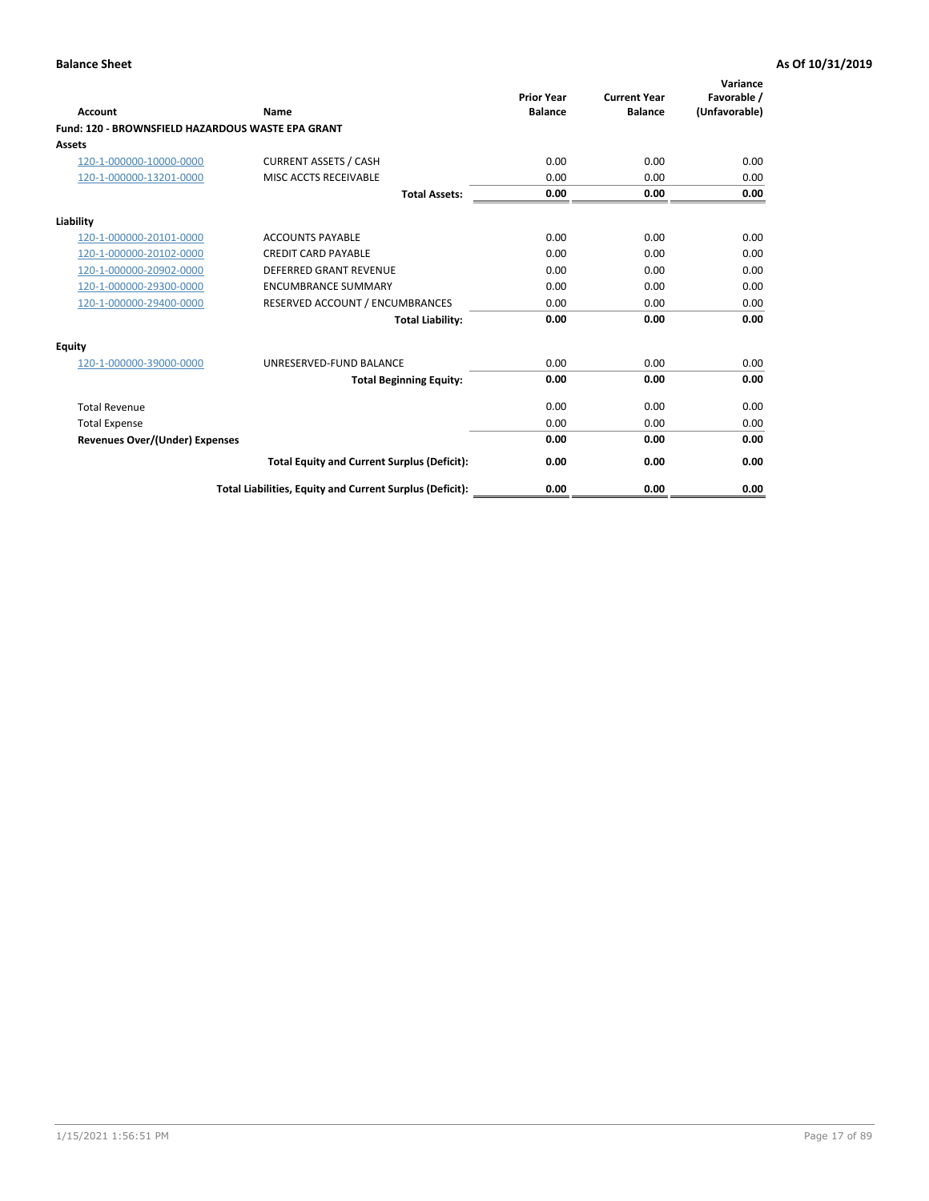|                                                   |                                                          | <b>Prior Year</b> | <b>Current Year</b> | Variance<br>Favorable / |
|---------------------------------------------------|----------------------------------------------------------|-------------------|---------------------|-------------------------|
| <b>Account</b>                                    | <b>Name</b>                                              | <b>Balance</b>    | <b>Balance</b>      | (Unfavorable)           |
| Fund: 120 - BROWNSFIELD HAZARDOUS WASTE EPA GRANT |                                                          |                   |                     |                         |
| <b>Assets</b>                                     |                                                          |                   |                     |                         |
| 120-1-000000-10000-0000                           | <b>CURRENT ASSETS / CASH</b>                             | 0.00              | 0.00                | 0.00                    |
| 120-1-000000-13201-0000                           | MISC ACCTS RECEIVABLE                                    | 0.00              | 0.00                | 0.00                    |
|                                                   | <b>Total Assets:</b>                                     | 0.00              | 0.00                | 0.00                    |
| Liability                                         |                                                          |                   |                     |                         |
| 120-1-000000-20101-0000                           | <b>ACCOUNTS PAYABLE</b>                                  | 0.00              | 0.00                | 0.00                    |
| 120-1-000000-20102-0000                           | <b>CREDIT CARD PAYABLE</b>                               | 0.00              | 0.00                | 0.00                    |
| 120-1-000000-20902-0000                           | <b>DEFERRED GRANT REVENUE</b>                            | 0.00              | 0.00                | 0.00                    |
| 120-1-000000-29300-0000                           | <b>ENCUMBRANCE SUMMARY</b>                               | 0.00              | 0.00                | 0.00                    |
| 120-1-000000-29400-0000                           | RESERVED ACCOUNT / ENCUMBRANCES                          | 0.00              | 0.00                | 0.00                    |
|                                                   | <b>Total Liability:</b>                                  | 0.00              | 0.00                | 0.00                    |
| Equity                                            |                                                          |                   |                     |                         |
| 120-1-000000-39000-0000                           | UNRESERVED-FUND BALANCE                                  | 0.00              | 0.00                | 0.00                    |
|                                                   | <b>Total Beginning Equity:</b>                           | 0.00              | 0.00                | 0.00                    |
| <b>Total Revenue</b>                              |                                                          | 0.00              | 0.00                | 0.00                    |
| <b>Total Expense</b>                              |                                                          | 0.00              | 0.00                | 0.00                    |
| <b>Revenues Over/(Under) Expenses</b>             |                                                          | 0.00              | 0.00                | 0.00                    |
|                                                   | <b>Total Equity and Current Surplus (Deficit):</b>       | 0.00              | 0.00                | 0.00                    |
|                                                   | Total Liabilities, Equity and Current Surplus (Deficit): | 0.00              | 0.00                | 0.00                    |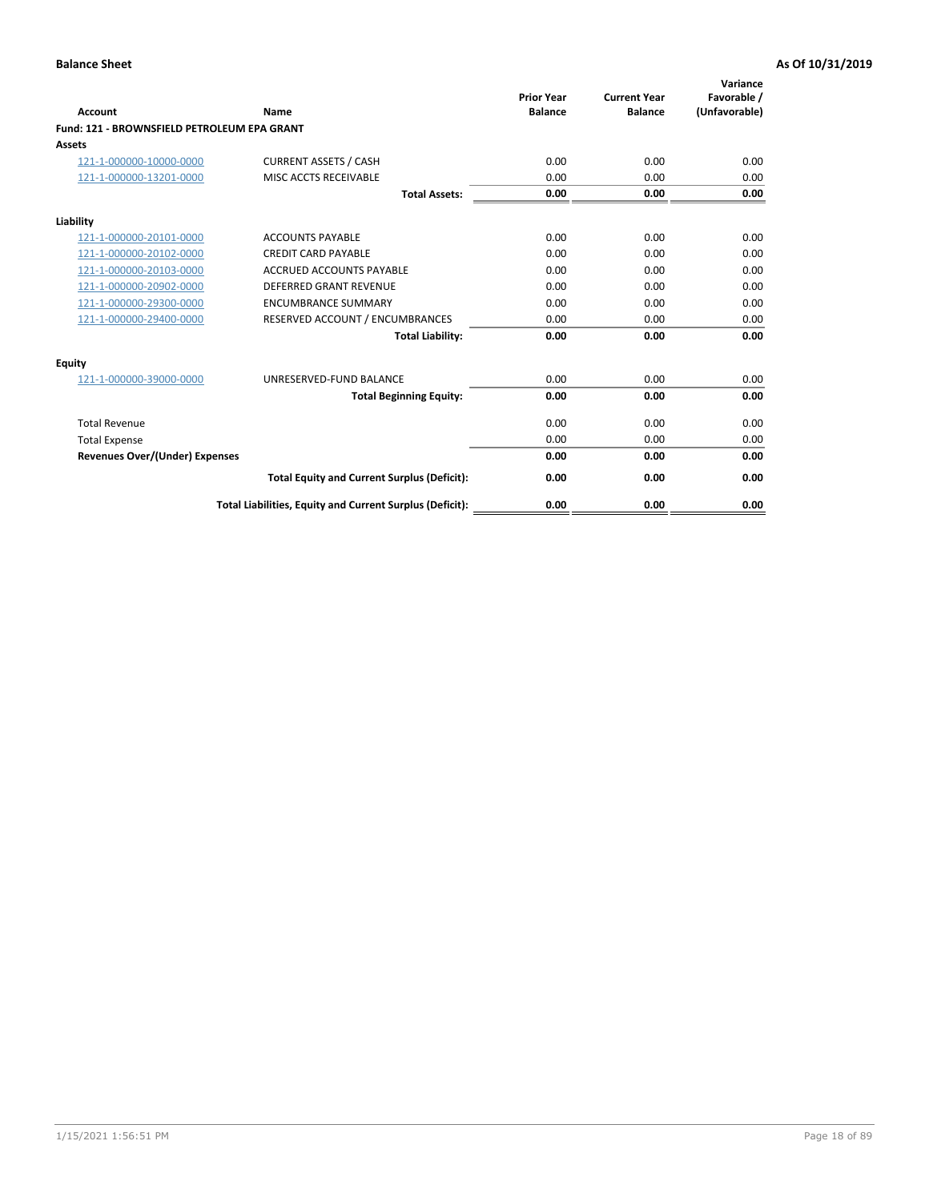| Account                                     | Name                                                     | <b>Prior Year</b><br><b>Balance</b> | <b>Current Year</b><br><b>Balance</b> | Variance<br>Favorable /<br>(Unfavorable) |
|---------------------------------------------|----------------------------------------------------------|-------------------------------------|---------------------------------------|------------------------------------------|
| Fund: 121 - BROWNSFIELD PETROLEUM EPA GRANT |                                                          |                                     |                                       |                                          |
| <b>Assets</b>                               |                                                          |                                     |                                       |                                          |
| 121-1-000000-10000-0000                     | <b>CURRENT ASSETS / CASH</b>                             | 0.00                                | 0.00                                  | 0.00                                     |
| 121-1-000000-13201-0000                     | MISC ACCTS RECEIVABLE                                    | 0.00                                | 0.00                                  | 0.00                                     |
|                                             | <b>Total Assets:</b>                                     | 0.00                                | 0.00                                  | 0.00                                     |
| Liability                                   |                                                          |                                     |                                       |                                          |
| 121-1-000000-20101-0000                     | <b>ACCOUNTS PAYABLE</b>                                  | 0.00                                | 0.00                                  | 0.00                                     |
| 121-1-000000-20102-0000                     | <b>CREDIT CARD PAYABLE</b>                               | 0.00                                | 0.00                                  | 0.00                                     |
| 121-1-000000-20103-0000                     | <b>ACCRUED ACCOUNTS PAYABLE</b>                          | 0.00                                | 0.00                                  | 0.00                                     |
| 121-1-000000-20902-0000                     | <b>DEFERRED GRANT REVENUE</b>                            | 0.00                                | 0.00                                  | 0.00                                     |
| 121-1-000000-29300-0000                     | <b>ENCUMBRANCE SUMMARY</b>                               | 0.00                                | 0.00                                  | 0.00                                     |
| 121-1-000000-29400-0000                     | RESERVED ACCOUNT / ENCUMBRANCES                          | 0.00                                | 0.00                                  | 0.00                                     |
|                                             | <b>Total Liability:</b>                                  | 0.00                                | 0.00                                  | 0.00                                     |
| <b>Equity</b>                               |                                                          |                                     |                                       |                                          |
| 121-1-000000-39000-0000                     | UNRESERVED-FUND BALANCE                                  | 0.00                                | 0.00                                  | 0.00                                     |
|                                             | <b>Total Beginning Equity:</b>                           | 0.00                                | 0.00                                  | 0.00                                     |
| <b>Total Revenue</b>                        |                                                          | 0.00                                | 0.00                                  | 0.00                                     |
| <b>Total Expense</b>                        |                                                          | 0.00                                | 0.00                                  | 0.00                                     |
| <b>Revenues Over/(Under) Expenses</b>       |                                                          | 0.00                                | 0.00                                  | 0.00                                     |
|                                             | <b>Total Equity and Current Surplus (Deficit):</b>       | 0.00                                | 0.00                                  | 0.00                                     |
|                                             | Total Liabilities, Equity and Current Surplus (Deficit): | 0.00                                | 0.00                                  | 0.00                                     |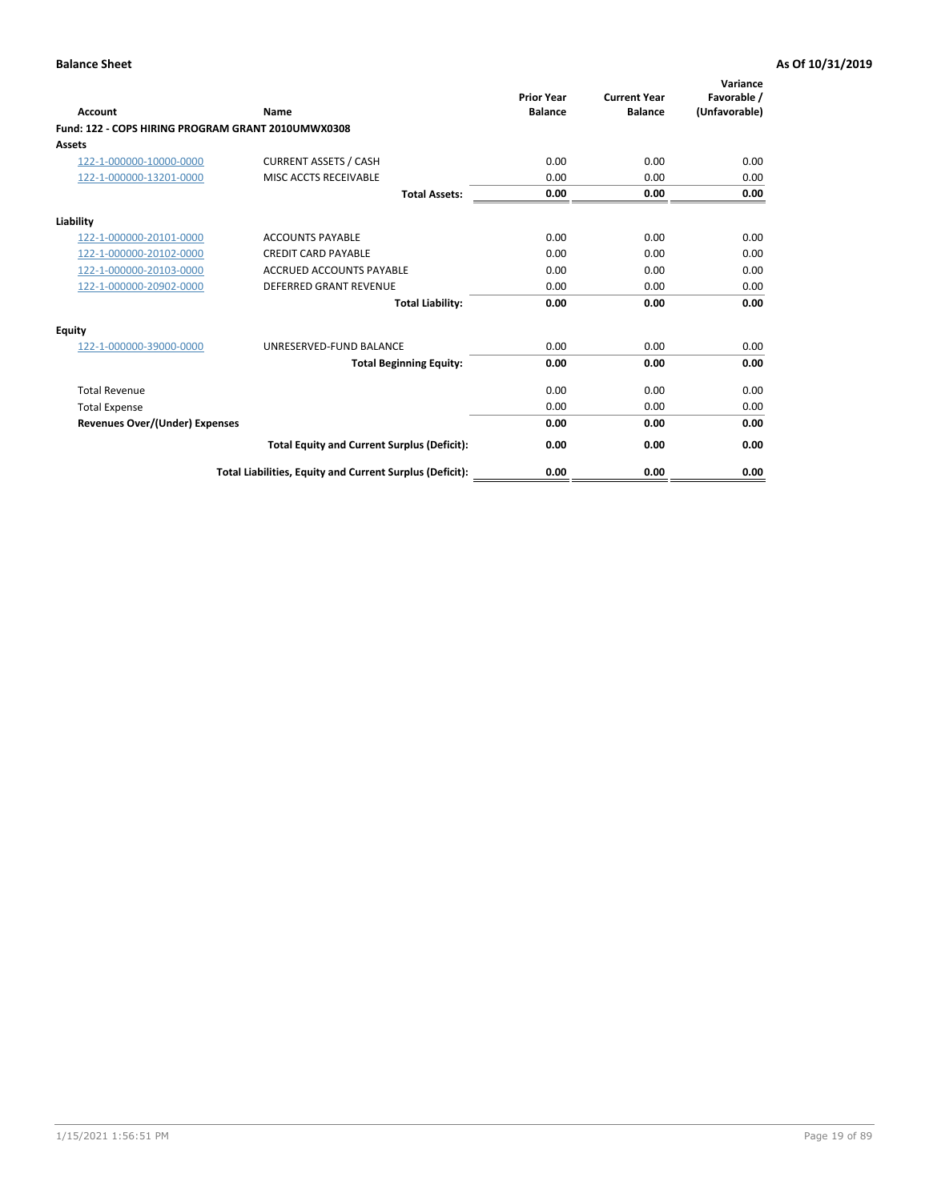| <b>Account</b>                                     | Name                                                     | <b>Prior Year</b><br><b>Balance</b> | <b>Current Year</b><br><b>Balance</b> | Variance<br>Favorable /<br>(Unfavorable) |
|----------------------------------------------------|----------------------------------------------------------|-------------------------------------|---------------------------------------|------------------------------------------|
| Fund: 122 - COPS HIRING PROGRAM GRANT 2010UMWX0308 |                                                          |                                     |                                       |                                          |
| Assets                                             |                                                          |                                     |                                       |                                          |
| 122-1-000000-10000-0000                            | <b>CURRENT ASSETS / CASH</b>                             | 0.00                                | 0.00                                  | 0.00                                     |
| 122-1-000000-13201-0000                            | MISC ACCTS RECEIVABLE                                    | 0.00                                | 0.00                                  | 0.00                                     |
|                                                    | <b>Total Assets:</b>                                     | 0.00                                | 0.00                                  | 0.00                                     |
| Liability                                          |                                                          |                                     |                                       |                                          |
| 122-1-000000-20101-0000                            | <b>ACCOUNTS PAYABLE</b>                                  | 0.00                                | 0.00                                  | 0.00                                     |
| 122-1-000000-20102-0000                            | <b>CREDIT CARD PAYABLE</b>                               | 0.00                                | 0.00                                  | 0.00                                     |
| 122-1-000000-20103-0000                            | <b>ACCRUED ACCOUNTS PAYABLE</b>                          | 0.00                                | 0.00                                  | 0.00                                     |
| 122-1-000000-20902-0000                            | <b>DEFERRED GRANT REVENUE</b>                            | 0.00                                | 0.00                                  | 0.00                                     |
|                                                    | <b>Total Liability:</b>                                  | 0.00                                | 0.00                                  | 0.00                                     |
| Equity                                             |                                                          |                                     |                                       |                                          |
| 122-1-000000-39000-0000                            | UNRESERVED-FUND BALANCE                                  | 0.00                                | 0.00                                  | 0.00                                     |
|                                                    | <b>Total Beginning Equity:</b>                           | 0.00                                | 0.00                                  | 0.00                                     |
| <b>Total Revenue</b>                               |                                                          | 0.00                                | 0.00                                  | 0.00                                     |
| <b>Total Expense</b>                               |                                                          | 0.00                                | 0.00                                  | 0.00                                     |
| <b>Revenues Over/(Under) Expenses</b>              |                                                          | 0.00                                | 0.00                                  | 0.00                                     |
|                                                    | <b>Total Equity and Current Surplus (Deficit):</b>       | 0.00                                | 0.00                                  | 0.00                                     |
|                                                    | Total Liabilities, Equity and Current Surplus (Deficit): | 0.00                                | 0.00                                  | 0.00                                     |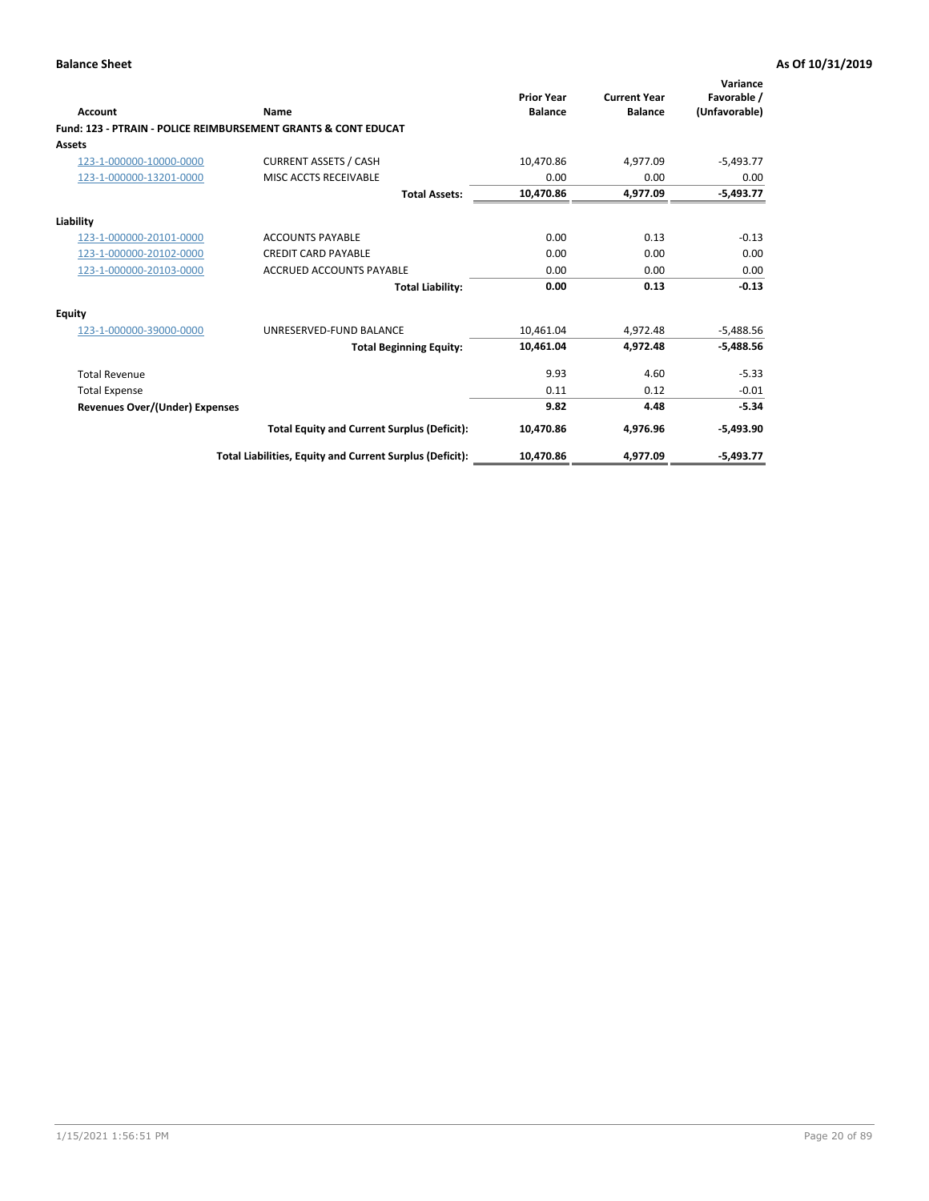| Account                        | Name                                                           | <b>Prior Year</b><br><b>Balance</b> | <b>Current Year</b><br><b>Balance</b> | Variance<br>Favorable /<br>(Unfavorable) |
|--------------------------------|----------------------------------------------------------------|-------------------------------------|---------------------------------------|------------------------------------------|
|                                | Fund: 123 - PTRAIN - POLICE REIMBURSEMENT GRANTS & CONT EDUCAT |                                     |                                       |                                          |
| Assets                         |                                                                |                                     |                                       |                                          |
| 123-1-000000-10000-0000        | <b>CURRENT ASSETS / CASH</b>                                   | 10,470.86                           | 4,977.09                              | $-5,493.77$                              |
| 123-1-000000-13201-0000        | MISC ACCTS RECEIVABLE                                          | 0.00                                | 0.00                                  | 0.00                                     |
|                                | <b>Total Assets:</b>                                           | 10,470.86                           | 4,977.09                              | $-5,493.77$                              |
| Liability                      |                                                                |                                     |                                       |                                          |
| 123-1-000000-20101-0000        | <b>ACCOUNTS PAYABLE</b>                                        | 0.00                                | 0.13                                  | $-0.13$                                  |
| 123-1-000000-20102-0000        | <b>CREDIT CARD PAYABLE</b>                                     | 0.00                                | 0.00                                  | 0.00                                     |
| 123-1-000000-20103-0000        | <b>ACCRUED ACCOUNTS PAYABLE</b>                                | 0.00                                | 0.00                                  | 0.00                                     |
|                                | <b>Total Liability:</b>                                        | 0.00                                | 0.13                                  | $-0.13$                                  |
| Equity                         |                                                                |                                     |                                       |                                          |
| 123-1-000000-39000-0000        | UNRESERVED-FUND BALANCE                                        | 10,461.04                           | 4,972.48                              | $-5,488.56$                              |
|                                | <b>Total Beginning Equity:</b>                                 | 10,461.04                           | 4,972.48                              | $-5,488.56$                              |
| <b>Total Revenue</b>           |                                                                | 9.93                                | 4.60                                  | $-5.33$                                  |
| <b>Total Expense</b>           |                                                                | 0.11                                | 0.12                                  | $-0.01$                                  |
| Revenues Over/(Under) Expenses |                                                                | 9.82                                | 4.48                                  | $-5.34$                                  |
|                                | <b>Total Equity and Current Surplus (Deficit):</b>             | 10,470.86                           | 4,976.96                              | $-5,493.90$                              |
|                                | Total Liabilities, Equity and Current Surplus (Deficit):       | 10,470.86                           | 4,977.09                              | $-5,493.77$                              |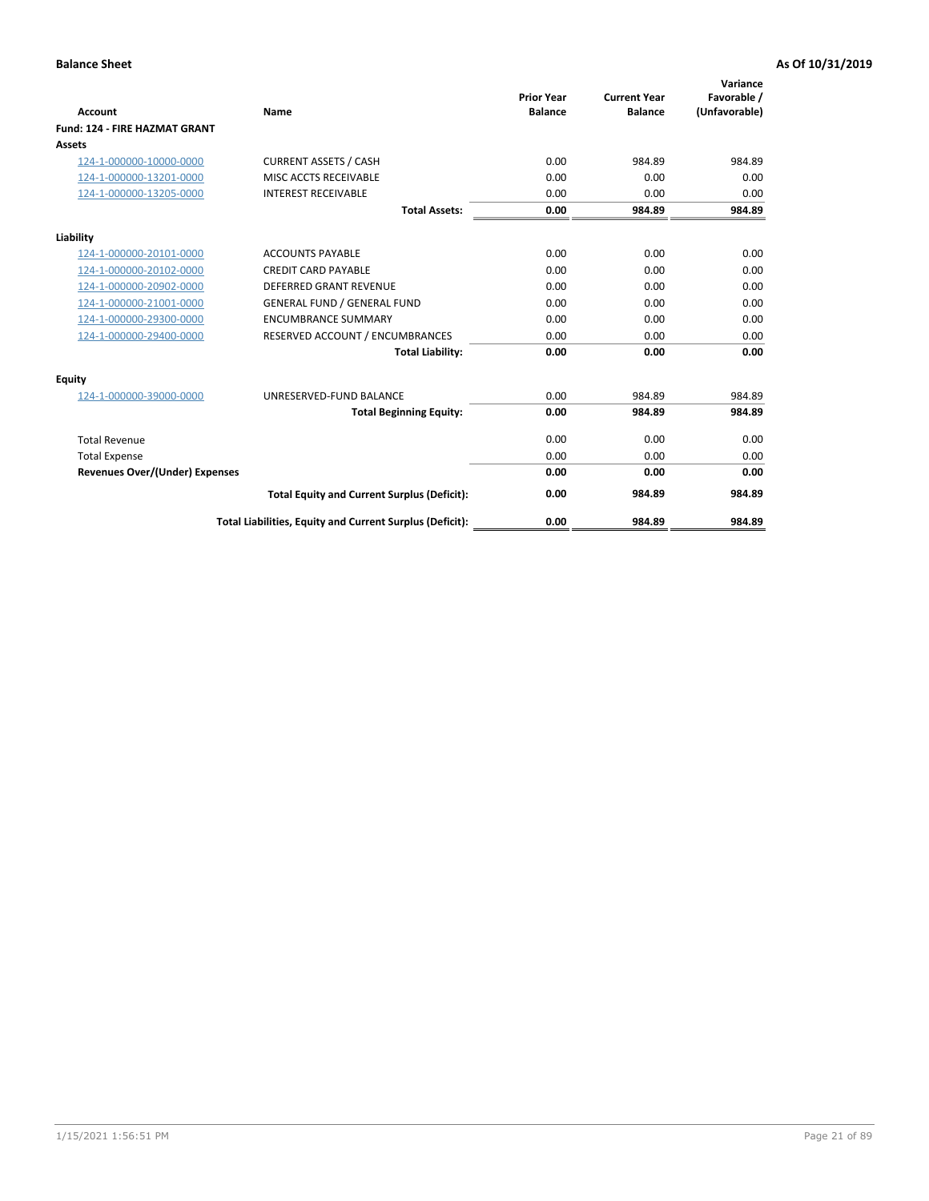|                                      |                                                          | <b>Prior Year</b> | <b>Current Year</b> | Variance<br>Favorable / |
|--------------------------------------|----------------------------------------------------------|-------------------|---------------------|-------------------------|
| <b>Account</b>                       | Name                                                     | <b>Balance</b>    | <b>Balance</b>      | (Unfavorable)           |
| <b>Fund: 124 - FIRE HAZMAT GRANT</b> |                                                          |                   |                     |                         |
| <b>Assets</b>                        |                                                          |                   |                     |                         |
| 124-1-000000-10000-0000              | <b>CURRENT ASSETS / CASH</b>                             | 0.00              | 984.89              | 984.89                  |
| 124-1-000000-13201-0000              | MISC ACCTS RECEIVABLE                                    | 0.00              | 0.00                | 0.00                    |
| 124-1-000000-13205-0000              | <b>INTEREST RECEIVABLE</b>                               | 0.00              | 0.00                | 0.00                    |
|                                      | <b>Total Assets:</b>                                     | 0.00              | 984.89              | 984.89                  |
| Liability                            |                                                          |                   |                     |                         |
| 124-1-000000-20101-0000              | <b>ACCOUNTS PAYABLE</b>                                  | 0.00              | 0.00                | 0.00                    |
| 124-1-000000-20102-0000              | <b>CREDIT CARD PAYABLE</b>                               | 0.00              | 0.00                | 0.00                    |
| 124-1-000000-20902-0000              | <b>DEFERRED GRANT REVENUE</b>                            | 0.00              | 0.00                | 0.00                    |
| 124-1-000000-21001-0000              | <b>GENERAL FUND / GENERAL FUND</b>                       | 0.00              | 0.00                | 0.00                    |
| 124-1-000000-29300-0000              | <b>ENCUMBRANCE SUMMARY</b>                               | 0.00              | 0.00                | 0.00                    |
| 124-1-000000-29400-0000              | RESERVED ACCOUNT / ENCUMBRANCES                          | 0.00              | 0.00                | 0.00                    |
|                                      | <b>Total Liability:</b>                                  | 0.00              | 0.00                | 0.00                    |
| Equity                               |                                                          |                   |                     |                         |
| 124-1-000000-39000-0000              | UNRESERVED-FUND BALANCE                                  | 0.00              | 984.89              | 984.89                  |
|                                      | <b>Total Beginning Equity:</b>                           | 0.00              | 984.89              | 984.89                  |
| <b>Total Revenue</b>                 |                                                          | 0.00              | 0.00                | 0.00                    |
| <b>Total Expense</b>                 |                                                          | 0.00              | 0.00                | 0.00                    |
| Revenues Over/(Under) Expenses       |                                                          | 0.00              | 0.00                | 0.00                    |
|                                      | <b>Total Equity and Current Surplus (Deficit):</b>       | 0.00              | 984.89              | 984.89                  |
|                                      | Total Liabilities, Equity and Current Surplus (Deficit): | 0.00              | 984.89              | 984.89                  |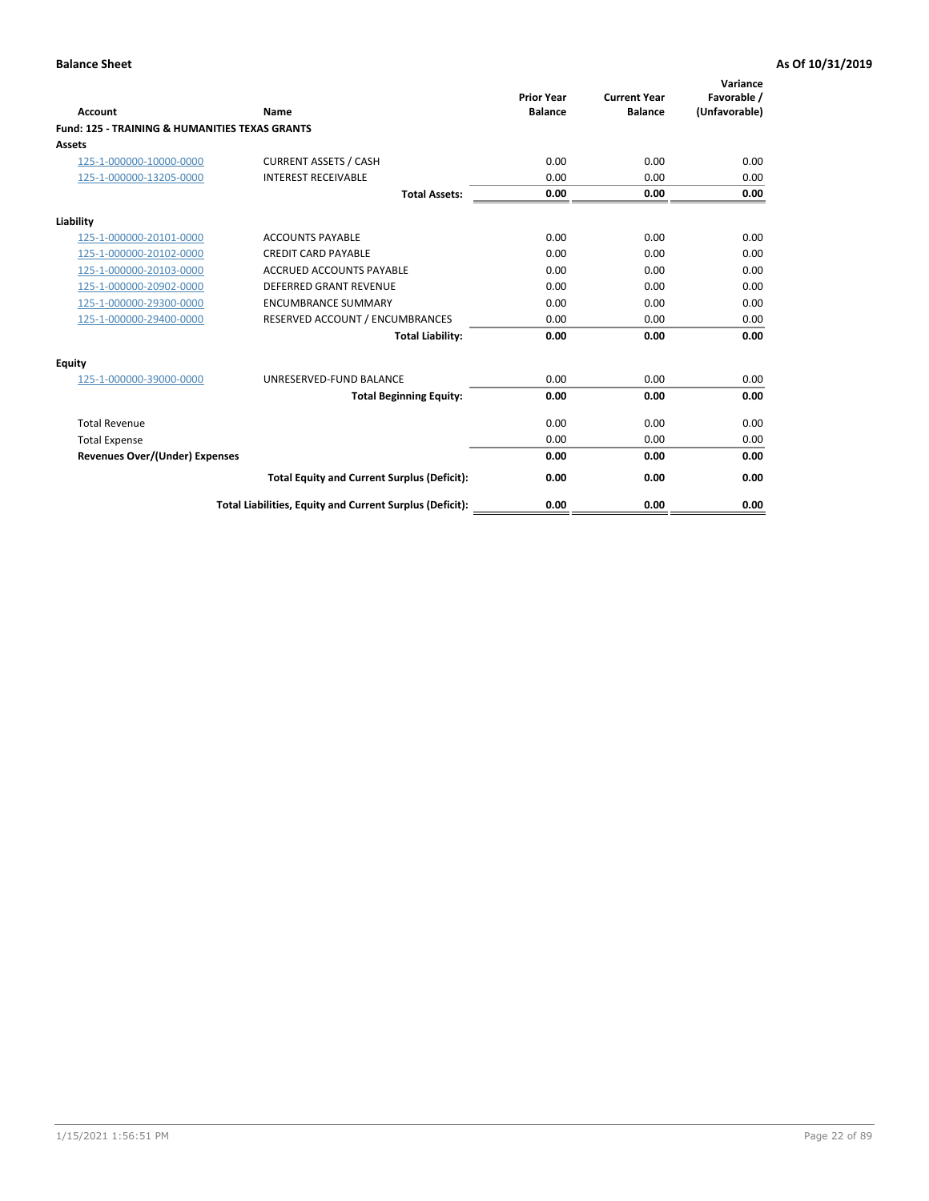| Account                                                   | Name                                                     | <b>Prior Year</b><br><b>Balance</b> | <b>Current Year</b><br><b>Balance</b> | Variance<br>Favorable /<br>(Unfavorable) |
|-----------------------------------------------------------|----------------------------------------------------------|-------------------------------------|---------------------------------------|------------------------------------------|
| <b>Fund: 125 - TRAINING &amp; HUMANITIES TEXAS GRANTS</b> |                                                          |                                     |                                       |                                          |
| <b>Assets</b>                                             |                                                          |                                     |                                       |                                          |
| 125-1-000000-10000-0000                                   | <b>CURRENT ASSETS / CASH</b>                             | 0.00                                | 0.00                                  | 0.00                                     |
| 125-1-000000-13205-0000                                   | <b>INTEREST RECEIVABLE</b>                               | 0.00                                | 0.00                                  | 0.00                                     |
|                                                           | <b>Total Assets:</b>                                     | 0.00                                | 0.00                                  | 0.00                                     |
| Liability                                                 |                                                          |                                     |                                       |                                          |
| 125-1-000000-20101-0000                                   | <b>ACCOUNTS PAYABLE</b>                                  | 0.00                                | 0.00                                  | 0.00                                     |
| 125-1-000000-20102-0000                                   | <b>CREDIT CARD PAYABLE</b>                               | 0.00                                | 0.00                                  | 0.00                                     |
| 125-1-000000-20103-0000                                   | <b>ACCRUED ACCOUNTS PAYABLE</b>                          | 0.00                                | 0.00                                  | 0.00                                     |
| 125-1-000000-20902-0000                                   | <b>DEFERRED GRANT REVENUE</b>                            | 0.00                                | 0.00                                  | 0.00                                     |
| 125-1-000000-29300-0000                                   | <b>ENCUMBRANCE SUMMARY</b>                               | 0.00                                | 0.00                                  | 0.00                                     |
| 125-1-000000-29400-0000                                   | RESERVED ACCOUNT / ENCUMBRANCES                          | 0.00                                | 0.00                                  | 0.00                                     |
|                                                           | <b>Total Liability:</b>                                  | 0.00                                | 0.00                                  | 0.00                                     |
| <b>Equity</b>                                             |                                                          |                                     |                                       |                                          |
| 125-1-000000-39000-0000                                   | UNRESERVED-FUND BALANCE                                  | 0.00                                | 0.00                                  | 0.00                                     |
|                                                           | <b>Total Beginning Equity:</b>                           | 0.00                                | 0.00                                  | 0.00                                     |
| <b>Total Revenue</b>                                      |                                                          | 0.00                                | 0.00                                  | 0.00                                     |
| <b>Total Expense</b>                                      |                                                          | 0.00                                | 0.00                                  | 0.00                                     |
| <b>Revenues Over/(Under) Expenses</b>                     |                                                          | 0.00                                | 0.00                                  | 0.00                                     |
|                                                           | <b>Total Equity and Current Surplus (Deficit):</b>       | 0.00                                | 0.00                                  | 0.00                                     |
|                                                           | Total Liabilities, Equity and Current Surplus (Deficit): | 0.00                                | 0.00                                  | 0.00                                     |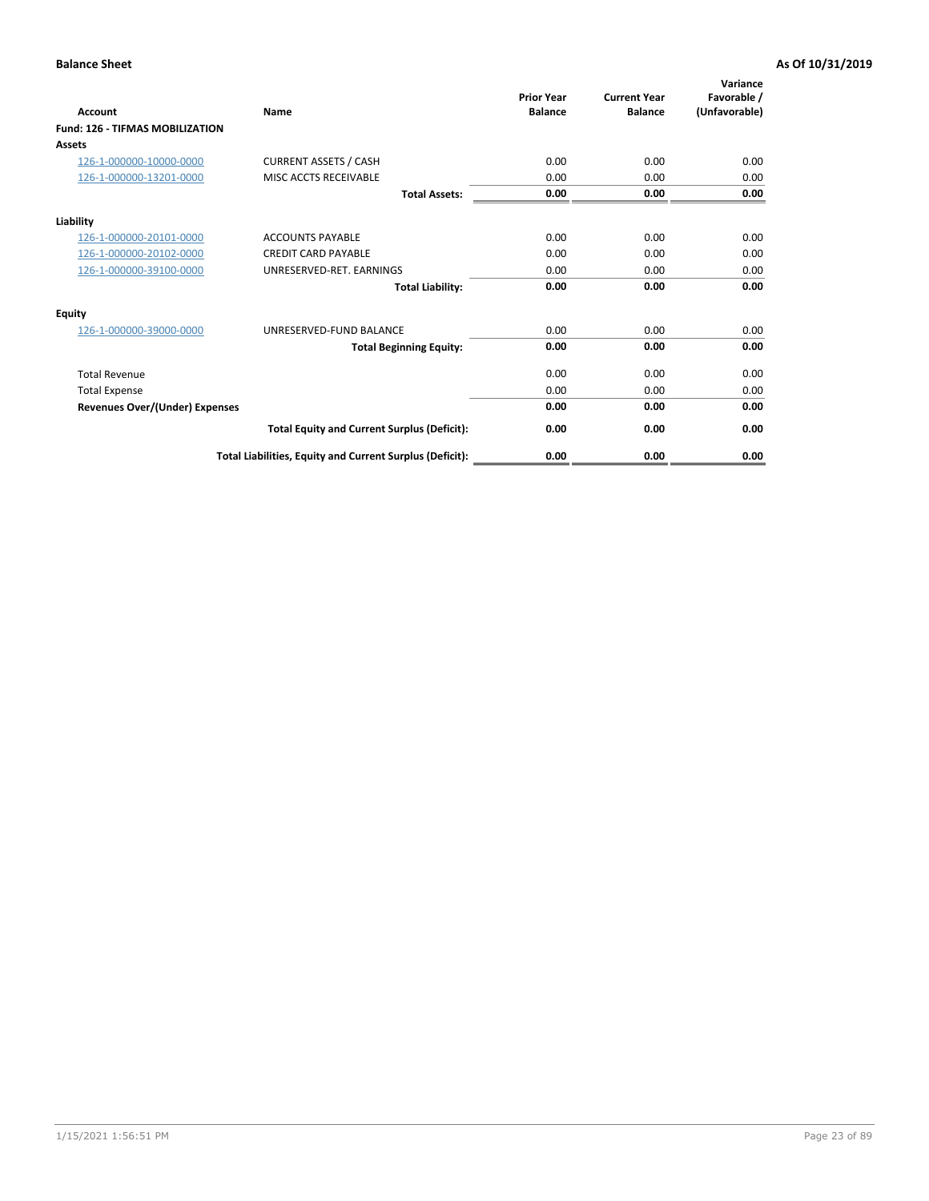| Account                                | Name                                                     | <b>Prior Year</b><br><b>Balance</b> | <b>Current Year</b><br><b>Balance</b> | Variance<br>Favorable /<br>(Unfavorable) |
|----------------------------------------|----------------------------------------------------------|-------------------------------------|---------------------------------------|------------------------------------------|
| <b>Fund: 126 - TIFMAS MOBILIZATION</b> |                                                          |                                     |                                       |                                          |
| Assets                                 |                                                          |                                     |                                       |                                          |
| 126-1-000000-10000-0000                | <b>CURRENT ASSETS / CASH</b>                             | 0.00                                | 0.00                                  | 0.00                                     |
| 126-1-000000-13201-0000                | MISC ACCTS RECEIVABLE                                    | 0.00                                | 0.00                                  | 0.00                                     |
|                                        | <b>Total Assets:</b>                                     | 0.00                                | 0.00                                  | 0.00                                     |
| Liability                              |                                                          |                                     |                                       |                                          |
| 126-1-000000-20101-0000                | <b>ACCOUNTS PAYABLE</b>                                  | 0.00                                | 0.00                                  | 0.00                                     |
| 126-1-000000-20102-0000                | <b>CREDIT CARD PAYABLE</b>                               | 0.00                                | 0.00                                  | 0.00                                     |
| 126-1-000000-39100-0000                | UNRESERVED-RET. EARNINGS                                 | 0.00                                | 0.00                                  | 0.00                                     |
|                                        | <b>Total Liability:</b>                                  | 0.00                                | 0.00                                  | 0.00                                     |
| Equity                                 |                                                          |                                     |                                       |                                          |
| 126-1-000000-39000-0000                | UNRESERVED-FUND BALANCE                                  | 0.00                                | 0.00                                  | 0.00                                     |
|                                        | <b>Total Beginning Equity:</b>                           | 0.00                                | 0.00                                  | 0.00                                     |
| <b>Total Revenue</b>                   |                                                          | 0.00                                | 0.00                                  | 0.00                                     |
| <b>Total Expense</b>                   |                                                          | 0.00                                | 0.00                                  | 0.00                                     |
| Revenues Over/(Under) Expenses         |                                                          | 0.00                                | 0.00                                  | 0.00                                     |
|                                        | <b>Total Equity and Current Surplus (Deficit):</b>       | 0.00                                | 0.00                                  | 0.00                                     |
|                                        | Total Liabilities, Equity and Current Surplus (Deficit): | 0.00                                | 0.00                                  | 0.00                                     |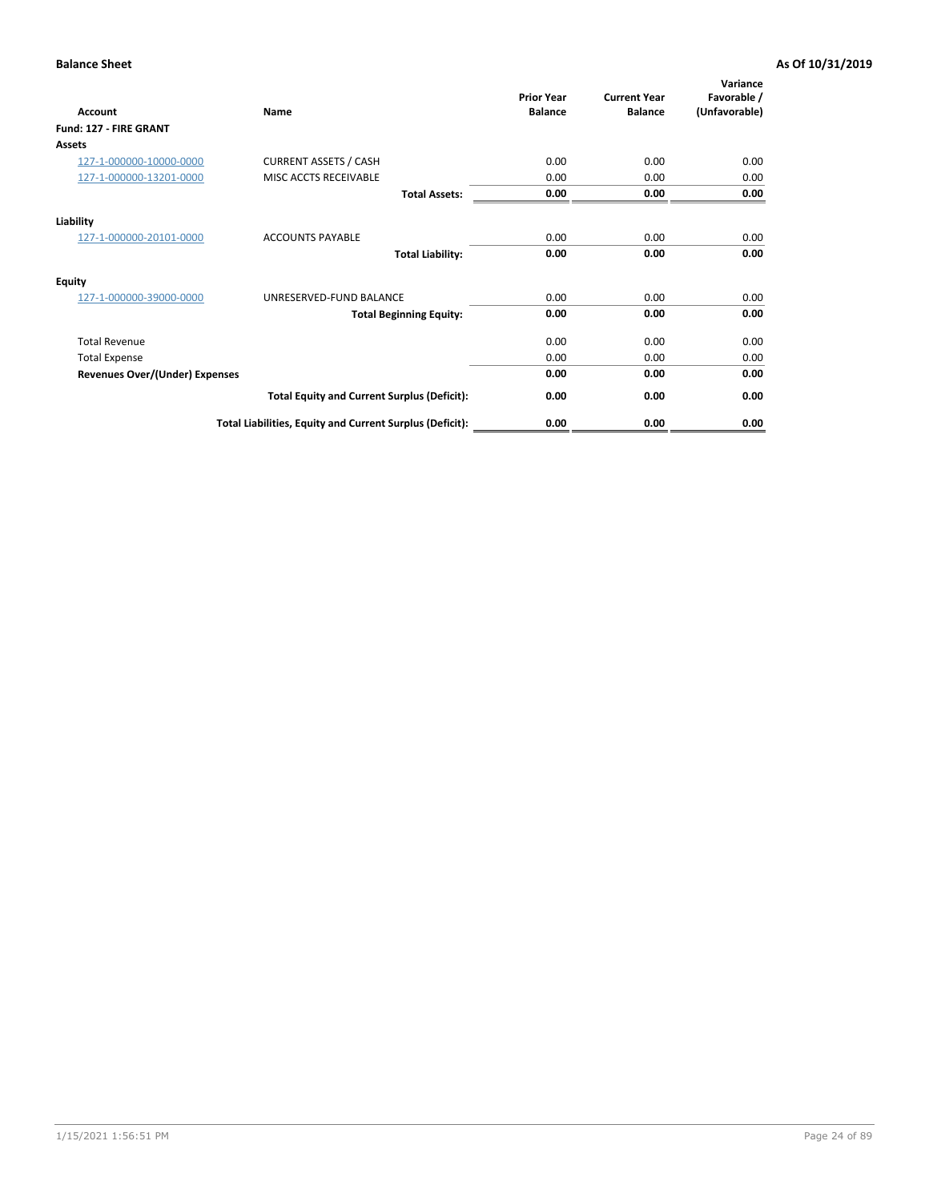| <b>Account</b>                        | Name                                                     | <b>Prior Year</b><br><b>Balance</b> | <b>Current Year</b><br><b>Balance</b> | Variance<br>Favorable /<br>(Unfavorable) |
|---------------------------------------|----------------------------------------------------------|-------------------------------------|---------------------------------------|------------------------------------------|
| Fund: 127 - FIRE GRANT                |                                                          |                                     |                                       |                                          |
| <b>Assets</b>                         |                                                          |                                     |                                       |                                          |
| 127-1-000000-10000-0000               | <b>CURRENT ASSETS / CASH</b>                             | 0.00                                | 0.00                                  | 0.00                                     |
| 127-1-000000-13201-0000               | MISC ACCTS RECEIVABLE                                    | 0.00                                | 0.00                                  | 0.00                                     |
|                                       | <b>Total Assets:</b>                                     | 0.00                                | 0.00                                  | 0.00                                     |
| Liability                             |                                                          |                                     |                                       |                                          |
| 127-1-000000-20101-0000               | <b>ACCOUNTS PAYABLE</b>                                  | 0.00                                | 0.00                                  | 0.00                                     |
|                                       | <b>Total Liability:</b>                                  | 0.00                                | 0.00                                  | 0.00                                     |
| Equity                                |                                                          |                                     |                                       |                                          |
| 127-1-000000-39000-0000               | UNRESERVED-FUND BALANCE                                  | 0.00                                | 0.00                                  | 0.00                                     |
|                                       | <b>Total Beginning Equity:</b>                           | 0.00                                | 0.00                                  | 0.00                                     |
| <b>Total Revenue</b>                  |                                                          | 0.00                                | 0.00                                  | 0.00                                     |
| <b>Total Expense</b>                  |                                                          | 0.00                                | 0.00                                  | 0.00                                     |
| <b>Revenues Over/(Under) Expenses</b> |                                                          | 0.00                                | 0.00                                  | 0.00                                     |
|                                       | <b>Total Equity and Current Surplus (Deficit):</b>       | 0.00                                | 0.00                                  | 0.00                                     |
|                                       | Total Liabilities, Equity and Current Surplus (Deficit): | 0.00                                | 0.00                                  | 0.00                                     |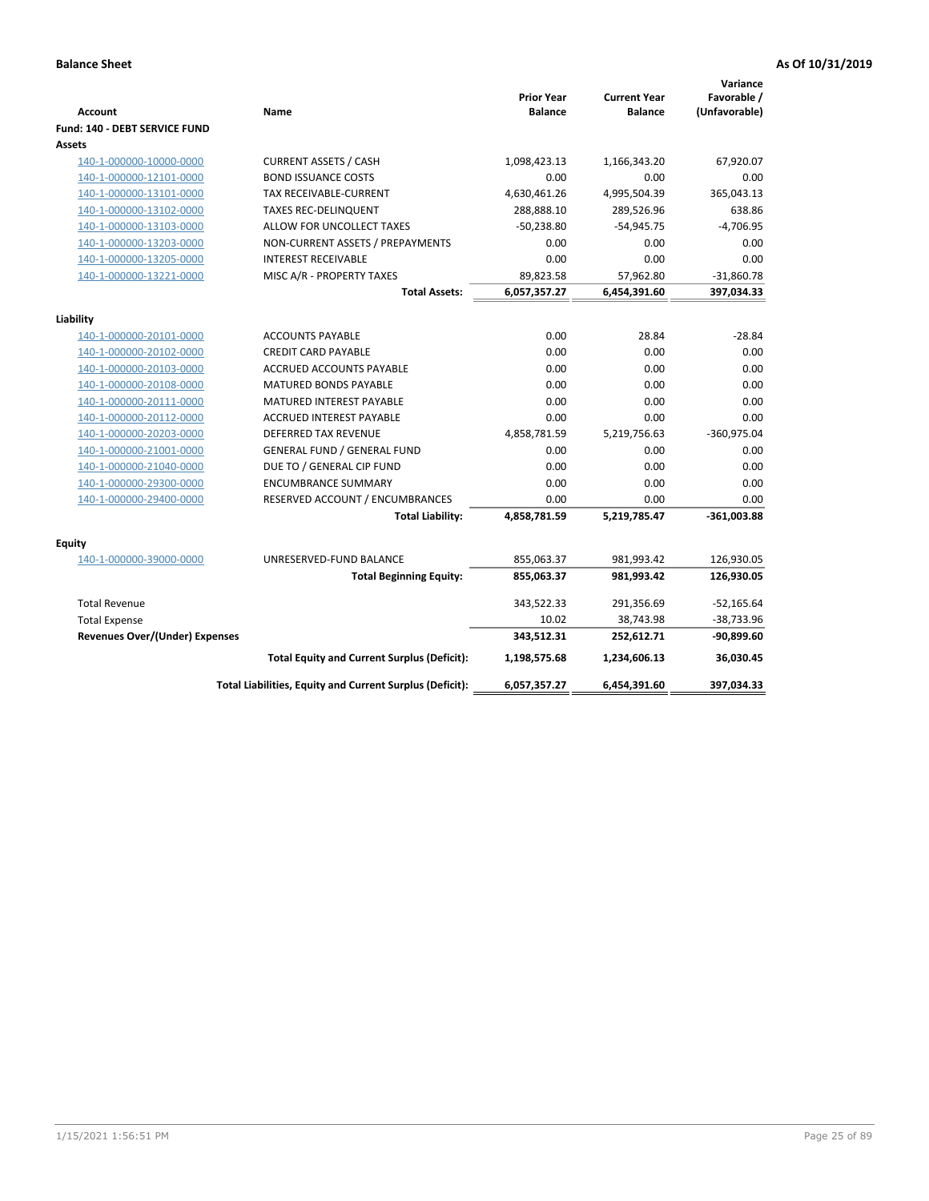| <b>Account</b>                        | Name                                                     | <b>Prior Year</b><br><b>Balance</b> | <b>Current Year</b><br><b>Balance</b> | Variance<br>Favorable /<br>(Unfavorable) |
|---------------------------------------|----------------------------------------------------------|-------------------------------------|---------------------------------------|------------------------------------------|
| Fund: 140 - DEBT SERVICE FUND         |                                                          |                                     |                                       |                                          |
| Assets                                |                                                          |                                     |                                       |                                          |
| 140-1-000000-10000-0000               | <b>CURRENT ASSETS / CASH</b>                             | 1,098,423.13                        | 1,166,343.20                          | 67,920.07                                |
| 140-1-000000-12101-0000               | <b>BOND ISSUANCE COSTS</b>                               | 0.00                                | 0.00                                  | 0.00                                     |
| 140-1-000000-13101-0000               | TAX RECEIVABLE-CURRENT                                   | 4,630,461.26                        | 4,995,504.39                          | 365,043.13                               |
| 140-1-000000-13102-0000               | <b>TAXES REC-DELINQUENT</b>                              | 288,888.10                          | 289,526.96                            | 638.86                                   |
| 140-1-000000-13103-0000               | ALLOW FOR UNCOLLECT TAXES                                | $-50,238.80$                        | $-54,945.75$                          | $-4,706.95$                              |
| 140-1-000000-13203-0000               | NON-CURRENT ASSETS / PREPAYMENTS                         | 0.00                                | 0.00                                  | 0.00                                     |
| 140-1-000000-13205-0000               | <b>INTEREST RECEIVABLE</b>                               | 0.00                                | 0.00                                  | 0.00                                     |
| 140-1-000000-13221-0000               | MISC A/R - PROPERTY TAXES                                | 89,823.58                           | 57,962.80                             | $-31,860.78$                             |
|                                       | <b>Total Assets:</b>                                     | 6,057,357.27                        | 6,454,391.60                          | 397,034.33                               |
| Liability                             |                                                          |                                     |                                       |                                          |
| 140-1-000000-20101-0000               | <b>ACCOUNTS PAYABLE</b>                                  | 0.00                                | 28.84                                 | $-28.84$                                 |
| 140-1-000000-20102-0000               | <b>CREDIT CARD PAYABLE</b>                               | 0.00                                | 0.00                                  | 0.00                                     |
| 140-1-000000-20103-0000               | ACCRUED ACCOUNTS PAYABLE                                 | 0.00                                | 0.00                                  | 0.00                                     |
| 140-1-000000-20108-0000               | <b>MATURED BONDS PAYABLE</b>                             | 0.00                                | 0.00                                  | 0.00                                     |
| 140-1-000000-20111-0000               | MATURED INTEREST PAYABLE                                 | 0.00                                | 0.00                                  | 0.00                                     |
| 140-1-000000-20112-0000               | <b>ACCRUED INTEREST PAYABLE</b>                          | 0.00                                | 0.00                                  | 0.00                                     |
| 140-1-000000-20203-0000               | <b>DEFERRED TAX REVENUE</b>                              | 4,858,781.59                        | 5,219,756.63                          | $-360,975.04$                            |
| 140-1-000000-21001-0000               | <b>GENERAL FUND / GENERAL FUND</b>                       | 0.00                                | 0.00                                  | 0.00                                     |
| 140-1-000000-21040-0000               | DUE TO / GENERAL CIP FUND                                | 0.00                                | 0.00                                  | 0.00                                     |
| 140-1-000000-29300-0000               | <b>ENCUMBRANCE SUMMARY</b>                               | 0.00                                | 0.00                                  | 0.00                                     |
| 140-1-000000-29400-0000               | RESERVED ACCOUNT / ENCUMBRANCES                          | 0.00                                | 0.00                                  | 0.00                                     |
|                                       | <b>Total Liability:</b>                                  | 4,858,781.59                        | 5,219,785.47                          | $-361,003.88$                            |
| Equity                                |                                                          |                                     |                                       |                                          |
| 140-1-000000-39000-0000               | UNRESERVED-FUND BALANCE                                  | 855,063.37                          | 981,993.42                            | 126,930.05                               |
|                                       | <b>Total Beginning Equity:</b>                           | 855,063.37                          | 981,993.42                            | 126,930.05                               |
| <b>Total Revenue</b>                  |                                                          | 343,522.33                          | 291,356.69                            | $-52,165.64$                             |
| <b>Total Expense</b>                  |                                                          | 10.02                               | 38,743.98                             | -38,733.96                               |
| <b>Revenues Over/(Under) Expenses</b> |                                                          | 343,512.31                          | 252,612.71                            | $-90,899.60$                             |
|                                       | <b>Total Equity and Current Surplus (Deficit):</b>       | 1,198,575.68                        | 1,234,606.13                          | 36,030.45                                |
|                                       | Total Liabilities, Equity and Current Surplus (Deficit): | 6,057,357.27                        | 6,454,391.60                          | 397,034.33                               |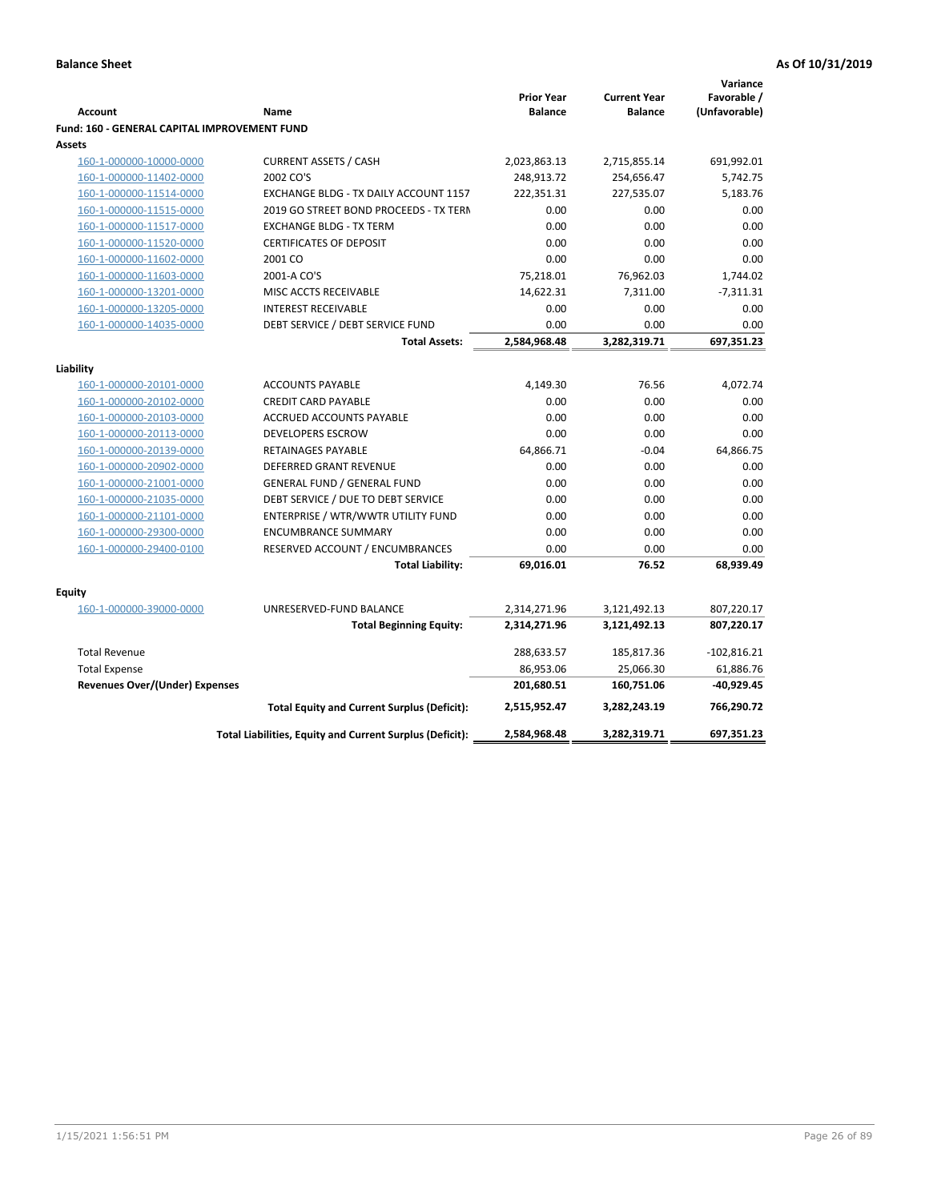| (Unfavorable)<br><b>Balance</b><br><b>Balance</b><br><b>Account</b><br>Name<br><b>Fund: 160 - GENERAL CAPITAL IMPROVEMENT FUND</b><br>Assets<br>160-1-000000-10000-0000<br><b>CURRENT ASSETS / CASH</b><br>2,023,863.13<br>2,715,855.14<br>691,992.01<br>2002 CO'S<br>248,913.72<br>254,656.47<br>5,742.75<br>160-1-000000-11402-0000<br>222,351.31<br>227,535.07<br>5,183.76<br>160-1-000000-11514-0000<br>EXCHANGE BLDG - TX DAILY ACCOUNT 1157<br>160-1-000000-11515-0000<br>2019 GO STREET BOND PROCEEDS - TX TERN<br>0.00<br>0.00<br>0.00<br>0.00<br>0.00<br>0.00<br>160-1-000000-11517-0000<br><b>EXCHANGE BLDG - TX TERM</b><br><b>CERTIFICATES OF DEPOSIT</b><br>0.00<br>0.00<br>0.00<br>160-1-000000-11520-0000<br>160-1-000000-11602-0000<br>2001 CO<br>0.00<br>0.00<br>0.00<br>75,218.01<br>76,962.03<br>160-1-000000-11603-0000<br>2001-A CO'S<br>1,744.02<br>MISC ACCTS RECEIVABLE<br>14,622.31<br>7,311.00<br>$-7,311.31$<br>160-1-000000-13201-0000<br>160-1-000000-13205-0000<br><b>INTEREST RECEIVABLE</b><br>0.00<br>0.00<br>0.00<br>DEBT SERVICE / DEBT SERVICE FUND<br>0.00<br>0.00<br>160-1-000000-14035-0000<br>0.00<br>2,584,968.48<br>3,282,319.71<br>697,351.23<br><b>Total Assets:</b><br>Liability<br>160-1-000000-20101-0000<br><b>ACCOUNTS PAYABLE</b><br>4,149.30<br>76.56<br>4,072.74<br>160-1-000000-20102-0000<br><b>CREDIT CARD PAYABLE</b><br>0.00<br>0.00<br>0.00<br>0.00<br>0.00<br>0.00<br>160-1-000000-20103-0000<br>ACCRUED ACCOUNTS PAYABLE<br>0.00<br>0.00<br>160-1-000000-20113-0000<br><b>DEVELOPERS ESCROW</b><br>0.00<br>64,866.71<br>160-1-000000-20139-0000<br>RETAINAGES PAYABLE<br>$-0.04$<br>64,866.75<br>160-1-000000-20902-0000<br><b>DEFERRED GRANT REVENUE</b><br>0.00<br>0.00<br>0.00<br><b>GENERAL FUND / GENERAL FUND</b><br>0.00<br>0.00<br>0.00<br>160-1-000000-21001-0000<br>0.00<br>0.00<br>160-1-000000-21035-0000<br>DEBT SERVICE / DUE TO DEBT SERVICE<br>0.00<br>160-1-000000-21101-0000<br>ENTERPRISE / WTR/WWTR UTILITY FUND<br>0.00<br>0.00<br>0.00<br>160-1-000000-29300-0000<br><b>ENCUMBRANCE SUMMARY</b><br>0.00<br>0.00<br>0.00<br>160-1-000000-29400-0100<br>RESERVED ACCOUNT / ENCUMBRANCES<br>0.00<br>0.00<br>0.00<br>69,016.01<br>68,939.49<br><b>Total Liability:</b><br>76.52<br><b>Equity</b><br>160-1-000000-39000-0000<br>UNRESERVED-FUND BALANCE<br>2,314,271.96<br>3,121,492.13<br>807,220.17<br><b>Total Beginning Equity:</b><br>2,314,271.96<br>3,121,492.13<br>807,220.17<br><b>Total Revenue</b><br>288,633.57<br>185,817.36<br>$-102,816.21$<br><b>Total Expense</b><br>86,953.06<br>25,066.30<br>61,886.76<br><b>Revenues Over/(Under) Expenses</b><br>201,680.51<br>160,751.06<br>-40,929.45<br>766,290.72<br><b>Total Equity and Current Surplus (Deficit):</b><br>2,515,952.47<br>3,282,243.19<br>Total Liabilities, Equity and Current Surplus (Deficit):<br>2,584,968.48<br>3,282,319.71<br>697,351.23 |  |                   |                     | Variance    |
|---------------------------------------------------------------------------------------------------------------------------------------------------------------------------------------------------------------------------------------------------------------------------------------------------------------------------------------------------------------------------------------------------------------------------------------------------------------------------------------------------------------------------------------------------------------------------------------------------------------------------------------------------------------------------------------------------------------------------------------------------------------------------------------------------------------------------------------------------------------------------------------------------------------------------------------------------------------------------------------------------------------------------------------------------------------------------------------------------------------------------------------------------------------------------------------------------------------------------------------------------------------------------------------------------------------------------------------------------------------------------------------------------------------------------------------------------------------------------------------------------------------------------------------------------------------------------------------------------------------------------------------------------------------------------------------------------------------------------------------------------------------------------------------------------------------------------------------------------------------------------------------------------------------------------------------------------------------------------------------------------------------------------------------------------------------------------------------------------------------------------------------------------------------------------------------------------------------------------------------------------------------------------------------------------------------------------------------------------------------------------------------------------------------------------------------------------------------------------------------------------------------------------------------------------------------------------------------------------------------------------------------------------------------------------------------------------------------------------------------------------------------------------------------------------------------------------------------------------------------------------------------------------------|--|-------------------|---------------------|-------------|
|                                                                                                                                                                                                                                                                                                                                                                                                                                                                                                                                                                                                                                                                                                                                                                                                                                                                                                                                                                                                                                                                                                                                                                                                                                                                                                                                                                                                                                                                                                                                                                                                                                                                                                                                                                                                                                                                                                                                                                                                                                                                                                                                                                                                                                                                                                                                                                                                                                                                                                                                                                                                                                                                                                                                                                                                                                                                                                         |  | <b>Prior Year</b> | <b>Current Year</b> | Favorable / |
|                                                                                                                                                                                                                                                                                                                                                                                                                                                                                                                                                                                                                                                                                                                                                                                                                                                                                                                                                                                                                                                                                                                                                                                                                                                                                                                                                                                                                                                                                                                                                                                                                                                                                                                                                                                                                                                                                                                                                                                                                                                                                                                                                                                                                                                                                                                                                                                                                                                                                                                                                                                                                                                                                                                                                                                                                                                                                                         |  |                   |                     |             |
|                                                                                                                                                                                                                                                                                                                                                                                                                                                                                                                                                                                                                                                                                                                                                                                                                                                                                                                                                                                                                                                                                                                                                                                                                                                                                                                                                                                                                                                                                                                                                                                                                                                                                                                                                                                                                                                                                                                                                                                                                                                                                                                                                                                                                                                                                                                                                                                                                                                                                                                                                                                                                                                                                                                                                                                                                                                                                                         |  |                   |                     |             |
|                                                                                                                                                                                                                                                                                                                                                                                                                                                                                                                                                                                                                                                                                                                                                                                                                                                                                                                                                                                                                                                                                                                                                                                                                                                                                                                                                                                                                                                                                                                                                                                                                                                                                                                                                                                                                                                                                                                                                                                                                                                                                                                                                                                                                                                                                                                                                                                                                                                                                                                                                                                                                                                                                                                                                                                                                                                                                                         |  |                   |                     |             |
|                                                                                                                                                                                                                                                                                                                                                                                                                                                                                                                                                                                                                                                                                                                                                                                                                                                                                                                                                                                                                                                                                                                                                                                                                                                                                                                                                                                                                                                                                                                                                                                                                                                                                                                                                                                                                                                                                                                                                                                                                                                                                                                                                                                                                                                                                                                                                                                                                                                                                                                                                                                                                                                                                                                                                                                                                                                                                                         |  |                   |                     |             |
|                                                                                                                                                                                                                                                                                                                                                                                                                                                                                                                                                                                                                                                                                                                                                                                                                                                                                                                                                                                                                                                                                                                                                                                                                                                                                                                                                                                                                                                                                                                                                                                                                                                                                                                                                                                                                                                                                                                                                                                                                                                                                                                                                                                                                                                                                                                                                                                                                                                                                                                                                                                                                                                                                                                                                                                                                                                                                                         |  |                   |                     |             |
|                                                                                                                                                                                                                                                                                                                                                                                                                                                                                                                                                                                                                                                                                                                                                                                                                                                                                                                                                                                                                                                                                                                                                                                                                                                                                                                                                                                                                                                                                                                                                                                                                                                                                                                                                                                                                                                                                                                                                                                                                                                                                                                                                                                                                                                                                                                                                                                                                                                                                                                                                                                                                                                                                                                                                                                                                                                                                                         |  |                   |                     |             |
|                                                                                                                                                                                                                                                                                                                                                                                                                                                                                                                                                                                                                                                                                                                                                                                                                                                                                                                                                                                                                                                                                                                                                                                                                                                                                                                                                                                                                                                                                                                                                                                                                                                                                                                                                                                                                                                                                                                                                                                                                                                                                                                                                                                                                                                                                                                                                                                                                                                                                                                                                                                                                                                                                                                                                                                                                                                                                                         |  |                   |                     |             |
|                                                                                                                                                                                                                                                                                                                                                                                                                                                                                                                                                                                                                                                                                                                                                                                                                                                                                                                                                                                                                                                                                                                                                                                                                                                                                                                                                                                                                                                                                                                                                                                                                                                                                                                                                                                                                                                                                                                                                                                                                                                                                                                                                                                                                                                                                                                                                                                                                                                                                                                                                                                                                                                                                                                                                                                                                                                                                                         |  |                   |                     |             |
|                                                                                                                                                                                                                                                                                                                                                                                                                                                                                                                                                                                                                                                                                                                                                                                                                                                                                                                                                                                                                                                                                                                                                                                                                                                                                                                                                                                                                                                                                                                                                                                                                                                                                                                                                                                                                                                                                                                                                                                                                                                                                                                                                                                                                                                                                                                                                                                                                                                                                                                                                                                                                                                                                                                                                                                                                                                                                                         |  |                   |                     |             |
|                                                                                                                                                                                                                                                                                                                                                                                                                                                                                                                                                                                                                                                                                                                                                                                                                                                                                                                                                                                                                                                                                                                                                                                                                                                                                                                                                                                                                                                                                                                                                                                                                                                                                                                                                                                                                                                                                                                                                                                                                                                                                                                                                                                                                                                                                                                                                                                                                                                                                                                                                                                                                                                                                                                                                                                                                                                                                                         |  |                   |                     |             |
|                                                                                                                                                                                                                                                                                                                                                                                                                                                                                                                                                                                                                                                                                                                                                                                                                                                                                                                                                                                                                                                                                                                                                                                                                                                                                                                                                                                                                                                                                                                                                                                                                                                                                                                                                                                                                                                                                                                                                                                                                                                                                                                                                                                                                                                                                                                                                                                                                                                                                                                                                                                                                                                                                                                                                                                                                                                                                                         |  |                   |                     |             |
|                                                                                                                                                                                                                                                                                                                                                                                                                                                                                                                                                                                                                                                                                                                                                                                                                                                                                                                                                                                                                                                                                                                                                                                                                                                                                                                                                                                                                                                                                                                                                                                                                                                                                                                                                                                                                                                                                                                                                                                                                                                                                                                                                                                                                                                                                                                                                                                                                                                                                                                                                                                                                                                                                                                                                                                                                                                                                                         |  |                   |                     |             |
|                                                                                                                                                                                                                                                                                                                                                                                                                                                                                                                                                                                                                                                                                                                                                                                                                                                                                                                                                                                                                                                                                                                                                                                                                                                                                                                                                                                                                                                                                                                                                                                                                                                                                                                                                                                                                                                                                                                                                                                                                                                                                                                                                                                                                                                                                                                                                                                                                                                                                                                                                                                                                                                                                                                                                                                                                                                                                                         |  |                   |                     |             |
|                                                                                                                                                                                                                                                                                                                                                                                                                                                                                                                                                                                                                                                                                                                                                                                                                                                                                                                                                                                                                                                                                                                                                                                                                                                                                                                                                                                                                                                                                                                                                                                                                                                                                                                                                                                                                                                                                                                                                                                                                                                                                                                                                                                                                                                                                                                                                                                                                                                                                                                                                                                                                                                                                                                                                                                                                                                                                                         |  |                   |                     |             |
|                                                                                                                                                                                                                                                                                                                                                                                                                                                                                                                                                                                                                                                                                                                                                                                                                                                                                                                                                                                                                                                                                                                                                                                                                                                                                                                                                                                                                                                                                                                                                                                                                                                                                                                                                                                                                                                                                                                                                                                                                                                                                                                                                                                                                                                                                                                                                                                                                                                                                                                                                                                                                                                                                                                                                                                                                                                                                                         |  |                   |                     |             |
|                                                                                                                                                                                                                                                                                                                                                                                                                                                                                                                                                                                                                                                                                                                                                                                                                                                                                                                                                                                                                                                                                                                                                                                                                                                                                                                                                                                                                                                                                                                                                                                                                                                                                                                                                                                                                                                                                                                                                                                                                                                                                                                                                                                                                                                                                                                                                                                                                                                                                                                                                                                                                                                                                                                                                                                                                                                                                                         |  |                   |                     |             |
|                                                                                                                                                                                                                                                                                                                                                                                                                                                                                                                                                                                                                                                                                                                                                                                                                                                                                                                                                                                                                                                                                                                                                                                                                                                                                                                                                                                                                                                                                                                                                                                                                                                                                                                                                                                                                                                                                                                                                                                                                                                                                                                                                                                                                                                                                                                                                                                                                                                                                                                                                                                                                                                                                                                                                                                                                                                                                                         |  |                   |                     |             |
|                                                                                                                                                                                                                                                                                                                                                                                                                                                                                                                                                                                                                                                                                                                                                                                                                                                                                                                                                                                                                                                                                                                                                                                                                                                                                                                                                                                                                                                                                                                                                                                                                                                                                                                                                                                                                                                                                                                                                                                                                                                                                                                                                                                                                                                                                                                                                                                                                                                                                                                                                                                                                                                                                                                                                                                                                                                                                                         |  |                   |                     |             |
|                                                                                                                                                                                                                                                                                                                                                                                                                                                                                                                                                                                                                                                                                                                                                                                                                                                                                                                                                                                                                                                                                                                                                                                                                                                                                                                                                                                                                                                                                                                                                                                                                                                                                                                                                                                                                                                                                                                                                                                                                                                                                                                                                                                                                                                                                                                                                                                                                                                                                                                                                                                                                                                                                                                                                                                                                                                                                                         |  |                   |                     |             |
|                                                                                                                                                                                                                                                                                                                                                                                                                                                                                                                                                                                                                                                                                                                                                                                                                                                                                                                                                                                                                                                                                                                                                                                                                                                                                                                                                                                                                                                                                                                                                                                                                                                                                                                                                                                                                                                                                                                                                                                                                                                                                                                                                                                                                                                                                                                                                                                                                                                                                                                                                                                                                                                                                                                                                                                                                                                                                                         |  |                   |                     |             |
|                                                                                                                                                                                                                                                                                                                                                                                                                                                                                                                                                                                                                                                                                                                                                                                                                                                                                                                                                                                                                                                                                                                                                                                                                                                                                                                                                                                                                                                                                                                                                                                                                                                                                                                                                                                                                                                                                                                                                                                                                                                                                                                                                                                                                                                                                                                                                                                                                                                                                                                                                                                                                                                                                                                                                                                                                                                                                                         |  |                   |                     |             |
|                                                                                                                                                                                                                                                                                                                                                                                                                                                                                                                                                                                                                                                                                                                                                                                                                                                                                                                                                                                                                                                                                                                                                                                                                                                                                                                                                                                                                                                                                                                                                                                                                                                                                                                                                                                                                                                                                                                                                                                                                                                                                                                                                                                                                                                                                                                                                                                                                                                                                                                                                                                                                                                                                                                                                                                                                                                                                                         |  |                   |                     |             |
|                                                                                                                                                                                                                                                                                                                                                                                                                                                                                                                                                                                                                                                                                                                                                                                                                                                                                                                                                                                                                                                                                                                                                                                                                                                                                                                                                                                                                                                                                                                                                                                                                                                                                                                                                                                                                                                                                                                                                                                                                                                                                                                                                                                                                                                                                                                                                                                                                                                                                                                                                                                                                                                                                                                                                                                                                                                                                                         |  |                   |                     |             |
|                                                                                                                                                                                                                                                                                                                                                                                                                                                                                                                                                                                                                                                                                                                                                                                                                                                                                                                                                                                                                                                                                                                                                                                                                                                                                                                                                                                                                                                                                                                                                                                                                                                                                                                                                                                                                                                                                                                                                                                                                                                                                                                                                                                                                                                                                                                                                                                                                                                                                                                                                                                                                                                                                                                                                                                                                                                                                                         |  |                   |                     |             |
|                                                                                                                                                                                                                                                                                                                                                                                                                                                                                                                                                                                                                                                                                                                                                                                                                                                                                                                                                                                                                                                                                                                                                                                                                                                                                                                                                                                                                                                                                                                                                                                                                                                                                                                                                                                                                                                                                                                                                                                                                                                                                                                                                                                                                                                                                                                                                                                                                                                                                                                                                                                                                                                                                                                                                                                                                                                                                                         |  |                   |                     |             |
|                                                                                                                                                                                                                                                                                                                                                                                                                                                                                                                                                                                                                                                                                                                                                                                                                                                                                                                                                                                                                                                                                                                                                                                                                                                                                                                                                                                                                                                                                                                                                                                                                                                                                                                                                                                                                                                                                                                                                                                                                                                                                                                                                                                                                                                                                                                                                                                                                                                                                                                                                                                                                                                                                                                                                                                                                                                                                                         |  |                   |                     |             |
|                                                                                                                                                                                                                                                                                                                                                                                                                                                                                                                                                                                                                                                                                                                                                                                                                                                                                                                                                                                                                                                                                                                                                                                                                                                                                                                                                                                                                                                                                                                                                                                                                                                                                                                                                                                                                                                                                                                                                                                                                                                                                                                                                                                                                                                                                                                                                                                                                                                                                                                                                                                                                                                                                                                                                                                                                                                                                                         |  |                   |                     |             |
|                                                                                                                                                                                                                                                                                                                                                                                                                                                                                                                                                                                                                                                                                                                                                                                                                                                                                                                                                                                                                                                                                                                                                                                                                                                                                                                                                                                                                                                                                                                                                                                                                                                                                                                                                                                                                                                                                                                                                                                                                                                                                                                                                                                                                                                                                                                                                                                                                                                                                                                                                                                                                                                                                                                                                                                                                                                                                                         |  |                   |                     |             |
|                                                                                                                                                                                                                                                                                                                                                                                                                                                                                                                                                                                                                                                                                                                                                                                                                                                                                                                                                                                                                                                                                                                                                                                                                                                                                                                                                                                                                                                                                                                                                                                                                                                                                                                                                                                                                                                                                                                                                                                                                                                                                                                                                                                                                                                                                                                                                                                                                                                                                                                                                                                                                                                                                                                                                                                                                                                                                                         |  |                   |                     |             |
|                                                                                                                                                                                                                                                                                                                                                                                                                                                                                                                                                                                                                                                                                                                                                                                                                                                                                                                                                                                                                                                                                                                                                                                                                                                                                                                                                                                                                                                                                                                                                                                                                                                                                                                                                                                                                                                                                                                                                                                                                                                                                                                                                                                                                                                                                                                                                                                                                                                                                                                                                                                                                                                                                                                                                                                                                                                                                                         |  |                   |                     |             |
|                                                                                                                                                                                                                                                                                                                                                                                                                                                                                                                                                                                                                                                                                                                                                                                                                                                                                                                                                                                                                                                                                                                                                                                                                                                                                                                                                                                                                                                                                                                                                                                                                                                                                                                                                                                                                                                                                                                                                                                                                                                                                                                                                                                                                                                                                                                                                                                                                                                                                                                                                                                                                                                                                                                                                                                                                                                                                                         |  |                   |                     |             |
|                                                                                                                                                                                                                                                                                                                                                                                                                                                                                                                                                                                                                                                                                                                                                                                                                                                                                                                                                                                                                                                                                                                                                                                                                                                                                                                                                                                                                                                                                                                                                                                                                                                                                                                                                                                                                                                                                                                                                                                                                                                                                                                                                                                                                                                                                                                                                                                                                                                                                                                                                                                                                                                                                                                                                                                                                                                                                                         |  |                   |                     |             |
|                                                                                                                                                                                                                                                                                                                                                                                                                                                                                                                                                                                                                                                                                                                                                                                                                                                                                                                                                                                                                                                                                                                                                                                                                                                                                                                                                                                                                                                                                                                                                                                                                                                                                                                                                                                                                                                                                                                                                                                                                                                                                                                                                                                                                                                                                                                                                                                                                                                                                                                                                                                                                                                                                                                                                                                                                                                                                                         |  |                   |                     |             |
|                                                                                                                                                                                                                                                                                                                                                                                                                                                                                                                                                                                                                                                                                                                                                                                                                                                                                                                                                                                                                                                                                                                                                                                                                                                                                                                                                                                                                                                                                                                                                                                                                                                                                                                                                                                                                                                                                                                                                                                                                                                                                                                                                                                                                                                                                                                                                                                                                                                                                                                                                                                                                                                                                                                                                                                                                                                                                                         |  |                   |                     |             |
|                                                                                                                                                                                                                                                                                                                                                                                                                                                                                                                                                                                                                                                                                                                                                                                                                                                                                                                                                                                                                                                                                                                                                                                                                                                                                                                                                                                                                                                                                                                                                                                                                                                                                                                                                                                                                                                                                                                                                                                                                                                                                                                                                                                                                                                                                                                                                                                                                                                                                                                                                                                                                                                                                                                                                                                                                                                                                                         |  |                   |                     |             |
|                                                                                                                                                                                                                                                                                                                                                                                                                                                                                                                                                                                                                                                                                                                                                                                                                                                                                                                                                                                                                                                                                                                                                                                                                                                                                                                                                                                                                                                                                                                                                                                                                                                                                                                                                                                                                                                                                                                                                                                                                                                                                                                                                                                                                                                                                                                                                                                                                                                                                                                                                                                                                                                                                                                                                                                                                                                                                                         |  |                   |                     |             |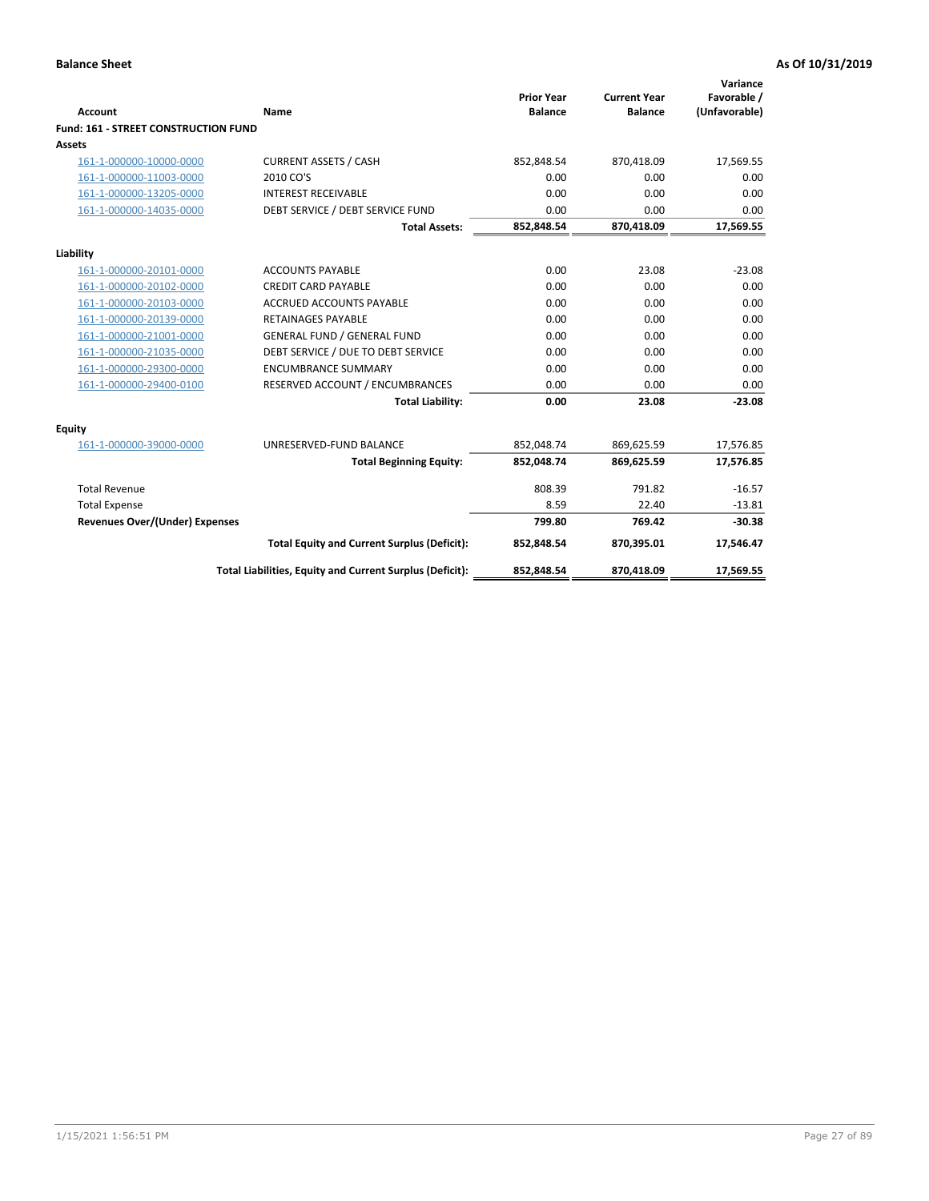| <b>Account</b>                              | Name                                                     | <b>Prior Year</b><br><b>Balance</b> | <b>Current Year</b><br><b>Balance</b> | Variance<br>Favorable /<br>(Unfavorable) |
|---------------------------------------------|----------------------------------------------------------|-------------------------------------|---------------------------------------|------------------------------------------|
| <b>Fund: 161 - STREET CONSTRUCTION FUND</b> |                                                          |                                     |                                       |                                          |
| <b>Assets</b>                               |                                                          |                                     |                                       |                                          |
| 161-1-000000-10000-0000                     | <b>CURRENT ASSETS / CASH</b>                             | 852,848.54                          | 870,418.09                            | 17,569.55                                |
| 161-1-000000-11003-0000                     | 2010 CO'S                                                | 0.00                                | 0.00                                  | 0.00                                     |
| 161-1-000000-13205-0000                     | <b>INTEREST RECEIVABLE</b>                               | 0.00                                | 0.00                                  | 0.00                                     |
| 161-1-000000-14035-0000                     | DEBT SERVICE / DEBT SERVICE FUND                         | 0.00                                | 0.00                                  | 0.00                                     |
|                                             | <b>Total Assets:</b>                                     | 852,848.54                          | 870,418.09                            | 17,569.55                                |
| Liability                                   |                                                          |                                     |                                       |                                          |
| 161-1-000000-20101-0000                     | <b>ACCOUNTS PAYABLE</b>                                  | 0.00                                | 23.08                                 | $-23.08$                                 |
| 161-1-000000-20102-0000                     | <b>CREDIT CARD PAYABLE</b>                               | 0.00                                | 0.00                                  | 0.00                                     |
| 161-1-000000-20103-0000                     | <b>ACCRUED ACCOUNTS PAYABLE</b>                          | 0.00                                | 0.00                                  | 0.00                                     |
| 161-1-000000-20139-0000                     | <b>RETAINAGES PAYABLE</b>                                | 0.00                                | 0.00                                  | 0.00                                     |
| 161-1-000000-21001-0000                     | <b>GENERAL FUND / GENERAL FUND</b>                       | 0.00                                | 0.00                                  | 0.00                                     |
| 161-1-000000-21035-0000                     | DEBT SERVICE / DUE TO DEBT SERVICE                       | 0.00                                | 0.00                                  | 0.00                                     |
| 161-1-000000-29300-0000                     | <b>ENCUMBRANCE SUMMARY</b>                               | 0.00                                | 0.00                                  | 0.00                                     |
| 161-1-000000-29400-0100                     | RESERVED ACCOUNT / ENCUMBRANCES                          | 0.00                                | 0.00                                  | 0.00                                     |
|                                             | <b>Total Liability:</b>                                  | 0.00                                | 23.08                                 | $-23.08$                                 |
| <b>Equity</b>                               |                                                          |                                     |                                       |                                          |
| 161-1-000000-39000-0000                     | UNRESERVED-FUND BALANCE                                  | 852,048.74                          | 869,625.59                            | 17,576.85                                |
|                                             | <b>Total Beginning Equity:</b>                           | 852,048.74                          | 869,625.59                            | 17,576.85                                |
| <b>Total Revenue</b>                        |                                                          | 808.39                              | 791.82                                | $-16.57$                                 |
| <b>Total Expense</b>                        |                                                          | 8.59                                | 22.40                                 | $-13.81$                                 |
| Revenues Over/(Under) Expenses              |                                                          | 799.80                              | 769.42                                | $-30.38$                                 |
|                                             | <b>Total Equity and Current Surplus (Deficit):</b>       | 852,848.54                          | 870,395.01                            | 17,546.47                                |
|                                             | Total Liabilities, Equity and Current Surplus (Deficit): | 852,848.54                          | 870,418.09                            | 17,569.55                                |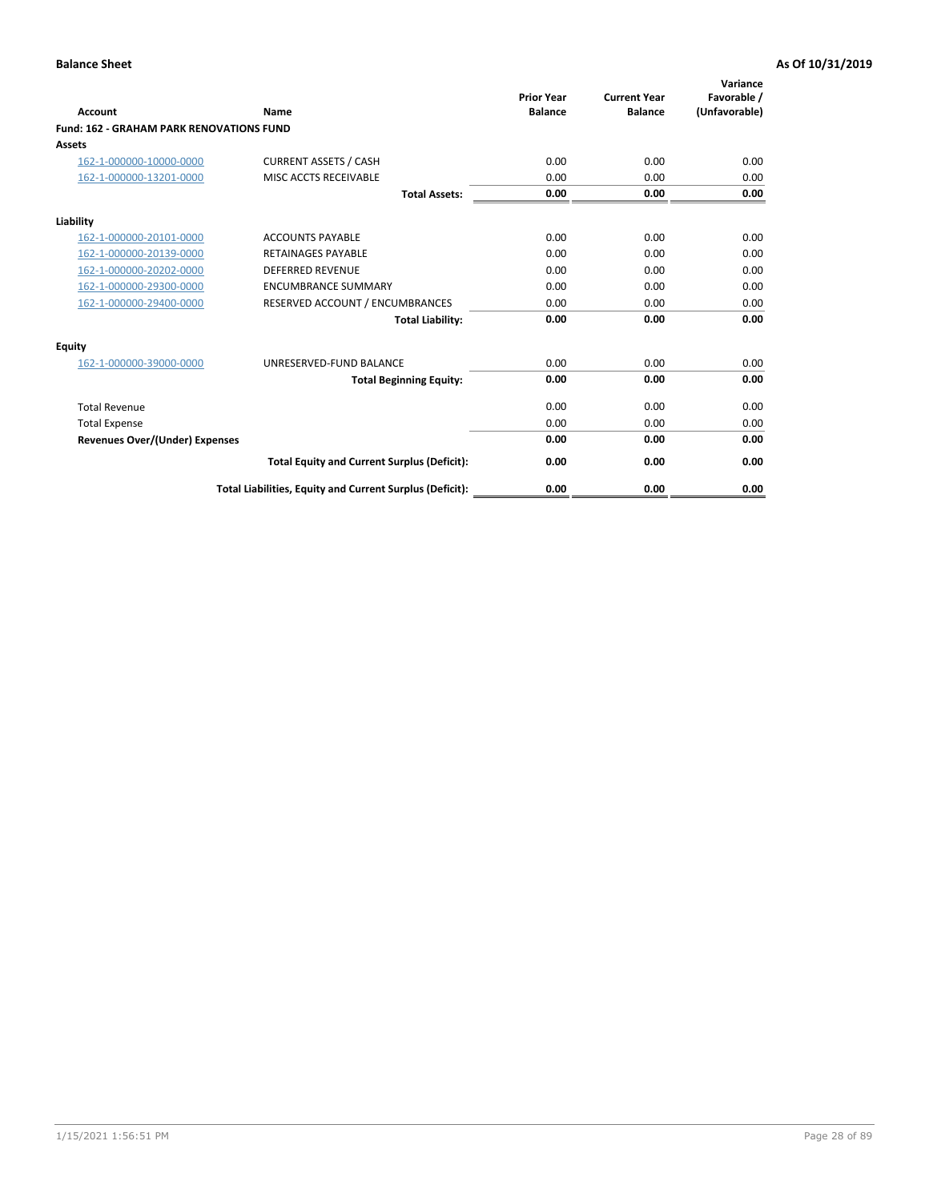|                                                 |                                                          | <b>Prior Year</b><br><b>Balance</b> | <b>Current Year</b> | Variance<br>Favorable / |
|-------------------------------------------------|----------------------------------------------------------|-------------------------------------|---------------------|-------------------------|
| <b>Account</b>                                  | Name                                                     |                                     | <b>Balance</b>      | (Unfavorable)           |
| <b>Fund: 162 - GRAHAM PARK RENOVATIONS FUND</b> |                                                          |                                     |                     |                         |
| <b>Assets</b>                                   |                                                          |                                     |                     |                         |
| 162-1-000000-10000-0000                         | <b>CURRENT ASSETS / CASH</b>                             | 0.00                                | 0.00                | 0.00                    |
| 162-1-000000-13201-0000                         | MISC ACCTS RECEIVABLE                                    | 0.00                                | 0.00                | 0.00                    |
|                                                 | <b>Total Assets:</b>                                     | 0.00                                | 0.00                | 0.00                    |
| Liability                                       |                                                          |                                     |                     |                         |
| 162-1-000000-20101-0000                         | <b>ACCOUNTS PAYABLE</b>                                  | 0.00                                | 0.00                | 0.00                    |
| 162-1-000000-20139-0000                         | <b>RETAINAGES PAYABLE</b>                                | 0.00                                | 0.00                | 0.00                    |
| 162-1-000000-20202-0000                         | <b>DEFERRED REVENUE</b>                                  | 0.00                                | 0.00                | 0.00                    |
| 162-1-000000-29300-0000                         | <b>ENCUMBRANCE SUMMARY</b>                               | 0.00                                | 0.00                | 0.00                    |
| 162-1-000000-29400-0000                         | RESERVED ACCOUNT / ENCUMBRANCES                          | 0.00                                | 0.00                | 0.00                    |
|                                                 | <b>Total Liability:</b>                                  | 0.00                                | 0.00                | 0.00                    |
| Equity                                          |                                                          |                                     |                     |                         |
| 162-1-000000-39000-0000                         | UNRESERVED-FUND BALANCE                                  | 0.00                                | 0.00                | 0.00                    |
|                                                 | <b>Total Beginning Equity:</b>                           | 0.00                                | 0.00                | 0.00                    |
| <b>Total Revenue</b>                            |                                                          | 0.00                                | 0.00                | 0.00                    |
| <b>Total Expense</b>                            |                                                          | 0.00                                | 0.00                | 0.00                    |
| Revenues Over/(Under) Expenses                  |                                                          | 0.00                                | 0.00                | 0.00                    |
|                                                 | <b>Total Equity and Current Surplus (Deficit):</b>       | 0.00                                | 0.00                | 0.00                    |
|                                                 | Total Liabilities, Equity and Current Surplus (Deficit): | 0.00                                | 0.00                | 0.00                    |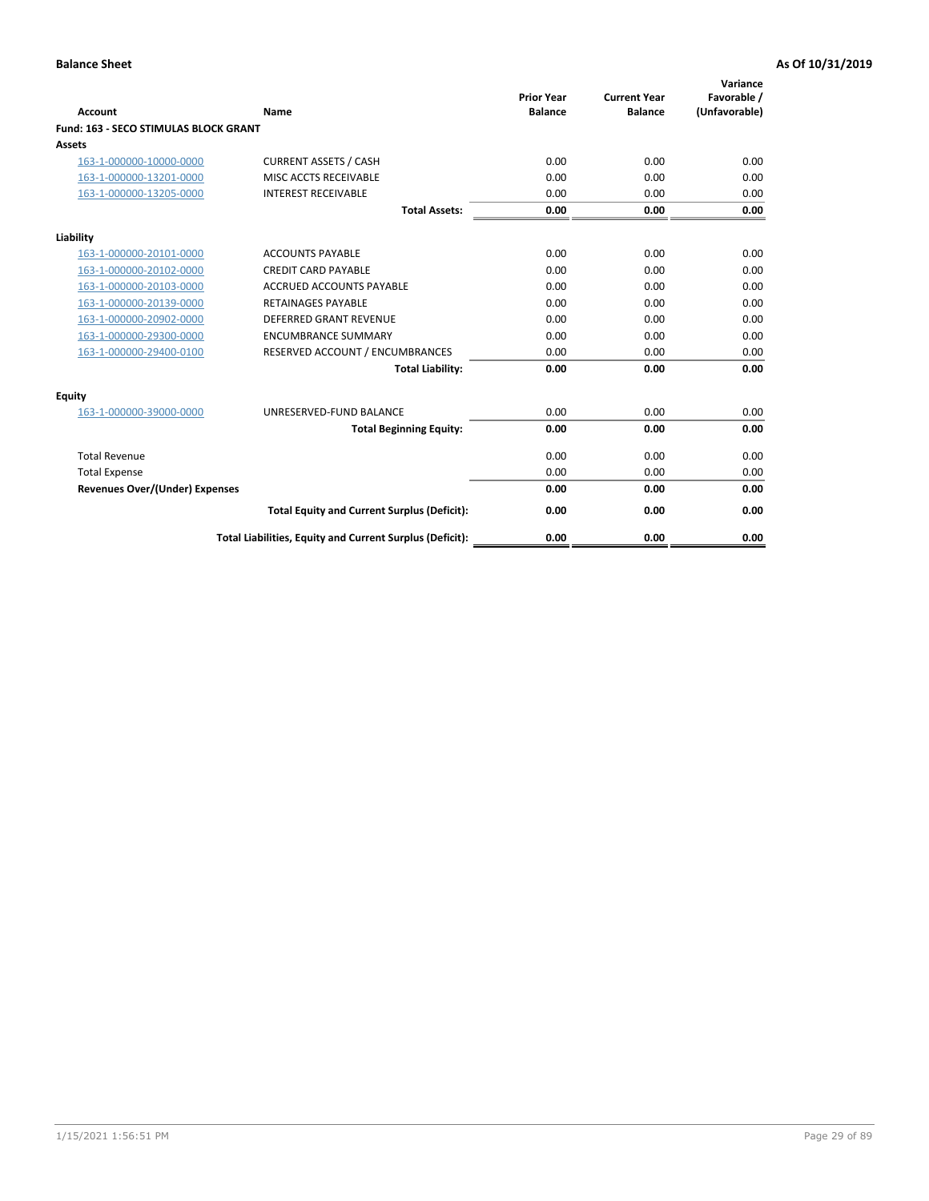|                                              |                                                          | <b>Prior Year</b> | <b>Current Year</b> | Variance<br>Favorable / |
|----------------------------------------------|----------------------------------------------------------|-------------------|---------------------|-------------------------|
| <b>Account</b>                               | Name                                                     | <b>Balance</b>    | <b>Balance</b>      | (Unfavorable)           |
| <b>Fund: 163 - SECO STIMULAS BLOCK GRANT</b> |                                                          |                   |                     |                         |
| Assets                                       |                                                          |                   |                     |                         |
| 163-1-000000-10000-0000                      | <b>CURRENT ASSETS / CASH</b>                             | 0.00              | 0.00                | 0.00                    |
| 163-1-000000-13201-0000                      | MISC ACCTS RECEIVABLE                                    | 0.00              | 0.00                | 0.00                    |
| 163-1-000000-13205-0000                      | <b>INTEREST RECEIVABLE</b>                               | 0.00              | 0.00                | 0.00                    |
|                                              | <b>Total Assets:</b>                                     | 0.00              | 0.00                | 0.00                    |
| Liability                                    |                                                          |                   |                     |                         |
| 163-1-000000-20101-0000                      | <b>ACCOUNTS PAYABLE</b>                                  | 0.00              | 0.00                | 0.00                    |
| 163-1-000000-20102-0000                      | <b>CREDIT CARD PAYABLE</b>                               | 0.00              | 0.00                | 0.00                    |
| 163-1-000000-20103-0000                      | <b>ACCRUED ACCOUNTS PAYABLE</b>                          | 0.00              | 0.00                | 0.00                    |
| 163-1-000000-20139-0000                      | <b>RETAINAGES PAYABLE</b>                                | 0.00              | 0.00                | 0.00                    |
| 163-1-000000-20902-0000                      | <b>DEFERRED GRANT REVENUE</b>                            | 0.00              | 0.00                | 0.00                    |
| 163-1-000000-29300-0000                      | <b>ENCUMBRANCE SUMMARY</b>                               | 0.00              | 0.00                | 0.00                    |
| 163-1-000000-29400-0100                      | RESERVED ACCOUNT / ENCUMBRANCES                          | 0.00              | 0.00                | 0.00                    |
|                                              | <b>Total Liability:</b>                                  | 0.00              | 0.00                | 0.00                    |
| <b>Equity</b>                                |                                                          |                   |                     |                         |
| 163-1-000000-39000-0000                      | UNRESERVED-FUND BALANCE                                  | 0.00              | 0.00                | 0.00                    |
|                                              | <b>Total Beginning Equity:</b>                           | 0.00              | 0.00                | 0.00                    |
| <b>Total Revenue</b>                         |                                                          | 0.00              | 0.00                | 0.00                    |
| <b>Total Expense</b>                         |                                                          | 0.00              | 0.00                | 0.00                    |
| Revenues Over/(Under) Expenses               |                                                          | 0.00              | 0.00                | 0.00                    |
|                                              | <b>Total Equity and Current Surplus (Deficit):</b>       | 0.00              | 0.00                | 0.00                    |
|                                              | Total Liabilities, Equity and Current Surplus (Deficit): | 0.00              | 0.00                | 0.00                    |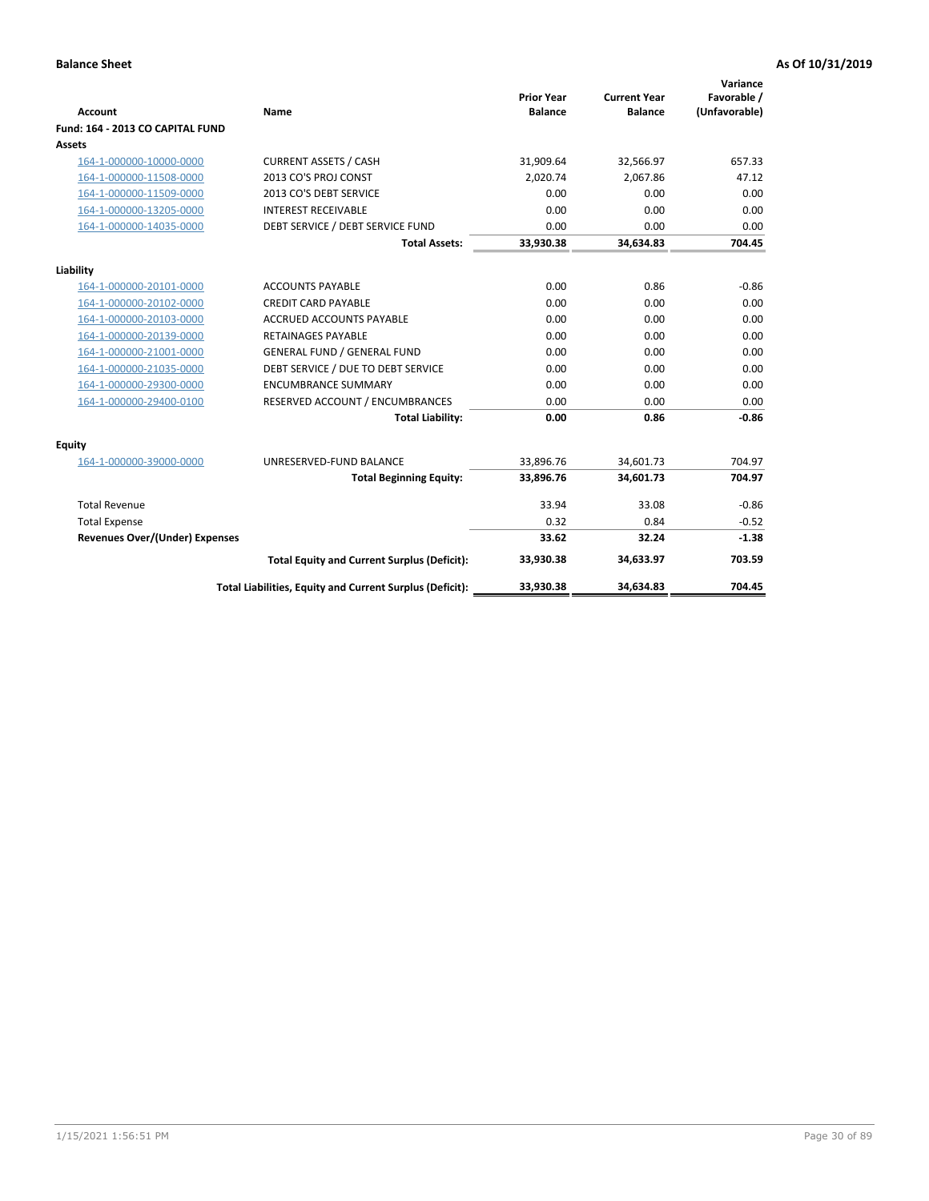| <b>Account</b>                   | Name                                                     | <b>Prior Year</b><br><b>Balance</b> | <b>Current Year</b><br><b>Balance</b> | Variance<br>Favorable /<br>(Unfavorable) |
|----------------------------------|----------------------------------------------------------|-------------------------------------|---------------------------------------|------------------------------------------|
| Fund: 164 - 2013 CO CAPITAL FUND |                                                          |                                     |                                       |                                          |
| <b>Assets</b>                    |                                                          |                                     |                                       |                                          |
| 164-1-000000-10000-0000          | <b>CURRENT ASSETS / CASH</b>                             | 31,909.64                           | 32,566.97                             | 657.33                                   |
| 164-1-000000-11508-0000          | 2013 CO'S PROJ CONST                                     | 2,020.74                            | 2,067.86                              | 47.12                                    |
| 164-1-000000-11509-0000          | 2013 CO'S DEBT SERVICE                                   | 0.00                                | 0.00                                  | 0.00                                     |
| 164-1-000000-13205-0000          | <b>INTEREST RECEIVABLE</b>                               | 0.00                                | 0.00                                  | 0.00                                     |
| 164-1-000000-14035-0000          | DEBT SERVICE / DEBT SERVICE FUND                         | 0.00                                | 0.00                                  | 0.00                                     |
|                                  | <b>Total Assets:</b>                                     | 33,930.38                           | 34,634.83                             | 704.45                                   |
| Liability                        |                                                          |                                     |                                       |                                          |
| 164-1-000000-20101-0000          | <b>ACCOUNTS PAYABLE</b>                                  | 0.00                                | 0.86                                  | $-0.86$                                  |
| 164-1-000000-20102-0000          | <b>CREDIT CARD PAYABLE</b>                               | 0.00                                | 0.00                                  | 0.00                                     |
| 164-1-000000-20103-0000          | <b>ACCRUED ACCOUNTS PAYABLE</b>                          | 0.00                                | 0.00                                  | 0.00                                     |
| 164-1-000000-20139-0000          | <b>RETAINAGES PAYABLE</b>                                | 0.00                                | 0.00                                  | 0.00                                     |
| 164-1-000000-21001-0000          | <b>GENERAL FUND / GENERAL FUND</b>                       | 0.00                                | 0.00                                  | 0.00                                     |
| 164-1-000000-21035-0000          | DEBT SERVICE / DUE TO DEBT SERVICE                       | 0.00                                | 0.00                                  | 0.00                                     |
| 164-1-000000-29300-0000          | <b>ENCUMBRANCE SUMMARY</b>                               | 0.00                                | 0.00                                  | 0.00                                     |
| 164-1-000000-29400-0100          | RESERVED ACCOUNT / ENCUMBRANCES                          | 0.00                                | 0.00                                  | 0.00                                     |
|                                  | <b>Total Liability:</b>                                  | 0.00                                | 0.86                                  | $-0.86$                                  |
| Equity                           |                                                          |                                     |                                       |                                          |
| 164-1-000000-39000-0000          | UNRESERVED-FUND BALANCE                                  | 33,896.76                           | 34,601.73                             | 704.97                                   |
|                                  | <b>Total Beginning Equity:</b>                           | 33,896.76                           | 34,601.73                             | 704.97                                   |
| <b>Total Revenue</b>             |                                                          | 33.94                               | 33.08                                 | $-0.86$                                  |
| <b>Total Expense</b>             |                                                          | 0.32                                | 0.84                                  | $-0.52$                                  |
| Revenues Over/(Under) Expenses   |                                                          | 33.62                               | 32.24                                 | $-1.38$                                  |
|                                  | <b>Total Equity and Current Surplus (Deficit):</b>       | 33,930.38                           | 34,633.97                             | 703.59                                   |
|                                  | Total Liabilities, Equity and Current Surplus (Deficit): | 33,930.38                           | 34,634.83                             | 704.45                                   |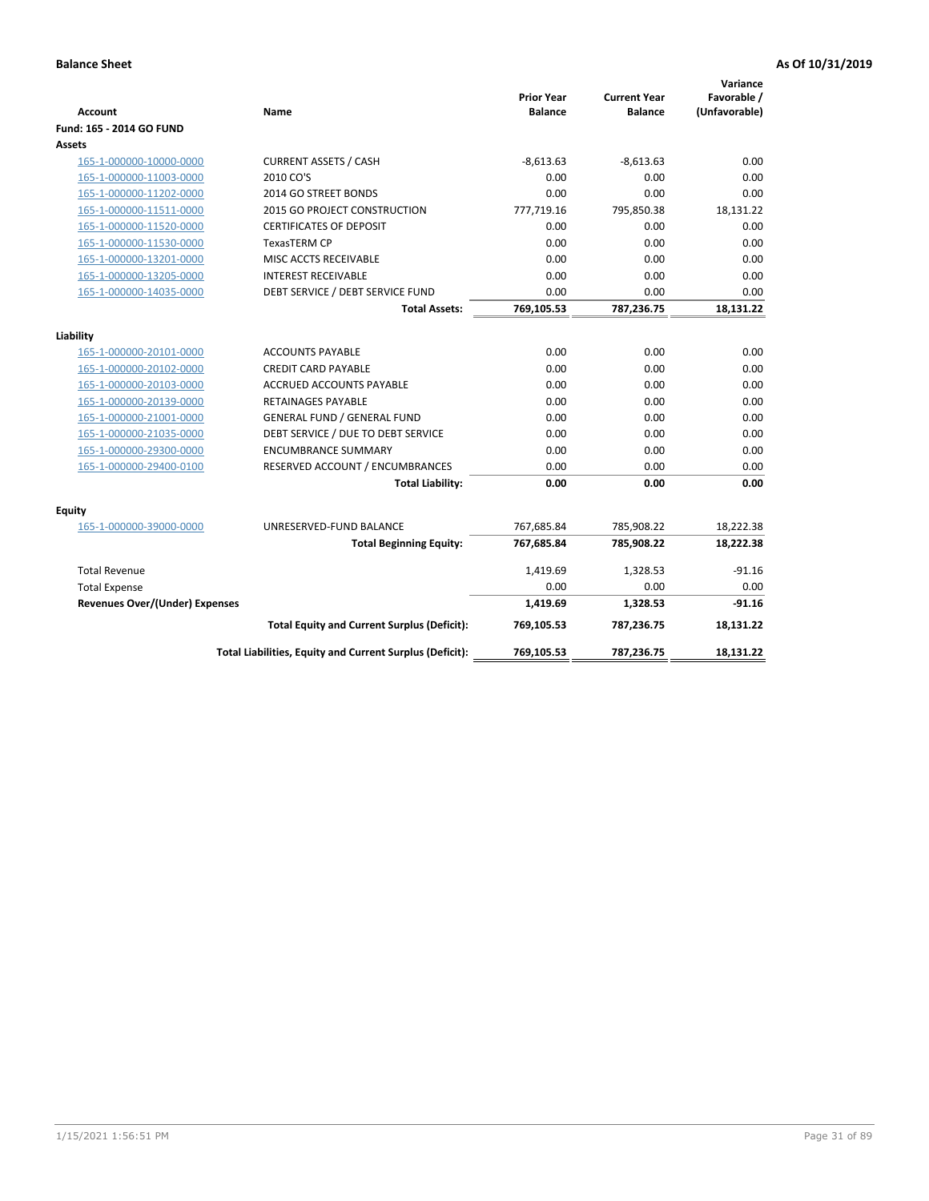| <b>Account</b>                                     | Name                                                            | <b>Prior Year</b><br><b>Balance</b> | <b>Current Year</b><br><b>Balance</b> | Variance<br>Favorable /<br>(Unfavorable) |
|----------------------------------------------------|-----------------------------------------------------------------|-------------------------------------|---------------------------------------|------------------------------------------|
| Fund: 165 - 2014 GO FUND                           |                                                                 |                                     |                                       |                                          |
| Assets                                             |                                                                 |                                     |                                       |                                          |
| 165-1-000000-10000-0000                            | <b>CURRENT ASSETS / CASH</b>                                    | $-8,613.63$                         | $-8,613.63$                           | 0.00                                     |
| 165-1-000000-11003-0000                            | 2010 CO'S                                                       | 0.00                                | 0.00                                  | 0.00                                     |
| 165-1-000000-11202-0000                            | 2014 GO STREET BONDS                                            | 0.00                                | 0.00                                  | 0.00                                     |
| 165-1-000000-11511-0000                            | 2015 GO PROJECT CONSTRUCTION                                    | 777,719.16                          | 795,850.38                            | 18,131.22                                |
| 165-1-000000-11520-0000                            | <b>CERTIFICATES OF DEPOSIT</b>                                  | 0.00                                | 0.00                                  | 0.00                                     |
| 165-1-000000-11530-0000                            | <b>TexasTERM CP</b>                                             | 0.00                                | 0.00                                  | 0.00                                     |
| 165-1-000000-13201-0000                            | MISC ACCTS RECEIVABLE                                           | 0.00                                | 0.00                                  | 0.00                                     |
| 165-1-000000-13205-0000                            | <b>INTEREST RECEIVABLE</b>                                      | 0.00                                | 0.00                                  | 0.00                                     |
| 165-1-000000-14035-0000                            | DEBT SERVICE / DEBT SERVICE FUND                                | 0.00                                | 0.00                                  | 0.00                                     |
|                                                    | <b>Total Assets:</b>                                            | 769,105.53                          | 787,236.75                            | 18,131.22                                |
| Liability                                          |                                                                 |                                     |                                       |                                          |
|                                                    |                                                                 | 0.00                                | 0.00                                  | 0.00                                     |
| 165-1-000000-20101-0000                            | <b>ACCOUNTS PAYABLE</b>                                         |                                     |                                       |                                          |
| 165-1-000000-20102-0000                            | <b>CREDIT CARD PAYABLE</b><br>ACCRUED ACCOUNTS PAYABLE          | 0.00<br>0.00                        | 0.00<br>0.00                          | 0.00<br>0.00                             |
| 165-1-000000-20103-0000                            |                                                                 | 0.00                                |                                       | 0.00                                     |
| 165-1-000000-20139-0000<br>165-1-000000-21001-0000 | <b>RETAINAGES PAYABLE</b><br><b>GENERAL FUND / GENERAL FUND</b> | 0.00                                | 0.00<br>0.00                          | 0.00                                     |
| 165-1-000000-21035-0000                            | DEBT SERVICE / DUE TO DEBT SERVICE                              | 0.00                                | 0.00                                  | 0.00                                     |
|                                                    | <b>ENCUMBRANCE SUMMARY</b>                                      | 0.00                                | 0.00                                  | 0.00                                     |
| 165-1-000000-29300-0000<br>165-1-000000-29400-0100 | RESERVED ACCOUNT / ENCUMBRANCES                                 | 0.00                                | 0.00                                  | 0.00                                     |
|                                                    | <b>Total Liability:</b>                                         | 0.00                                | 0.00                                  | 0.00                                     |
|                                                    |                                                                 |                                     |                                       |                                          |
| Equity                                             |                                                                 |                                     |                                       |                                          |
| 165-1-000000-39000-0000                            | UNRESERVED-FUND BALANCE                                         | 767,685.84                          | 785,908.22                            | 18,222.38                                |
|                                                    | <b>Total Beginning Equity:</b>                                  | 767,685.84                          | 785,908.22                            | 18,222.38                                |
| <b>Total Revenue</b>                               |                                                                 | 1,419.69                            | 1,328.53                              | $-91.16$                                 |
| <b>Total Expense</b>                               |                                                                 | 0.00                                | 0.00                                  | 0.00                                     |
| <b>Revenues Over/(Under) Expenses</b>              |                                                                 | 1,419.69                            | 1,328.53                              | $-91.16$                                 |
|                                                    | <b>Total Equity and Current Surplus (Deficit):</b>              | 769,105.53                          | 787,236.75                            | 18,131.22                                |
|                                                    | Total Liabilities, Equity and Current Surplus (Deficit):        | 769,105.53                          | 787,236.75                            | 18.131.22                                |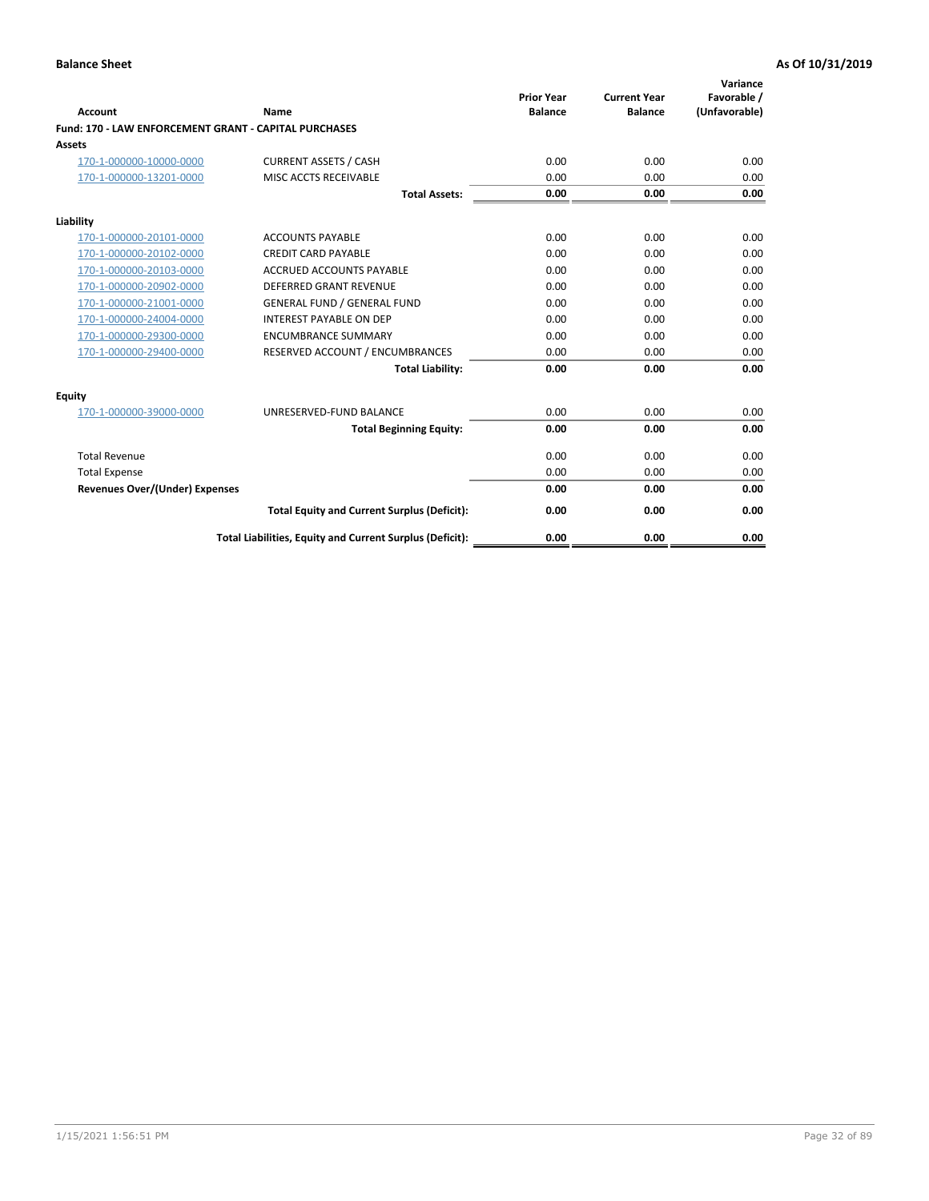| Account                                                      | Name                                                     | <b>Prior Year</b><br><b>Balance</b> | <b>Current Year</b><br><b>Balance</b> | Variance<br>Favorable /<br>(Unfavorable) |
|--------------------------------------------------------------|----------------------------------------------------------|-------------------------------------|---------------------------------------|------------------------------------------|
| <b>Fund: 170 - LAW ENFORCEMENT GRANT - CAPITAL PURCHASES</b> |                                                          |                                     |                                       |                                          |
| <b>Assets</b>                                                |                                                          |                                     |                                       |                                          |
| 170-1-000000-10000-0000                                      | <b>CURRENT ASSETS / CASH</b>                             | 0.00                                | 0.00                                  | 0.00                                     |
| 170-1-000000-13201-0000                                      | MISC ACCTS RECEIVABLE                                    | 0.00                                | 0.00                                  | 0.00                                     |
|                                                              | <b>Total Assets:</b>                                     | 0.00                                | 0.00                                  | 0.00                                     |
| Liability                                                    |                                                          |                                     |                                       |                                          |
| 170-1-000000-20101-0000                                      | <b>ACCOUNTS PAYABLE</b>                                  | 0.00                                | 0.00                                  | 0.00                                     |
| 170-1-000000-20102-0000                                      | <b>CREDIT CARD PAYABLE</b>                               | 0.00                                | 0.00                                  | 0.00                                     |
| 170-1-000000-20103-0000                                      | <b>ACCRUED ACCOUNTS PAYABLE</b>                          | 0.00                                | 0.00                                  | 0.00                                     |
| 170-1-000000-20902-0000                                      | <b>DEFERRED GRANT REVENUE</b>                            | 0.00                                | 0.00                                  | 0.00                                     |
| 170-1-000000-21001-0000                                      | <b>GENERAL FUND / GENERAL FUND</b>                       | 0.00                                | 0.00                                  | 0.00                                     |
| 170-1-000000-24004-0000                                      | <b>INTEREST PAYABLE ON DEP</b>                           | 0.00                                | 0.00                                  | 0.00                                     |
| 170-1-000000-29300-0000                                      | <b>ENCUMBRANCE SUMMARY</b>                               | 0.00                                | 0.00                                  | 0.00                                     |
| 170-1-000000-29400-0000                                      | RESERVED ACCOUNT / ENCUMBRANCES                          | 0.00                                | 0.00                                  | 0.00                                     |
|                                                              | <b>Total Liability:</b>                                  | 0.00                                | 0.00                                  | 0.00                                     |
| <b>Equity</b>                                                |                                                          |                                     |                                       |                                          |
| 170-1-000000-39000-0000                                      | UNRESERVED-FUND BALANCE                                  | 0.00                                | 0.00                                  | 0.00                                     |
|                                                              | <b>Total Beginning Equity:</b>                           | 0.00                                | 0.00                                  | 0.00                                     |
| <b>Total Revenue</b>                                         |                                                          | 0.00                                | 0.00                                  | 0.00                                     |
| <b>Total Expense</b>                                         |                                                          | 0.00                                | 0.00                                  | 0.00                                     |
| <b>Revenues Over/(Under) Expenses</b>                        |                                                          | 0.00                                | 0.00                                  | 0.00                                     |
|                                                              | <b>Total Equity and Current Surplus (Deficit):</b>       | 0.00                                | 0.00                                  | 0.00                                     |
|                                                              | Total Liabilities, Equity and Current Surplus (Deficit): | 0.00                                | 0.00                                  | 0.00                                     |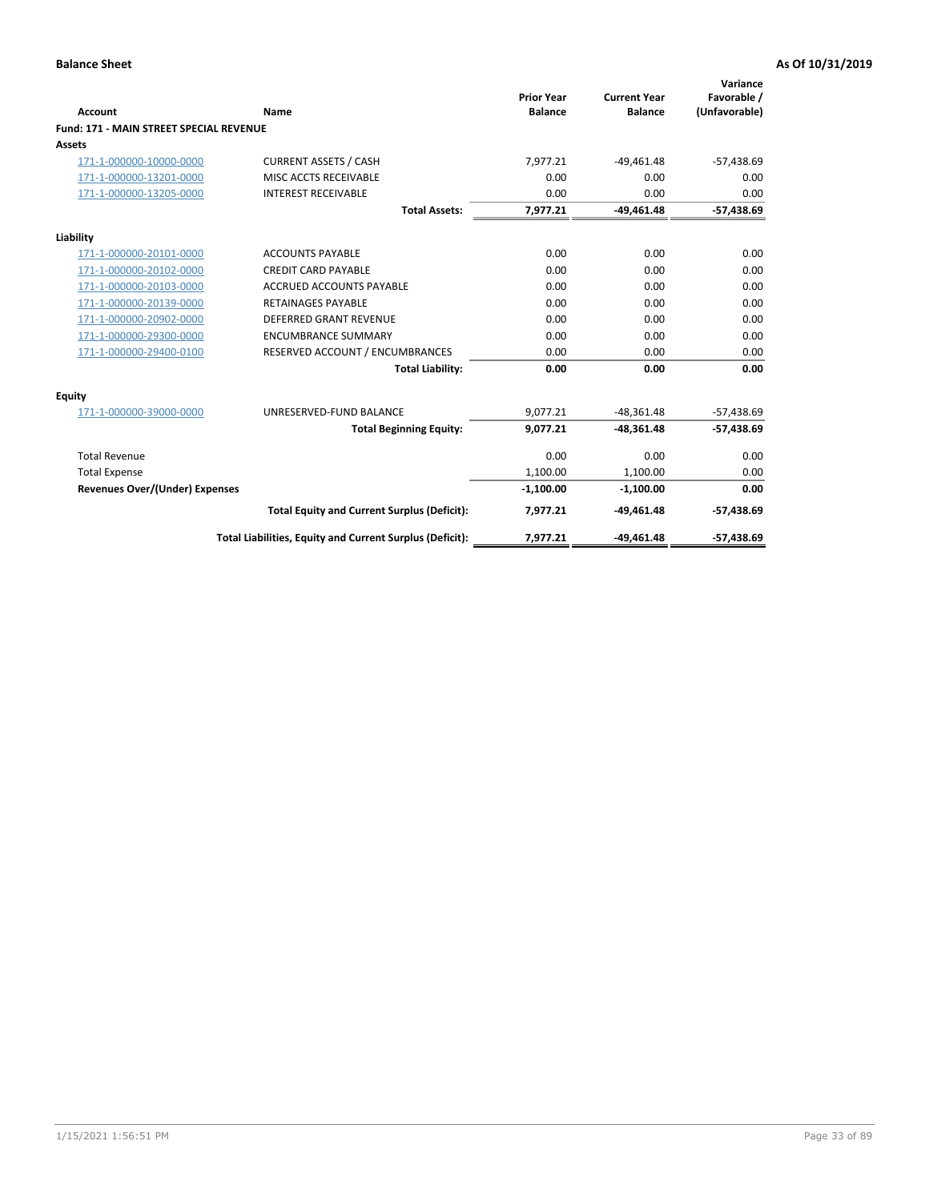| Account                                        | Name                                                     | <b>Prior Year</b><br><b>Balance</b> | <b>Current Year</b><br><b>Balance</b> | Variance<br>Favorable /<br>(Unfavorable) |
|------------------------------------------------|----------------------------------------------------------|-------------------------------------|---------------------------------------|------------------------------------------|
| <b>Fund: 171 - MAIN STREET SPECIAL REVENUE</b> |                                                          |                                     |                                       |                                          |
| <b>Assets</b>                                  |                                                          |                                     |                                       |                                          |
| 171-1-000000-10000-0000                        | <b>CURRENT ASSETS / CASH</b>                             | 7,977.21                            | $-49,461.48$                          | $-57,438.69$                             |
| 171-1-000000-13201-0000                        | MISC ACCTS RECEIVABLE                                    | 0.00                                | 0.00                                  | 0.00                                     |
| 171-1-000000-13205-0000                        | <b>INTEREST RECEIVABLE</b>                               | 0.00                                | 0.00                                  | 0.00                                     |
|                                                | <b>Total Assets:</b>                                     | 7,977.21                            | $-49.461.48$                          | $-57,438.69$                             |
| Liability                                      |                                                          |                                     |                                       |                                          |
| 171-1-000000-20101-0000                        | <b>ACCOUNTS PAYABLE</b>                                  | 0.00                                | 0.00                                  | 0.00                                     |
| 171-1-000000-20102-0000                        | <b>CREDIT CARD PAYABLE</b>                               | 0.00                                | 0.00                                  | 0.00                                     |
| 171-1-000000-20103-0000                        | <b>ACCRUED ACCOUNTS PAYABLE</b>                          | 0.00                                | 0.00                                  | 0.00                                     |
| 171-1-000000-20139-0000                        | <b>RETAINAGES PAYABLE</b>                                | 0.00                                | 0.00                                  | 0.00                                     |
| 171-1-000000-20902-0000                        | DEFERRED GRANT REVENUE                                   | 0.00                                | 0.00                                  | 0.00                                     |
| 171-1-000000-29300-0000                        | <b>ENCUMBRANCE SUMMARY</b>                               | 0.00                                | 0.00                                  | 0.00                                     |
| 171-1-000000-29400-0100                        | RESERVED ACCOUNT / ENCUMBRANCES                          | 0.00                                | 0.00                                  | 0.00                                     |
|                                                | <b>Total Liability:</b>                                  | 0.00                                | 0.00                                  | 0.00                                     |
| <b>Equity</b>                                  |                                                          |                                     |                                       |                                          |
| 171-1-000000-39000-0000                        | UNRESERVED-FUND BALANCE                                  | 9,077.21                            | $-48,361.48$                          | $-57,438.69$                             |
|                                                | <b>Total Beginning Equity:</b>                           | 9.077.21                            | $-48.361.48$                          | $-57,438.69$                             |
| <b>Total Revenue</b>                           |                                                          | 0.00                                | 0.00                                  | 0.00                                     |
| <b>Total Expense</b>                           |                                                          | 1,100.00                            | 1,100.00                              | 0.00                                     |
| Revenues Over/(Under) Expenses                 |                                                          | $-1,100.00$                         | $-1,100.00$                           | 0.00                                     |
|                                                | <b>Total Equity and Current Surplus (Deficit):</b>       | 7,977.21                            | $-49,461.48$                          | $-57,438.69$                             |
|                                                | Total Liabilities, Equity and Current Surplus (Deficit): | 7,977.21                            | $-49,461.48$                          | $-57,438.69$                             |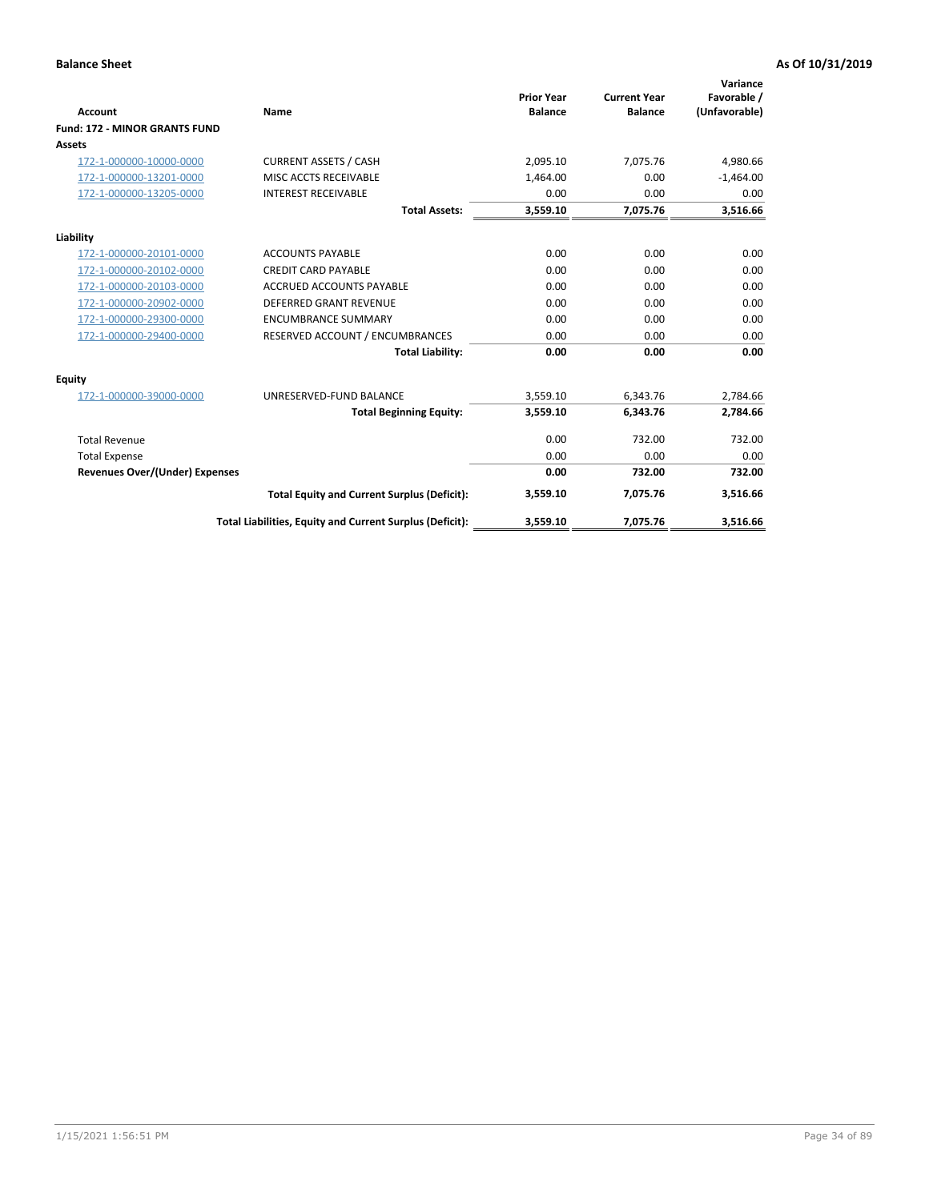|                                      |                                                          |                                     |                                       | Variance                     |
|--------------------------------------|----------------------------------------------------------|-------------------------------------|---------------------------------------|------------------------------|
| <b>Account</b>                       | Name                                                     | <b>Prior Year</b><br><b>Balance</b> | <b>Current Year</b><br><b>Balance</b> | Favorable /<br>(Unfavorable) |
| <b>Fund: 172 - MINOR GRANTS FUND</b> |                                                          |                                     |                                       |                              |
| <b>Assets</b>                        |                                                          |                                     |                                       |                              |
| 172-1-000000-10000-0000              | <b>CURRENT ASSETS / CASH</b>                             | 2,095.10                            | 7,075.76                              | 4,980.66                     |
| 172-1-000000-13201-0000              | MISC ACCTS RECEIVABLE                                    | 1.464.00                            | 0.00                                  | $-1,464.00$                  |
| 172-1-000000-13205-0000              | <b>INTEREST RECEIVABLE</b>                               | 0.00                                | 0.00                                  | 0.00                         |
|                                      | <b>Total Assets:</b>                                     | 3,559.10                            | 7,075.76                              | 3,516.66                     |
| Liability                            |                                                          |                                     |                                       |                              |
| 172-1-000000-20101-0000              | <b>ACCOUNTS PAYABLE</b>                                  | 0.00                                | 0.00                                  | 0.00                         |
| 172-1-000000-20102-0000              | <b>CREDIT CARD PAYABLE</b>                               | 0.00                                | 0.00                                  | 0.00                         |
| 172-1-000000-20103-0000              | <b>ACCRUED ACCOUNTS PAYABLE</b>                          | 0.00                                | 0.00                                  | 0.00                         |
| 172-1-000000-20902-0000              | DEFERRED GRANT REVENUE                                   | 0.00                                | 0.00                                  | 0.00                         |
| 172-1-000000-29300-0000              | <b>ENCUMBRANCE SUMMARY</b>                               | 0.00                                | 0.00                                  | 0.00                         |
| 172-1-000000-29400-0000              | RESERVED ACCOUNT / ENCUMBRANCES                          | 0.00                                | 0.00                                  | 0.00                         |
|                                      | <b>Total Liability:</b>                                  | 0.00                                | 0.00                                  | 0.00                         |
| Equity                               |                                                          |                                     |                                       |                              |
| 172-1-000000-39000-0000              | UNRESERVED-FUND BALANCE                                  | 3,559.10                            | 6,343.76                              | 2,784.66                     |
|                                      | <b>Total Beginning Equity:</b>                           | 3,559.10                            | 6,343.76                              | 2,784.66                     |
| <b>Total Revenue</b>                 |                                                          | 0.00                                | 732.00                                | 732.00                       |
| <b>Total Expense</b>                 |                                                          | 0.00                                | 0.00                                  | 0.00                         |
| Revenues Over/(Under) Expenses       |                                                          | 0.00                                | 732.00                                | 732.00                       |
|                                      | <b>Total Equity and Current Surplus (Deficit):</b>       | 3,559.10                            | 7,075.76                              | 3,516.66                     |
|                                      | Total Liabilities, Equity and Current Surplus (Deficit): | 3,559.10                            | 7,075.76                              | 3,516.66                     |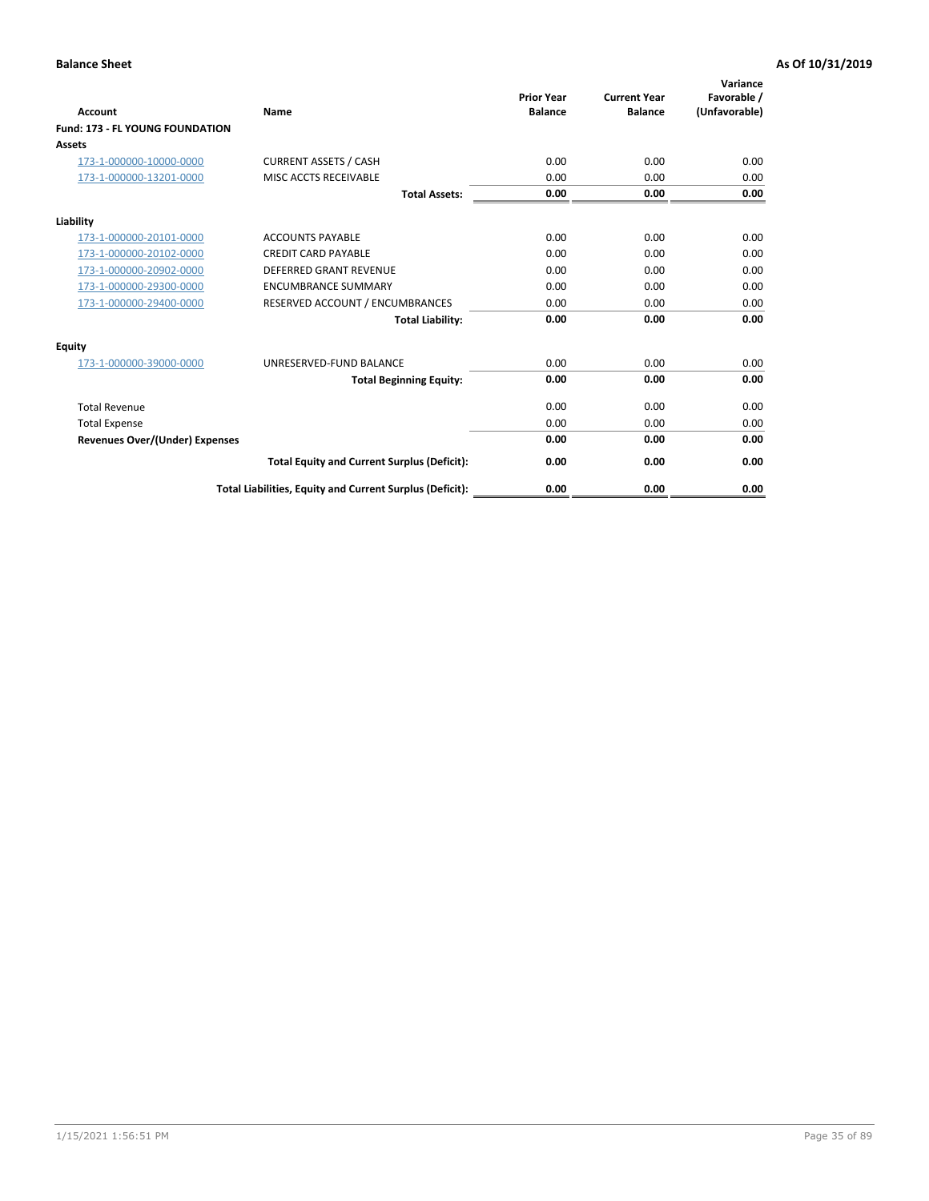| <b>Account</b>                         | <b>Name</b>                                              | <b>Prior Year</b><br><b>Balance</b> | <b>Current Year</b><br><b>Balance</b> | Variance<br>Favorable /<br>(Unfavorable) |
|----------------------------------------|----------------------------------------------------------|-------------------------------------|---------------------------------------|------------------------------------------|
| <b>Fund: 173 - FL YOUNG FOUNDATION</b> |                                                          |                                     |                                       |                                          |
| Assets                                 |                                                          |                                     |                                       |                                          |
| 173-1-000000-10000-0000                | <b>CURRENT ASSETS / CASH</b>                             | 0.00                                | 0.00                                  | 0.00                                     |
| 173-1-000000-13201-0000                | MISC ACCTS RECEIVABLE                                    | 0.00                                | 0.00                                  | 0.00                                     |
|                                        | <b>Total Assets:</b>                                     | 0.00                                | 0.00                                  | 0.00                                     |
| Liability                              |                                                          |                                     |                                       |                                          |
| 173-1-000000-20101-0000                | <b>ACCOUNTS PAYABLE</b>                                  | 0.00                                | 0.00                                  | 0.00                                     |
| 173-1-000000-20102-0000                | <b>CREDIT CARD PAYABLE</b>                               | 0.00                                | 0.00                                  | 0.00                                     |
| 173-1-000000-20902-0000                | <b>DEFERRED GRANT REVENUE</b>                            | 0.00                                | 0.00                                  | 0.00                                     |
| 173-1-000000-29300-0000                | <b>ENCUMBRANCE SUMMARY</b>                               | 0.00                                | 0.00                                  | 0.00                                     |
| 173-1-000000-29400-0000                | RESERVED ACCOUNT / ENCUMBRANCES                          | 0.00                                | 0.00                                  | 0.00                                     |
|                                        | <b>Total Liability:</b>                                  | 0.00                                | 0.00                                  | 0.00                                     |
| Equity                                 |                                                          |                                     |                                       |                                          |
| 173-1-000000-39000-0000                | UNRESERVED-FUND BALANCE                                  | 0.00                                | 0.00                                  | 0.00                                     |
|                                        | <b>Total Beginning Equity:</b>                           | 0.00                                | 0.00                                  | 0.00                                     |
| <b>Total Revenue</b>                   |                                                          | 0.00                                | 0.00                                  | 0.00                                     |
| <b>Total Expense</b>                   |                                                          | 0.00                                | 0.00                                  | 0.00                                     |
| <b>Revenues Over/(Under) Expenses</b>  |                                                          | 0.00                                | 0.00                                  | 0.00                                     |
|                                        | <b>Total Equity and Current Surplus (Deficit):</b>       | 0.00                                | 0.00                                  | 0.00                                     |
|                                        | Total Liabilities, Equity and Current Surplus (Deficit): | 0.00                                | 0.00                                  | 0.00                                     |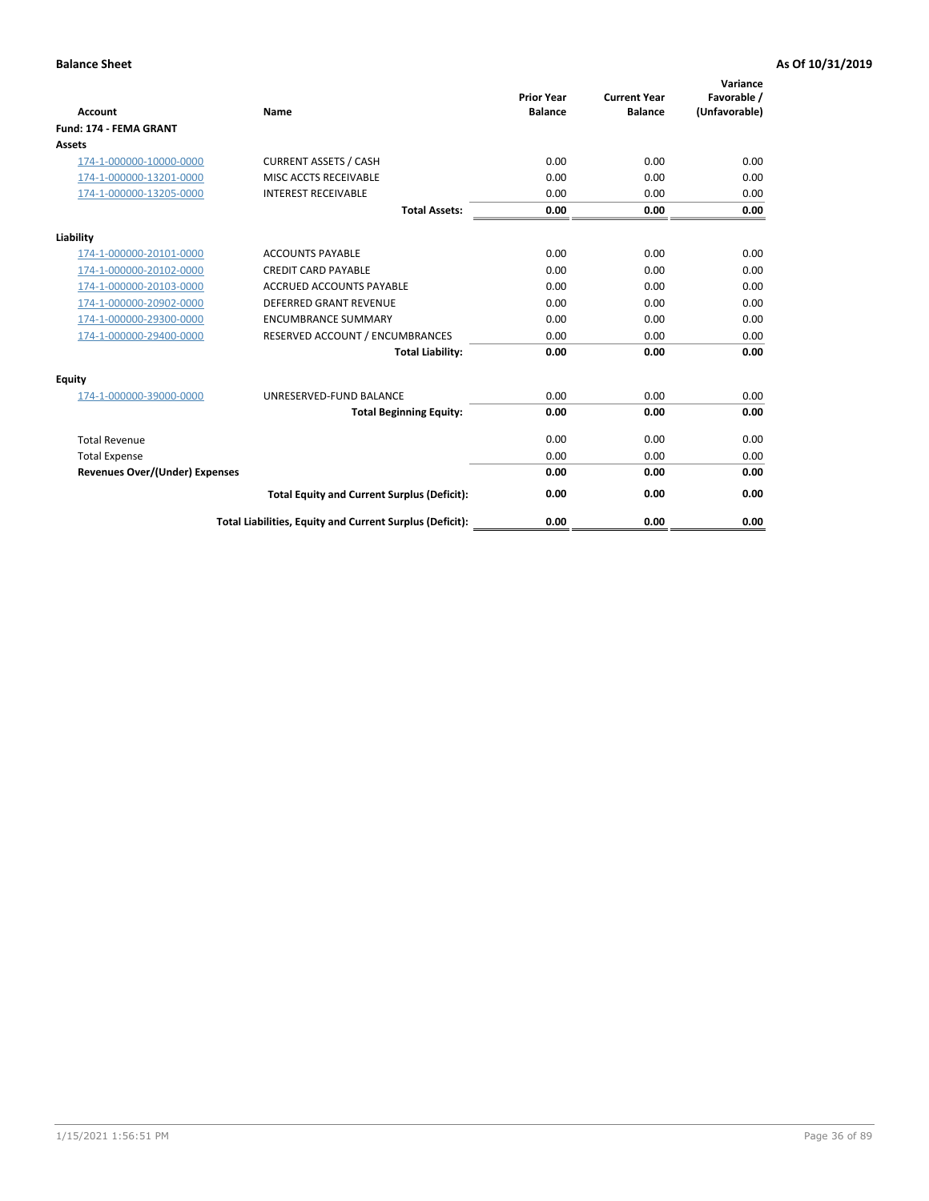| <b>Account</b>                        | Name                                                     | <b>Prior Year</b><br><b>Balance</b> | <b>Current Year</b><br><b>Balance</b> | Variance<br>Favorable /<br>(Unfavorable) |
|---------------------------------------|----------------------------------------------------------|-------------------------------------|---------------------------------------|------------------------------------------|
| <b>Fund: 174 - FEMA GRANT</b>         |                                                          |                                     |                                       |                                          |
| Assets                                |                                                          |                                     |                                       |                                          |
| 174-1-000000-10000-0000               | <b>CURRENT ASSETS / CASH</b>                             | 0.00                                | 0.00                                  | 0.00                                     |
| 174-1-000000-13201-0000               | MISC ACCTS RECEIVABLE                                    | 0.00                                | 0.00                                  | 0.00                                     |
| 174-1-000000-13205-0000               | <b>INTEREST RECEIVABLE</b>                               | 0.00                                | 0.00                                  | 0.00                                     |
|                                       | <b>Total Assets:</b>                                     | 0.00                                | 0.00                                  | 0.00                                     |
| Liability                             |                                                          |                                     |                                       |                                          |
| 174-1-000000-20101-0000               | <b>ACCOUNTS PAYABLE</b>                                  | 0.00                                | 0.00                                  | 0.00                                     |
| 174-1-000000-20102-0000               | <b>CREDIT CARD PAYABLE</b>                               | 0.00                                | 0.00                                  | 0.00                                     |
| 174-1-000000-20103-0000               | <b>ACCRUED ACCOUNTS PAYABLE</b>                          | 0.00                                | 0.00                                  | 0.00                                     |
| 174-1-000000-20902-0000               | <b>DEFERRED GRANT REVENUE</b>                            | 0.00                                | 0.00                                  | 0.00                                     |
| 174-1-000000-29300-0000               | <b>ENCUMBRANCE SUMMARY</b>                               | 0.00                                | 0.00                                  | 0.00                                     |
| 174-1-000000-29400-0000               | RESERVED ACCOUNT / ENCUMBRANCES                          | 0.00                                | 0.00                                  | 0.00                                     |
|                                       | <b>Total Liability:</b>                                  | 0.00                                | 0.00                                  | 0.00                                     |
| <b>Equity</b>                         |                                                          |                                     |                                       |                                          |
| 174-1-000000-39000-0000               | UNRESERVED-FUND BALANCE                                  | 0.00                                | 0.00                                  | 0.00                                     |
|                                       | <b>Total Beginning Equity:</b>                           | 0.00                                | 0.00                                  | 0.00                                     |
| <b>Total Revenue</b>                  |                                                          | 0.00                                | 0.00                                  | 0.00                                     |
| <b>Total Expense</b>                  |                                                          | 0.00                                | 0.00                                  | 0.00                                     |
| <b>Revenues Over/(Under) Expenses</b> |                                                          | 0.00                                | 0.00                                  | 0.00                                     |
|                                       | <b>Total Equity and Current Surplus (Deficit):</b>       | 0.00                                | 0.00                                  | 0.00                                     |
|                                       | Total Liabilities, Equity and Current Surplus (Deficit): | 0.00                                | 0.00                                  | 0.00                                     |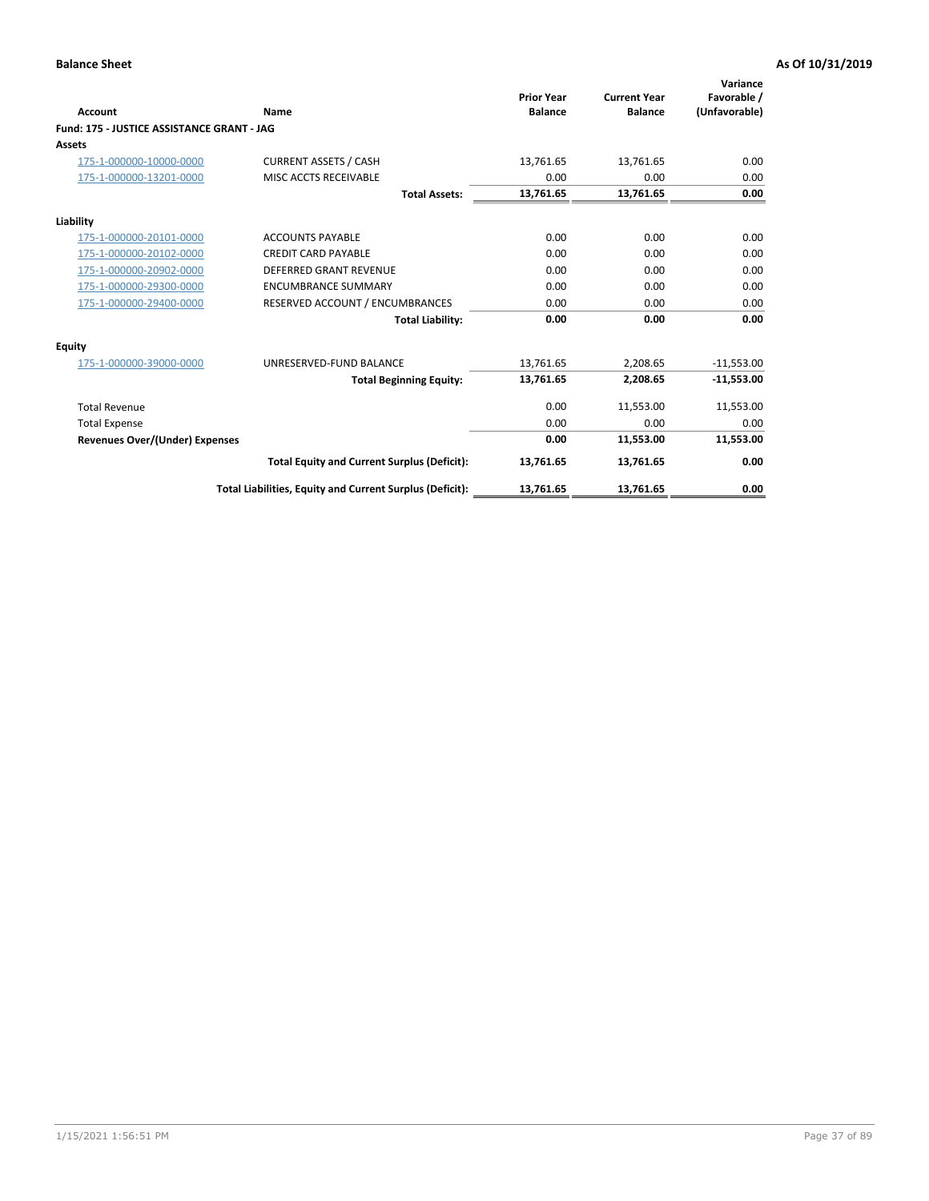| <b>Account</b>                             | Name                                                     | <b>Prior Year</b><br><b>Balance</b> | <b>Current Year</b><br><b>Balance</b> | Variance<br>Favorable /<br>(Unfavorable) |
|--------------------------------------------|----------------------------------------------------------|-------------------------------------|---------------------------------------|------------------------------------------|
| Fund: 175 - JUSTICE ASSISTANCE GRANT - JAG |                                                          |                                     |                                       |                                          |
| <b>Assets</b>                              |                                                          |                                     |                                       |                                          |
| 175-1-000000-10000-0000                    | <b>CURRENT ASSETS / CASH</b>                             | 13,761.65                           | 13,761.65                             | 0.00                                     |
| 175-1-000000-13201-0000                    | MISC ACCTS RECEIVABLE                                    | 0.00                                | 0.00                                  | 0.00                                     |
|                                            | <b>Total Assets:</b>                                     | 13,761.65                           | 13,761.65                             | 0.00                                     |
| Liability                                  |                                                          |                                     |                                       |                                          |
| 175-1-000000-20101-0000                    | <b>ACCOUNTS PAYABLE</b>                                  | 0.00                                | 0.00                                  | 0.00                                     |
| 175-1-000000-20102-0000                    | <b>CREDIT CARD PAYABLE</b>                               | 0.00                                | 0.00                                  | 0.00                                     |
| 175-1-000000-20902-0000                    | <b>DEFERRED GRANT REVENUE</b>                            | 0.00                                | 0.00                                  | 0.00                                     |
| 175-1-000000-29300-0000                    | <b>ENCUMBRANCE SUMMARY</b>                               | 0.00                                | 0.00                                  | 0.00                                     |
| 175-1-000000-29400-0000                    | RESERVED ACCOUNT / ENCUMBRANCES                          | 0.00                                | 0.00                                  | 0.00                                     |
|                                            | <b>Total Liability:</b>                                  | 0.00                                | 0.00                                  | 0.00                                     |
| Equity                                     |                                                          |                                     |                                       |                                          |
| 175-1-000000-39000-0000                    | UNRESERVED-FUND BALANCE                                  | 13,761.65                           | 2,208.65                              | $-11,553.00$                             |
|                                            | <b>Total Beginning Equity:</b>                           | 13,761.65                           | 2,208.65                              | $-11,553.00$                             |
| <b>Total Revenue</b>                       |                                                          | 0.00                                | 11,553.00                             | 11,553.00                                |
| <b>Total Expense</b>                       |                                                          | 0.00                                | 0.00                                  | 0.00                                     |
| Revenues Over/(Under) Expenses             |                                                          | 0.00                                | 11,553.00                             | 11,553.00                                |
|                                            | <b>Total Equity and Current Surplus (Deficit):</b>       | 13,761.65                           | 13,761.65                             | 0.00                                     |
|                                            | Total Liabilities, Equity and Current Surplus (Deficit): | 13,761.65                           | 13,761.65                             | 0.00                                     |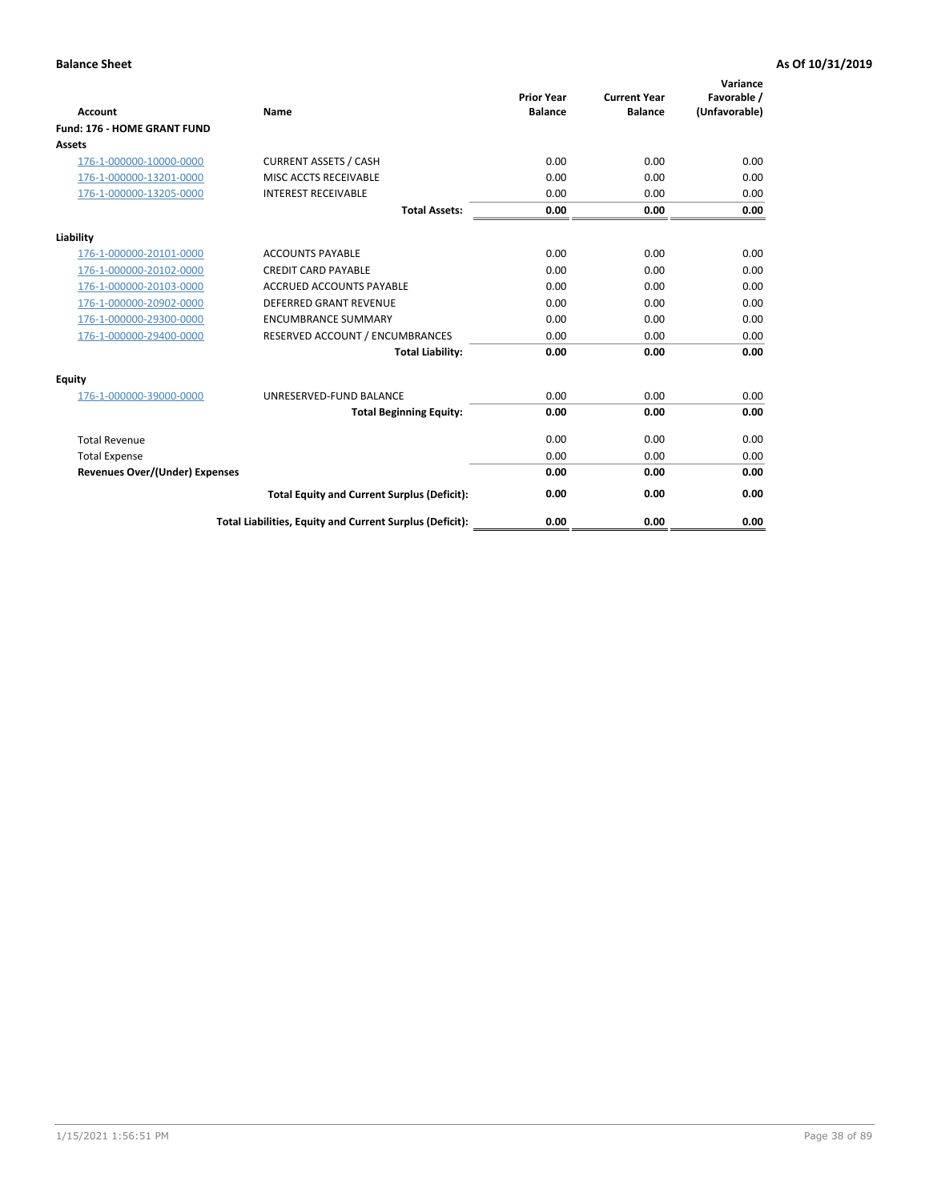| <b>Account</b>                        | Name                                                     | <b>Prior Year</b><br><b>Balance</b> | <b>Current Year</b><br><b>Balance</b> | Variance<br>Favorable /<br>(Unfavorable) |
|---------------------------------------|----------------------------------------------------------|-------------------------------------|---------------------------------------|------------------------------------------|
| Fund: 176 - HOME GRANT FUND           |                                                          |                                     |                                       |                                          |
| <b>Assets</b>                         |                                                          |                                     |                                       |                                          |
| 176-1-000000-10000-0000               | <b>CURRENT ASSETS / CASH</b>                             | 0.00                                | 0.00                                  | 0.00                                     |
| 176-1-000000-13201-0000               | MISC ACCTS RECEIVABLE                                    | 0.00                                | 0.00                                  | 0.00                                     |
| 176-1-000000-13205-0000               | <b>INTEREST RECEIVABLE</b>                               | 0.00                                | 0.00                                  | 0.00                                     |
|                                       | <b>Total Assets:</b>                                     | 0.00                                | 0.00                                  | 0.00                                     |
| Liability                             |                                                          |                                     |                                       |                                          |
| 176-1-000000-20101-0000               | <b>ACCOUNTS PAYABLE</b>                                  | 0.00                                | 0.00                                  | 0.00                                     |
| 176-1-000000-20102-0000               | <b>CREDIT CARD PAYABLE</b>                               | 0.00                                | 0.00                                  | 0.00                                     |
| 176-1-000000-20103-0000               | <b>ACCRUED ACCOUNTS PAYABLE</b>                          | 0.00                                | 0.00                                  | 0.00                                     |
| 176-1-000000-20902-0000               | <b>DEFERRED GRANT REVENUE</b>                            | 0.00                                | 0.00                                  | 0.00                                     |
| 176-1-000000-29300-0000               | <b>ENCUMBRANCE SUMMARY</b>                               | 0.00                                | 0.00                                  | 0.00                                     |
| 176-1-000000-29400-0000               | RESERVED ACCOUNT / ENCUMBRANCES                          | 0.00                                | 0.00                                  | 0.00                                     |
|                                       | <b>Total Liability:</b>                                  | 0.00                                | 0.00                                  | 0.00                                     |
| <b>Equity</b>                         |                                                          |                                     |                                       |                                          |
| 176-1-000000-39000-0000               | UNRESERVED-FUND BALANCE                                  | 0.00                                | 0.00                                  | 0.00                                     |
|                                       | <b>Total Beginning Equity:</b>                           | 0.00                                | 0.00                                  | 0.00                                     |
| <b>Total Revenue</b>                  |                                                          | 0.00                                | 0.00                                  | 0.00                                     |
| <b>Total Expense</b>                  |                                                          | 0.00                                | 0.00                                  | 0.00                                     |
| <b>Revenues Over/(Under) Expenses</b> |                                                          | 0.00                                | 0.00                                  | 0.00                                     |
|                                       | <b>Total Equity and Current Surplus (Deficit):</b>       | 0.00                                | 0.00                                  | 0.00                                     |
|                                       | Total Liabilities, Equity and Current Surplus (Deficit): | 0.00                                | 0.00                                  | 0.00                                     |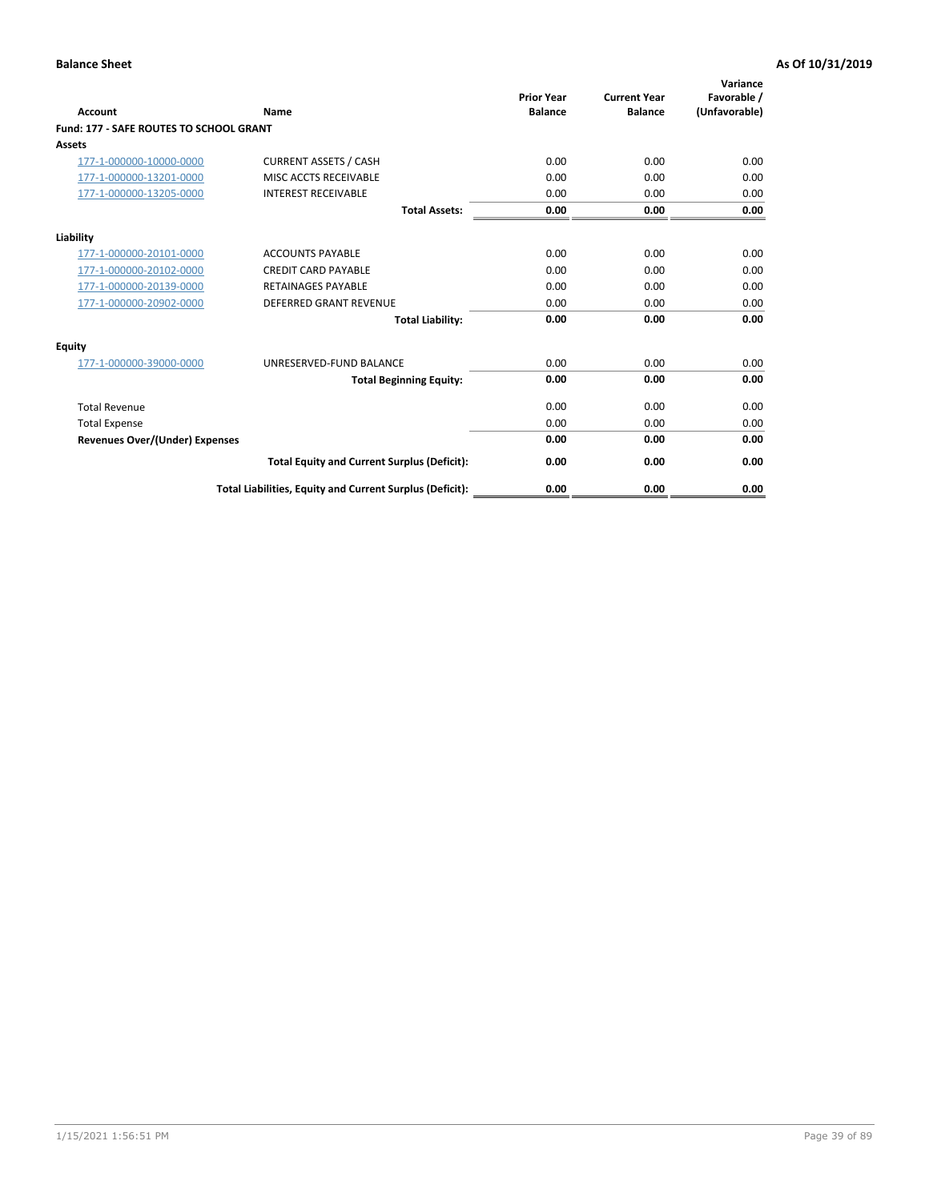| Account                                        | Name                                                     | <b>Prior Year</b><br><b>Balance</b> | <b>Current Year</b><br><b>Balance</b> | Variance<br>Favorable /<br>(Unfavorable) |
|------------------------------------------------|----------------------------------------------------------|-------------------------------------|---------------------------------------|------------------------------------------|
| <b>Fund: 177 - SAFE ROUTES TO SCHOOL GRANT</b> |                                                          |                                     |                                       |                                          |
| <b>Assets</b>                                  |                                                          |                                     |                                       |                                          |
| 177-1-000000-10000-0000                        | <b>CURRENT ASSETS / CASH</b>                             | 0.00                                | 0.00                                  | 0.00                                     |
| 177-1-000000-13201-0000                        | MISC ACCTS RECEIVABLE                                    | 0.00                                | 0.00                                  | 0.00                                     |
| 177-1-000000-13205-0000                        | <b>INTEREST RECEIVABLE</b>                               | 0.00                                | 0.00                                  | 0.00                                     |
|                                                | <b>Total Assets:</b>                                     | 0.00                                | 0.00                                  | 0.00                                     |
| Liability                                      |                                                          |                                     |                                       |                                          |
| 177-1-000000-20101-0000                        | <b>ACCOUNTS PAYABLE</b>                                  | 0.00                                | 0.00                                  | 0.00                                     |
| 177-1-000000-20102-0000                        | <b>CREDIT CARD PAYABLE</b>                               | 0.00                                | 0.00                                  | 0.00                                     |
| 177-1-000000-20139-0000                        | <b>RETAINAGES PAYABLE</b>                                | 0.00                                | 0.00                                  | 0.00                                     |
| 177-1-000000-20902-0000                        | <b>DEFERRED GRANT REVENUE</b>                            | 0.00                                | 0.00                                  | 0.00                                     |
|                                                | <b>Total Liability:</b>                                  | 0.00                                | 0.00                                  | 0.00                                     |
| Equity                                         |                                                          |                                     |                                       |                                          |
| 177-1-000000-39000-0000                        | UNRESERVED-FUND BALANCE                                  | 0.00                                | 0.00                                  | 0.00                                     |
|                                                | <b>Total Beginning Equity:</b>                           | 0.00                                | 0.00                                  | 0.00                                     |
| <b>Total Revenue</b>                           |                                                          | 0.00                                | 0.00                                  | 0.00                                     |
| <b>Total Expense</b>                           |                                                          | 0.00                                | 0.00                                  | 0.00                                     |
| Revenues Over/(Under) Expenses                 |                                                          | 0.00                                | 0.00                                  | 0.00                                     |
|                                                | <b>Total Equity and Current Surplus (Deficit):</b>       | 0.00                                | 0.00                                  | 0.00                                     |
|                                                | Total Liabilities, Equity and Current Surplus (Deficit): | 0.00                                | 0.00                                  | 0.00                                     |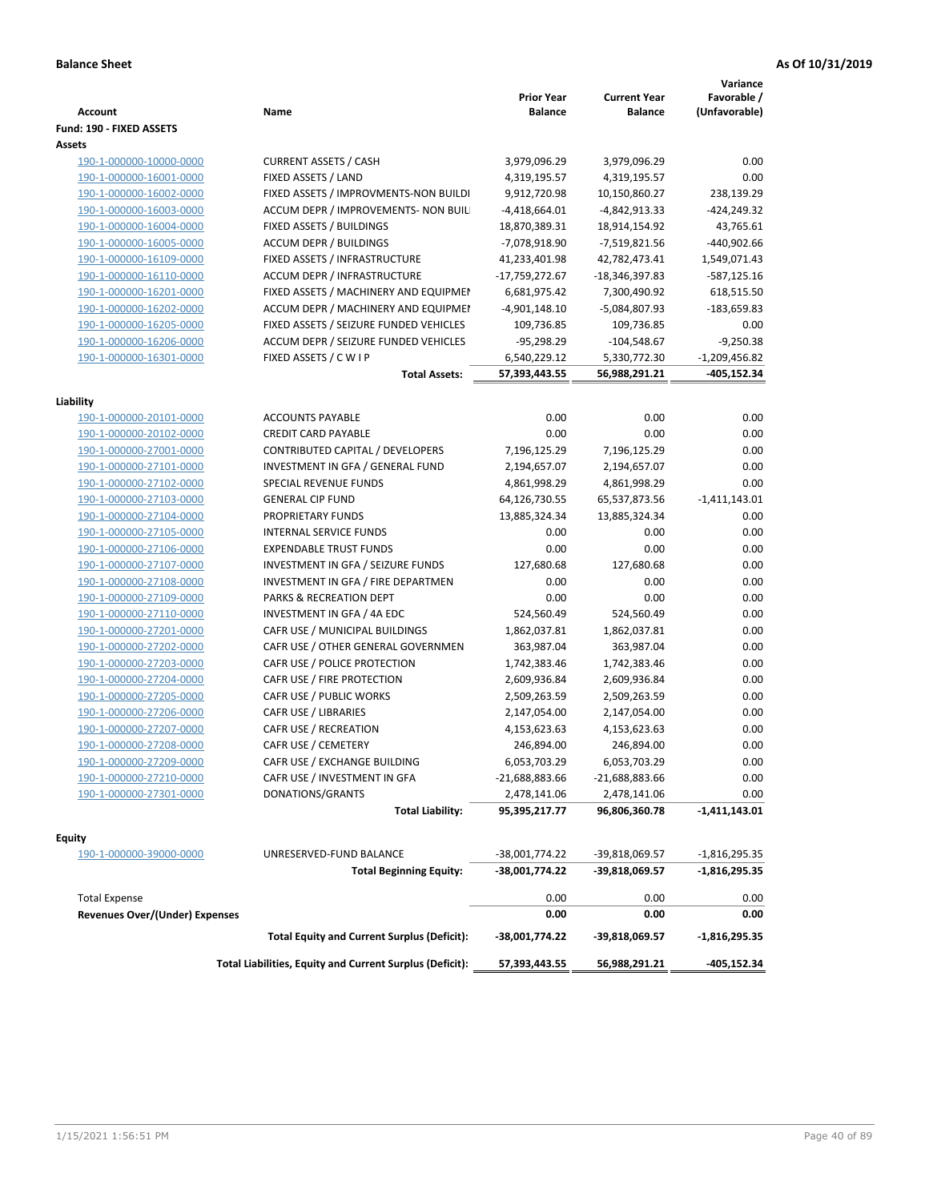| <b>Account</b>                        | Name                                                     | <b>Prior Year</b><br><b>Balance</b> | <b>Current Year</b><br><b>Balance</b> | Variance<br>Favorable /<br>(Unfavorable) |
|---------------------------------------|----------------------------------------------------------|-------------------------------------|---------------------------------------|------------------------------------------|
| Fund: 190 - FIXED ASSETS<br>Assets    |                                                          |                                     |                                       |                                          |
| 190-1-000000-10000-0000               | <b>CURRENT ASSETS / CASH</b>                             | 3,979,096.29                        | 3,979,096.29                          | 0.00                                     |
| 190-1-000000-16001-0000               | FIXED ASSETS / LAND                                      | 4,319,195.57                        | 4,319,195.57                          | 0.00                                     |
| 190-1-000000-16002-0000               | FIXED ASSETS / IMPROVMENTS-NON BUILDI                    | 9,912,720.98                        | 10,150,860.27                         | 238,139.29                               |
| 190-1-000000-16003-0000               | ACCUM DEPR / IMPROVEMENTS- NON BUIL                      | $-4,418,664.01$                     | -4,842,913.33                         | $-424,249.32$                            |
| 190-1-000000-16004-0000               | FIXED ASSETS / BUILDINGS                                 | 18,870,389.31                       | 18,914,154.92                         | 43,765.61                                |
| 190-1-000000-16005-0000               | <b>ACCUM DEPR / BUILDINGS</b>                            | -7,078,918.90                       | -7,519,821.56                         | -440,902.66                              |
| 190-1-000000-16109-0000               | FIXED ASSETS / INFRASTRUCTURE                            | 41,233,401.98                       | 42,782,473.41                         | 1,549,071.43                             |
| 190-1-000000-16110-0000               | ACCUM DEPR / INFRASTRUCTURE                              | -17,759,272.67                      | -18,346,397.83                        | -587,125.16                              |
| 190-1-000000-16201-0000               | FIXED ASSETS / MACHINERY AND EQUIPMEN                    | 6,681,975.42                        | 7,300,490.92                          | 618,515.50                               |
| 190-1-000000-16202-0000               | ACCUM DEPR / MACHINERY AND EQUIPMEI                      | $-4,901,148.10$                     | -5,084,807.93                         | -183,659.83                              |
| 190-1-000000-16205-0000               | FIXED ASSETS / SEIZURE FUNDED VEHICLES                   | 109,736.85                          | 109,736.85                            | 0.00                                     |
| 190-1-000000-16206-0000               | ACCUM DEPR / SEIZURE FUNDED VEHICLES                     | $-95,298.29$                        | $-104,548.67$                         | $-9,250.38$                              |
| 190-1-000000-16301-0000               | FIXED ASSETS / C W I P                                   | 6,540,229.12                        | 5,330,772.30                          | $-1,209,456.82$                          |
|                                       | <b>Total Assets:</b>                                     | 57,393,443.55                       | 56,988,291.21                         | -405,152.34                              |
| Liability                             |                                                          |                                     |                                       |                                          |
| 190-1-000000-20101-0000               | <b>ACCOUNTS PAYABLE</b>                                  | 0.00                                | 0.00                                  | 0.00                                     |
| 190-1-000000-20102-0000               | <b>CREDIT CARD PAYABLE</b>                               | 0.00                                | 0.00                                  | 0.00                                     |
| 190-1-000000-27001-0000               | CONTRIBUTED CAPITAL / DEVELOPERS                         | 7,196,125.29                        | 7,196,125.29                          | 0.00                                     |
| 190-1-000000-27101-0000               | INVESTMENT IN GFA / GENERAL FUND                         | 2,194,657.07                        | 2,194,657.07                          | 0.00                                     |
| 190-1-000000-27102-0000               | SPECIAL REVENUE FUNDS                                    | 4,861,998.29                        | 4,861,998.29                          | 0.00                                     |
| 190-1-000000-27103-0000               | <b>GENERAL CIP FUND</b>                                  | 64,126,730.55                       | 65,537,873.56                         | $-1,411,143.01$                          |
| 190-1-000000-27104-0000               | PROPRIETARY FUNDS                                        | 13,885,324.34                       | 13,885,324.34                         | 0.00                                     |
| 190-1-000000-27105-0000               | <b>INTERNAL SERVICE FUNDS</b>                            | 0.00                                | 0.00                                  | 0.00                                     |
| 190-1-000000-27106-0000               | <b>EXPENDABLE TRUST FUNDS</b>                            | 0.00                                | 0.00                                  | 0.00                                     |
| 190-1-000000-27107-0000               | INVESTMENT IN GFA / SEIZURE FUNDS                        | 127,680.68                          | 127,680.68                            | 0.00                                     |
| 190-1-000000-27108-0000               | INVESTMENT IN GFA / FIRE DEPARTMEN                       | 0.00                                | 0.00                                  | 0.00                                     |
| 190-1-000000-27109-0000               | PARKS & RECREATION DEPT                                  | 0.00                                | 0.00                                  | 0.00                                     |
|                                       | INVESTMENT IN GFA / 4A EDC                               | 524,560.49                          | 524,560.49                            | 0.00                                     |
| 190-1-000000-27110-0000               |                                                          |                                     |                                       | 0.00                                     |
| 190-1-000000-27201-0000               | CAFR USE / MUNICIPAL BUILDINGS                           | 1,862,037.81                        | 1,862,037.81                          |                                          |
| 190-1-000000-27202-0000               | CAFR USE / OTHER GENERAL GOVERNMEN                       | 363,987.04                          | 363,987.04                            | 0.00                                     |
| 190-1-000000-27203-0000               | CAFR USE / POLICE PROTECTION                             | 1,742,383.46                        | 1,742,383.46                          | 0.00                                     |
| 190-1-000000-27204-0000               | CAFR USE / FIRE PROTECTION                               | 2,609,936.84                        | 2,609,936.84                          | 0.00                                     |
| 190-1-000000-27205-0000               | CAFR USE / PUBLIC WORKS                                  | 2,509,263.59                        | 2,509,263.59                          | 0.00                                     |
| 190-1-000000-27206-0000               | CAFR USE / LIBRARIES                                     | 2,147,054.00                        | 2,147,054.00                          | 0.00                                     |
| 190-1-000000-27207-0000               | CAFR USE / RECREATION                                    | 4,153,623.63                        | 4,153,623.63                          | 0.00                                     |
| 190-1-000000-27208-0000               | CAFR USE / CEMETERY                                      | 246,894.00                          | 246,894.00                            | 0.00                                     |
| 190-1-000000-27209-0000               | CAFR USE / EXCHANGE BUILDING                             | 6,053,703.29                        | 6,053,703.29                          | 0.00                                     |
| 190-1-000000-27210-0000               | CAFR USE / INVESTMENT IN GFA                             | -21,688,883.66                      | $-21,688,883.66$                      | 0.00                                     |
| 190-1-000000-27301-0000               | DONATIONS/GRANTS                                         | 2,478,141.06                        | 2,478,141.06                          | 0.00                                     |
|                                       | <b>Total Liability:</b>                                  | 95,395,217.77                       | 96,806,360.78                         | -1,411,143.01                            |
| <b>Equity</b>                         |                                                          |                                     |                                       |                                          |
| 190-1-000000-39000-0000               | UNRESERVED-FUND BALANCE                                  | -38,001,774.22                      | -39,818,069.57                        | $-1,816,295.35$                          |
|                                       | <b>Total Beginning Equity:</b>                           | -38,001,774.22                      | -39,818,069.57                        | -1,816,295.35                            |
| <b>Total Expense</b>                  |                                                          | 0.00                                | 0.00                                  | 0.00                                     |
| <b>Revenues Over/(Under) Expenses</b> |                                                          | 0.00                                | 0.00                                  | 0.00                                     |
|                                       | <b>Total Equity and Current Surplus (Deficit):</b>       | -38,001,774.22                      | -39,818,069.57                        | $-1,816,295.35$                          |
|                                       | Total Liabilities, Equity and Current Surplus (Deficit): | 57,393,443.55                       | 56,988,291.21                         | -405,152.34                              |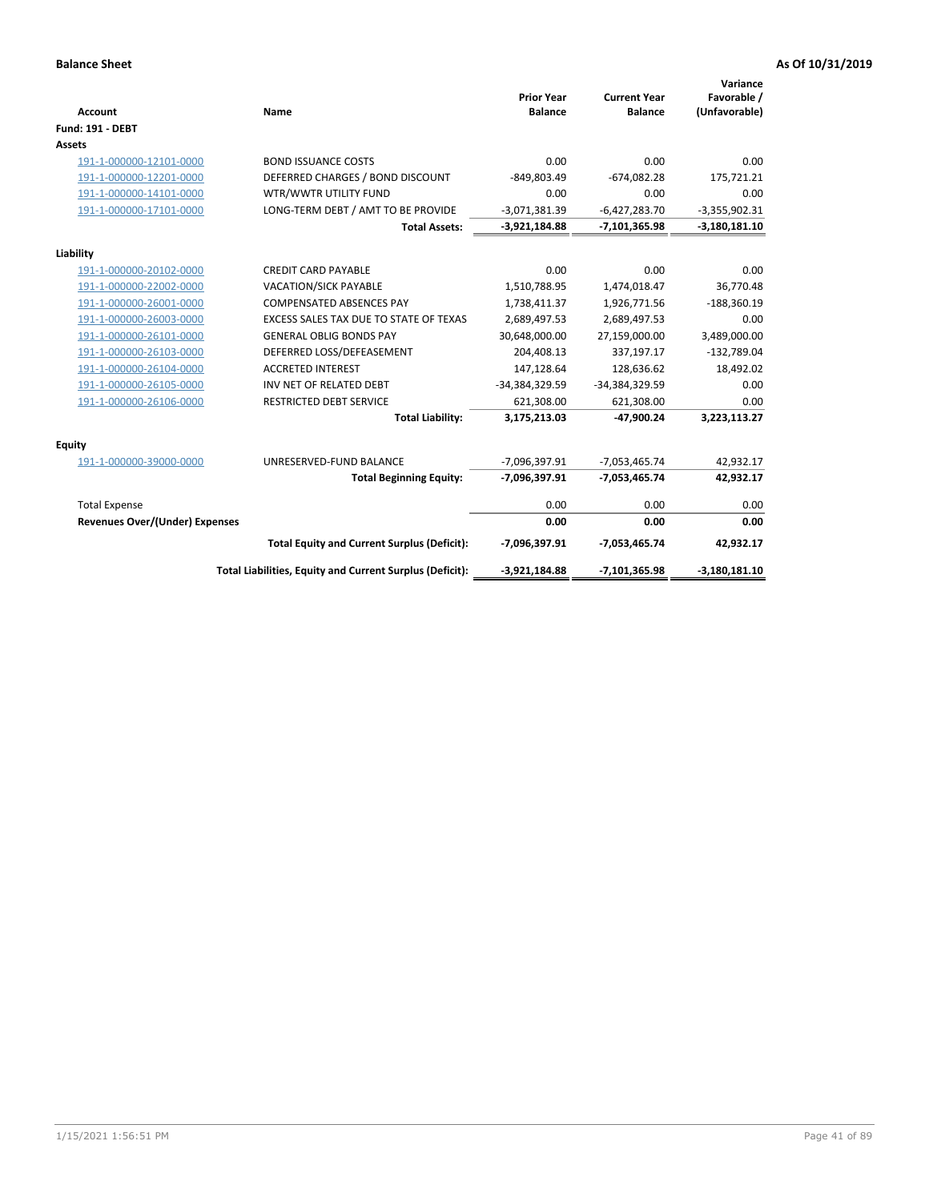| <b>Account</b>                 | Name                                                     | <b>Prior Year</b><br><b>Balance</b> | <b>Current Year</b><br><b>Balance</b> | Variance<br>Favorable /<br>(Unfavorable) |
|--------------------------------|----------------------------------------------------------|-------------------------------------|---------------------------------------|------------------------------------------|
| <b>Fund: 191 - DEBT</b>        |                                                          |                                     |                                       |                                          |
| <b>Assets</b>                  |                                                          |                                     |                                       |                                          |
| 191-1-000000-12101-0000        | <b>BOND ISSUANCE COSTS</b>                               | 0.00                                | 0.00                                  | 0.00                                     |
| 191-1-000000-12201-0000        | DEFERRED CHARGES / BOND DISCOUNT                         | $-849,803.49$                       | $-674,082.28$                         | 175,721.21                               |
| 191-1-000000-14101-0000        | WTR/WWTR UTILITY FUND                                    | 0.00                                | 0.00                                  | 0.00                                     |
| 191-1-000000-17101-0000        | LONG-TERM DEBT / AMT TO BE PROVIDE                       | $-3,071,381.39$                     | $-6,427,283.70$                       | $-3,355,902.31$                          |
|                                | <b>Total Assets:</b>                                     | $-3,921,184.88$                     | -7,101,365.98                         | $-3,180,181.10$                          |
| Liability                      |                                                          |                                     |                                       |                                          |
| 191-1-000000-20102-0000        | <b>CREDIT CARD PAYABLE</b>                               | 0.00                                | 0.00                                  | 0.00                                     |
| 191-1-000000-22002-0000        | <b>VACATION/SICK PAYABLE</b>                             | 1,510,788.95                        | 1,474,018.47                          | 36,770.48                                |
| 191-1-000000-26001-0000        | <b>COMPENSATED ABSENCES PAY</b>                          | 1,738,411.37                        | 1,926,771.56                          | $-188,360.19$                            |
| 191-1-000000-26003-0000        | EXCESS SALES TAX DUE TO STATE OF TEXAS                   | 2,689,497.53                        | 2,689,497.53                          | 0.00                                     |
| 191-1-000000-26101-0000        | <b>GENERAL OBLIG BONDS PAY</b>                           | 30,648,000.00                       | 27,159,000.00                         | 3,489,000.00                             |
| 191-1-000000-26103-0000        | DEFERRED LOSS/DEFEASEMENT                                | 204,408.13                          | 337,197.17                            | $-132,789.04$                            |
| 191-1-000000-26104-0000        | <b>ACCRETED INTEREST</b>                                 | 147,128.64                          | 128,636.62                            | 18,492.02                                |
| 191-1-000000-26105-0000        | INV NET OF RELATED DEBT                                  | -34,384,329.59                      | -34,384,329.59                        | 0.00                                     |
| 191-1-000000-26106-0000        | <b>RESTRICTED DEBT SERVICE</b>                           | 621,308.00                          | 621,308.00                            | 0.00                                     |
|                                | <b>Total Liability:</b>                                  | 3,175,213.03                        | -47,900.24                            | 3,223,113.27                             |
| Equity                         |                                                          |                                     |                                       |                                          |
| 191-1-000000-39000-0000        | UNRESERVED-FUND BALANCE                                  | -7,096,397.91                       | $-7,053,465.74$                       | 42,932.17                                |
|                                | <b>Total Beginning Equity:</b>                           | $-7,096,397.91$                     | $-7,053,465.74$                       | 42,932.17                                |
| <b>Total Expense</b>           |                                                          | 0.00                                | 0.00                                  | 0.00                                     |
| Revenues Over/(Under) Expenses |                                                          | 0.00                                | 0.00                                  | 0.00                                     |
|                                | <b>Total Equity and Current Surplus (Deficit):</b>       | -7,096,397.91                       | $-7,053,465.74$                       | 42,932.17                                |
|                                | Total Liabilities, Equity and Current Surplus (Deficit): | $-3,921,184.88$                     | -7,101,365.98                         | $-3,180,181.10$                          |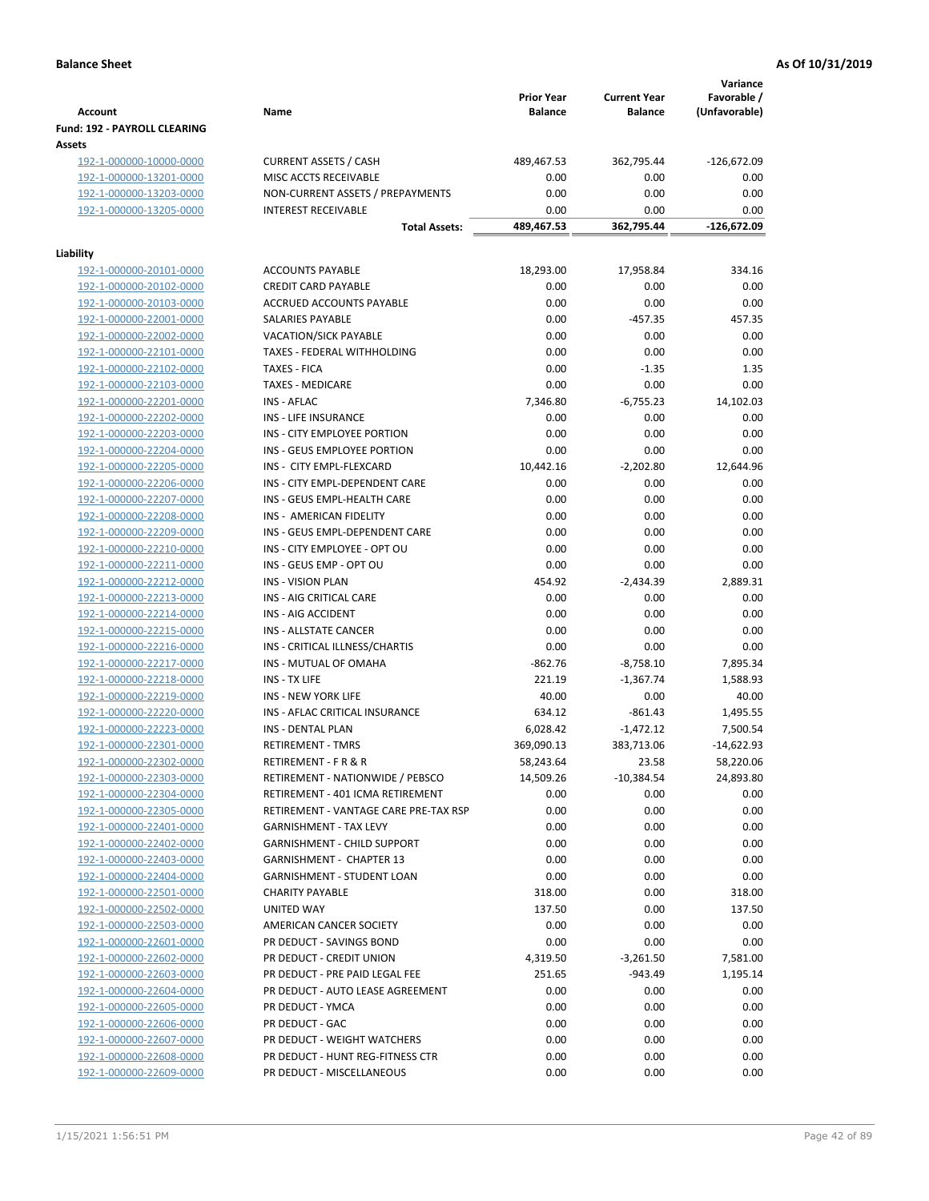| <b>Account</b>                         | Name                                  | <b>Prior Year</b><br><b>Balance</b> | <b>Current Year</b><br><b>Balance</b> | Variance<br>Favorable /<br>(Unfavorable) |
|----------------------------------------|---------------------------------------|-------------------------------------|---------------------------------------|------------------------------------------|
| Fund: 192 - PAYROLL CLEARING<br>Assets |                                       |                                     |                                       |                                          |
| 192-1-000000-10000-0000                | <b>CURRENT ASSETS / CASH</b>          | 489,467.53                          | 362,795.44                            | $-126,672.09$                            |
| 192-1-000000-13201-0000                | MISC ACCTS RECEIVABLE                 | 0.00                                | 0.00                                  | 0.00                                     |
| 192-1-000000-13203-0000                | NON-CURRENT ASSETS / PREPAYMENTS      | 0.00                                | 0.00                                  | 0.00                                     |
| 192-1-000000-13205-0000                | <b>INTEREST RECEIVABLE</b>            | 0.00                                | 0.00                                  | 0.00                                     |
|                                        | <b>Total Assets:</b>                  | 489,467.53                          | 362,795.44                            | -126,672.09                              |
| Liability                              |                                       |                                     |                                       |                                          |
| 192-1-000000-20101-0000                | <b>ACCOUNTS PAYABLE</b>               | 18,293.00                           | 17,958.84                             | 334.16                                   |
| 192-1-000000-20102-0000                | <b>CREDIT CARD PAYABLE</b>            | 0.00                                | 0.00                                  | 0.00                                     |
| 192-1-000000-20103-0000                | ACCRUED ACCOUNTS PAYABLE              | 0.00                                | 0.00                                  | 0.00                                     |
| 192-1-000000-22001-0000                | SALARIES PAYABLE                      | 0.00                                | $-457.35$                             | 457.35                                   |
| 192-1-000000-22002-0000                | <b>VACATION/SICK PAYABLE</b>          | 0.00                                | 0.00                                  | 0.00                                     |
| 192-1-000000-22101-0000                | TAXES - FEDERAL WITHHOLDING           | 0.00                                | 0.00                                  | 0.00                                     |
| 192-1-000000-22102-0000                | <b>TAXES - FICA</b>                   | 0.00                                | $-1.35$                               | 1.35                                     |
| 192-1-000000-22103-0000                | <b>TAXES - MEDICARE</b>               | 0.00                                | 0.00                                  | 0.00                                     |
| 192-1-000000-22201-0000                | <b>INS - AFLAC</b>                    | 7,346.80                            | $-6,755.23$                           | 14,102.03                                |
| 192-1-000000-22202-0000                | INS - LIFE INSURANCE                  | 0.00                                | 0.00                                  | 0.00                                     |
| 192-1-000000-22203-0000                | INS - CITY EMPLOYEE PORTION           | 0.00                                | 0.00                                  | 0.00                                     |
| 192-1-000000-22204-0000                | INS - GEUS EMPLOYEE PORTION           | 0.00                                | 0.00                                  | 0.00                                     |
| 192-1-000000-22205-0000                | INS - CITY EMPL-FLEXCARD              | 10,442.16                           | $-2,202.80$                           | 12,644.96                                |
| 192-1-000000-22206-0000                | INS - CITY EMPL-DEPENDENT CARE        | 0.00                                | 0.00                                  | 0.00                                     |
| 192-1-000000-22207-0000                | INS - GEUS EMPL-HEALTH CARE           | 0.00                                | 0.00                                  | 0.00                                     |
| 192-1-000000-22208-0000                | INS - AMERICAN FIDELITY               | 0.00                                | 0.00                                  | 0.00                                     |
| 192-1-000000-22209-0000                | INS - GEUS EMPL-DEPENDENT CARE        | 0.00                                | 0.00                                  | 0.00                                     |
| 192-1-000000-22210-0000                | INS - CITY EMPLOYEE - OPT OU          | 0.00                                | 0.00                                  | 0.00                                     |
| 192-1-000000-22211-0000                | INS - GEUS EMP - OPT OU               | 0.00                                | 0.00                                  | 0.00                                     |
| 192-1-000000-22212-0000                | <b>INS - VISION PLAN</b>              | 454.92                              | $-2,434.39$                           | 2,889.31                                 |
| 192-1-000000-22213-0000                | INS - AIG CRITICAL CARE               | 0.00                                | 0.00                                  | 0.00                                     |
| 192-1-000000-22214-0000                | INS - AIG ACCIDENT                    | 0.00                                | 0.00                                  | 0.00                                     |
| 192-1-000000-22215-0000                | INS - ALLSTATE CANCER                 | 0.00                                | 0.00                                  | 0.00                                     |
| 192-1-000000-22216-0000                | INS - CRITICAL ILLNESS/CHARTIS        | 0.00                                | 0.00                                  | 0.00                                     |
| 192-1-000000-22217-0000                | INS - MUTUAL OF OMAHA                 | $-862.76$                           | $-8,758.10$                           | 7,895.34                                 |
| 192-1-000000-22218-0000                | INS - TX LIFE                         | 221.19                              | $-1,367.74$                           | 1,588.93                                 |
| 192-1-000000-22219-0000                | <b>INS - NEW YORK LIFE</b>            | 40.00                               | 0.00                                  | 40.00                                    |
| 192-1-000000-22220-0000                | INS - AFLAC CRITICAL INSURANCE        | 634.12                              | $-861.43$                             | 1,495.55                                 |
| 192-1-000000-22223-0000                | INS - DENTAL PLAN                     | 6,028.42                            | $-1,472.12$                           | 7,500.54                                 |
| <u>192-1-000000-22301-0000</u>         | <b>RETIREMENT - TMRS</b>              | 369,090.13                          | 383,713.06                            | $-14,622.93$                             |
| 192-1-000000-22302-0000                | RETIREMENT - F R & R                  | 58,243.64                           | 23.58                                 | 58,220.06                                |
| 192-1-000000-22303-0000                | RETIREMENT - NATIONWIDE / PEBSCO      | 14,509.26                           | $-10,384.54$                          | 24,893.80                                |
| 192-1-000000-22304-0000                | RETIREMENT - 401 ICMA RETIREMENT      | 0.00                                | 0.00                                  | 0.00                                     |
| 192-1-000000-22305-0000                | RETIREMENT - VANTAGE CARE PRE-TAX RSP | 0.00                                | 0.00                                  | 0.00                                     |
| 192-1-000000-22401-0000                | <b>GARNISHMENT - TAX LEVY</b>         | 0.00                                | 0.00                                  | 0.00                                     |
| 192-1-000000-22402-0000                | <b>GARNISHMENT - CHILD SUPPORT</b>    | 0.00                                | 0.00                                  | 0.00                                     |
| 192-1-000000-22403-0000                | <b>GARNISHMENT - CHAPTER 13</b>       | 0.00                                | 0.00                                  | 0.00                                     |
| 192-1-000000-22404-0000                | <b>GARNISHMENT - STUDENT LOAN</b>     | 0.00                                | 0.00                                  | 0.00                                     |
| 192-1-000000-22501-0000                | <b>CHARITY PAYABLE</b>                | 318.00                              | 0.00                                  | 318.00                                   |
| 192-1-000000-22502-0000                | UNITED WAY                            | 137.50                              | 0.00                                  | 137.50                                   |
| 192-1-000000-22503-0000                | AMERICAN CANCER SOCIETY               | 0.00                                | 0.00                                  | 0.00                                     |
| 192-1-000000-22601-0000                | PR DEDUCT - SAVINGS BOND              | 0.00                                | 0.00                                  | 0.00                                     |
| 192-1-000000-22602-0000                | PR DEDUCT - CREDIT UNION              | 4,319.50                            | $-3,261.50$                           | 7,581.00                                 |
| 192-1-000000-22603-0000                | PR DEDUCT - PRE PAID LEGAL FEE        | 251.65                              | $-943.49$                             | 1,195.14                                 |
| 192-1-000000-22604-0000                | PR DEDUCT - AUTO LEASE AGREEMENT      | 0.00                                | 0.00                                  | 0.00                                     |
| 192-1-000000-22605-0000                | PR DEDUCT - YMCA                      | 0.00                                | 0.00                                  | 0.00                                     |
| 192-1-000000-22606-0000                | PR DEDUCT - GAC                       | 0.00                                | 0.00                                  | 0.00                                     |
| 192-1-000000-22607-0000                | PR DEDUCT - WEIGHT WATCHERS           | 0.00                                | 0.00                                  | 0.00                                     |
| 192-1-000000-22608-0000                | PR DEDUCT - HUNT REG-FITNESS CTR      | 0.00                                | 0.00                                  | 0.00                                     |
| 192-1-000000-22609-0000                | PR DEDUCT - MISCELLANEOUS             | 0.00                                | 0.00                                  | 0.00                                     |
|                                        |                                       |                                     |                                       |                                          |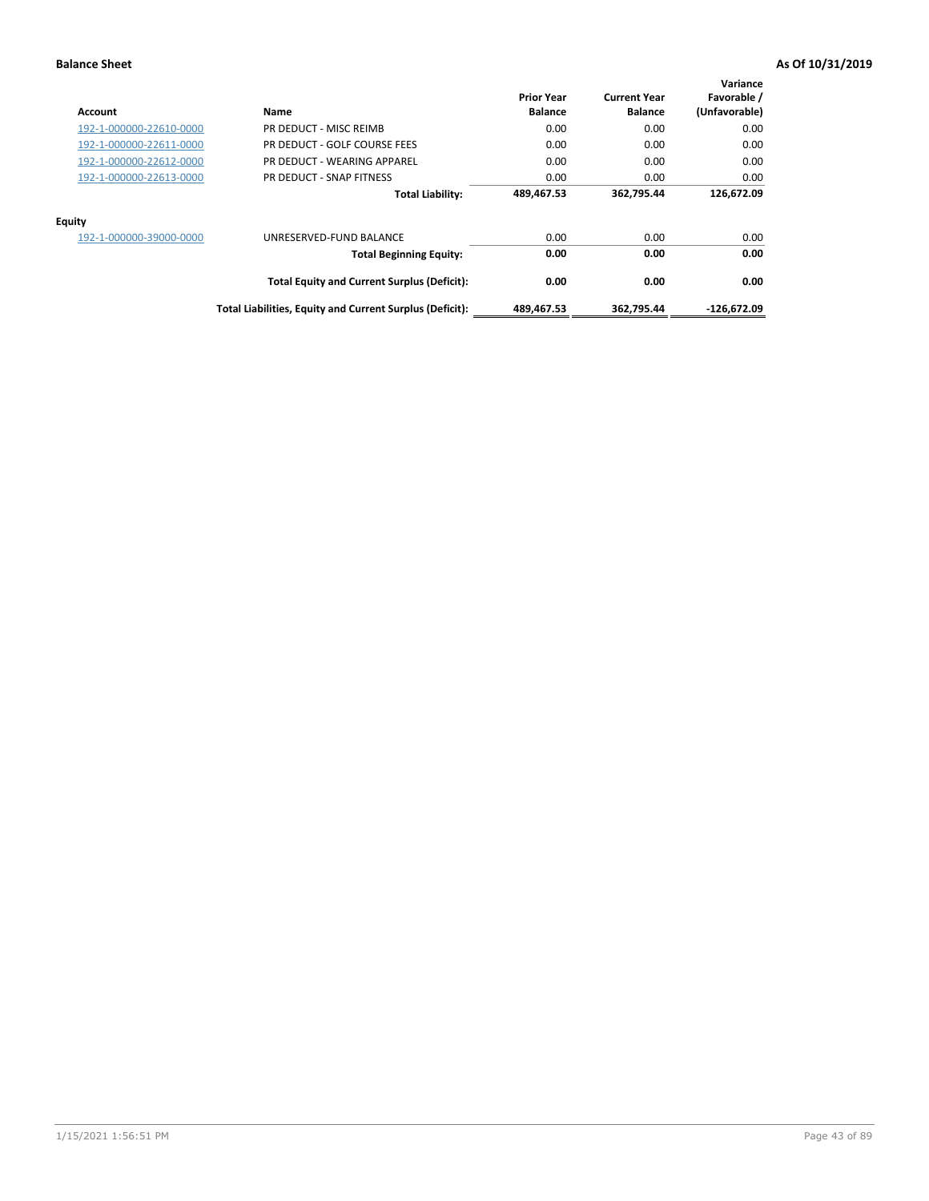| <b>Account</b>          | Name                                                     | <b>Prior Year</b><br><b>Balance</b> | <b>Current Year</b><br><b>Balance</b> | Variance<br>Favorable /<br>(Unfavorable) |
|-------------------------|----------------------------------------------------------|-------------------------------------|---------------------------------------|------------------------------------------|
| 192-1-000000-22610-0000 | PR DEDUCT - MISC REIMB                                   | 0.00                                | 0.00                                  | 0.00                                     |
| 192-1-000000-22611-0000 | PR DEDUCT - GOLF COURSE FEES                             | 0.00                                | 0.00                                  | 0.00                                     |
| 192-1-000000-22612-0000 | PR DEDUCT - WEARING APPAREL                              | 0.00                                | 0.00                                  | 0.00                                     |
| 192-1-000000-22613-0000 | PR DEDUCT - SNAP FITNESS                                 | 0.00                                | 0.00                                  | 0.00                                     |
|                         | <b>Total Liability:</b>                                  | 489,467.53                          | 362,795.44                            | 126,672.09                               |
| <b>Equity</b>           |                                                          |                                     |                                       |                                          |
| 192-1-000000-39000-0000 | UNRESERVED-FUND BALANCE                                  | 0.00                                | 0.00                                  | 0.00                                     |
|                         | <b>Total Beginning Equity:</b>                           | 0.00                                | 0.00                                  | 0.00                                     |
|                         | <b>Total Equity and Current Surplus (Deficit):</b>       | 0.00                                | 0.00                                  | 0.00                                     |
|                         | Total Liabilities, Equity and Current Surplus (Deficit): | 489,467.53                          | 362.795.44                            | -126,672.09                              |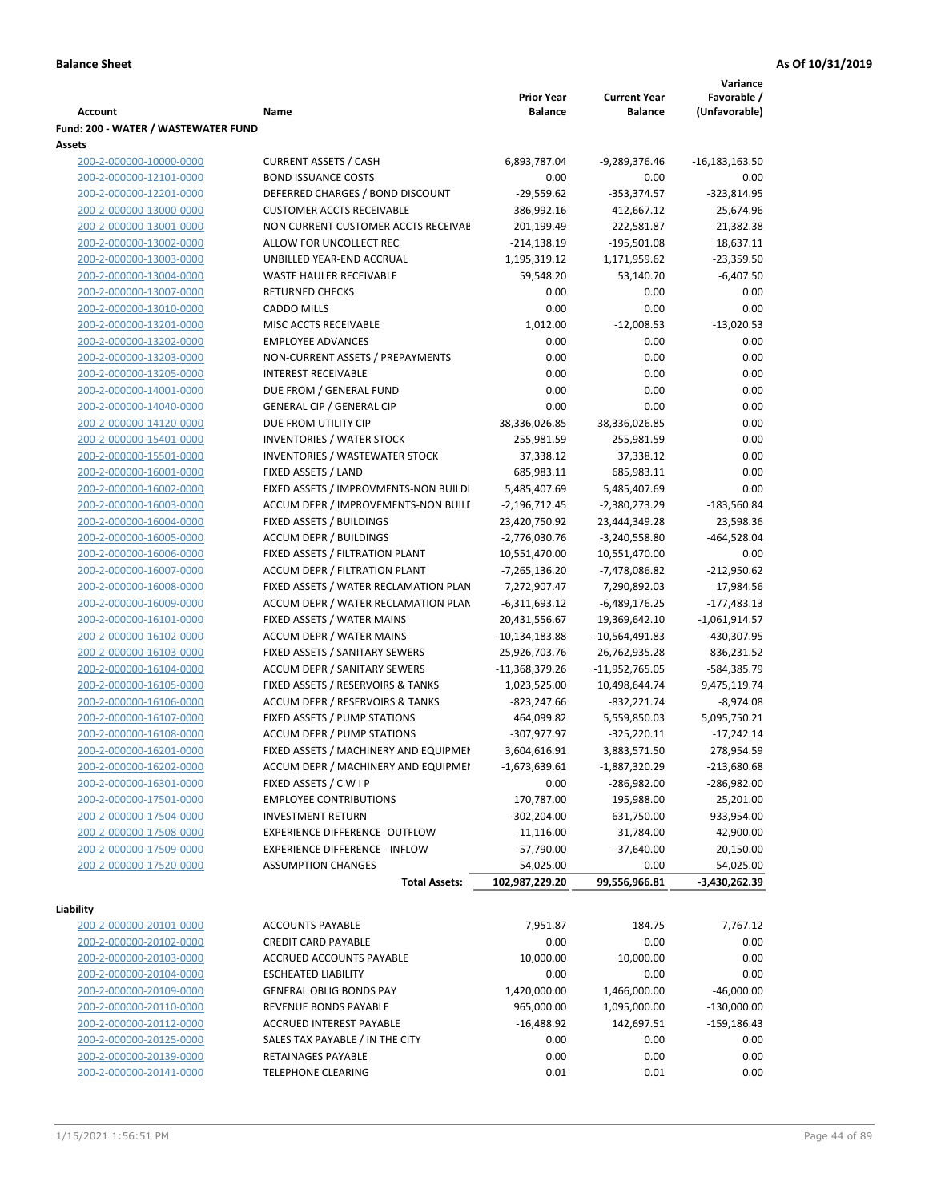|                                     |                                       |                   |                     | Variance         |
|-------------------------------------|---------------------------------------|-------------------|---------------------|------------------|
|                                     |                                       | <b>Prior Year</b> | <b>Current Year</b> | Favorable /      |
| <b>Account</b>                      | Name                                  | <b>Balance</b>    | <b>Balance</b>      | (Unfavorable)    |
| Fund: 200 - WATER / WASTEWATER FUND |                                       |                   |                     |                  |
| Assets                              |                                       |                   |                     |                  |
| 200-2-000000-10000-0000             | <b>CURRENT ASSETS / CASH</b>          | 6,893,787.04      | -9,289,376.46       | $-16,183,163.50$ |
| 200-2-000000-12101-0000             | <b>BOND ISSUANCE COSTS</b>            | 0.00              | 0.00                | 0.00             |
| 200-2-000000-12201-0000             | DEFERRED CHARGES / BOND DISCOUNT      | $-29,559.62$      | $-353,374.57$       | $-323,814.95$    |
| 200-2-000000-13000-0000             | <b>CUSTOMER ACCTS RECEIVABLE</b>      | 386,992.16        | 412,667.12          | 25,674.96        |
| 200-2-000000-13001-0000             | NON CURRENT CUSTOMER ACCTS RECEIVAE   | 201,199.49        | 222,581.87          | 21,382.38        |
| 200-2-000000-13002-0000             | ALLOW FOR UNCOLLECT REC               | $-214,138.19$     | $-195,501.08$       | 18,637.11        |
| 200-2-000000-13003-0000             | UNBILLED YEAR-END ACCRUAL             | 1,195,319.12      | 1,171,959.62        | $-23,359.50$     |
| 200-2-000000-13004-0000             | WASTE HAULER RECEIVABLE               | 59,548.20         | 53,140.70           | $-6,407.50$      |
| 200-2-000000-13007-0000             | <b>RETURNED CHECKS</b>                | 0.00              | 0.00                | 0.00             |
| 200-2-000000-13010-0000             | <b>CADDO MILLS</b>                    | 0.00              | 0.00                | 0.00             |
| 200-2-000000-13201-0000             | MISC ACCTS RECEIVABLE                 | 1,012.00          | $-12,008.53$        | $-13,020.53$     |
| 200-2-000000-13202-0000             | <b>EMPLOYEE ADVANCES</b>              | 0.00              | 0.00                | 0.00             |
| 200-2-000000-13203-0000             | NON-CURRENT ASSETS / PREPAYMENTS      | 0.00              | 0.00                | 0.00             |
| 200-2-000000-13205-0000             | <b>INTEREST RECEIVABLE</b>            | 0.00              | 0.00                | 0.00             |
| 200-2-000000-14001-0000             | DUE FROM / GENERAL FUND               | 0.00              | 0.00                | 0.00             |
| 200-2-000000-14040-0000             | <b>GENERAL CIP / GENERAL CIP</b>      | 0.00              | 0.00                | 0.00             |
| 200-2-000000-14120-0000             | DUE FROM UTILITY CIP                  | 38,336,026.85     | 38,336,026.85       | 0.00             |
| 200-2-000000-15401-0000             | <b>INVENTORIES / WATER STOCK</b>      | 255,981.59        | 255,981.59          | 0.00             |
| 200-2-000000-15501-0000             | <b>INVENTORIES / WASTEWATER STOCK</b> | 37,338.12         | 37,338.12           | 0.00             |
| 200-2-000000-16001-0000             | FIXED ASSETS / LAND                   | 685,983.11        | 685,983.11          | 0.00             |
| 200-2-000000-16002-0000             | FIXED ASSETS / IMPROVMENTS-NON BUILDI | 5,485,407.69      | 5,485,407.69        | 0.00             |
| 200-2-000000-16003-0000             | ACCUM DEPR / IMPROVEMENTS-NON BUILL   | $-2,196,712.45$   | -2,380,273.29       | $-183,560.84$    |
| 200-2-000000-16004-0000             | FIXED ASSETS / BUILDINGS              | 23,420,750.92     | 23,444,349.28       | 23,598.36        |
| 200-2-000000-16005-0000             | <b>ACCUM DEPR / BUILDINGS</b>         | $-2,776,030.76$   | $-3,240,558.80$     | $-464,528.04$    |
| 200-2-000000-16006-0000             | FIXED ASSETS / FILTRATION PLANT       | 10,551,470.00     | 10,551,470.00       | 0.00             |
| 200-2-000000-16007-0000             | ACCUM DEPR / FILTRATION PLANT         | -7,265,136.20     | -7,478,086.82       | $-212,950.62$    |
| 200-2-000000-16008-0000             | FIXED ASSETS / WATER RECLAMATION PLAN | 7,272,907.47      | 7,290,892.03        | 17,984.56        |
| 200-2-000000-16009-0000             | ACCUM DEPR / WATER RECLAMATION PLAN   | $-6,311,693.12$   | $-6,489,176.25$     | $-177,483.13$    |
| 200-2-000000-16101-0000             | FIXED ASSETS / WATER MAINS            | 20,431,556.67     | 19,369,642.10       | $-1,061,914.57$  |
| 200-2-000000-16102-0000             | <b>ACCUM DEPR / WATER MAINS</b>       | -10,134,183.88    | -10,564,491.83      | -430,307.95      |
| 200-2-000000-16103-0000             | FIXED ASSETS / SANITARY SEWERS        | 25,926,703.76     | 26,762,935.28       | 836,231.52       |
| 200-2-000000-16104-0000             | <b>ACCUM DEPR / SANITARY SEWERS</b>   | $-11,368,379.26$  | -11,952,765.05      | -584,385.79      |
| 200-2-000000-16105-0000             | FIXED ASSETS / RESERVOIRS & TANKS     | 1,023,525.00      | 10,498,644.74       | 9,475,119.74     |
| 200-2-000000-16106-0000             | ACCUM DEPR / RESERVOIRS & TANKS       | -823,247.66       | $-832,221.74$       | $-8,974.08$      |
| 200-2-000000-16107-0000             | FIXED ASSETS / PUMP STATIONS          | 464,099.82        | 5,559,850.03        | 5,095,750.21     |
| 200-2-000000-16108-0000             | <b>ACCUM DEPR / PUMP STATIONS</b>     | -307,977.97       | $-325,220.11$       | $-17,242.14$     |
| 200-2-000000-16201-0000             | FIXED ASSETS / MACHINERY AND EQUIPMEN | 3,604,616.91      | 3,883,571.50        | 278,954.59       |
| 200-2-000000-16202-0000             | ACCUM DEPR / MACHINERY AND EQUIPMEI   | $-1,673,639.61$   | $-1,887,320.29$     | $-213,680.68$    |
| 200-2-000000-16301-0000             | FIXED ASSETS / C W I P                | 0.00              | -286,982.00         | $-286,982.00$    |
| 200-2-000000-17501-0000             | <b>EMPLOYEE CONTRIBUTIONS</b>         | 170,787.00        | 195,988.00          | 25,201.00        |
| 200-2-000000-17504-0000             | <b>INVESTMENT RETURN</b>              | $-302,204.00$     | 631,750.00          | 933,954.00       |
| 200-2-000000-17508-0000             | EXPERIENCE DIFFERENCE- OUTFLOW        | $-11,116.00$      | 31,784.00           | 42,900.00        |
| 200-2-000000-17509-0000             | <b>EXPERIENCE DIFFERENCE - INFLOW</b> | $-57,790.00$      | $-37,640.00$        | 20,150.00        |
| 200-2-000000-17520-0000             | <b>ASSUMPTION CHANGES</b>             | 54,025.00         | 0.00                | $-54,025.00$     |
|                                     |                                       | 102,987,229.20    | 99,556,966.81       | -3,430,262.39    |
|                                     | <b>Total Assets:</b>                  |                   |                     |                  |
| Liability                           |                                       |                   |                     |                  |
| 200-2-000000-20101-0000             | <b>ACCOUNTS PAYABLE</b>               | 7,951.87          | 184.75              | 7,767.12         |
| 200-2-000000-20102-0000             | <b>CREDIT CARD PAYABLE</b>            | 0.00              | 0.00                | 0.00             |
| 200-2-000000-20103-0000             | ACCRUED ACCOUNTS PAYABLE              | 10,000.00         | 10,000.00           | 0.00             |
| 200-2-000000-20104-0000             | <b>ESCHEATED LIABILITY</b>            | 0.00              | 0.00                | 0.00             |
| 200-2-000000-20109-0000             | <b>GENERAL OBLIG BONDS PAY</b>        | 1,420,000.00      | 1,466,000.00        | $-46,000.00$     |
| 200-2-000000-20110-0000             | REVENUE BONDS PAYABLE                 | 965,000.00        | 1,095,000.00        | $-130,000.00$    |
| 200-2-000000-20112-0000             | ACCRUED INTEREST PAYABLE              | $-16,488.92$      | 142,697.51          | $-159,186.43$    |
| 200-2-000000-20125-0000             | SALES TAX PAYABLE / IN THE CITY       | 0.00              | 0.00                | 0.00             |
| 200-2-000000-20139-0000             | RETAINAGES PAYABLE                    | 0.00              | 0.00                | 0.00             |
| 200-2-000000-20141-0000             | <b>TELEPHONE CLEARING</b>             | 0.01              | 0.01                | 0.00             |
|                                     |                                       |                   |                     |                  |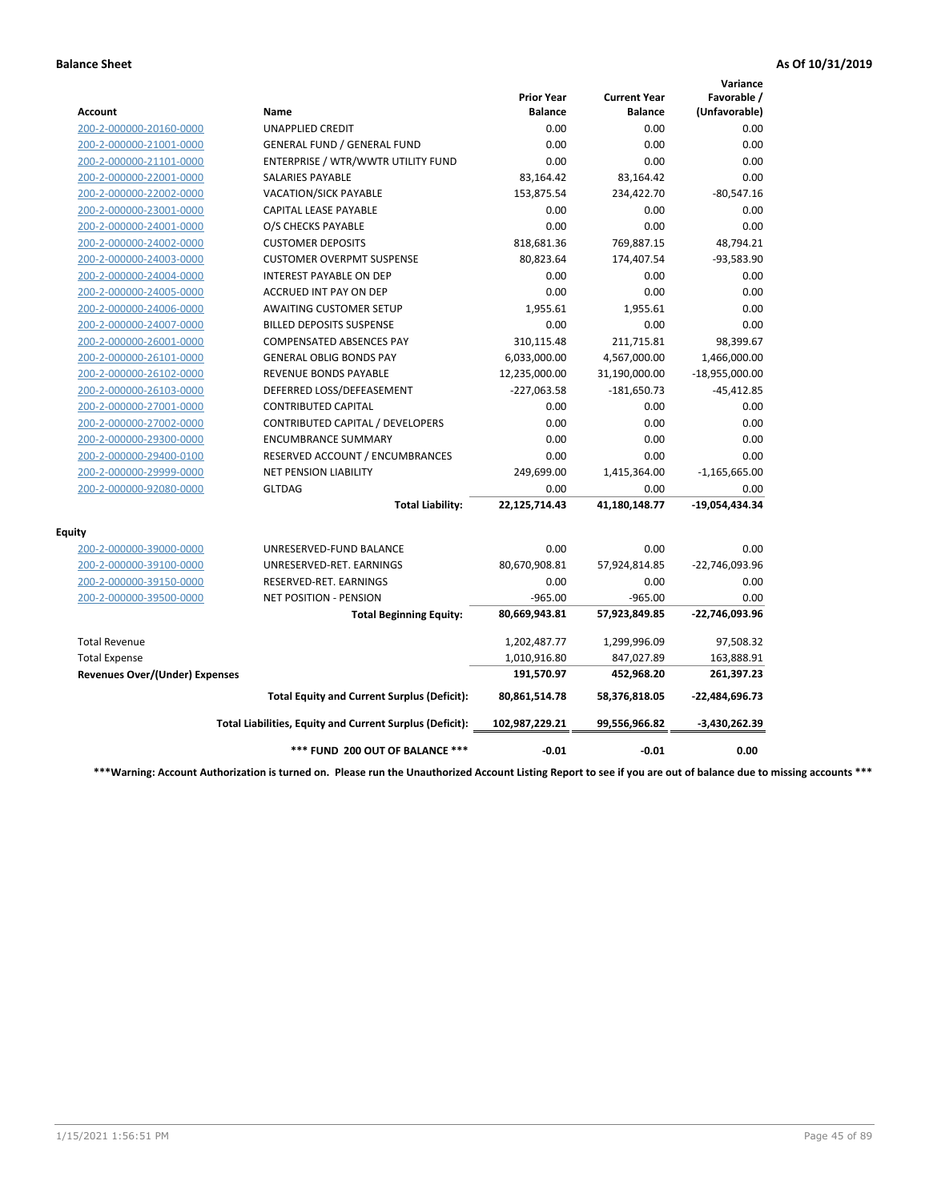|                                       |                                                          |                                     |                                       | Variance                     |
|---------------------------------------|----------------------------------------------------------|-------------------------------------|---------------------------------------|------------------------------|
| Account                               | Name                                                     | <b>Prior Year</b><br><b>Balance</b> | <b>Current Year</b><br><b>Balance</b> | Favorable /<br>(Unfavorable) |
| 200-2-000000-20160-0000               | <b>UNAPPLIED CREDIT</b>                                  | 0.00                                | 0.00                                  | 0.00                         |
| 200-2-000000-21001-0000               | <b>GENERAL FUND / GENERAL FUND</b>                       | 0.00                                | 0.00                                  | 0.00                         |
| 200-2-000000-21101-0000               | ENTERPRISE / WTR/WWTR UTILITY FUND                       | 0.00                                | 0.00                                  | 0.00                         |
| 200-2-000000-22001-0000               | <b>SALARIES PAYABLE</b>                                  | 83,164.42                           | 83,164.42                             | 0.00                         |
| 200-2-000000-22002-0000               | <b>VACATION/SICK PAYABLE</b>                             | 153,875.54                          | 234,422.70                            | $-80,547.16$                 |
| 200-2-000000-23001-0000               | CAPITAL LEASE PAYABLE                                    | 0.00                                | 0.00                                  | 0.00                         |
| 200-2-000000-24001-0000               | O/S CHECKS PAYABLE                                       | 0.00                                | 0.00                                  | 0.00                         |
| 200-2-000000-24002-0000               | <b>CUSTOMER DEPOSITS</b>                                 | 818,681.36                          | 769,887.15                            | 48,794.21                    |
| 200-2-000000-24003-0000               | <b>CUSTOMER OVERPMT SUSPENSE</b>                         | 80,823.64                           | 174,407.54                            | -93,583.90                   |
| 200-2-000000-24004-0000               | <b>INTEREST PAYABLE ON DEP</b>                           | 0.00                                | 0.00                                  | 0.00                         |
| 200-2-000000-24005-0000               | <b>ACCRUED INT PAY ON DEP</b>                            | 0.00                                | 0.00                                  | 0.00                         |
| 200-2-000000-24006-0000               | <b>AWAITING CUSTOMER SETUP</b>                           | 1.955.61                            | 1,955.61                              | 0.00                         |
| 200-2-000000-24007-0000               | <b>BILLED DEPOSITS SUSPENSE</b>                          | 0.00                                | 0.00                                  | 0.00                         |
| 200-2-000000-26001-0000               | <b>COMPENSATED ABSENCES PAY</b>                          | 310,115.48                          | 211,715.81                            | 98,399.67                    |
| 200-2-000000-26101-0000               | <b>GENERAL OBLIG BONDS PAY</b>                           | 6,033,000.00                        | 4,567,000.00                          | 1,466,000.00                 |
| 200-2-000000-26102-0000               | <b>REVENUE BONDS PAYABLE</b>                             | 12,235,000.00                       | 31,190,000.00                         | $-18,955,000.00$             |
| 200-2-000000-26103-0000               | DEFERRED LOSS/DEFEASEMENT                                | $-227,063.58$                       | $-181,650.73$                         | $-45,412.85$                 |
| 200-2-000000-27001-0000               | <b>CONTRIBUTED CAPITAL</b>                               | 0.00                                | 0.00                                  | 0.00                         |
| 200-2-000000-27002-0000               | CONTRIBUTED CAPITAL / DEVELOPERS                         | 0.00                                | 0.00                                  | 0.00                         |
| 200-2-000000-29300-0000               | <b>ENCUMBRANCE SUMMARY</b>                               | 0.00                                | 0.00                                  | 0.00                         |
| 200-2-000000-29400-0100               | RESERVED ACCOUNT / ENCUMBRANCES                          | 0.00                                | 0.00                                  | 0.00                         |
| 200-2-000000-29999-0000               | <b>NET PENSION LIABILITY</b>                             | 249,699.00                          | 1,415,364.00                          | $-1,165,665.00$              |
| 200-2-000000-92080-0000               | <b>GLTDAG</b>                                            | 0.00                                | 0.00                                  | 0.00                         |
|                                       | <b>Total Liability:</b>                                  | 22,125,714.43                       | 41,180,148.77                         | -19,054,434.34               |
| <b>Equity</b>                         |                                                          |                                     |                                       |                              |
| 200-2-000000-39000-0000               | UNRESERVED-FUND BALANCE                                  | 0.00                                | 0.00                                  | 0.00                         |
| 200-2-000000-39100-0000               | UNRESERVED-RET. EARNINGS                                 | 80,670,908.81                       | 57,924,814.85                         | -22,746,093.96               |
| 200-2-000000-39150-0000               | RESERVED-RET. EARNINGS                                   | 0.00                                | 0.00                                  | 0.00                         |
| 200-2-000000-39500-0000               | NET POSITION - PENSION                                   | $-965.00$                           | $-965.00$                             | 0.00                         |
|                                       | <b>Total Beginning Equity:</b>                           | 80,669,943.81                       | 57,923,849.85                         | -22,746,093.96               |
| <b>Total Revenue</b>                  |                                                          | 1,202,487.77                        | 1,299,996.09                          | 97,508.32                    |
| <b>Total Expense</b>                  |                                                          | 1,010,916.80                        | 847,027.89                            | 163,888.91                   |
| <b>Revenues Over/(Under) Expenses</b> |                                                          | 191,570.97                          | 452,968.20                            | 261,397.23                   |
|                                       | <b>Total Equity and Current Surplus (Deficit):</b>       | 80,861,514.78                       | 58,376,818.05                         | $-22,484,696.73$             |
|                                       | Total Liabilities, Equity and Current Surplus (Deficit): | 102,987,229.21                      | 99,556,966.82                         | $-3,430,262.39$              |
|                                       | *** FUND 200 OUT OF BALANCE ***                          | $-0.01$                             | $-0.01$                               | 0.00                         |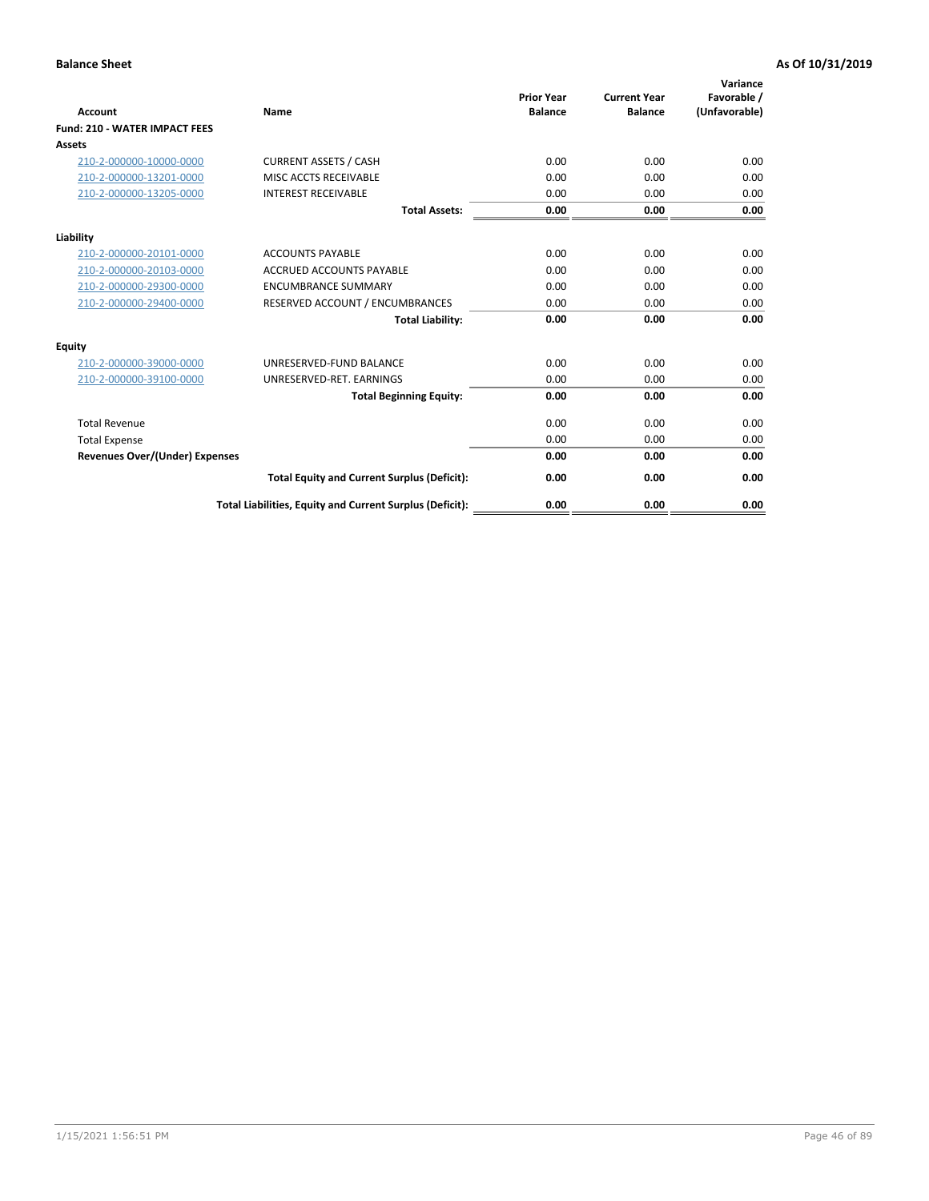| <b>Account</b>                        | Name                                                     | <b>Prior Year</b><br><b>Balance</b> | <b>Current Year</b><br><b>Balance</b> | Variance<br>Favorable /<br>(Unfavorable) |
|---------------------------------------|----------------------------------------------------------|-------------------------------------|---------------------------------------|------------------------------------------|
| <b>Fund: 210 - WATER IMPACT FEES</b>  |                                                          |                                     |                                       |                                          |
| <b>Assets</b>                         |                                                          |                                     |                                       |                                          |
| 210-2-000000-10000-0000               | <b>CURRENT ASSETS / CASH</b>                             | 0.00                                | 0.00                                  | 0.00                                     |
| 210-2-000000-13201-0000               | MISC ACCTS RECEIVABLE                                    | 0.00                                | 0.00                                  | 0.00                                     |
| 210-2-000000-13205-0000               | <b>INTEREST RECEIVABLE</b>                               | 0.00                                | 0.00                                  | 0.00                                     |
|                                       | <b>Total Assets:</b>                                     | 0.00                                | 0.00                                  | 0.00                                     |
|                                       |                                                          |                                     |                                       |                                          |
| Liability                             |                                                          |                                     |                                       |                                          |
| 210-2-000000-20101-0000               | <b>ACCOUNTS PAYABLE</b>                                  | 0.00                                | 0.00                                  | 0.00                                     |
| 210-2-000000-20103-0000               | <b>ACCRUED ACCOUNTS PAYABLE</b>                          | 0.00                                | 0.00                                  | 0.00                                     |
| 210-2-000000-29300-0000               | <b>ENCUMBRANCE SUMMARY</b>                               | 0.00                                | 0.00                                  | 0.00                                     |
| 210-2-000000-29400-0000               | RESERVED ACCOUNT / ENCUMBRANCES                          | 0.00                                | 0.00                                  | 0.00                                     |
|                                       | <b>Total Liability:</b>                                  | 0.00                                | 0.00                                  | 0.00                                     |
| <b>Equity</b>                         |                                                          |                                     |                                       |                                          |
| 210-2-000000-39000-0000               | UNRESERVED-FUND BALANCE                                  | 0.00                                | 0.00                                  | 0.00                                     |
| 210-2-000000-39100-0000               | UNRESERVED-RET. EARNINGS                                 | 0.00                                | 0.00                                  | 0.00                                     |
|                                       | <b>Total Beginning Equity:</b>                           | 0.00                                | 0.00                                  | 0.00                                     |
| <b>Total Revenue</b>                  |                                                          | 0.00                                | 0.00                                  | 0.00                                     |
| <b>Total Expense</b>                  |                                                          | 0.00                                | 0.00                                  | 0.00                                     |
| <b>Revenues Over/(Under) Expenses</b> |                                                          | 0.00                                | 0.00                                  | 0.00                                     |
|                                       | <b>Total Equity and Current Surplus (Deficit):</b>       | 0.00                                | 0.00                                  | 0.00                                     |
|                                       | Total Liabilities, Equity and Current Surplus (Deficit): | 0.00                                | 0.00                                  | 0.00                                     |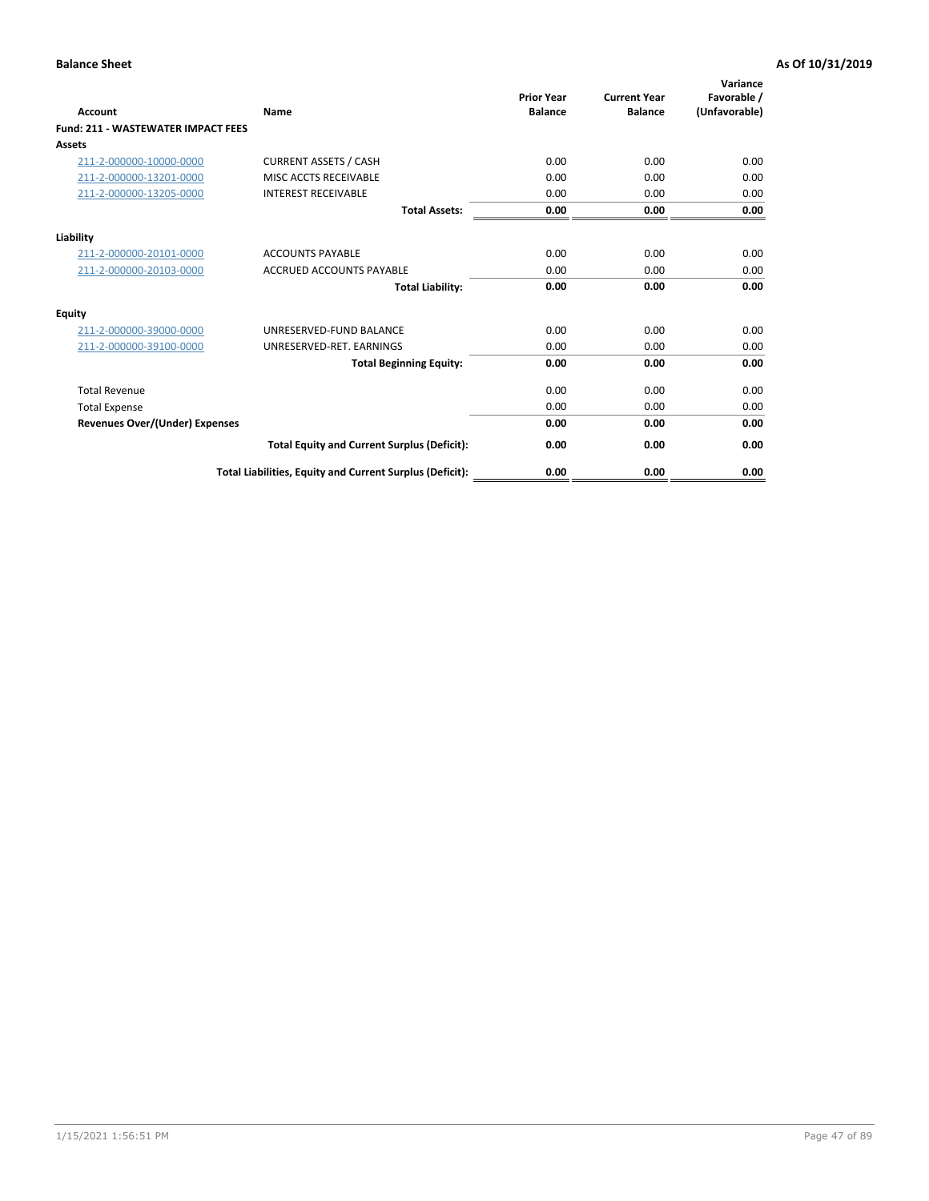| <b>Account</b>                        | <b>Name</b>                                              | <b>Prior Year</b><br><b>Balance</b> | <b>Current Year</b><br><b>Balance</b> | Variance<br>Favorable /<br>(Unfavorable) |
|---------------------------------------|----------------------------------------------------------|-------------------------------------|---------------------------------------|------------------------------------------|
| Fund: 211 - WASTEWATER IMPACT FEES    |                                                          |                                     |                                       |                                          |
| <b>Assets</b>                         |                                                          |                                     |                                       |                                          |
| 211-2-000000-10000-0000               | <b>CURRENT ASSETS / CASH</b>                             | 0.00                                | 0.00                                  | 0.00                                     |
| 211-2-000000-13201-0000               | MISC ACCTS RECEIVABLE                                    | 0.00                                | 0.00                                  | 0.00                                     |
| 211-2-000000-13205-0000               | <b>INTEREST RECEIVABLE</b>                               | 0.00                                | 0.00                                  | 0.00                                     |
|                                       | <b>Total Assets:</b>                                     | 0.00                                | 0.00                                  | 0.00                                     |
| Liability                             |                                                          |                                     |                                       |                                          |
| 211-2-000000-20101-0000               | <b>ACCOUNTS PAYABLE</b>                                  | 0.00                                | 0.00                                  | 0.00                                     |
| 211-2-000000-20103-0000               | <b>ACCRUED ACCOUNTS PAYABLE</b>                          | 0.00                                | 0.00                                  | 0.00                                     |
|                                       | <b>Total Liability:</b>                                  | 0.00                                | 0.00                                  | 0.00                                     |
| <b>Equity</b>                         |                                                          |                                     |                                       |                                          |
| 211-2-000000-39000-0000               | UNRESERVED-FUND BALANCE                                  | 0.00                                | 0.00                                  | 0.00                                     |
| 211-2-000000-39100-0000               | UNRESERVED-RET. EARNINGS                                 | 0.00                                | 0.00                                  | 0.00                                     |
|                                       | <b>Total Beginning Equity:</b>                           | 0.00                                | 0.00                                  | 0.00                                     |
| <b>Total Revenue</b>                  |                                                          | 0.00                                | 0.00                                  | 0.00                                     |
| <b>Total Expense</b>                  |                                                          | 0.00                                | 0.00                                  | 0.00                                     |
| <b>Revenues Over/(Under) Expenses</b> |                                                          | 0.00                                | 0.00                                  | 0.00                                     |
|                                       | <b>Total Equity and Current Surplus (Deficit):</b>       | 0.00                                | 0.00                                  | 0.00                                     |
|                                       | Total Liabilities, Equity and Current Surplus (Deficit): | 0.00                                | 0.00                                  | 0.00                                     |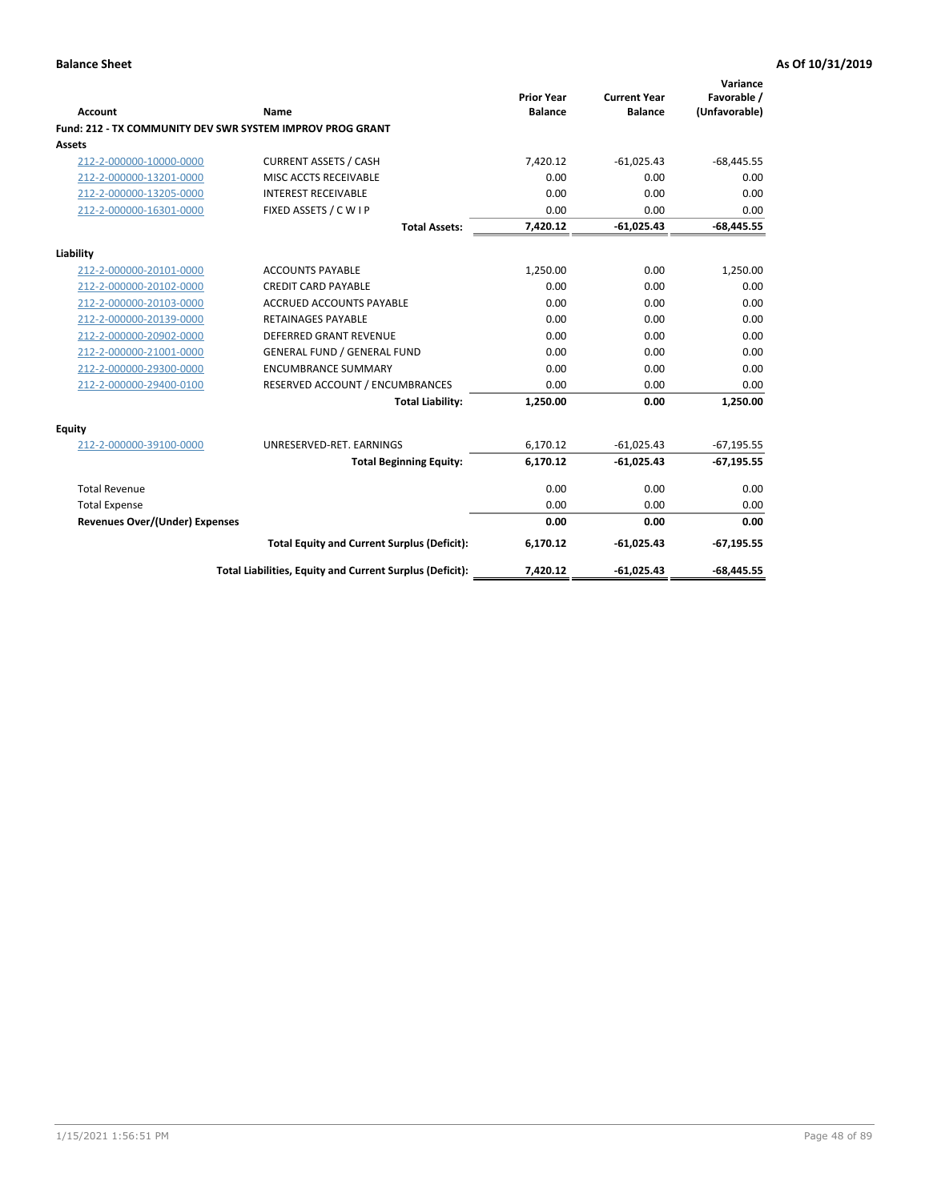| Account                               | Name                                                      | <b>Prior Year</b><br><b>Balance</b> | <b>Current Year</b><br><b>Balance</b> | Variance<br>Favorable /<br>(Unfavorable) |
|---------------------------------------|-----------------------------------------------------------|-------------------------------------|---------------------------------------|------------------------------------------|
|                                       | Fund: 212 - TX COMMUNITY DEV SWR SYSTEM IMPROV PROG GRANT |                                     |                                       |                                          |
| <b>Assets</b>                         |                                                           |                                     |                                       |                                          |
| 212-2-000000-10000-0000               | <b>CURRENT ASSETS / CASH</b>                              | 7,420.12                            | $-61,025.43$                          | $-68,445.55$                             |
| 212-2-000000-13201-0000               | MISC ACCTS RECEIVABLE                                     | 0.00                                | 0.00                                  | 0.00                                     |
| 212-2-000000-13205-0000               | <b>INTEREST RECEIVABLE</b>                                | 0.00                                | 0.00                                  | 0.00                                     |
| 212-2-000000-16301-0000               | FIXED ASSETS / C W I P                                    | 0.00                                | 0.00                                  | 0.00                                     |
|                                       | <b>Total Assets:</b>                                      | 7,420.12                            | $-61,025.43$                          | $-68,445.55$                             |
| Liability                             |                                                           |                                     |                                       |                                          |
| 212-2-000000-20101-0000               | <b>ACCOUNTS PAYABLE</b>                                   | 1,250.00                            | 0.00                                  | 1,250.00                                 |
| 212-2-000000-20102-0000               | <b>CREDIT CARD PAYABLE</b>                                | 0.00                                | 0.00                                  | 0.00                                     |
| 212-2-000000-20103-0000               | <b>ACCRUED ACCOUNTS PAYABLE</b>                           | 0.00                                | 0.00                                  | 0.00                                     |
| 212-2-000000-20139-0000               | <b>RETAINAGES PAYABLE</b>                                 | 0.00                                | 0.00                                  | 0.00                                     |
| 212-2-000000-20902-0000               | <b>DEFERRED GRANT REVENUE</b>                             | 0.00                                | 0.00                                  | 0.00                                     |
| 212-2-000000-21001-0000               | <b>GENERAL FUND / GENERAL FUND</b>                        | 0.00                                | 0.00                                  | 0.00                                     |
| 212-2-000000-29300-0000               | <b>ENCUMBRANCE SUMMARY</b>                                | 0.00                                | 0.00                                  | 0.00                                     |
| 212-2-000000-29400-0100               | RESERVED ACCOUNT / ENCUMBRANCES                           | 0.00                                | 0.00                                  | 0.00                                     |
|                                       | <b>Total Liability:</b>                                   | 1,250.00                            | 0.00                                  | 1,250.00                                 |
| <b>Equity</b>                         |                                                           |                                     |                                       |                                          |
| 212-2-000000-39100-0000               | UNRESERVED-RET. EARNINGS                                  | 6,170.12                            | $-61,025.43$                          | $-67,195.55$                             |
|                                       | <b>Total Beginning Equity:</b>                            | 6,170.12                            | $-61,025.43$                          | $-67, 195.55$                            |
| <b>Total Revenue</b>                  |                                                           | 0.00                                | 0.00                                  | 0.00                                     |
| <b>Total Expense</b>                  |                                                           | 0.00                                | 0.00                                  | 0.00                                     |
| <b>Revenues Over/(Under) Expenses</b> |                                                           | 0.00                                | 0.00                                  | 0.00                                     |
|                                       | <b>Total Equity and Current Surplus (Deficit):</b>        | 6,170.12                            | $-61,025.43$                          | $-67, 195.55$                            |
|                                       | Total Liabilities, Equity and Current Surplus (Deficit):  | 7,420.12                            | $-61,025.43$                          | $-68,445.55$                             |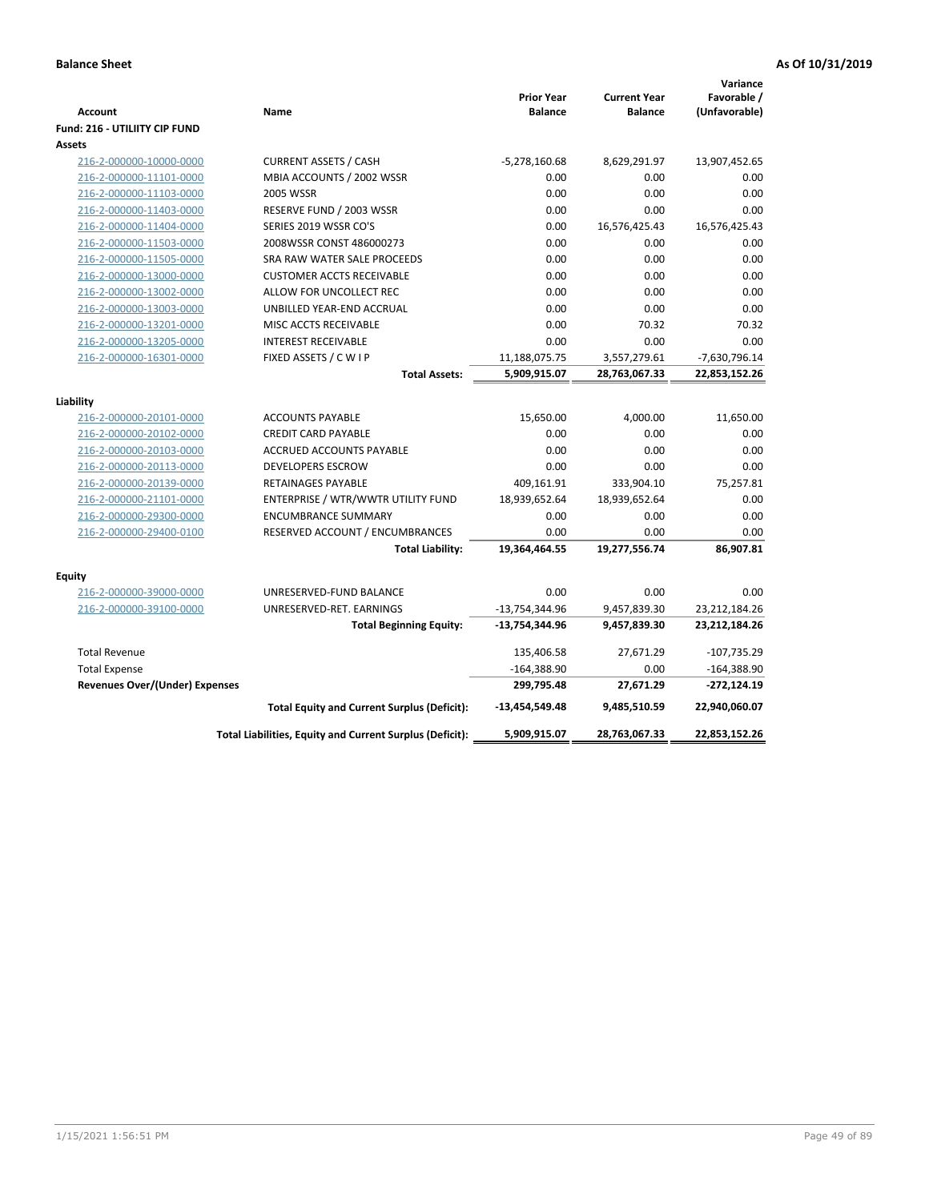| <b>Account</b><br><b>Fund: 216 - UTILIITY CIP FUND</b> | Name                                                     | <b>Prior Year</b><br><b>Balance</b> | <b>Current Year</b><br><b>Balance</b> | Variance<br>Favorable /<br>(Unfavorable) |
|--------------------------------------------------------|----------------------------------------------------------|-------------------------------------|---------------------------------------|------------------------------------------|
| Assets                                                 |                                                          |                                     |                                       |                                          |
| 216-2-000000-10000-0000                                | <b>CURRENT ASSETS / CASH</b>                             | $-5,278,160.68$                     | 8,629,291.97                          | 13,907,452.65                            |
| 216-2-000000-11101-0000                                | MBIA ACCOUNTS / 2002 WSSR                                | 0.00                                | 0.00                                  | 0.00                                     |
| 216-2-000000-11103-0000                                | <b>2005 WSSR</b>                                         | 0.00                                | 0.00                                  | 0.00                                     |
| 216-2-000000-11403-0000                                | RESERVE FUND / 2003 WSSR                                 | 0.00                                | 0.00                                  | 0.00                                     |
| 216-2-000000-11404-0000                                | SERIES 2019 WSSR CO'S                                    | 0.00                                | 16,576,425.43                         | 16,576,425.43                            |
| 216-2-000000-11503-0000                                | 2008WSSR CONST 486000273                                 | 0.00                                | 0.00                                  | 0.00                                     |
| 216-2-000000-11505-0000                                | SRA RAW WATER SALE PROCEEDS                              | 0.00                                | 0.00                                  | 0.00                                     |
| 216-2-000000-13000-0000                                | <b>CUSTOMER ACCTS RECEIVABLE</b>                         | 0.00                                | 0.00                                  | 0.00                                     |
| 216-2-000000-13002-0000                                | ALLOW FOR UNCOLLECT REC                                  | 0.00                                | 0.00                                  | 0.00                                     |
| 216-2-000000-13003-0000                                | UNBILLED YEAR-END ACCRUAL                                | 0.00                                | 0.00                                  | 0.00                                     |
| 216-2-000000-13201-0000                                | MISC ACCTS RECEIVABLE                                    | 0.00                                | 70.32                                 | 70.32                                    |
| 216-2-000000-13205-0000                                | <b>INTEREST RECEIVABLE</b>                               | 0.00                                | 0.00                                  | 0.00                                     |
| 216-2-000000-16301-0000                                | FIXED ASSETS / C W I P                                   | 11,188,075.75                       | 3,557,279.61                          | -7,630,796.14                            |
|                                                        | <b>Total Assets:</b>                                     | 5,909,915.07                        | 28,763,067.33                         | 22,853,152.26                            |
|                                                        |                                                          |                                     |                                       |                                          |
| Liability                                              |                                                          |                                     |                                       |                                          |
| 216-2-000000-20101-0000                                | <b>ACCOUNTS PAYABLE</b><br><b>CREDIT CARD PAYABLE</b>    | 15,650.00                           | 4,000.00                              | 11,650.00                                |
| 216-2-000000-20102-0000                                |                                                          | 0.00                                | 0.00                                  | 0.00<br>0.00                             |
| 216-2-000000-20103-0000                                | ACCRUED ACCOUNTS PAYABLE                                 | 0.00<br>0.00                        | 0.00<br>0.00                          | 0.00                                     |
| 216-2-000000-20113-0000                                | <b>DEVELOPERS ESCROW</b><br><b>RETAINAGES PAYABLE</b>    |                                     |                                       |                                          |
| 216-2-000000-20139-0000<br>216-2-000000-21101-0000     | ENTERPRISE / WTR/WWTR UTILITY FUND                       | 409,161.91<br>18,939,652.64         | 333,904.10<br>18,939,652.64           | 75,257.81<br>0.00                        |
| 216-2-000000-29300-0000                                | <b>ENCUMBRANCE SUMMARY</b>                               | 0.00                                | 0.00                                  | 0.00                                     |
| 216-2-000000-29400-0100                                | RESERVED ACCOUNT / ENCUMBRANCES                          | 0.00                                | 0.00                                  | 0.00                                     |
|                                                        | <b>Total Liability:</b>                                  | 19,364,464.55                       | 19,277,556.74                         | 86,907.81                                |
|                                                        |                                                          |                                     |                                       |                                          |
| Equity                                                 |                                                          |                                     |                                       |                                          |
| 216-2-000000-39000-0000                                | UNRESERVED-FUND BALANCE                                  | 0.00                                | 0.00                                  | 0.00                                     |
| 216-2-000000-39100-0000                                | UNRESERVED-RET. EARNINGS                                 | -13,754,344.96                      | 9,457,839.30                          | 23,212,184.26                            |
|                                                        | <b>Total Beginning Equity:</b>                           | -13,754,344.96                      | 9,457,839.30                          | 23,212,184.26                            |
| <b>Total Revenue</b>                                   |                                                          | 135,406.58                          | 27,671.29                             | $-107,735.29$                            |
| <b>Total Expense</b>                                   |                                                          | $-164,388.90$                       | 0.00                                  | $-164,388.90$                            |
| Revenues Over/(Under) Expenses                         |                                                          | 299,795.48                          | 27,671.29                             | $-272,124.19$                            |
|                                                        | <b>Total Equity and Current Surplus (Deficit):</b>       | -13,454,549.48                      | 9,485,510.59                          | 22,940,060.07                            |
|                                                        | Total Liabilities, Equity and Current Surplus (Deficit): | 5,909,915.07                        | 28,763,067.33                         | 22,853,152.26                            |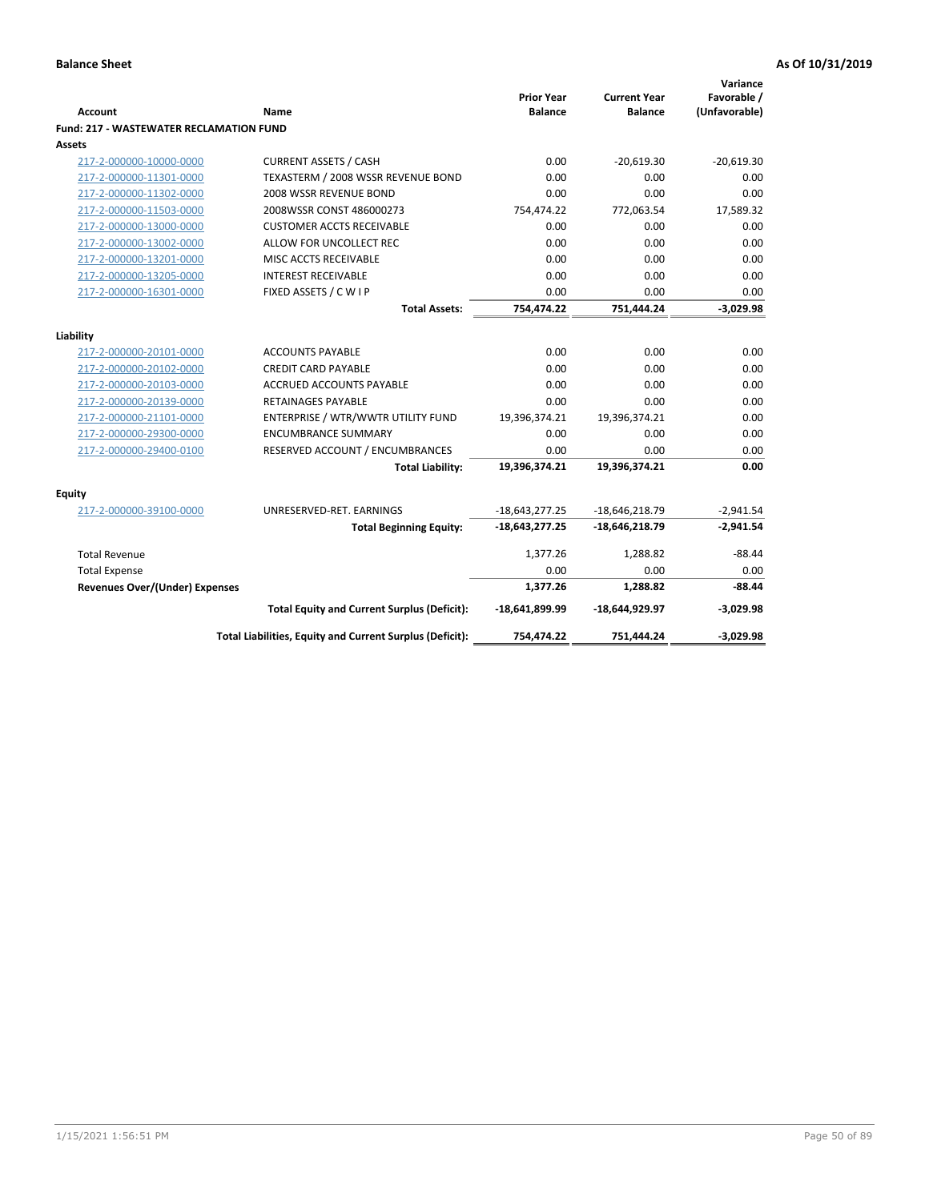| Account                                        | Name                                                     | <b>Prior Year</b><br><b>Balance</b> | <b>Current Year</b><br><b>Balance</b> | Variance<br>Favorable /<br>(Unfavorable) |
|------------------------------------------------|----------------------------------------------------------|-------------------------------------|---------------------------------------|------------------------------------------|
| <b>Fund: 217 - WASTEWATER RECLAMATION FUND</b> |                                                          |                                     |                                       |                                          |
| <b>Assets</b>                                  |                                                          |                                     |                                       |                                          |
| 217-2-000000-10000-0000                        | <b>CURRENT ASSETS / CASH</b>                             | 0.00                                | $-20,619.30$                          | $-20,619.30$                             |
| 217-2-000000-11301-0000                        | TEXASTERM / 2008 WSSR REVENUE BOND                       | 0.00                                | 0.00                                  | 0.00                                     |
| 217-2-000000-11302-0000                        | 2008 WSSR REVENUE BOND                                   | 0.00                                | 0.00                                  | 0.00                                     |
| 217-2-000000-11503-0000                        | 2008WSSR CONST 486000273                                 | 754,474.22                          | 772,063.54                            | 17,589.32                                |
| 217-2-000000-13000-0000                        | <b>CUSTOMER ACCTS RECEIVABLE</b>                         | 0.00                                | 0.00                                  | 0.00                                     |
| 217-2-000000-13002-0000                        | ALLOW FOR UNCOLLECT REC                                  | 0.00                                | 0.00                                  | 0.00                                     |
| 217-2-000000-13201-0000                        | MISC ACCTS RECEIVABLE                                    | 0.00                                | 0.00                                  | 0.00                                     |
| 217-2-000000-13205-0000                        | <b>INTEREST RECEIVABLE</b>                               | 0.00                                | 0.00                                  | 0.00                                     |
| 217-2-000000-16301-0000                        | FIXED ASSETS / C W I P                                   | 0.00                                | 0.00                                  | 0.00                                     |
|                                                | <b>Total Assets:</b>                                     | 754,474.22                          | 751,444.24                            | $-3,029.98$                              |
| Liability                                      |                                                          |                                     |                                       |                                          |
| 217-2-000000-20101-0000                        | <b>ACCOUNTS PAYABLE</b>                                  | 0.00                                | 0.00                                  | 0.00                                     |
| 217-2-000000-20102-0000                        | <b>CREDIT CARD PAYABLE</b>                               | 0.00                                | 0.00                                  | 0.00                                     |
| 217-2-000000-20103-0000                        | <b>ACCRUED ACCOUNTS PAYABLE</b>                          | 0.00                                | 0.00                                  | 0.00                                     |
| 217-2-000000-20139-0000                        | RETAINAGES PAYABLE                                       | 0.00                                | 0.00                                  | 0.00                                     |
| 217-2-000000-21101-0000                        | ENTERPRISE / WTR/WWTR UTILITY FUND                       | 19,396,374.21                       | 19,396,374.21                         | 0.00                                     |
| 217-2-000000-29300-0000                        | <b>ENCUMBRANCE SUMMARY</b>                               | 0.00                                | 0.00                                  | 0.00                                     |
| 217-2-000000-29400-0100                        | RESERVED ACCOUNT / ENCUMBRANCES                          | 0.00                                | 0.00                                  | 0.00                                     |
|                                                | <b>Total Liability:</b>                                  | 19,396,374.21                       | 19,396,374.21                         | 0.00                                     |
|                                                |                                                          |                                     |                                       |                                          |
| <b>Equity</b>                                  |                                                          |                                     |                                       |                                          |
| 217-2-000000-39100-0000                        | UNRESERVED-RET. EARNINGS                                 | $-18,643,277.25$                    | $-18,646,218.79$                      | $-2,941.54$                              |
|                                                | <b>Total Beginning Equity:</b>                           | $-18,643,277.25$                    | $-18,646,218.79$                      | $-2,941.54$                              |
| <b>Total Revenue</b>                           |                                                          | 1,377.26                            | 1,288.82                              | $-88.44$                                 |
| <b>Total Expense</b>                           |                                                          | 0.00                                | 0.00                                  | 0.00                                     |
| <b>Revenues Over/(Under) Expenses</b>          |                                                          | 1,377.26                            | 1,288.82                              | $-88.44$                                 |
|                                                | <b>Total Equity and Current Surplus (Deficit):</b>       | -18,641,899.99                      | -18,644,929.97                        | $-3,029.98$                              |
|                                                | Total Liabilities, Equity and Current Surplus (Deficit): | 754,474.22                          | 751,444.24                            | $-3,029.98$                              |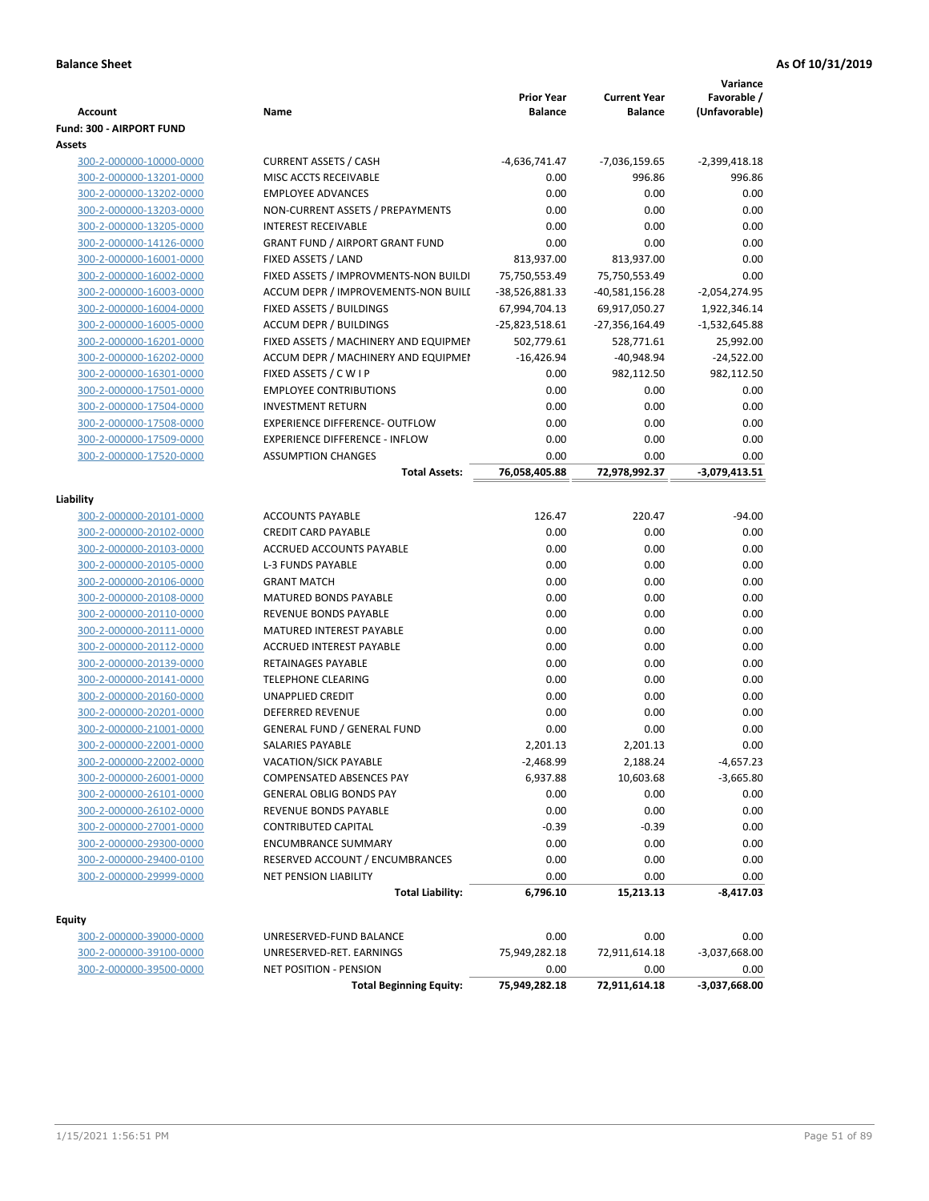|                                                    |                                                                              | <b>Prior Year</b>               | <b>Current Year</b>             | Variance<br>Favorable /         |
|----------------------------------------------------|------------------------------------------------------------------------------|---------------------------------|---------------------------------|---------------------------------|
| Account                                            | Name                                                                         | <b>Balance</b>                  | <b>Balance</b>                  | (Unfavorable)                   |
| Fund: 300 - AIRPORT FUND                           |                                                                              |                                 |                                 |                                 |
| Assets<br>300-2-000000-10000-0000                  |                                                                              |                                 |                                 |                                 |
| 300-2-000000-13201-0000                            | <b>CURRENT ASSETS / CASH</b><br>MISC ACCTS RECEIVABLE                        | -4,636,741.47                   | -7,036,159.65                   | $-2,399,418.18$<br>996.86       |
|                                                    | <b>EMPLOYEE ADVANCES</b>                                                     | 0.00<br>0.00                    | 996.86<br>0.00                  | 0.00                            |
| 300-2-000000-13202-0000                            |                                                                              | 0.00                            | 0.00                            | 0.00                            |
| 300-2-000000-13203-0000<br>300-2-000000-13205-0000 | NON-CURRENT ASSETS / PREPAYMENTS<br><b>INTEREST RECEIVABLE</b>               | 0.00                            | 0.00                            | 0.00                            |
| 300-2-000000-14126-0000                            | <b>GRANT FUND / AIRPORT GRANT FUND</b>                                       | 0.00                            | 0.00                            | 0.00                            |
| 300-2-000000-16001-0000                            | FIXED ASSETS / LAND                                                          | 813,937.00                      | 813,937.00                      | 0.00                            |
| 300-2-000000-16002-0000                            |                                                                              |                                 |                                 | 0.00                            |
|                                                    | FIXED ASSETS / IMPROVMENTS-NON BUILDI<br>ACCUM DEPR / IMPROVEMENTS-NON BUILL | 75,750,553.49                   | 75,750,553.49                   |                                 |
| 300-2-000000-16003-0000<br>300-2-000000-16004-0000 | FIXED ASSETS / BUILDINGS                                                     | -38,526,881.33<br>67,994,704.13 | -40,581,156.28<br>69,917,050.27 | $-2,054,274.95$<br>1,922,346.14 |
|                                                    | <b>ACCUM DEPR / BUILDINGS</b>                                                |                                 |                                 |                                 |
| 300-2-000000-16005-0000                            | FIXED ASSETS / MACHINERY AND EQUIPMEN                                        | -25,823,518.61<br>502,779.61    | -27,356,164.49                  | $-1,532,645.88$<br>25,992.00    |
| 300-2-000000-16201-0000<br>300-2-000000-16202-0000 | ACCUM DEPR / MACHINERY AND EQUIPMEI                                          | $-16,426.94$                    | 528,771.61<br>$-40,948.94$      | $-24,522.00$                    |
|                                                    |                                                                              | 0.00                            |                                 |                                 |
| 300-2-000000-16301-0000<br>300-2-000000-17501-0000 | FIXED ASSETS / C W I P<br><b>EMPLOYEE CONTRIBUTIONS</b>                      | 0.00                            | 982,112.50<br>0.00              | 982,112.50<br>0.00              |
| 300-2-000000-17504-0000                            | <b>INVESTMENT RETURN</b>                                                     | 0.00                            | 0.00                            | 0.00                            |
|                                                    | EXPERIENCE DIFFERENCE- OUTFLOW                                               | 0.00                            |                                 |                                 |
| 300-2-000000-17508-0000                            | <b>EXPERIENCE DIFFERENCE - INFLOW</b>                                        |                                 | 0.00                            | 0.00<br>0.00                    |
| 300-2-000000-17509-0000                            | <b>ASSUMPTION CHANGES</b>                                                    | 0.00                            | 0.00                            |                                 |
| 300-2-000000-17520-0000                            |                                                                              | 0.00<br>76,058,405.88           | 0.00<br>72,978,992.37           | 0.00<br>$-3,079,413.51$         |
|                                                    | <b>Total Assets:</b>                                                         |                                 |                                 |                                 |
| Liability                                          |                                                                              |                                 |                                 |                                 |
| 300-2-000000-20101-0000                            | <b>ACCOUNTS PAYABLE</b>                                                      | 126.47                          | 220.47                          | $-94.00$                        |
| 300-2-000000-20102-0000                            | <b>CREDIT CARD PAYABLE</b>                                                   | 0.00                            | 0.00                            | 0.00                            |
| 300-2-000000-20103-0000                            | ACCRUED ACCOUNTS PAYABLE                                                     | 0.00                            | 0.00                            | 0.00                            |
| 300-2-000000-20105-0000                            | <b>L-3 FUNDS PAYABLE</b>                                                     | 0.00                            | 0.00                            | 0.00                            |
| 300-2-000000-20106-0000                            | <b>GRANT MATCH</b>                                                           | 0.00                            | 0.00                            | 0.00                            |
| 300-2-000000-20108-0000                            | MATURED BONDS PAYABLE                                                        | 0.00                            | 0.00                            | 0.00                            |
| 300-2-000000-20110-0000                            | REVENUE BONDS PAYABLE                                                        | 0.00                            | 0.00                            | 0.00                            |
| 300-2-000000-20111-0000                            | MATURED INTEREST PAYABLE                                                     | 0.00                            | 0.00                            | 0.00                            |
| 300-2-000000-20112-0000                            | ACCRUED INTEREST PAYABLE                                                     | 0.00                            | 0.00                            | 0.00                            |
| 300-2-000000-20139-0000                            | RETAINAGES PAYABLE                                                           | 0.00                            | 0.00                            | 0.00                            |
| 300-2-000000-20141-0000                            | <b>TELEPHONE CLEARING</b>                                                    | 0.00                            | 0.00                            | 0.00                            |
| 300-2-000000-20160-0000                            | <b>UNAPPLIED CREDIT</b>                                                      | 0.00                            | 0.00                            | 0.00                            |
| 300-2-000000-20201-0000                            | <b>DEFERRED REVENUE</b>                                                      | 0.00                            | 0.00                            | 0.00                            |
| 300-2-000000-21001-0000                            | <b>GENERAL FUND / GENERAL FUND</b>                                           | 0.00                            | 0.00                            | 0.00                            |
| 300-2-000000-22001-0000                            | SALARIES PAYABLE                                                             | 2,201.13                        | 2,201.13                        | 0.00                            |
| 300-2-000000-22002-0000                            | VACATION/SICK PAYABLE                                                        | $-2,468.99$                     | 2,188.24                        | $-4,657.23$                     |
| 300-2-000000-26001-0000                            | COMPENSATED ABSENCES PAY                                                     | 6,937.88                        | 10,603.68                       | $-3,665.80$                     |
| 300-2-000000-26101-0000                            | <b>GENERAL OBLIG BONDS PAY</b>                                               | 0.00                            | 0.00                            | 0.00                            |
| 300-2-000000-26102-0000                            | REVENUE BONDS PAYABLE                                                        | 0.00                            | 0.00                            | 0.00                            |
| 300-2-000000-27001-0000                            | <b>CONTRIBUTED CAPITAL</b>                                                   | $-0.39$                         | $-0.39$                         | 0.00                            |
| 300-2-000000-29300-0000                            | <b>ENCUMBRANCE SUMMARY</b>                                                   | 0.00                            | 0.00                            | 0.00                            |
| 300-2-000000-29400-0100                            | RESERVED ACCOUNT / ENCUMBRANCES                                              | 0.00                            | 0.00                            | 0.00                            |
| 300-2-000000-29999-0000                            | NET PENSION LIABILITY                                                        | 0.00                            | 0.00                            | 0.00                            |
|                                                    | <b>Total Liability:</b>                                                      | 6,796.10                        | 15,213.13                       | $-8,417.03$                     |
|                                                    |                                                                              |                                 |                                 |                                 |
| Equity                                             |                                                                              |                                 |                                 |                                 |
| 300-2-000000-39000-0000                            | UNRESERVED-FUND BALANCE                                                      | 0.00                            | 0.00                            | 0.00                            |
| 300-2-000000-39100-0000                            | UNRESERVED-RET. EARNINGS                                                     | 75,949,282.18                   | 72,911,614.18                   | $-3,037,668.00$                 |
| 300-2-000000-39500-0000                            | NET POSITION - PENSION                                                       | 0.00                            | 0.00                            | 0.00                            |
|                                                    | <b>Total Beginning Equity:</b>                                               | 75,949,282.18                   | 72,911,614.18                   | $-3,037,668.00$                 |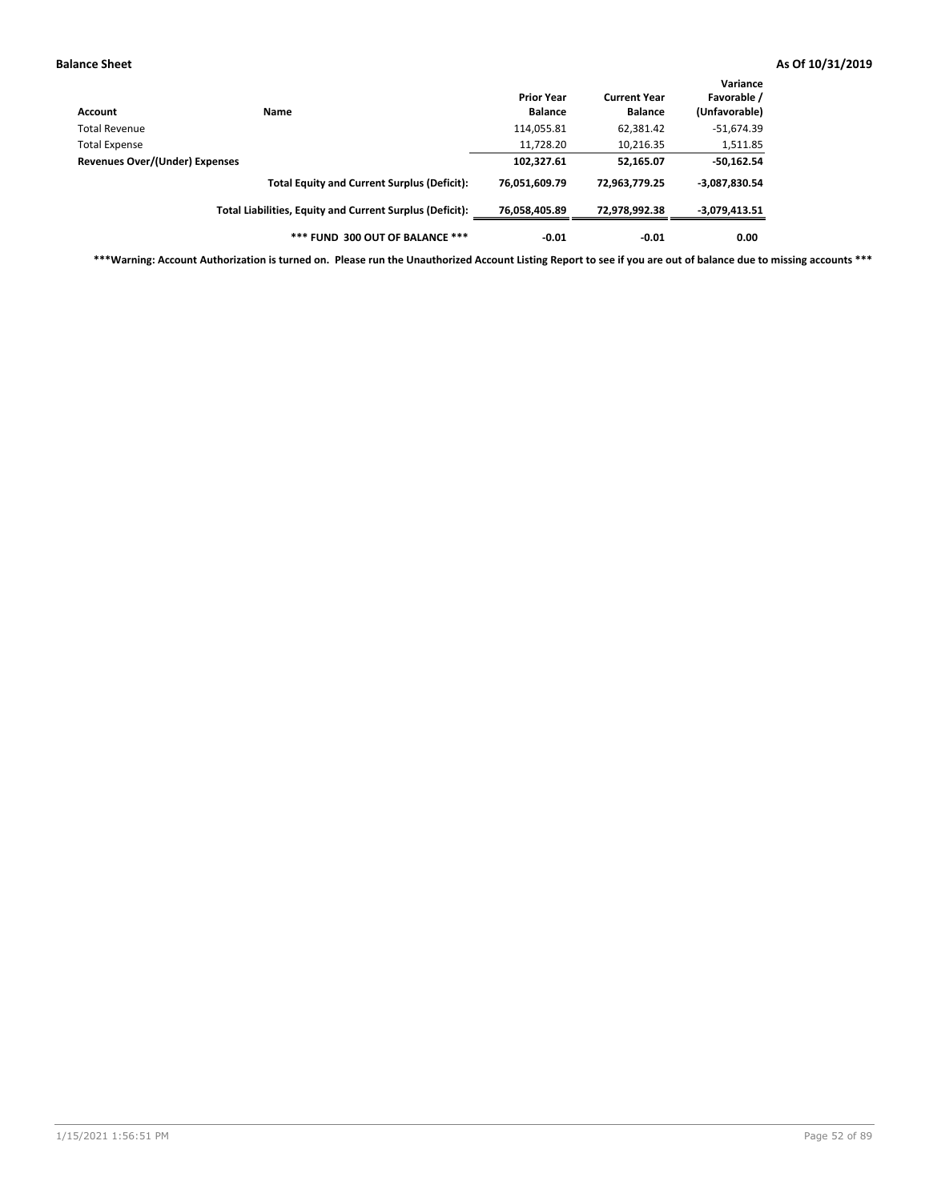| Account                        | <b>Name</b>                                              | <b>Prior Year</b><br><b>Balance</b> | <b>Current Year</b><br><b>Balance</b> | Variance<br>Favorable /<br>(Unfavorable) |
|--------------------------------|----------------------------------------------------------|-------------------------------------|---------------------------------------|------------------------------------------|
| Total Revenue                  |                                                          | 114,055.81                          | 62,381.42                             | $-51,674.39$                             |
| <b>Total Expense</b>           |                                                          | 11,728.20                           | 10,216.35                             | 1,511.85                                 |
| Revenues Over/(Under) Expenses | 102,327.61                                               | 52,165.07                           | $-50,162.54$                          |                                          |
|                                | <b>Total Equity and Current Surplus (Deficit):</b>       | 76,051,609.79                       | 72,963,779.25                         | $-3,087,830.54$                          |
|                                | Total Liabilities, Equity and Current Surplus (Deficit): | 76,058,405.89                       | 72,978,992.38                         | $-3,079,413.51$                          |
|                                | *** FUND 300 OUT OF BALANCE ***                          | $-0.01$                             | $-0.01$                               | 0.00                                     |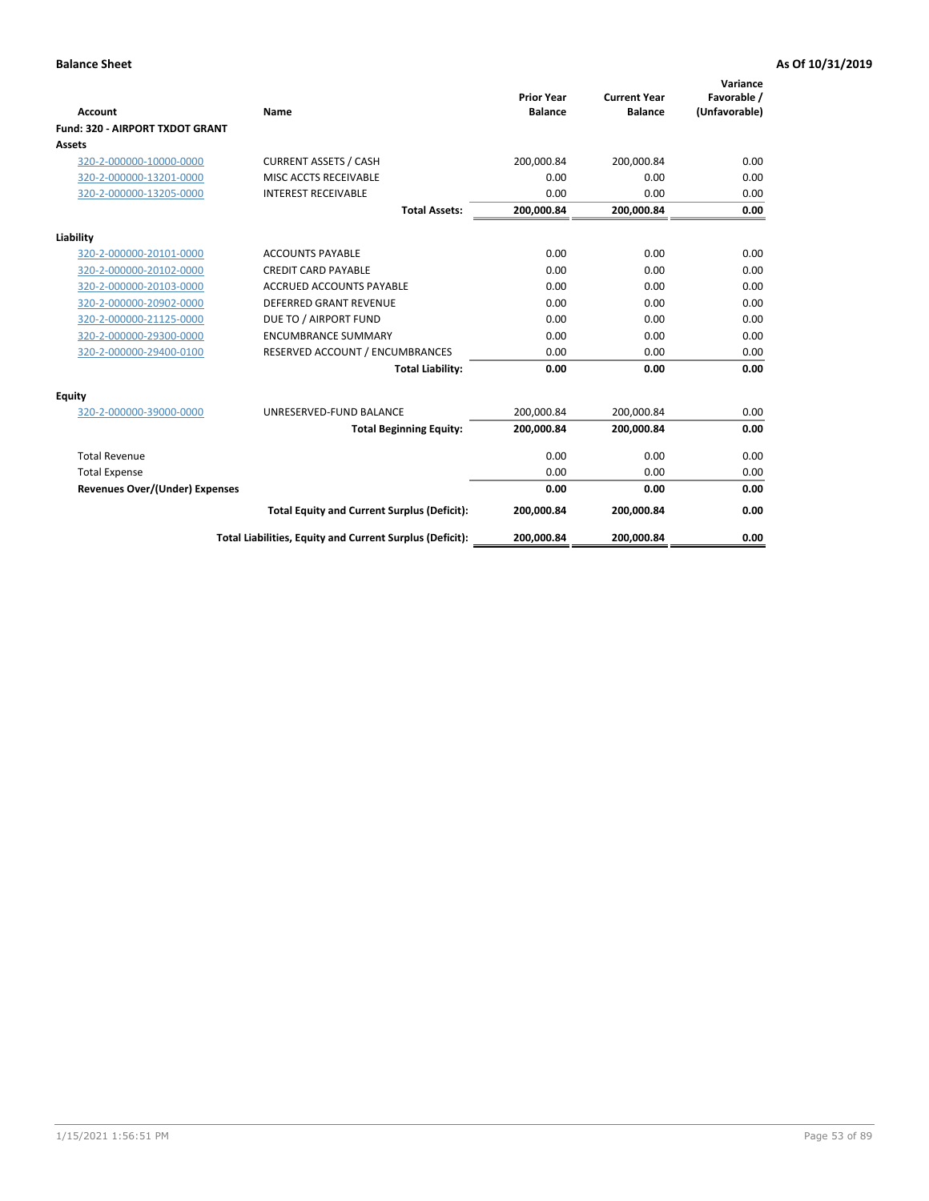|                                       |                                                          | <b>Prior Year</b> | <b>Current Year</b> | Variance<br>Favorable / |
|---------------------------------------|----------------------------------------------------------|-------------------|---------------------|-------------------------|
| <b>Account</b>                        | Name                                                     | <b>Balance</b>    | <b>Balance</b>      | (Unfavorable)           |
| Fund: 320 - AIRPORT TXDOT GRANT       |                                                          |                   |                     |                         |
| <b>Assets</b>                         |                                                          |                   |                     |                         |
| 320-2-000000-10000-0000               | <b>CURRENT ASSETS / CASH</b>                             | 200,000.84        | 200,000.84          | 0.00                    |
| 320-2-000000-13201-0000               | MISC ACCTS RECEIVABLE                                    | 0.00              | 0.00                | 0.00                    |
| 320-2-000000-13205-0000               | <b>INTEREST RECEIVABLE</b>                               | 0.00              | 0.00                | 0.00                    |
|                                       | <b>Total Assets:</b>                                     | 200,000.84        | 200,000.84          | 0.00                    |
| Liability                             |                                                          |                   |                     |                         |
| 320-2-000000-20101-0000               | <b>ACCOUNTS PAYABLE</b>                                  | 0.00              | 0.00                | 0.00                    |
| 320-2-000000-20102-0000               | <b>CREDIT CARD PAYABLE</b>                               | 0.00              | 0.00                | 0.00                    |
| 320-2-000000-20103-0000               | <b>ACCRUED ACCOUNTS PAYABLE</b>                          | 0.00              | 0.00                | 0.00                    |
| 320-2-000000-20902-0000               | <b>DEFERRED GRANT REVENUE</b>                            | 0.00              | 0.00                | 0.00                    |
| 320-2-000000-21125-0000               | DUE TO / AIRPORT FUND                                    | 0.00              | 0.00                | 0.00                    |
| 320-2-000000-29300-0000               | <b>ENCUMBRANCE SUMMARY</b>                               | 0.00              | 0.00                | 0.00                    |
| 320-2-000000-29400-0100               | RESERVED ACCOUNT / ENCUMBRANCES                          | 0.00              | 0.00                | 0.00                    |
|                                       | <b>Total Liability:</b>                                  | 0.00              | 0.00                | 0.00                    |
| <b>Equity</b>                         |                                                          |                   |                     |                         |
| 320-2-000000-39000-0000               | UNRESERVED-FUND BALANCE                                  | 200,000.84        | 200,000.84          | 0.00                    |
|                                       | <b>Total Beginning Equity:</b>                           | 200,000.84        | 200,000.84          | 0.00                    |
| <b>Total Revenue</b>                  |                                                          | 0.00              | 0.00                | 0.00                    |
| <b>Total Expense</b>                  |                                                          | 0.00              | 0.00                | 0.00                    |
| <b>Revenues Over/(Under) Expenses</b> |                                                          | 0.00              | 0.00                | 0.00                    |
|                                       | <b>Total Equity and Current Surplus (Deficit):</b>       | 200,000.84        | 200,000.84          | 0.00                    |
|                                       | Total Liabilities, Equity and Current Surplus (Deficit): | 200,000.84        | 200,000.84          | 0.00                    |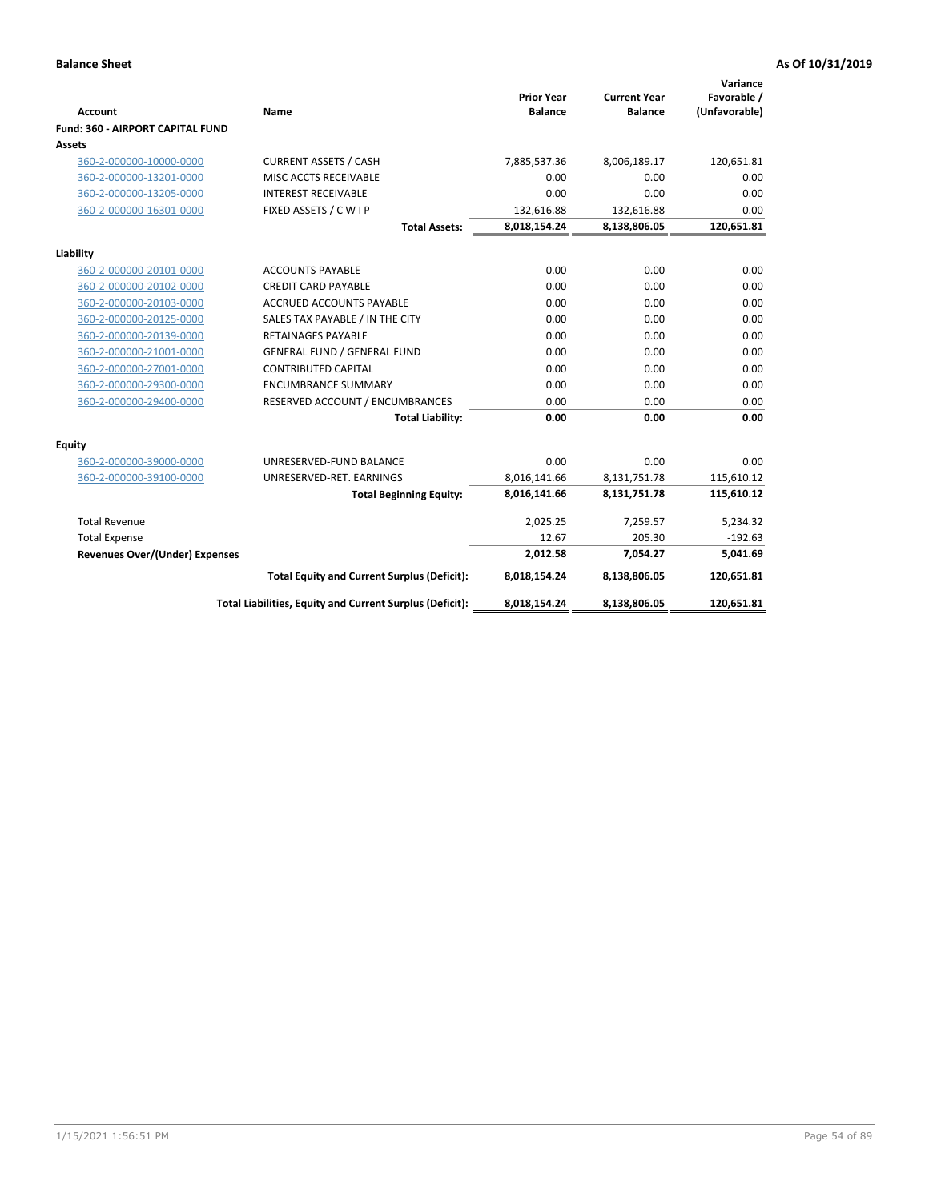|                                         |                                                          |                                     |                                       | Variance                     |
|-----------------------------------------|----------------------------------------------------------|-------------------------------------|---------------------------------------|------------------------------|
| Account                                 | <b>Name</b>                                              | <b>Prior Year</b><br><b>Balance</b> | <b>Current Year</b><br><b>Balance</b> | Favorable /<br>(Unfavorable) |
| <b>Fund: 360 - AIRPORT CAPITAL FUND</b> |                                                          |                                     |                                       |                              |
| Assets                                  |                                                          |                                     |                                       |                              |
| 360-2-000000-10000-0000                 | <b>CURRENT ASSETS / CASH</b>                             | 7,885,537.36                        | 8,006,189.17                          | 120,651.81                   |
| 360-2-000000-13201-0000                 | MISC ACCTS RECEIVABLE                                    | 0.00                                | 0.00                                  | 0.00                         |
| 360-2-000000-13205-0000                 | <b>INTEREST RECEIVABLE</b>                               | 0.00                                | 0.00                                  | 0.00                         |
| 360-2-000000-16301-0000                 | FIXED ASSETS / C W I P                                   | 132,616.88                          | 132,616.88                            | 0.00                         |
|                                         | <b>Total Assets:</b>                                     | 8,018,154.24                        | 8,138,806.05                          | 120,651.81                   |
| Liability                               |                                                          |                                     |                                       |                              |
| 360-2-000000-20101-0000                 | <b>ACCOUNTS PAYABLE</b>                                  | 0.00                                | 0.00                                  | 0.00                         |
| 360-2-000000-20102-0000                 | <b>CREDIT CARD PAYABLE</b>                               | 0.00                                | 0.00                                  | 0.00                         |
| 360-2-000000-20103-0000                 | <b>ACCRUED ACCOUNTS PAYABLE</b>                          | 0.00                                | 0.00                                  | 0.00                         |
| 360-2-000000-20125-0000                 | SALES TAX PAYABLE / IN THE CITY                          | 0.00                                | 0.00                                  | 0.00                         |
| 360-2-000000-20139-0000                 | <b>RETAINAGES PAYABLE</b>                                | 0.00                                | 0.00                                  | 0.00                         |
| 360-2-000000-21001-0000                 | <b>GENERAL FUND / GENERAL FUND</b>                       | 0.00                                | 0.00                                  | 0.00                         |
| 360-2-000000-27001-0000                 | <b>CONTRIBUTED CAPITAL</b>                               | 0.00                                | 0.00                                  | 0.00                         |
| 360-2-000000-29300-0000                 | <b>ENCUMBRANCE SUMMARY</b>                               | 0.00                                | 0.00                                  | 0.00                         |
| 360-2-000000-29400-0000                 | RESERVED ACCOUNT / ENCUMBRANCES                          | 0.00                                | 0.00                                  | 0.00                         |
|                                         | <b>Total Liability:</b>                                  | 0.00                                | 0.00                                  | 0.00                         |
| Equity                                  |                                                          |                                     |                                       |                              |
| 360-2-000000-39000-0000                 | UNRESERVED-FUND BALANCE                                  | 0.00                                | 0.00                                  | 0.00                         |
| 360-2-000000-39100-0000                 | UNRESERVED-RET. EARNINGS                                 | 8,016,141.66                        | 8,131,751.78                          | 115,610.12                   |
|                                         | <b>Total Beginning Equity:</b>                           | 8,016,141.66                        | 8,131,751.78                          | 115,610.12                   |
| <b>Total Revenue</b>                    |                                                          | 2,025.25                            | 7,259.57                              | 5,234.32                     |
| <b>Total Expense</b>                    |                                                          | 12.67                               | 205.30                                | $-192.63$                    |
| <b>Revenues Over/(Under) Expenses</b>   |                                                          | 2,012.58                            | 7,054.27                              | 5,041.69                     |
|                                         | <b>Total Equity and Current Surplus (Deficit):</b>       | 8,018,154.24                        | 8,138,806.05                          | 120,651.81                   |
|                                         | Total Liabilities, Equity and Current Surplus (Deficit): | 8,018,154.24                        | 8,138,806.05                          | 120,651.81                   |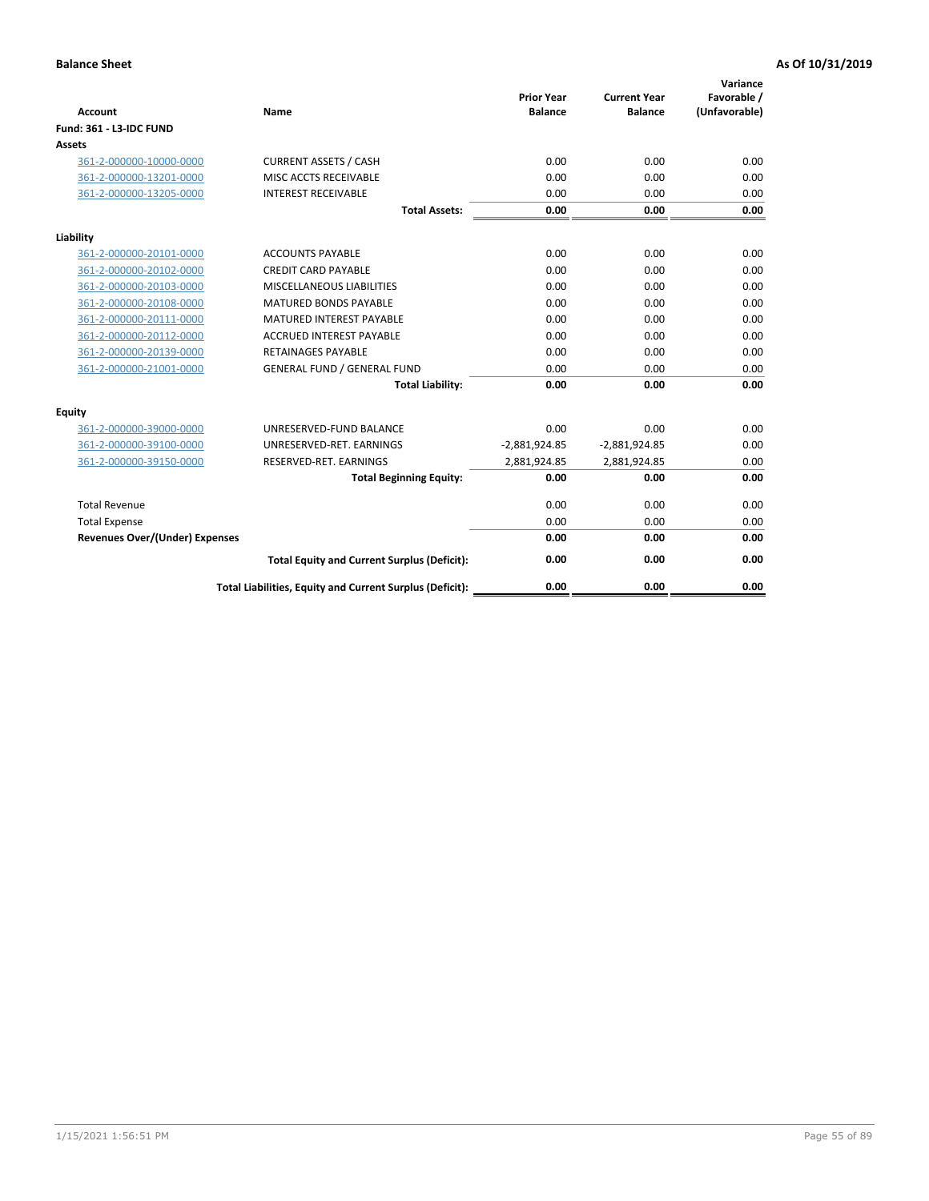| <b>Account</b>                        | Name                                                     | <b>Prior Year</b><br><b>Balance</b> | <b>Current Year</b><br><b>Balance</b> | Variance<br>Favorable /<br>(Unfavorable) |
|---------------------------------------|----------------------------------------------------------|-------------------------------------|---------------------------------------|------------------------------------------|
| Fund: 361 - L3-IDC FUND               |                                                          |                                     |                                       |                                          |
| <b>Assets</b>                         |                                                          |                                     |                                       |                                          |
| 361-2-000000-10000-0000               | <b>CURRENT ASSETS / CASH</b>                             | 0.00                                | 0.00                                  | 0.00                                     |
| 361-2-000000-13201-0000               | MISC ACCTS RECEIVABLE                                    | 0.00                                | 0.00                                  | 0.00                                     |
| 361-2-000000-13205-0000               | <b>INTEREST RECEIVABLE</b>                               | 0.00                                | 0.00                                  | 0.00                                     |
|                                       | <b>Total Assets:</b>                                     | 0.00                                | 0.00                                  | 0.00                                     |
| Liability                             |                                                          |                                     |                                       |                                          |
| 361-2-000000-20101-0000               | <b>ACCOUNTS PAYABLE</b>                                  | 0.00                                | 0.00                                  | 0.00                                     |
| 361-2-000000-20102-0000               | <b>CREDIT CARD PAYABLE</b>                               | 0.00                                | 0.00                                  | 0.00                                     |
| 361-2-000000-20103-0000               | MISCELLANEOUS LIABILITIES                                | 0.00                                | 0.00                                  | 0.00                                     |
| 361-2-000000-20108-0000               | <b>MATURED BONDS PAYABLE</b>                             | 0.00                                | 0.00                                  | 0.00                                     |
| 361-2-000000-20111-0000               | <b>MATURED INTEREST PAYABLE</b>                          | 0.00                                | 0.00                                  | 0.00                                     |
| 361-2-000000-20112-0000               | <b>ACCRUED INTEREST PAYABLE</b>                          | 0.00                                | 0.00                                  | 0.00                                     |
| 361-2-000000-20139-0000               | <b>RETAINAGES PAYABLE</b>                                | 0.00                                | 0.00                                  | 0.00                                     |
| 361-2-000000-21001-0000               | <b>GENERAL FUND / GENERAL FUND</b>                       | 0.00                                | 0.00                                  | 0.00                                     |
|                                       | <b>Total Liability:</b>                                  | 0.00                                | 0.00                                  | 0.00                                     |
| Equity                                |                                                          |                                     |                                       |                                          |
| 361-2-000000-39000-0000               | UNRESERVED-FUND BALANCE                                  | 0.00                                | 0.00                                  | 0.00                                     |
| 361-2-000000-39100-0000               | UNRESERVED-RET. EARNINGS                                 | $-2,881,924.85$                     | $-2,881,924.85$                       | 0.00                                     |
| 361-2-000000-39150-0000               | RESERVED-RET. EARNINGS                                   | 2,881,924.85                        | 2,881,924.85                          | 0.00                                     |
|                                       | <b>Total Beginning Equity:</b>                           | 0.00                                | 0.00                                  | 0.00                                     |
| <b>Total Revenue</b>                  |                                                          | 0.00                                | 0.00                                  | 0.00                                     |
| <b>Total Expense</b>                  |                                                          | 0.00                                | 0.00                                  | 0.00                                     |
| <b>Revenues Over/(Under) Expenses</b> |                                                          | 0.00                                | 0.00                                  | 0.00                                     |
|                                       | <b>Total Equity and Current Surplus (Deficit):</b>       | 0.00                                | 0.00                                  | 0.00                                     |
|                                       | Total Liabilities, Equity and Current Surplus (Deficit): | 0.00                                | 0.00                                  | 0.00                                     |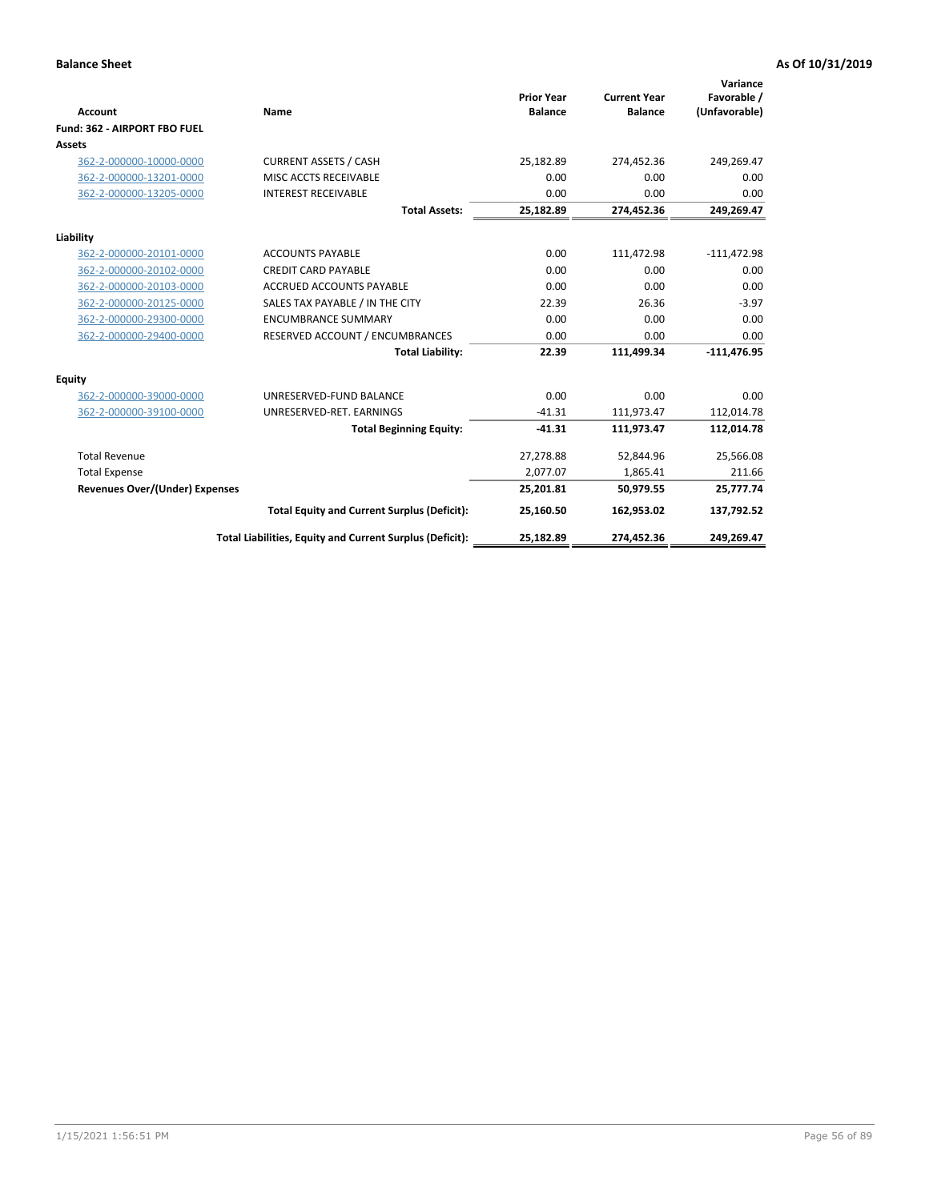|                                       |                                                          |                                     |                                       | Variance                     |
|---------------------------------------|----------------------------------------------------------|-------------------------------------|---------------------------------------|------------------------------|
| <b>Account</b>                        | <b>Name</b>                                              | <b>Prior Year</b><br><b>Balance</b> | <b>Current Year</b><br><b>Balance</b> | Favorable /<br>(Unfavorable) |
| Fund: 362 - AIRPORT FBO FUEL          |                                                          |                                     |                                       |                              |
| <b>Assets</b>                         |                                                          |                                     |                                       |                              |
| 362-2-000000-10000-0000               | <b>CURRENT ASSETS / CASH</b>                             | 25,182.89                           | 274,452.36                            | 249,269.47                   |
| 362-2-000000-13201-0000               | MISC ACCTS RECEIVABLE                                    | 0.00                                | 0.00                                  | 0.00                         |
| 362-2-000000-13205-0000               | <b>INTEREST RECEIVABLE</b>                               | 0.00                                | 0.00                                  | 0.00                         |
|                                       | <b>Total Assets:</b>                                     | 25,182.89                           | 274,452.36                            | 249,269.47                   |
| Liability                             |                                                          |                                     |                                       |                              |
| 362-2-000000-20101-0000               | <b>ACCOUNTS PAYABLE</b>                                  | 0.00                                | 111,472.98                            | $-111,472.98$                |
| 362-2-000000-20102-0000               | <b>CREDIT CARD PAYABLE</b>                               | 0.00                                | 0.00                                  | 0.00                         |
| 362-2-000000-20103-0000               | <b>ACCRUED ACCOUNTS PAYABLE</b>                          | 0.00                                | 0.00                                  | 0.00                         |
| 362-2-000000-20125-0000               | SALES TAX PAYABLE / IN THE CITY                          | 22.39                               | 26.36                                 | $-3.97$                      |
| 362-2-000000-29300-0000               | <b>ENCUMBRANCE SUMMARY</b>                               | 0.00                                | 0.00                                  | 0.00                         |
| 362-2-000000-29400-0000               | RESERVED ACCOUNT / ENCUMBRANCES                          | 0.00                                | 0.00                                  | 0.00                         |
|                                       | <b>Total Liability:</b>                                  | 22.39                               | 111.499.34                            | $-111,476.95$                |
| <b>Equity</b>                         |                                                          |                                     |                                       |                              |
| 362-2-000000-39000-0000               | UNRESERVED-FUND BALANCE                                  | 0.00                                | 0.00                                  | 0.00                         |
| 362-2-000000-39100-0000               | UNRESERVED-RET. EARNINGS                                 | $-41.31$                            | 111,973.47                            | 112,014.78                   |
|                                       | <b>Total Beginning Equity:</b>                           | $-41.31$                            | 111,973.47                            | 112,014.78                   |
| <b>Total Revenue</b>                  |                                                          | 27,278.88                           | 52,844.96                             | 25,566.08                    |
| <b>Total Expense</b>                  |                                                          | 2,077.07                            | 1,865.41                              | 211.66                       |
| <b>Revenues Over/(Under) Expenses</b> |                                                          | 25,201.81                           | 50,979.55                             | 25,777.74                    |
|                                       | <b>Total Equity and Current Surplus (Deficit):</b>       | 25,160.50                           | 162,953.02                            | 137,792.52                   |
|                                       | Total Liabilities, Equity and Current Surplus (Deficit): | 25,182.89                           | 274,452.36                            | 249,269.47                   |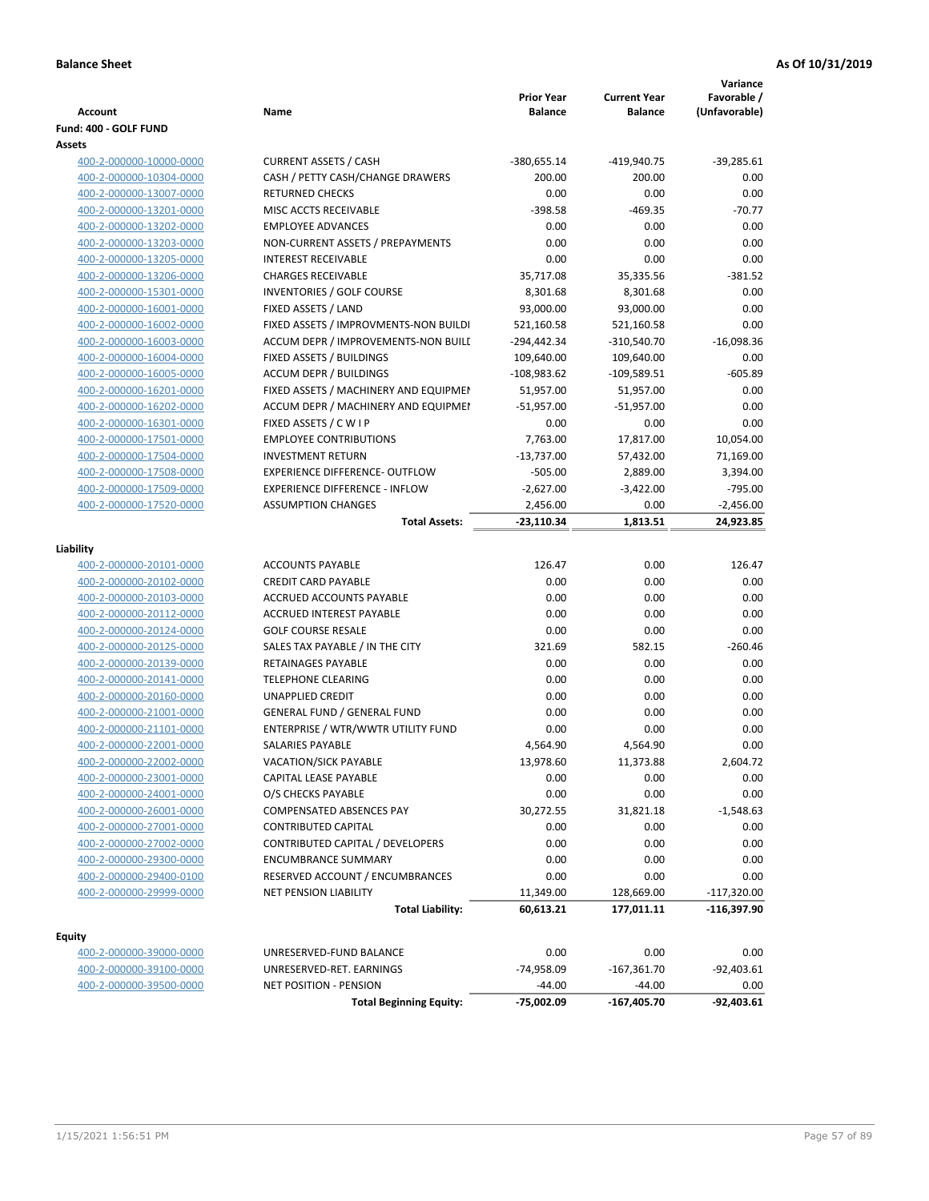| Account                                            | Name                                                                     | <b>Prior Year</b><br><b>Balance</b> | <b>Current Year</b><br><b>Balance</b> | Variance<br>Favorable /<br>(Unfavorable) |
|----------------------------------------------------|--------------------------------------------------------------------------|-------------------------------------|---------------------------------------|------------------------------------------|
| Fund: 400 - GOLF FUND                              |                                                                          |                                     |                                       |                                          |
| Assets                                             |                                                                          |                                     |                                       |                                          |
| 400-2-000000-10000-0000                            | <b>CURRENT ASSETS / CASH</b>                                             | $-380,655.14$                       | -419,940.75                           | $-39,285.61$                             |
| 400-2-000000-10304-0000                            | CASH / PETTY CASH/CHANGE DRAWERS                                         | 200.00                              | 200.00                                | 0.00                                     |
| 400-2-000000-13007-0000                            | <b>RETURNED CHECKS</b>                                                   | 0.00                                | 0.00                                  | 0.00                                     |
| 400-2-000000-13201-0000                            | MISC ACCTS RECEIVABLE                                                    | $-398.58$                           | $-469.35$                             | $-70.77$                                 |
| 400-2-000000-13202-0000                            | <b>EMPLOYEE ADVANCES</b>                                                 | 0.00                                | 0.00                                  | 0.00                                     |
| 400-2-000000-13203-0000                            | NON-CURRENT ASSETS / PREPAYMENTS                                         | 0.00                                | 0.00                                  | 0.00                                     |
| 400-2-000000-13205-0000                            | <b>INTEREST RECEIVABLE</b>                                               | 0.00                                | 0.00                                  | 0.00                                     |
| 400-2-000000-13206-0000                            | <b>CHARGES RECEIVABLE</b>                                                | 35,717.08                           | 35,335.56                             | $-381.52$                                |
| 400-2-000000-15301-0000                            | INVENTORIES / GOLF COURSE                                                | 8,301.68                            | 8,301.68                              | 0.00                                     |
| 400-2-000000-16001-0000                            | FIXED ASSETS / LAND                                                      | 93,000.00                           | 93,000.00                             | 0.00                                     |
| 400-2-000000-16002-0000                            | FIXED ASSETS / IMPROVMENTS-NON BUILDI                                    | 521,160.58                          | 521,160.58                            | 0.00                                     |
| 400-2-000000-16003-0000                            | ACCUM DEPR / IMPROVEMENTS-NON BUILI                                      | -294,442.34                         | -310,540.70                           | $-16,098.36$                             |
| 400-2-000000-16004-0000                            | FIXED ASSETS / BUILDINGS                                                 | 109,640.00                          | 109,640.00                            | 0.00                                     |
| 400-2-000000-16005-0000                            | <b>ACCUM DEPR / BUILDINGS</b>                                            | $-108,983.62$                       | $-109,589.51$                         | $-605.89$                                |
| 400-2-000000-16201-0000                            | FIXED ASSETS / MACHINERY AND EQUIPMEN                                    | 51,957.00                           | 51,957.00                             | 0.00                                     |
| 400-2-000000-16202-0000                            | ACCUM DEPR / MACHINERY AND EQUIPMEI                                      | $-51,957.00$                        | $-51,957.00$                          | 0.00                                     |
| 400-2-000000-16301-0000                            | FIXED ASSETS / C W I P                                                   | 0.00                                | 0.00                                  | 0.00                                     |
| 400-2-000000-17501-0000                            | <b>EMPLOYEE CONTRIBUTIONS</b>                                            | 7,763.00                            | 17,817.00                             | 10,054.00                                |
| 400-2-000000-17504-0000                            | <b>INVESTMENT RETURN</b>                                                 | $-13,737.00$                        | 57,432.00                             | 71,169.00                                |
| 400-2-000000-17508-0000                            | <b>EXPERIENCE DIFFERENCE- OUTFLOW</b>                                    | $-505.00$                           | 2,889.00                              | 3,394.00                                 |
| 400-2-000000-17509-0000                            | <b>EXPERIENCE DIFFERENCE - INFLOW</b>                                    | $-2,627.00$                         | $-3,422.00$                           | $-795.00$                                |
| 400-2-000000-17520-0000                            | <b>ASSUMPTION CHANGES</b>                                                | 2,456.00                            | 0.00                                  | $-2,456.00$                              |
|                                                    | <b>Total Assets:</b>                                                     | $-23,110.34$                        | 1,813.51                              | 24,923.85                                |
|                                                    |                                                                          |                                     |                                       |                                          |
| Liability                                          |                                                                          |                                     |                                       |                                          |
| 400-2-000000-20101-0000                            | <b>ACCOUNTS PAYABLE</b>                                                  | 126.47                              | 0.00                                  | 126.47                                   |
| 400-2-000000-20102-0000                            | <b>CREDIT CARD PAYABLE</b>                                               | 0.00                                | 0.00                                  | 0.00                                     |
| 400-2-000000-20103-0000                            | ACCRUED ACCOUNTS PAYABLE                                                 | 0.00                                | 0.00                                  | 0.00                                     |
| 400-2-000000-20112-0000                            | <b>ACCRUED INTEREST PAYABLE</b>                                          | 0.00                                | 0.00                                  | 0.00                                     |
| 400-2-000000-20124-0000                            | <b>GOLF COURSE RESALE</b>                                                | 0.00                                | 0.00                                  | 0.00                                     |
| 400-2-000000-20125-0000                            | SALES TAX PAYABLE / IN THE CITY<br><b>RETAINAGES PAYABLE</b>             | 321.69                              | 582.15                                | $-260.46$                                |
| 400-2-000000-20139-0000                            |                                                                          | 0.00                                | 0.00                                  | 0.00                                     |
| 400-2-000000-20141-0000                            | <b>TELEPHONE CLEARING</b>                                                | 0.00                                | 0.00                                  | 0.00                                     |
| 400-2-000000-20160-0000                            | <b>UNAPPLIED CREDIT</b>                                                  | 0.00                                | 0.00                                  | 0.00                                     |
| 400-2-000000-21001-0000                            | <b>GENERAL FUND / GENERAL FUND</b><br>ENTERPRISE / WTR/WWTR UTILITY FUND | 0.00                                | 0.00                                  | 0.00<br>0.00                             |
| 400-2-000000-21101-0000                            |                                                                          | 0.00<br>4,564.90                    | 0.00<br>4,564.90                      | 0.00                                     |
| 400-2-000000-22001-0000<br>400-2-000000-22002-0000 | SALARIES PAYABLE<br>VACATION/SICK PAYABLE                                | 13,978.60                           | 11,373.88                             | 2,604.72                                 |
| 400-2-000000-23001-0000                            | CAPITAL LEASE PAYABLE                                                    | 0.00                                | 0.00                                  | 0.00                                     |
| 400-2-000000-24001-0000                            | O/S CHECKS PAYABLE                                                       | 0.00                                | 0.00                                  | 0.00                                     |
| 400-2-000000-26001-0000                            | COMPENSATED ABSENCES PAY                                                 | 30,272.55                           | 31,821.18                             | $-1,548.63$                              |
| 400-2-000000-27001-0000                            | <b>CONTRIBUTED CAPITAL</b>                                               | 0.00                                | 0.00                                  | 0.00                                     |
| 400-2-000000-27002-0000                            | <b>CONTRIBUTED CAPITAL / DEVELOPERS</b>                                  | 0.00                                | 0.00                                  | 0.00                                     |
| 400-2-000000-29300-0000                            | <b>ENCUMBRANCE SUMMARY</b>                                               | 0.00                                | 0.00                                  | 0.00                                     |
| 400-2-000000-29400-0100                            | RESERVED ACCOUNT / ENCUMBRANCES                                          | 0.00                                | 0.00                                  | 0.00                                     |
| 400-2-000000-29999-0000                            | <b>NET PENSION LIABILITY</b>                                             | 11,349.00                           | 128,669.00                            | $-117,320.00$                            |
|                                                    | <b>Total Liability:</b>                                                  | 60,613.21                           | 177,011.11                            | -116,397.90                              |
|                                                    |                                                                          |                                     |                                       |                                          |
| <b>Equity</b>                                      |                                                                          |                                     |                                       |                                          |
| 400-2-000000-39000-0000                            | UNRESERVED-FUND BALANCE                                                  | 0.00                                | 0.00                                  | 0.00                                     |
| 400-2-000000-39100-0000                            | UNRESERVED-RET. EARNINGS                                                 | -74,958.09                          | $-167,361.70$                         | $-92,403.61$                             |
| 400-2-000000-39500-0000                            | NET POSITION - PENSION                                                   | $-44.00$                            | $-44.00$                              | 0.00                                     |
|                                                    | <b>Total Beginning Equity:</b>                                           | -75,002.09                          | $-167,405.70$                         | $-92,403.61$                             |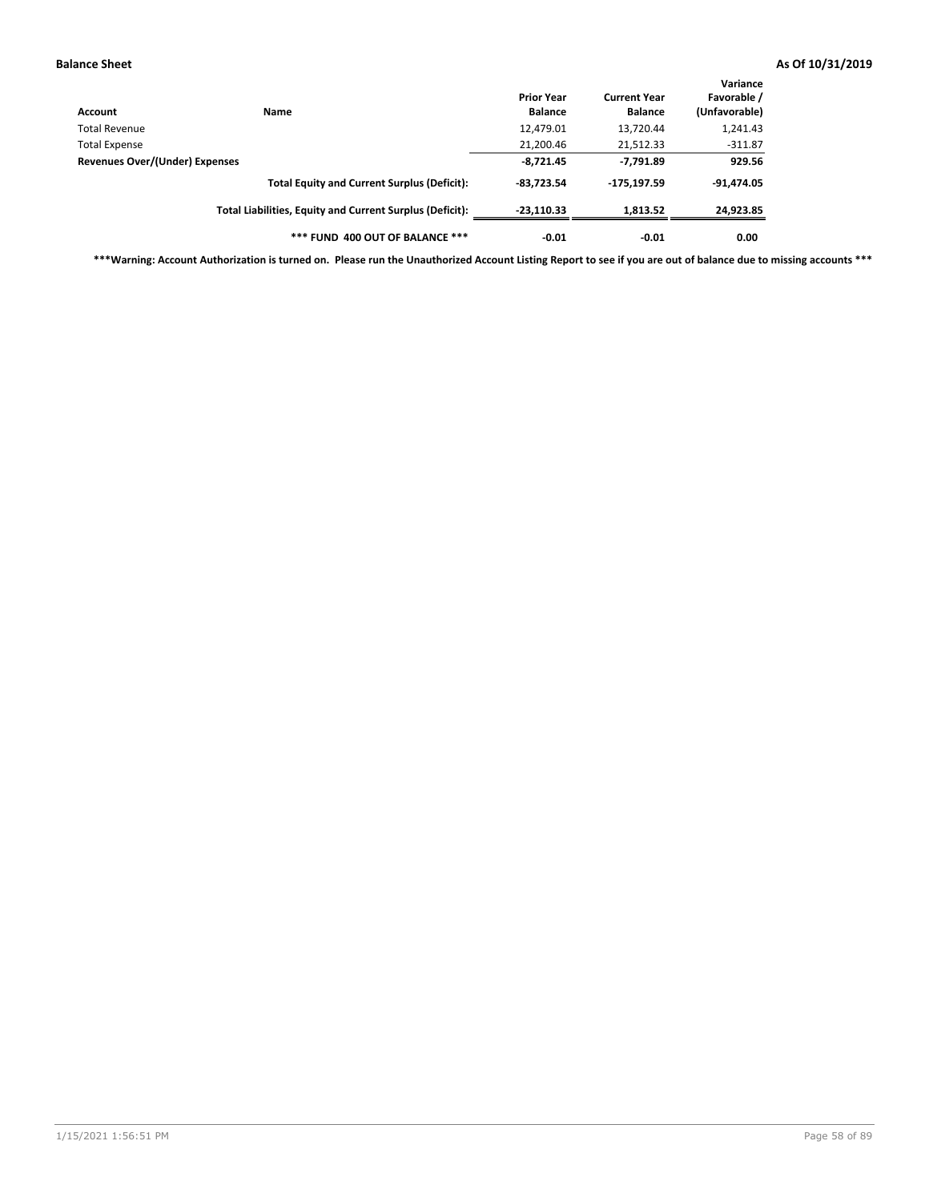| Account                        | Name                                                     | <b>Prior Year</b><br><b>Balance</b> | <b>Current Year</b><br><b>Balance</b> | Variance<br>Favorable /<br>(Unfavorable) |
|--------------------------------|----------------------------------------------------------|-------------------------------------|---------------------------------------|------------------------------------------|
| Total Revenue                  |                                                          | 12,479.01                           | 13,720.44                             | 1,241.43                                 |
| Total Expense                  |                                                          | 21,200.46                           | 21,512.33                             | $-311.87$                                |
| Revenues Over/(Under) Expenses | $-8,721.45$                                              | $-7,791.89$                         | 929.56                                |                                          |
|                                | <b>Total Equity and Current Surplus (Deficit):</b>       | $-83.723.54$                        | $-175, 197.59$                        | $-91,474.05$                             |
|                                | Total Liabilities, Equity and Current Surplus (Deficit): | $-23.110.33$                        | 1,813.52                              | 24,923.85                                |
|                                | *** FUND 400 OUT OF BALANCE ***                          | $-0.01$                             | $-0.01$                               | 0.00                                     |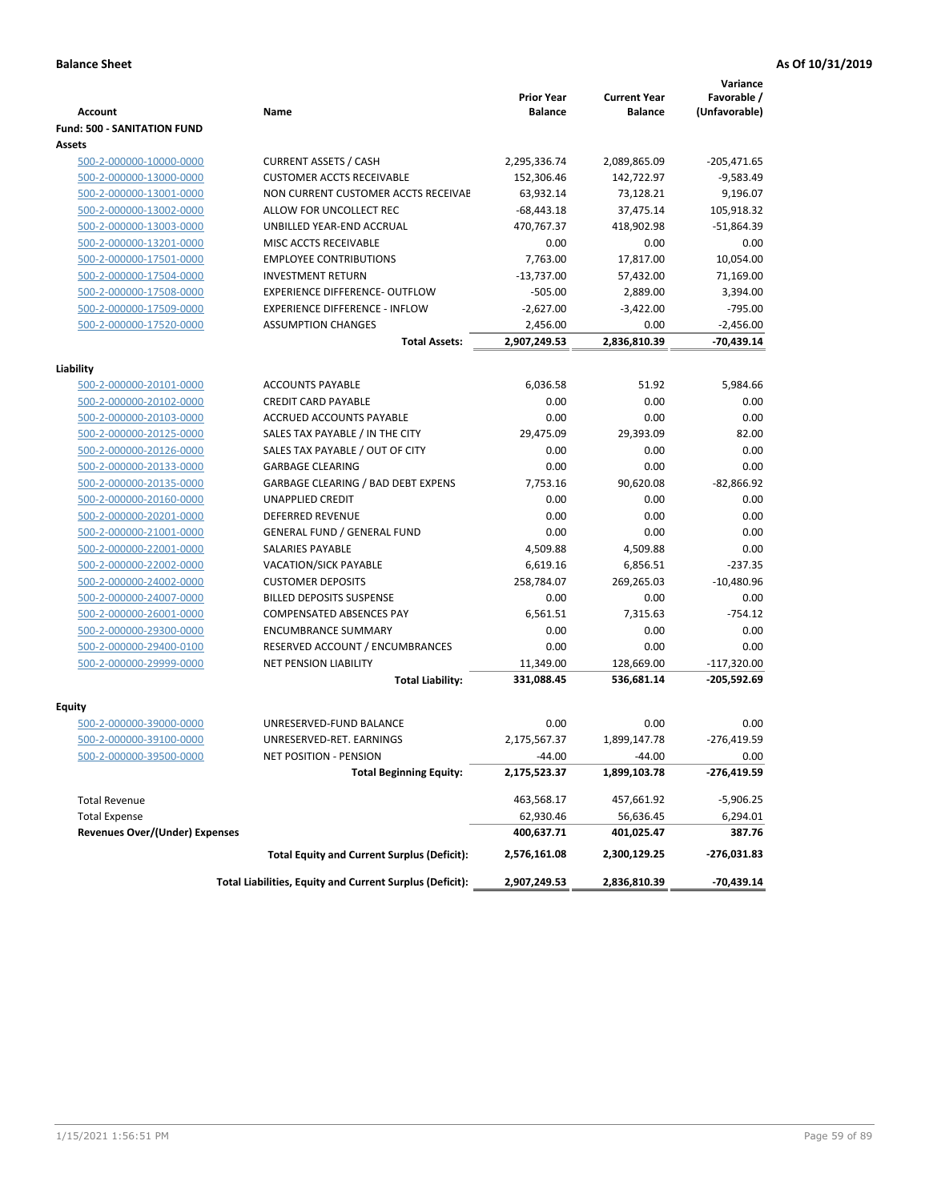|                                       |                                                          |                                     |                                       | Variance                     |
|---------------------------------------|----------------------------------------------------------|-------------------------------------|---------------------------------------|------------------------------|
| Account                               | Name                                                     | <b>Prior Year</b><br><b>Balance</b> | <b>Current Year</b><br><b>Balance</b> | Favorable /<br>(Unfavorable) |
| <b>Fund: 500 - SANITATION FUND</b>    |                                                          |                                     |                                       |                              |
| <b>Assets</b>                         |                                                          |                                     |                                       |                              |
| 500-2-000000-10000-0000               | <b>CURRENT ASSETS / CASH</b>                             | 2,295,336.74                        | 2,089,865.09                          | -205,471.65                  |
| 500-2-000000-13000-0000               | <b>CUSTOMER ACCTS RECEIVABLE</b>                         | 152,306.46                          | 142,722.97                            | $-9,583.49$                  |
| 500-2-000000-13001-0000               | NON CURRENT CUSTOMER ACCTS RECEIVAE                      | 63,932.14                           | 73,128.21                             | 9,196.07                     |
| 500-2-000000-13002-0000               | ALLOW FOR UNCOLLECT REC                                  | $-68,443.18$                        | 37,475.14                             | 105,918.32                   |
| 500-2-000000-13003-0000               | UNBILLED YEAR-END ACCRUAL                                | 470.767.37                          | 418,902.98                            | $-51,864.39$                 |
| 500-2-000000-13201-0000               | MISC ACCTS RECEIVABLE                                    | 0.00                                | 0.00                                  | 0.00                         |
| 500-2-000000-17501-0000               | <b>EMPLOYEE CONTRIBUTIONS</b>                            | 7,763.00                            | 17,817.00                             | 10,054.00                    |
| 500-2-000000-17504-0000               | <b>INVESTMENT RETURN</b>                                 | $-13,737.00$                        | 57,432.00                             | 71,169.00                    |
| 500-2-000000-17508-0000               | <b>EXPERIENCE DIFFERENCE- OUTFLOW</b>                    | $-505.00$                           | 2,889.00                              | 3,394.00                     |
| 500-2-000000-17509-0000               | <b>EXPERIENCE DIFFERENCE - INFLOW</b>                    | $-2,627.00$                         | $-3,422.00$                           | $-795.00$                    |
| 500-2-000000-17520-0000               | <b>ASSUMPTION CHANGES</b>                                | 2,456.00                            | 0.00                                  | $-2,456.00$                  |
|                                       | <b>Total Assets:</b>                                     | 2,907,249.53                        | 2,836,810.39                          | $-70,439.14$                 |
|                                       |                                                          |                                     |                                       |                              |
| Liability                             |                                                          |                                     |                                       |                              |
| 500-2-000000-20101-0000               | <b>ACCOUNTS PAYABLE</b>                                  | 6,036.58                            | 51.92                                 | 5,984.66                     |
| 500-2-000000-20102-0000               | <b>CREDIT CARD PAYABLE</b>                               | 0.00                                | 0.00                                  | 0.00                         |
| 500-2-000000-20103-0000               | <b>ACCRUED ACCOUNTS PAYABLE</b>                          | 0.00                                | 0.00                                  | 0.00                         |
| 500-2-000000-20125-0000               | SALES TAX PAYABLE / IN THE CITY                          | 29,475.09                           | 29,393.09                             | 82.00                        |
| 500-2-000000-20126-0000               | SALES TAX PAYABLE / OUT OF CITY                          | 0.00                                | 0.00                                  | 0.00                         |
| 500-2-000000-20133-0000               | <b>GARBAGE CLEARING</b>                                  | 0.00                                | 0.00                                  | 0.00                         |
| 500-2-000000-20135-0000               | <b>GARBAGE CLEARING / BAD DEBT EXPENS</b>                | 7,753.16                            | 90,620.08                             | $-82,866.92$                 |
| 500-2-000000-20160-0000               | <b>UNAPPLIED CREDIT</b>                                  | 0.00                                | 0.00                                  | 0.00                         |
| 500-2-000000-20201-0000               | <b>DEFERRED REVENUE</b>                                  | 0.00                                | 0.00                                  | 0.00                         |
| 500-2-000000-21001-0000               | <b>GENERAL FUND / GENERAL FUND</b>                       | 0.00                                | 0.00                                  | 0.00                         |
| 500-2-000000-22001-0000               | <b>SALARIES PAYABLE</b>                                  | 4,509.88                            | 4,509.88                              | 0.00                         |
| 500-2-000000-22002-0000               | <b>VACATION/SICK PAYABLE</b>                             | 6,619.16                            | 6,856.51                              | $-237.35$                    |
| 500-2-000000-24002-0000               | <b>CUSTOMER DEPOSITS</b>                                 | 258,784.07                          | 269,265.03                            | $-10,480.96$                 |
| 500-2-000000-24007-0000               | <b>BILLED DEPOSITS SUSPENSE</b>                          | 0.00                                | 0.00                                  | 0.00                         |
| 500-2-000000-26001-0000               | <b>COMPENSATED ABSENCES PAY</b>                          | 6,561.51                            | 7,315.63                              | $-754.12$                    |
| 500-2-000000-29300-0000               | <b>ENCUMBRANCE SUMMARY</b>                               | 0.00                                | 0.00                                  | 0.00                         |
| 500-2-000000-29400-0100               | RESERVED ACCOUNT / ENCUMBRANCES                          | 0.00                                | 0.00                                  | 0.00                         |
| 500-2-000000-29999-0000               | <b>NET PENSION LIABILITY</b>                             | 11,349.00                           | 128,669.00                            | $-117,320.00$                |
|                                       | <b>Total Liability:</b>                                  | 331,088.45                          | 536,681.14                            | -205,592.69                  |
| Equity                                |                                                          |                                     |                                       |                              |
| 500-2-000000-39000-0000               | UNRESERVED-FUND BALANCE                                  | 0.00                                | 0.00                                  | 0.00                         |
| 500-2-000000-39100-0000               | UNRESERVED-RET. EARNINGS                                 | 2,175,567.37                        | 1,899,147.78                          | $-276,419.59$                |
| 500-2-000000-39500-0000               | NET POSITION - PENSION                                   | $-44.00$                            | $-44.00$                              | 0.00                         |
|                                       | <b>Total Beginning Equity:</b>                           | 2,175,523.37                        | 1,899,103.78                          | -276,419.59                  |
|                                       |                                                          |                                     |                                       |                              |
| <b>Total Revenue</b>                  |                                                          | 463,568.17                          | 457,661.92                            | $-5,906.25$                  |
| <b>Total Expense</b>                  |                                                          | 62,930.46                           | 56,636.45                             | 6,294.01                     |
| <b>Revenues Over/(Under) Expenses</b> |                                                          | 400,637.71                          | 401,025.47                            | 387.76                       |
|                                       | <b>Total Equity and Current Surplus (Deficit):</b>       | 2,576,161.08                        | 2,300,129.25                          | -276,031.83                  |
|                                       | Total Liabilities, Equity and Current Surplus (Deficit): | 2,907,249.53                        | 2,836,810.39                          | -70,439.14                   |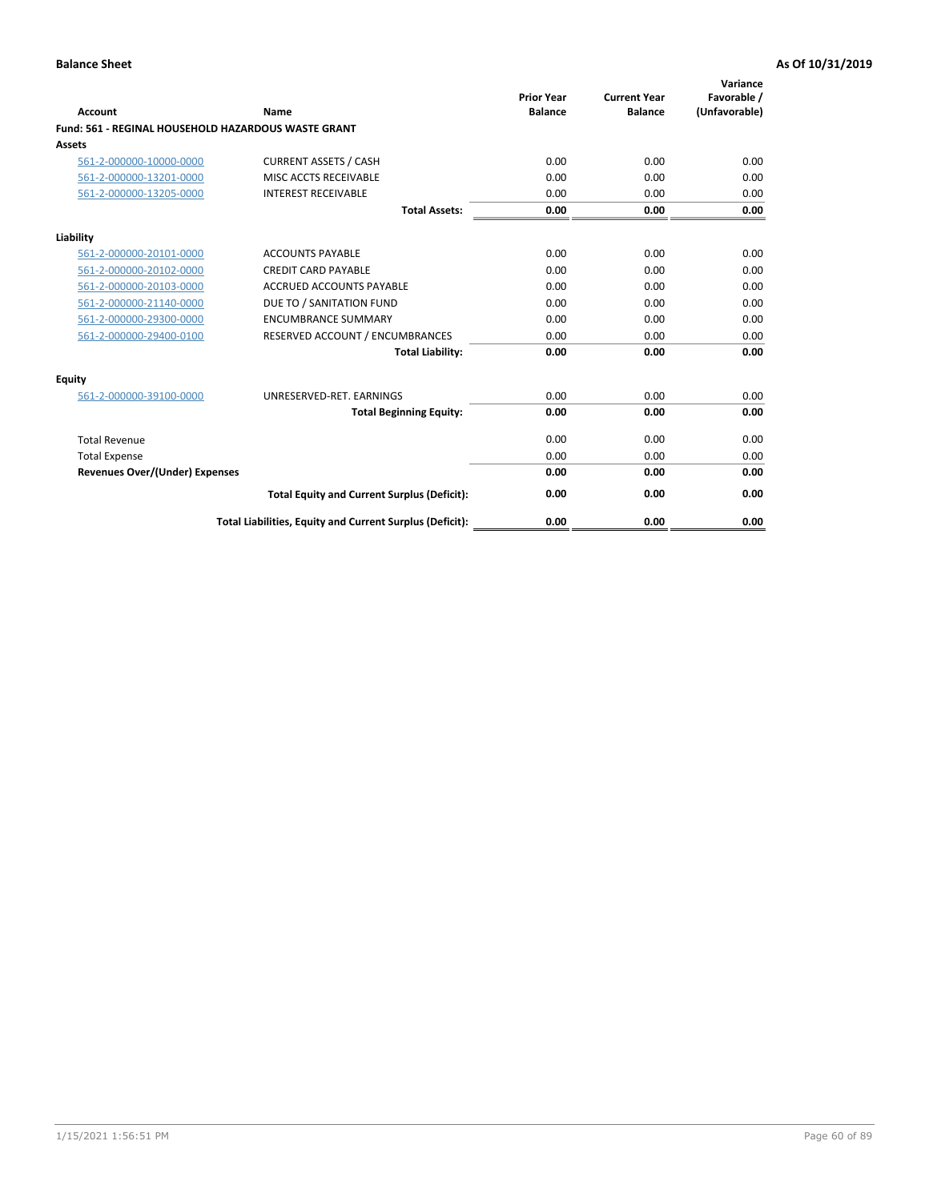| <b>Account</b>                        | Name                                                       | <b>Prior Year</b><br><b>Balance</b> | <b>Current Year</b><br><b>Balance</b> | Variance<br>Favorable /<br>(Unfavorable) |
|---------------------------------------|------------------------------------------------------------|-------------------------------------|---------------------------------------|------------------------------------------|
|                                       | <b>Fund: 561 - REGINAL HOUSEHOLD HAZARDOUS WASTE GRANT</b> |                                     |                                       |                                          |
| <b>Assets</b>                         |                                                            |                                     |                                       |                                          |
| 561-2-000000-10000-0000               | <b>CURRENT ASSETS / CASH</b>                               | 0.00                                | 0.00                                  | 0.00                                     |
| 561-2-000000-13201-0000               | MISC ACCTS RECEIVABLE                                      | 0.00                                | 0.00                                  | 0.00                                     |
| 561-2-000000-13205-0000               | <b>INTEREST RECEIVABLE</b>                                 | 0.00                                | 0.00                                  | 0.00                                     |
|                                       | <b>Total Assets:</b>                                       | 0.00                                | 0.00                                  | 0.00                                     |
| Liability                             |                                                            |                                     |                                       |                                          |
| 561-2-000000-20101-0000               | <b>ACCOUNTS PAYABLE</b>                                    | 0.00                                | 0.00                                  | 0.00                                     |
| 561-2-000000-20102-0000               | <b>CREDIT CARD PAYABLE</b>                                 | 0.00                                | 0.00                                  | 0.00                                     |
| 561-2-000000-20103-0000               | <b>ACCRUED ACCOUNTS PAYABLE</b>                            | 0.00                                | 0.00                                  | 0.00                                     |
| 561-2-000000-21140-0000               | DUE TO / SANITATION FUND                                   | 0.00                                | 0.00                                  | 0.00                                     |
| 561-2-000000-29300-0000               | <b>ENCUMBRANCE SUMMARY</b>                                 | 0.00                                | 0.00                                  | 0.00                                     |
| 561-2-000000-29400-0100               | RESERVED ACCOUNT / ENCUMBRANCES                            | 0.00                                | 0.00                                  | 0.00                                     |
|                                       | <b>Total Liability:</b>                                    | 0.00                                | 0.00                                  | 0.00                                     |
| <b>Equity</b>                         |                                                            |                                     |                                       |                                          |
| 561-2-000000-39100-0000               | UNRESERVED-RET. EARNINGS                                   | 0.00                                | 0.00                                  | 0.00                                     |
|                                       | <b>Total Beginning Equity:</b>                             | 0.00                                | 0.00                                  | 0.00                                     |
| <b>Total Revenue</b>                  |                                                            | 0.00                                | 0.00                                  | 0.00                                     |
| <b>Total Expense</b>                  |                                                            | 0.00                                | 0.00                                  | 0.00                                     |
| <b>Revenues Over/(Under) Expenses</b> |                                                            | 0.00                                | 0.00                                  | 0.00                                     |
|                                       | <b>Total Equity and Current Surplus (Deficit):</b>         | 0.00                                | 0.00                                  | 0.00                                     |
|                                       | Total Liabilities, Equity and Current Surplus (Deficit):   | 0.00                                | 0.00                                  | 0.00                                     |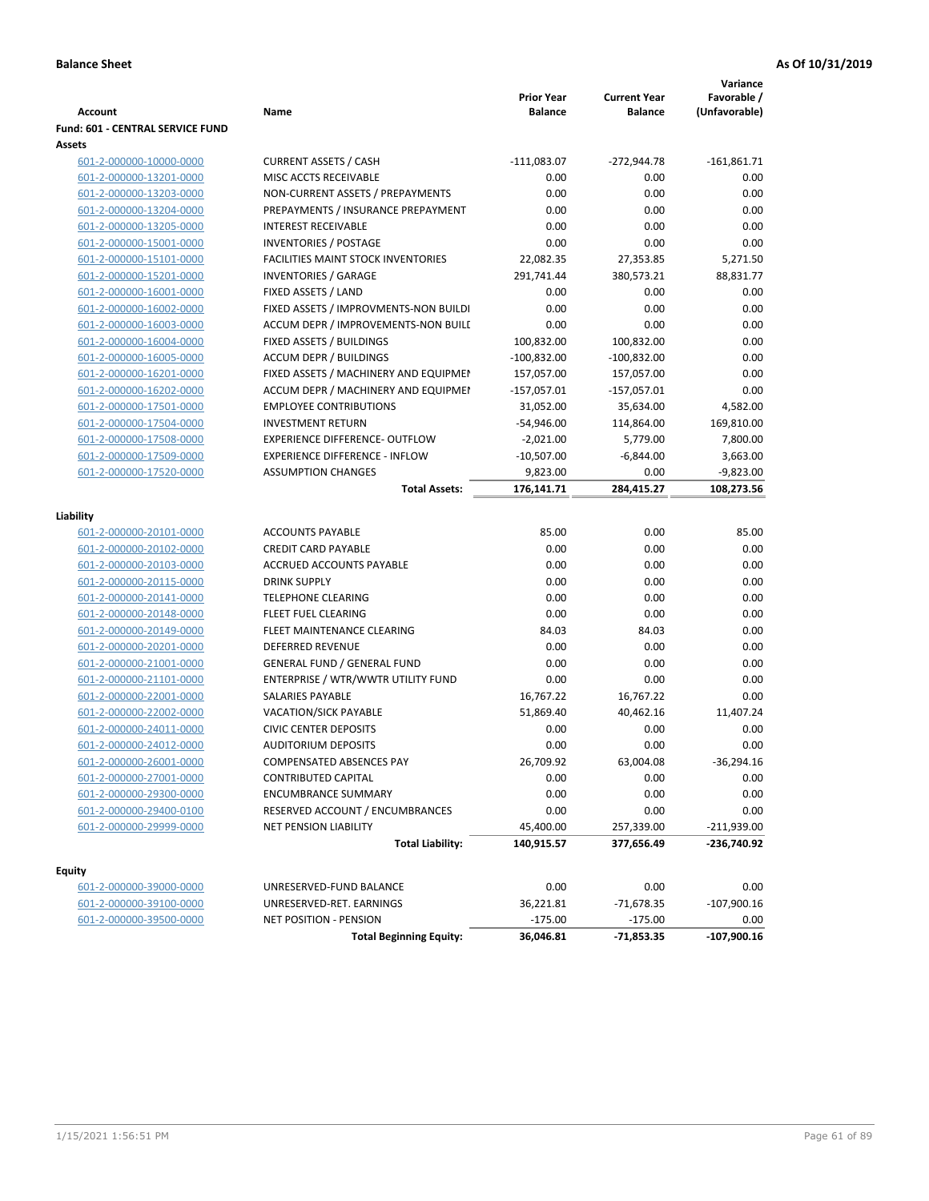|                                  |                                           |                                     |                                       | Variance                     |
|----------------------------------|-------------------------------------------|-------------------------------------|---------------------------------------|------------------------------|
| <b>Account</b>                   | Name                                      | <b>Prior Year</b><br><b>Balance</b> | <b>Current Year</b><br><b>Balance</b> | Favorable /<br>(Unfavorable) |
| Fund: 601 - CENTRAL SERVICE FUND |                                           |                                     |                                       |                              |
| <b>Assets</b>                    |                                           |                                     |                                       |                              |
| 601-2-000000-10000-0000          | <b>CURRENT ASSETS / CASH</b>              | $-111,083.07$                       | $-272,944.78$                         | $-161,861.71$                |
| 601-2-000000-13201-0000          | MISC ACCTS RECEIVABLE                     | 0.00                                | 0.00                                  | 0.00                         |
| 601-2-000000-13203-0000          | NON-CURRENT ASSETS / PREPAYMENTS          | 0.00                                | 0.00                                  | 0.00                         |
| 601-2-000000-13204-0000          | PREPAYMENTS / INSURANCE PREPAYMENT        | 0.00                                | 0.00                                  | 0.00                         |
| 601-2-000000-13205-0000          | <b>INTEREST RECEIVABLE</b>                | 0.00                                | 0.00                                  | 0.00                         |
| 601-2-000000-15001-0000          | <b>INVENTORIES / POSTAGE</b>              | 0.00                                | 0.00                                  | 0.00                         |
| 601-2-000000-15101-0000          | <b>FACILITIES MAINT STOCK INVENTORIES</b> | 22,082.35                           | 27,353.85                             | 5,271.50                     |
| 601-2-000000-15201-0000          | <b>INVENTORIES / GARAGE</b>               | 291,741.44                          | 380,573.21                            | 88,831.77                    |
| 601-2-000000-16001-0000          | FIXED ASSETS / LAND                       | 0.00                                | 0.00                                  | 0.00                         |
| 601-2-000000-16002-0000          | FIXED ASSETS / IMPROVMENTS-NON BUILDI     | 0.00                                | 0.00                                  | 0.00                         |
| 601-2-000000-16003-0000          | ACCUM DEPR / IMPROVEMENTS-NON BUILI       | 0.00                                | 0.00                                  | 0.00                         |
| 601-2-000000-16004-0000          | FIXED ASSETS / BUILDINGS                  | 100,832.00                          | 100,832.00                            | 0.00                         |
| 601-2-000000-16005-0000          | <b>ACCUM DEPR / BUILDINGS</b>             | $-100,832.00$                       | $-100,832.00$                         | 0.00                         |
| 601-2-000000-16201-0000          | FIXED ASSETS / MACHINERY AND EQUIPMEN     | 157,057.00                          | 157,057.00                            | 0.00                         |
| 601-2-000000-16202-0000          | ACCUM DEPR / MACHINERY AND EQUIPMEI       | $-157,057.01$                       | $-157,057.01$                         | 0.00                         |
| 601-2-000000-17501-0000          | <b>EMPLOYEE CONTRIBUTIONS</b>             | 31,052.00                           | 35,634.00                             | 4,582.00                     |
| 601-2-000000-17504-0000          | <b>INVESTMENT RETURN</b>                  | $-54,946.00$                        | 114,864.00                            | 169,810.00                   |
| 601-2-000000-17508-0000          | <b>EXPERIENCE DIFFERENCE- OUTFLOW</b>     | $-2,021.00$                         | 5,779.00                              | 7,800.00                     |
| 601-2-000000-17509-0000          | <b>EXPERIENCE DIFFERENCE - INFLOW</b>     | $-10,507.00$                        | $-6,844.00$                           | 3,663.00                     |
| 601-2-000000-17520-0000          | <b>ASSUMPTION CHANGES</b>                 | 9,823.00                            | 0.00                                  | $-9,823.00$                  |
|                                  | <b>Total Assets:</b>                      | 176,141.71                          | 284,415.27                            | 108,273.56                   |
|                                  |                                           |                                     |                                       |                              |
| Liability                        |                                           |                                     |                                       |                              |
| 601-2-000000-20101-0000          | <b>ACCOUNTS PAYABLE</b>                   | 85.00                               | 0.00                                  | 85.00                        |
| 601-2-000000-20102-0000          | <b>CREDIT CARD PAYABLE</b>                | 0.00                                | 0.00                                  | 0.00                         |
| 601-2-000000-20103-0000          | ACCRUED ACCOUNTS PAYABLE                  | 0.00                                | 0.00                                  | 0.00                         |
| 601-2-000000-20115-0000          | <b>DRINK SUPPLY</b>                       | 0.00                                | 0.00                                  | 0.00                         |
| 601-2-000000-20141-0000          | <b>TELEPHONE CLEARING</b>                 | 0.00                                | 0.00                                  | 0.00                         |
| 601-2-000000-20148-0000          | <b>FLEET FUEL CLEARING</b>                | 0.00                                | 0.00                                  | 0.00                         |
| 601-2-000000-20149-0000          | FLEET MAINTENANCE CLEARING                | 84.03                               | 84.03                                 | 0.00                         |
| 601-2-000000-20201-0000          | <b>DEFERRED REVENUE</b>                   | 0.00                                | 0.00                                  | 0.00                         |
| 601-2-000000-21001-0000          | <b>GENERAL FUND / GENERAL FUND</b>        | 0.00                                | 0.00                                  | 0.00                         |
| 601-2-000000-21101-0000          | ENTERPRISE / WTR/WWTR UTILITY FUND        | 0.00                                | 0.00                                  | 0.00                         |
| 601-2-000000-22001-0000          | SALARIES PAYABLE                          | 16,767.22                           | 16,767.22                             | 0.00                         |
| 601-2-000000-22002-0000          | VACATION/SICK PAYABLE                     | 51,869.40                           | 40,462.16                             | 11,407.24                    |
| 601-2-000000-24011-0000          | <b>CIVIC CENTER DEPOSITS</b>              | 0.00                                | 0.00                                  | 0.00                         |
| 601-2-000000-24012-0000          | <b>AUDITORIUM DEPOSITS</b>                | 0.00                                | 0.00                                  | 0.00                         |
| 601-2-000000-26001-0000          | COMPENSATED ABSENCES PAY                  | 26,709.92                           | 63,004.08                             | $-36,294.16$                 |
| 601-2-000000-27001-0000          | <b>CONTRIBUTED CAPITAL</b>                | 0.00                                | 0.00                                  | 0.00                         |
| 601-2-000000-29300-0000          | <b>ENCUMBRANCE SUMMARY</b>                | 0.00                                | 0.00                                  | 0.00                         |
| 601-2-000000-29400-0100          | RESERVED ACCOUNT / ENCUMBRANCES           | 0.00                                | 0.00                                  | 0.00                         |
| 601-2-000000-29999-0000          | NET PENSION LIABILITY                     | 45,400.00                           | 257,339.00                            | $-211,939.00$                |
|                                  | <b>Total Liability:</b>                   | 140,915.57                          | 377,656.49                            | -236,740.92                  |
|                                  |                                           |                                     |                                       |                              |
| Equity                           |                                           |                                     |                                       |                              |
| 601-2-000000-39000-0000          | UNRESERVED-FUND BALANCE                   | 0.00                                | 0.00                                  | 0.00                         |
| 601-2-000000-39100-0000          | UNRESERVED-RET. EARNINGS                  | 36,221.81                           | $-71,678.35$                          | $-107,900.16$                |
| 601-2-000000-39500-0000          | NET POSITION - PENSION                    | $-175.00$                           | $-175.00$                             | 0.00<br>$-107,900.16$        |
|                                  | <b>Total Beginning Equity:</b>            | 36,046.81                           | -71,853.35                            |                              |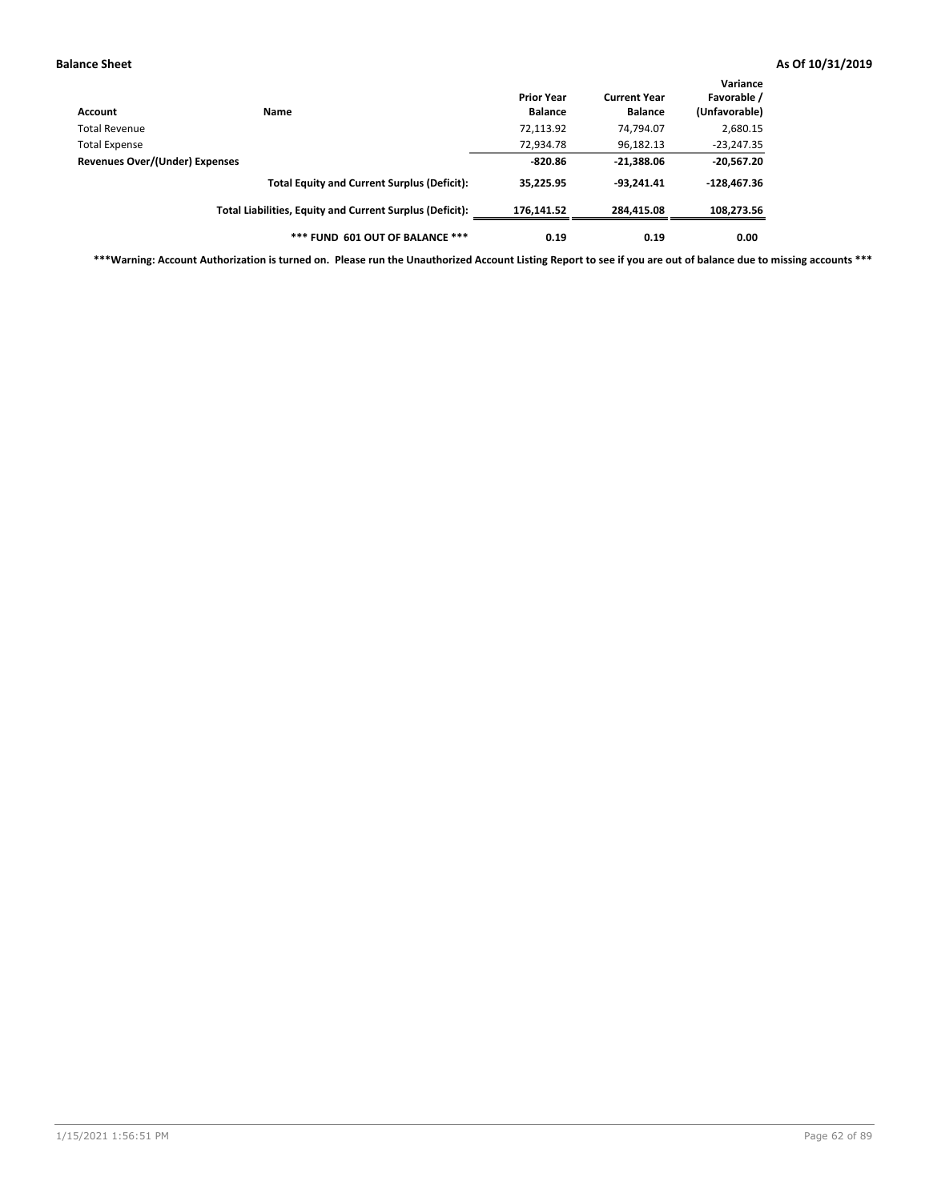| Account                                                | Name                                                     | <b>Prior Year</b><br><b>Balance</b> | <b>Current Year</b><br><b>Balance</b> | Variance<br>Favorable /<br>(Unfavorable) |
|--------------------------------------------------------|----------------------------------------------------------|-------------------------------------|---------------------------------------|------------------------------------------|
| Total Revenue                                          |                                                          | 72,113.92                           | 74,794.07                             | 2,680.15                                 |
|                                                        |                                                          | 72,934.78                           | 96,182.13                             | $-23,247.35$                             |
| <b>Total Expense</b><br>Revenues Over/(Under) Expenses | $-820.86$                                                | $-21,388.06$                        | $-20,567.20$                          |                                          |
|                                                        | <b>Total Equity and Current Surplus (Deficit):</b>       | 35,225.95                           | $-93.241.41$                          | $-128,467.36$                            |
|                                                        | Total Liabilities, Equity and Current Surplus (Deficit): | 176,141.52                          | 284,415.08                            | 108,273.56                               |
|                                                        | *** FUND 601 OUT OF BALANCE ***                          | 0.19                                | 0.19                                  | 0.00                                     |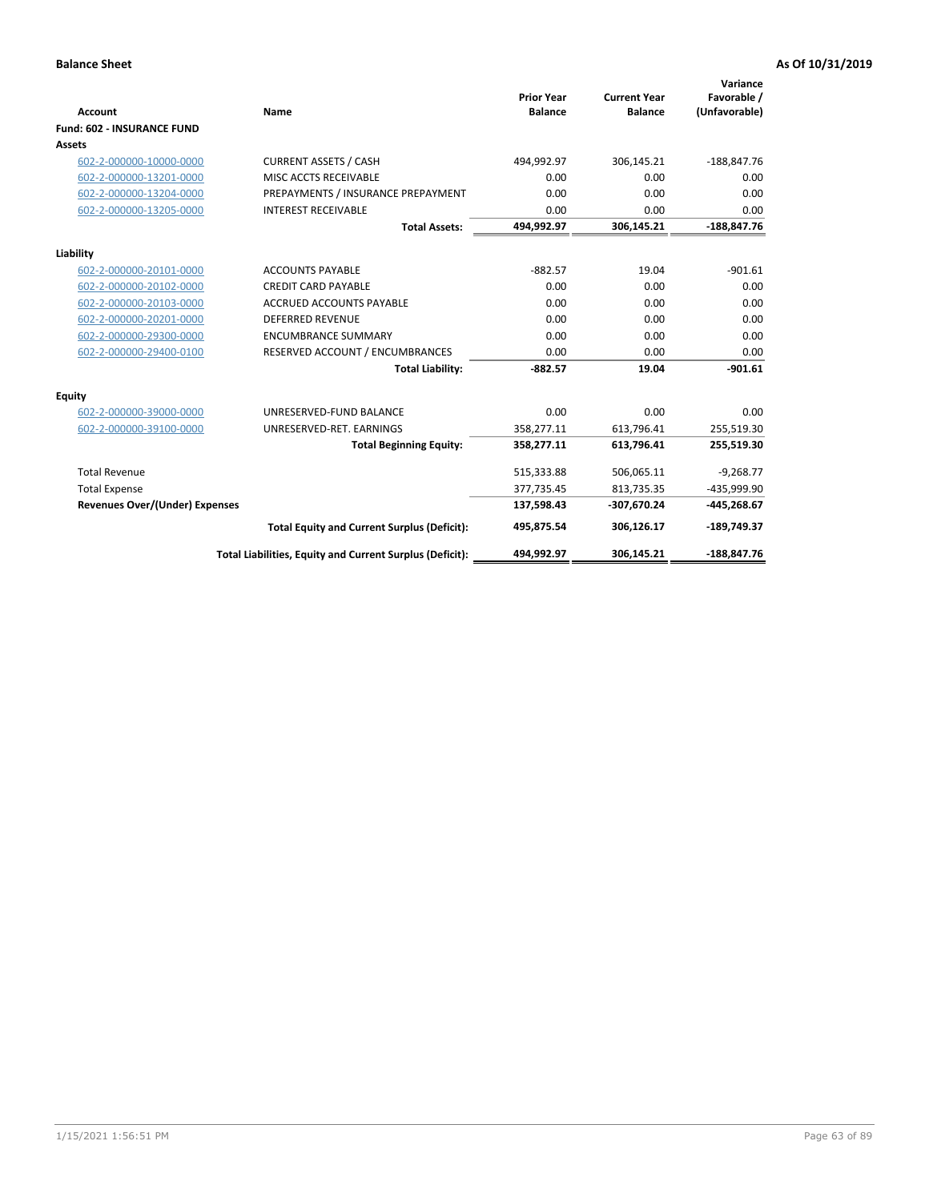| <b>Account</b>                        | Name                                                     | <b>Prior Year</b><br><b>Balance</b> | <b>Current Year</b><br><b>Balance</b> | Variance<br>Favorable /<br>(Unfavorable) |
|---------------------------------------|----------------------------------------------------------|-------------------------------------|---------------------------------------|------------------------------------------|
| <b>Fund: 602 - INSURANCE FUND</b>     |                                                          |                                     |                                       |                                          |
| <b>Assets</b>                         |                                                          |                                     |                                       |                                          |
| 602-2-000000-10000-0000               | <b>CURRENT ASSETS / CASH</b>                             | 494,992.97                          | 306,145.21                            | $-188,847.76$                            |
| 602-2-000000-13201-0000               | MISC ACCTS RECEIVABLE                                    | 0.00                                | 0.00                                  | 0.00                                     |
| 602-2-000000-13204-0000               | PREPAYMENTS / INSURANCE PREPAYMENT                       | 0.00                                | 0.00                                  | 0.00                                     |
| 602-2-000000-13205-0000               | <b>INTEREST RECEIVABLE</b>                               | 0.00                                | 0.00                                  | 0.00                                     |
|                                       | <b>Total Assets:</b>                                     | 494,992.97                          | 306,145.21                            | $-188,847.76$                            |
| Liability                             |                                                          |                                     |                                       |                                          |
| 602-2-000000-20101-0000               | <b>ACCOUNTS PAYABLE</b>                                  | $-882.57$                           | 19.04                                 | $-901.61$                                |
| 602-2-000000-20102-0000               | <b>CREDIT CARD PAYABLE</b>                               | 0.00                                | 0.00                                  | 0.00                                     |
| 602-2-000000-20103-0000               | <b>ACCRUED ACCOUNTS PAYABLE</b>                          | 0.00                                | 0.00                                  | 0.00                                     |
| 602-2-000000-20201-0000               | <b>DEFERRED REVENUE</b>                                  | 0.00                                | 0.00                                  | 0.00                                     |
| 602-2-000000-29300-0000               | <b>ENCUMBRANCE SUMMARY</b>                               | 0.00                                | 0.00                                  | 0.00                                     |
| 602-2-000000-29400-0100               | RESERVED ACCOUNT / ENCUMBRANCES                          | 0.00                                | 0.00                                  | 0.00                                     |
|                                       | <b>Total Liability:</b>                                  | $-882.57$                           | 19.04                                 | $-901.61$                                |
| <b>Equity</b>                         |                                                          |                                     |                                       |                                          |
| 602-2-000000-39000-0000               | UNRESERVED-FUND BALANCE                                  | 0.00                                | 0.00                                  | 0.00                                     |
| 602-2-000000-39100-0000               | UNRESERVED-RET. EARNINGS                                 | 358,277.11                          | 613,796.41                            | 255,519.30                               |
|                                       | <b>Total Beginning Equity:</b>                           | 358,277.11                          | 613,796.41                            | 255,519.30                               |
| <b>Total Revenue</b>                  |                                                          | 515,333.88                          | 506,065.11                            | $-9,268.77$                              |
| <b>Total Expense</b>                  |                                                          | 377,735.45                          | 813,735.35                            | -435,999.90                              |
| <b>Revenues Over/(Under) Expenses</b> |                                                          | 137,598.43                          | -307,670.24                           | -445,268.67                              |
|                                       | <b>Total Equity and Current Surplus (Deficit):</b>       | 495,875.54                          | 306,126.17                            | $-189,749.37$                            |
|                                       | Total Liabilities, Equity and Current Surplus (Deficit): | 494,992.97                          | 306,145.21                            | -188.847.76                              |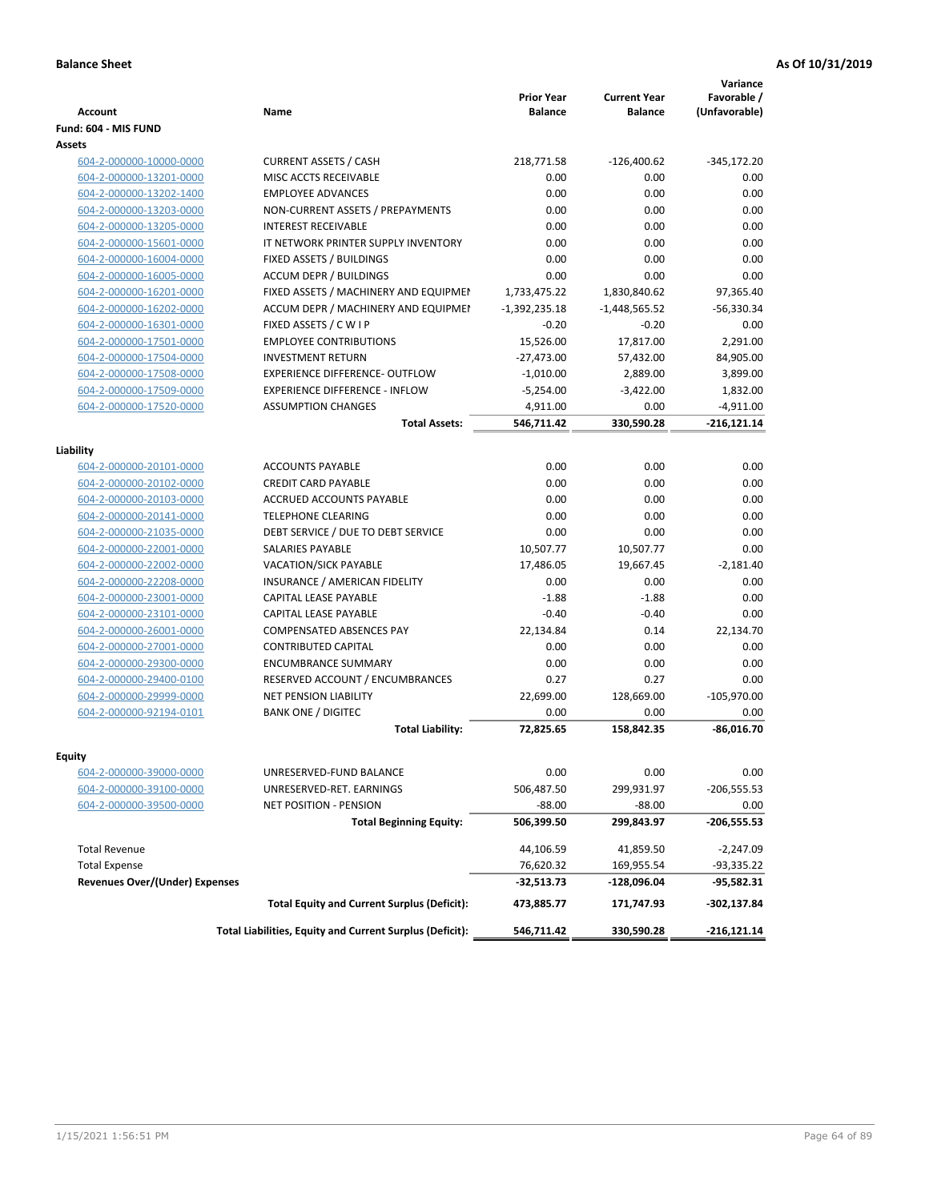| <b>Account</b>                        | <b>Name</b>                                              | <b>Prior Year</b><br><b>Balance</b> | <b>Current Year</b><br><b>Balance</b> | Variance<br>Favorable /<br>(Unfavorable) |
|---------------------------------------|----------------------------------------------------------|-------------------------------------|---------------------------------------|------------------------------------------|
| Fund: 604 - MIS FUND                  |                                                          |                                     |                                       |                                          |
| Assets                                |                                                          |                                     |                                       |                                          |
| 604-2-000000-10000-0000               | <b>CURRENT ASSETS / CASH</b>                             | 218,771.58                          | $-126,400.62$                         | $-345,172.20$                            |
| 604-2-000000-13201-0000               | MISC ACCTS RECEIVABLE                                    | 0.00                                | 0.00                                  | 0.00                                     |
| 604-2-000000-13202-1400               | <b>EMPLOYEE ADVANCES</b>                                 | 0.00                                | 0.00                                  | 0.00                                     |
| 604-2-000000-13203-0000               | NON-CURRENT ASSETS / PREPAYMENTS                         | 0.00                                | 0.00                                  | 0.00                                     |
| 604-2-000000-13205-0000               | <b>INTEREST RECEIVABLE</b>                               | 0.00                                | 0.00                                  | 0.00                                     |
| 604-2-000000-15601-0000               | IT NETWORK PRINTER SUPPLY INVENTORY                      | 0.00                                | 0.00                                  | 0.00                                     |
| 604-2-000000-16004-0000               | FIXED ASSETS / BUILDINGS                                 | 0.00                                | 0.00                                  | 0.00                                     |
| 604-2-000000-16005-0000               | <b>ACCUM DEPR / BUILDINGS</b>                            | 0.00                                | 0.00                                  | 0.00                                     |
| 604-2-000000-16201-0000               | FIXED ASSETS / MACHINERY AND EQUIPMEN                    | 1,733,475.22                        | 1,830,840.62                          | 97,365.40                                |
| 604-2-000000-16202-0000               | ACCUM DEPR / MACHINERY AND EQUIPMEI                      | $-1,392,235.18$                     | $-1,448,565.52$                       | $-56,330.34$                             |
| 604-2-000000-16301-0000               | FIXED ASSETS / C W I P                                   | $-0.20$                             | $-0.20$                               | 0.00                                     |
| 604-2-000000-17501-0000               | <b>EMPLOYEE CONTRIBUTIONS</b>                            | 15,526.00                           | 17,817.00                             | 2,291.00                                 |
| 604-2-000000-17504-0000               | <b>INVESTMENT RETURN</b>                                 | $-27,473.00$                        | 57,432.00                             | 84,905.00                                |
| 604-2-000000-17508-0000               | <b>EXPERIENCE DIFFERENCE- OUTFLOW</b>                    | $-1,010.00$                         | 2,889.00                              | 3,899.00                                 |
| 604-2-000000-17509-0000               | <b>EXPERIENCE DIFFERENCE - INFLOW</b>                    | $-5,254.00$                         | $-3,422.00$                           | 1,832.00                                 |
| 604-2-000000-17520-0000               | <b>ASSUMPTION CHANGES</b>                                | 4,911.00                            | 0.00                                  | $-4,911.00$                              |
|                                       | <b>Total Assets:</b>                                     | 546,711.42                          | 330,590.28                            | $-216,121.14$                            |
|                                       |                                                          |                                     |                                       |                                          |
| Liability                             |                                                          |                                     |                                       |                                          |
| 604-2-000000-20101-0000               | <b>ACCOUNTS PAYABLE</b>                                  | 0.00                                | 0.00                                  | 0.00                                     |
| 604-2-000000-20102-0000               | <b>CREDIT CARD PAYABLE</b>                               | 0.00                                | 0.00                                  | 0.00                                     |
| 604-2-000000-20103-0000               | <b>ACCRUED ACCOUNTS PAYABLE</b>                          | 0.00                                | 0.00                                  | 0.00                                     |
| 604-2-000000-20141-0000               | <b>TELEPHONE CLEARING</b>                                | 0.00                                | 0.00                                  | 0.00                                     |
| 604-2-000000-21035-0000               | DEBT SERVICE / DUE TO DEBT SERVICE                       | 0.00                                | 0.00                                  | 0.00                                     |
| 604-2-000000-22001-0000               | <b>SALARIES PAYABLE</b>                                  | 10,507.77                           | 10,507.77                             | 0.00                                     |
| 604-2-000000-22002-0000               | <b>VACATION/SICK PAYABLE</b>                             | 17,486.05                           | 19,667.45                             | $-2,181.40$                              |
| 604-2-000000-22208-0000               | INSURANCE / AMERICAN FIDELITY                            | 0.00                                | 0.00                                  | 0.00                                     |
| 604-2-000000-23001-0000               | CAPITAL LEASE PAYABLE                                    | $-1.88$                             | $-1.88$                               | 0.00                                     |
| 604-2-000000-23101-0000               | CAPITAL LEASE PAYABLE                                    | $-0.40$                             | $-0.40$                               | 0.00                                     |
| 604-2-000000-26001-0000               | <b>COMPENSATED ABSENCES PAY</b>                          | 22,134.84                           | 0.14                                  | 22,134.70                                |
| 604-2-000000-27001-0000               | <b>CONTRIBUTED CAPITAL</b>                               | 0.00                                | 0.00                                  | 0.00                                     |
| 604-2-000000-29300-0000               | <b>ENCUMBRANCE SUMMARY</b>                               | 0.00                                | 0.00                                  | 0.00                                     |
| 604-2-000000-29400-0100               | RESERVED ACCOUNT / ENCUMBRANCES                          | 0.27                                | 0.27                                  | 0.00                                     |
| 604-2-000000-29999-0000               | NET PENSION LIABILITY                                    | 22,699.00                           | 128,669.00                            | $-105,970.00$                            |
| 604-2-000000-92194-0101               | <b>BANK ONE / DIGITEC</b>                                | 0.00                                | 0.00                                  | 0.00                                     |
|                                       | <b>Total Liability:</b>                                  | 72,825.65                           | 158,842.35                            | $-86,016.70$                             |
|                                       |                                                          |                                     |                                       |                                          |
| Equity                                |                                                          |                                     |                                       |                                          |
| 604-2-000000-39000-0000               | UNRESERVED-FUND BALANCE                                  | 0.00                                | 0.00                                  | 0.00                                     |
| 604-2-000000-39100-0000               | UNRESERVED-RET. EARNINGS                                 | 506,487.50                          | 299,931.97                            | $-206,555.53$                            |
| 604-2-000000-39500-0000               | NET POSITION - PENSION                                   | $-88.00$                            | $-88.00$                              | 0.00                                     |
|                                       | <b>Total Beginning Equity:</b>                           | 506,399.50                          | 299,843.97                            | -206,555.53                              |
| <b>Total Revenue</b>                  |                                                          | 44,106.59                           | 41,859.50                             | $-2,247.09$                              |
| <b>Total Expense</b>                  |                                                          | 76,620.32                           | 169,955.54                            | -93,335.22                               |
| <b>Revenues Over/(Under) Expenses</b> |                                                          | -32,513.73                          | -128,096.04                           | -95,582.31                               |
|                                       | <b>Total Equity and Current Surplus (Deficit):</b>       | 473,885.77                          | 171,747.93                            | -302,137.84                              |
|                                       | Total Liabilities, Equity and Current Surplus (Deficit): | 546,711.42                          | 330,590.28                            | -216,121.14                              |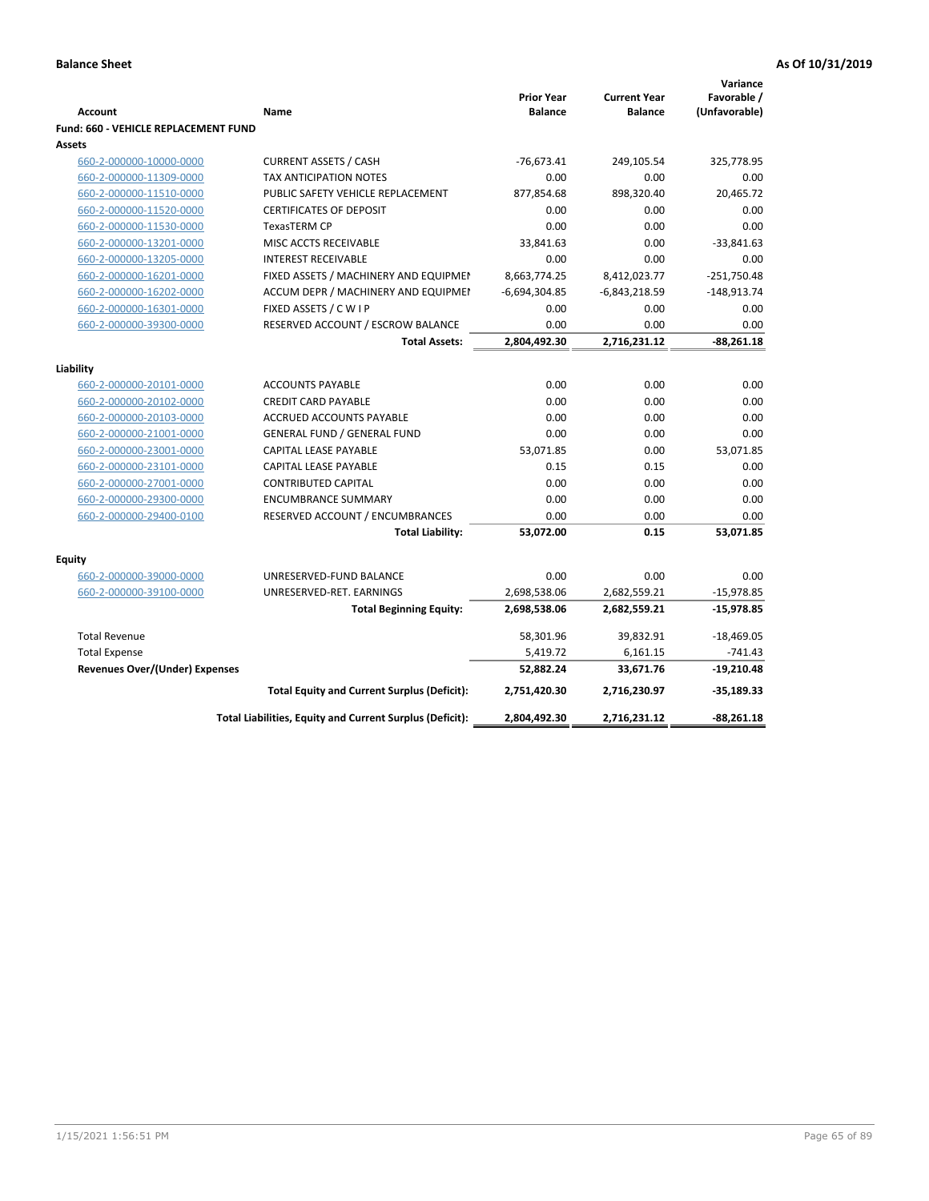|                                                    |                                                          |                                     |                                       | Variance                     |
|----------------------------------------------------|----------------------------------------------------------|-------------------------------------|---------------------------------------|------------------------------|
| <b>Account</b>                                     | Name                                                     | <b>Prior Year</b><br><b>Balance</b> | <b>Current Year</b><br><b>Balance</b> | Favorable /<br>(Unfavorable) |
| Fund: 660 - VEHICLE REPLACEMENT FUND               |                                                          |                                     |                                       |                              |
| <b>Assets</b>                                      |                                                          |                                     |                                       |                              |
| 660-2-000000-10000-0000                            | <b>CURRENT ASSETS / CASH</b>                             | $-76,673.41$                        | 249,105.54                            | 325,778.95                   |
| 660-2-000000-11309-0000                            | <b>TAX ANTICIPATION NOTES</b>                            | 0.00                                | 0.00                                  | 0.00                         |
| 660-2-000000-11510-0000                            | PUBLIC SAFETY VEHICLE REPLACEMENT                        | 877,854.68                          | 898,320.40                            | 20,465.72                    |
| 660-2-000000-11520-0000                            | <b>CERTIFICATES OF DEPOSIT</b>                           | 0.00                                | 0.00                                  | 0.00                         |
| 660-2-000000-11530-0000                            | <b>TexasTERM CP</b>                                      | 0.00                                | 0.00                                  | 0.00                         |
| 660-2-000000-13201-0000                            | MISC ACCTS RECEIVABLE                                    | 33,841.63                           | 0.00                                  | $-33,841.63$                 |
| 660-2-000000-13205-0000                            | <b>INTEREST RECEIVABLE</b>                               | 0.00                                | 0.00                                  | 0.00                         |
| 660-2-000000-16201-0000                            | FIXED ASSETS / MACHINERY AND EQUIPMEN                    | 8,663,774.25                        | 8,412,023.77                          | $-251,750.48$                |
| 660-2-000000-16202-0000                            | ACCUM DEPR / MACHINERY AND EQUIPMEI                      | $-6,694,304.85$                     | $-6,843,218.59$                       | $-148,913.74$                |
| 660-2-000000-16301-0000                            | FIXED ASSETS / C W I P                                   | 0.00                                | 0.00                                  | 0.00                         |
| 660-2-000000-39300-0000                            | RESERVED ACCOUNT / ESCROW BALANCE                        | 0.00                                | 0.00                                  | 0.00                         |
|                                                    | <b>Total Assets:</b>                                     | 2,804,492.30                        | 2,716,231.12                          | $-88,261.18$                 |
|                                                    |                                                          |                                     |                                       |                              |
| Liability                                          | <b>ACCOUNTS PAYABLE</b>                                  | 0.00                                | 0.00                                  | 0.00                         |
| 660-2-000000-20101-0000                            | <b>CREDIT CARD PAYABLE</b>                               | 0.00                                | 0.00                                  | 0.00                         |
| 660-2-000000-20102-0000<br>660-2-000000-20103-0000 | ACCRUED ACCOUNTS PAYABLE                                 | 0.00                                | 0.00                                  | 0.00                         |
| 660-2-000000-21001-0000                            | <b>GENERAL FUND / GENERAL FUND</b>                       | 0.00                                | 0.00                                  | 0.00                         |
| 660-2-000000-23001-0000                            | CAPITAL LEASE PAYABLE                                    | 53,071.85                           | 0.00                                  | 53,071.85                    |
| 660-2-000000-23101-0000                            | <b>CAPITAL LEASE PAYABLE</b>                             | 0.15                                | 0.15                                  | 0.00                         |
| 660-2-000000-27001-0000                            | <b>CONTRIBUTED CAPITAL</b>                               | 0.00                                | 0.00                                  | 0.00                         |
| 660-2-000000-29300-0000                            | <b>ENCUMBRANCE SUMMARY</b>                               | 0.00                                | 0.00                                  | 0.00                         |
| 660-2-000000-29400-0100                            | RESERVED ACCOUNT / ENCUMBRANCES                          | 0.00                                | 0.00                                  | 0.00                         |
|                                                    | <b>Total Liability:</b>                                  | 53,072.00                           | 0.15                                  | 53,071.85                    |
|                                                    |                                                          |                                     |                                       |                              |
| <b>Equity</b>                                      |                                                          |                                     |                                       |                              |
| 660-2-000000-39000-0000                            | UNRESERVED-FUND BALANCE                                  | 0.00                                | 0.00                                  | 0.00                         |
| 660-2-000000-39100-0000                            | UNRESERVED-RET. EARNINGS                                 | 2,698,538.06                        | 2,682,559.21                          | $-15,978.85$                 |
|                                                    | <b>Total Beginning Equity:</b>                           | 2,698,538.06                        | 2,682,559.21                          | $-15,978.85$                 |
| <b>Total Revenue</b>                               |                                                          | 58,301.96                           | 39,832.91                             | $-18,469.05$                 |
| <b>Total Expense</b>                               |                                                          | 5,419.72                            | 6,161.15                              | $-741.43$                    |
| <b>Revenues Over/(Under) Expenses</b>              |                                                          | 52,882.24                           | 33,671.76                             | $-19,210.48$                 |
|                                                    | <b>Total Equity and Current Surplus (Deficit):</b>       | 2,751,420.30                        | 2,716,230.97                          | $-35,189.33$                 |
|                                                    | Total Liabilities, Equity and Current Surplus (Deficit): | 2,804,492.30                        | 2,716,231.12                          | -88,261.18                   |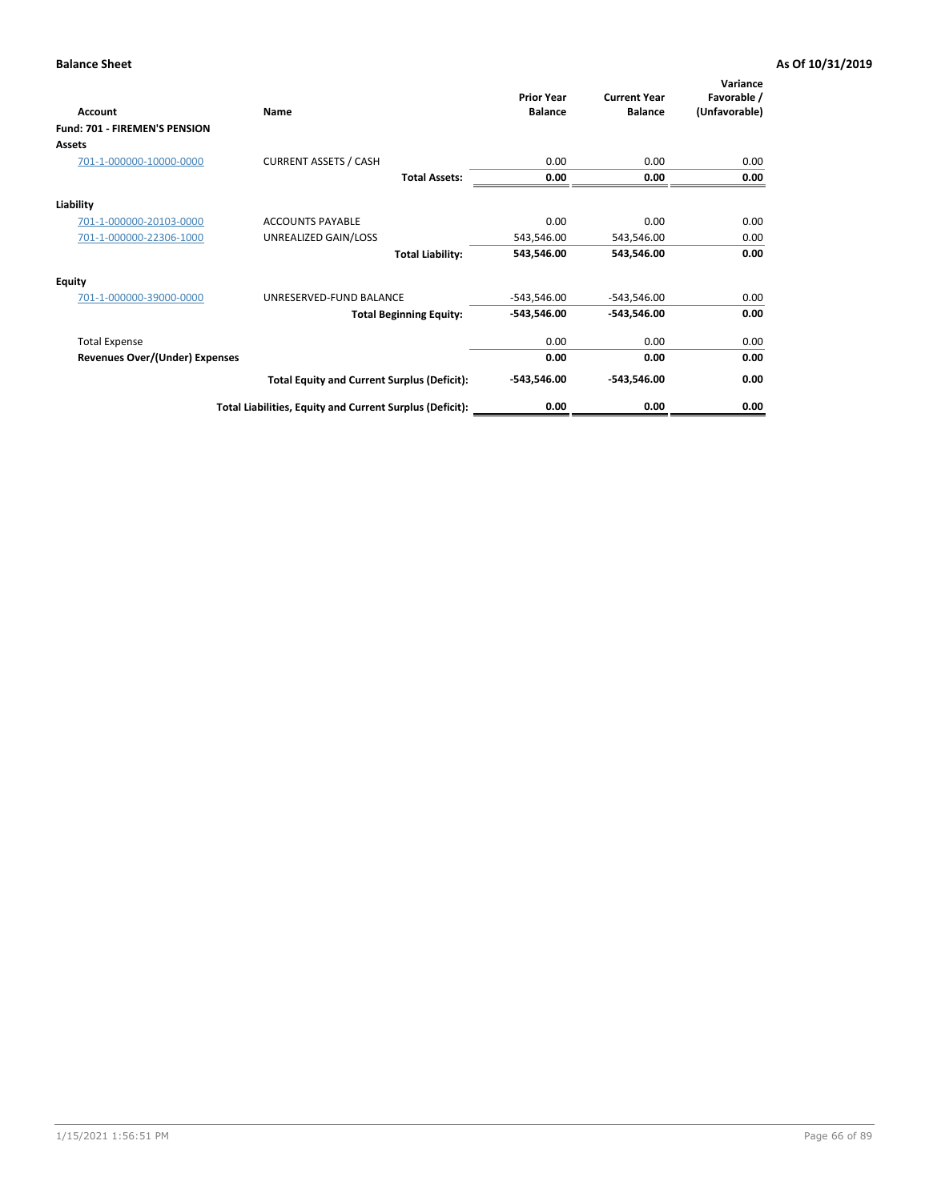| Account                               | Name                                                     | <b>Prior Year</b><br><b>Balance</b> | <b>Current Year</b><br><b>Balance</b> | Variance<br>Favorable /<br>(Unfavorable) |
|---------------------------------------|----------------------------------------------------------|-------------------------------------|---------------------------------------|------------------------------------------|
| Fund: 701 - FIREMEN'S PENSION         |                                                          |                                     |                                       |                                          |
| <b>Assets</b>                         |                                                          |                                     |                                       |                                          |
| 701-1-000000-10000-0000               | <b>CURRENT ASSETS / CASH</b>                             | 0.00                                | 0.00                                  | 0.00                                     |
|                                       | <b>Total Assets:</b>                                     | 0.00                                | 0.00                                  | 0.00                                     |
| Liability                             |                                                          |                                     |                                       |                                          |
| 701-1-000000-20103-0000               | <b>ACCOUNTS PAYABLE</b>                                  | 0.00                                | 0.00                                  | 0.00                                     |
| 701-1-000000-22306-1000               | UNREALIZED GAIN/LOSS                                     | 543,546.00                          | 543,546.00                            | 0.00                                     |
|                                       | <b>Total Liability:</b>                                  | 543,546.00                          | 543,546.00                            | 0.00                                     |
| <b>Equity</b>                         |                                                          |                                     |                                       |                                          |
| 701-1-000000-39000-0000               | UNRESERVED-FUND BALANCE                                  | $-543,546.00$                       | $-543,546.00$                         | 0.00                                     |
|                                       | <b>Total Beginning Equity:</b>                           | $-543,546.00$                       | -543,546.00                           | 0.00                                     |
| <b>Total Expense</b>                  |                                                          | 0.00                                | 0.00                                  | 0.00                                     |
| <b>Revenues Over/(Under) Expenses</b> |                                                          | 0.00                                | 0.00                                  | 0.00                                     |
|                                       | <b>Total Equity and Current Surplus (Deficit):</b>       | $-543,546.00$                       | -543,546.00                           | 0.00                                     |
|                                       | Total Liabilities, Equity and Current Surplus (Deficit): | 0.00                                | 0.00                                  | 0.00                                     |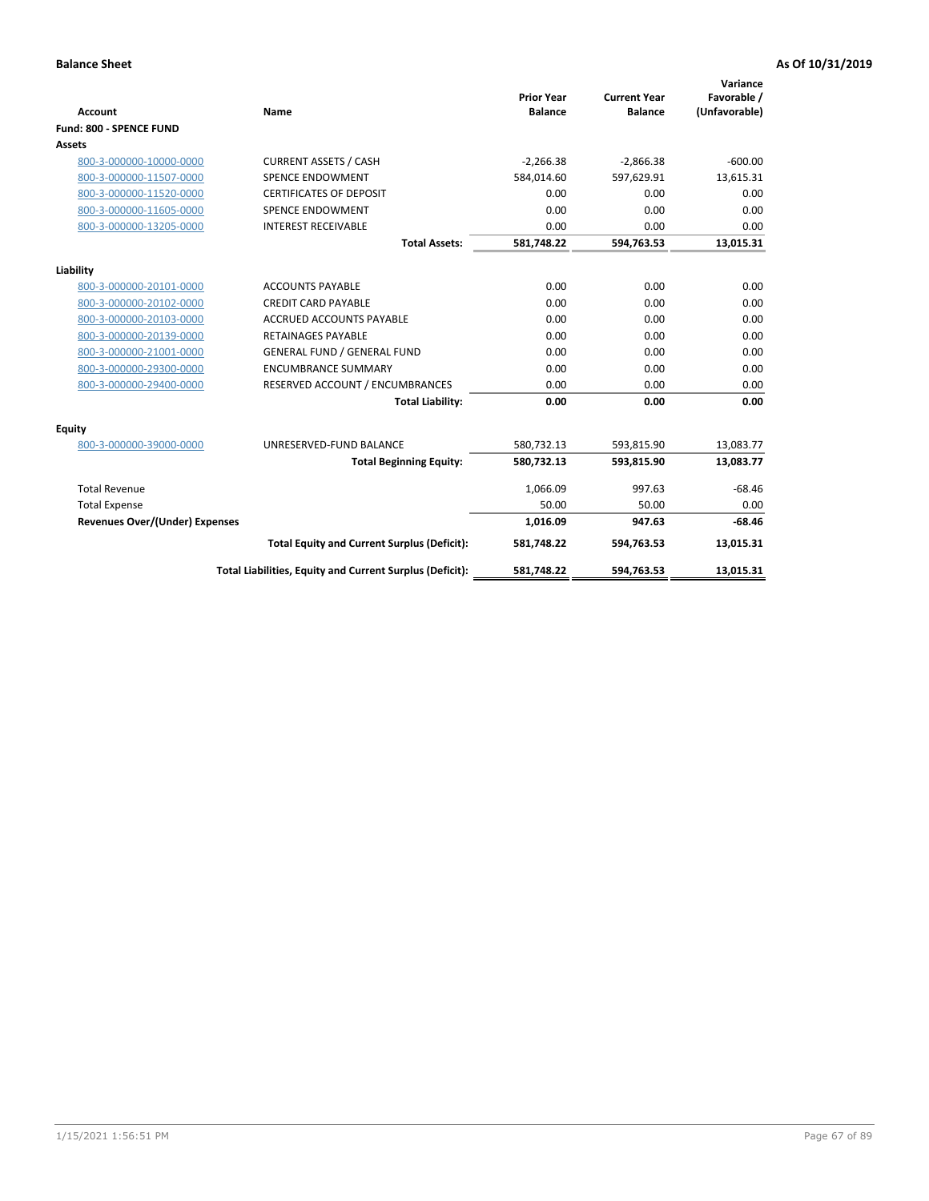|                                       |                                                          |                                     |                                       | Variance                     |
|---------------------------------------|----------------------------------------------------------|-------------------------------------|---------------------------------------|------------------------------|
| <b>Account</b>                        | <b>Name</b>                                              | <b>Prior Year</b><br><b>Balance</b> | <b>Current Year</b><br><b>Balance</b> | Favorable /<br>(Unfavorable) |
| Fund: 800 - SPENCE FUND               |                                                          |                                     |                                       |                              |
| Assets                                |                                                          |                                     |                                       |                              |
| 800-3-000000-10000-0000               | <b>CURRENT ASSETS / CASH</b>                             | $-2,266.38$                         | $-2,866.38$                           | $-600.00$                    |
| 800-3-000000-11507-0000               | <b>SPENCE ENDOWMENT</b>                                  | 584,014.60                          | 597,629.91                            | 13,615.31                    |
| 800-3-000000-11520-0000               | <b>CERTIFICATES OF DEPOSIT</b>                           | 0.00                                | 0.00                                  | 0.00                         |
| 800-3-000000-11605-0000               | <b>SPENCE ENDOWMENT</b>                                  | 0.00                                | 0.00                                  | 0.00                         |
| 800-3-000000-13205-0000               | <b>INTEREST RECEIVABLE</b>                               | 0.00                                | 0.00                                  | 0.00                         |
|                                       | <b>Total Assets:</b>                                     | 581,748.22                          | 594,763.53                            | 13,015.31                    |
| Liability                             |                                                          |                                     |                                       |                              |
| 800-3-000000-20101-0000               | <b>ACCOUNTS PAYABLE</b>                                  | 0.00                                | 0.00                                  | 0.00                         |
| 800-3-000000-20102-0000               | <b>CREDIT CARD PAYABLE</b>                               | 0.00                                | 0.00                                  | 0.00                         |
| 800-3-000000-20103-0000               | <b>ACCRUED ACCOUNTS PAYABLE</b>                          | 0.00                                | 0.00                                  | 0.00                         |
| 800-3-000000-20139-0000               | <b>RETAINAGES PAYABLE</b>                                | 0.00                                | 0.00                                  | 0.00                         |
| 800-3-000000-21001-0000               | <b>GENERAL FUND / GENERAL FUND</b>                       | 0.00                                | 0.00                                  | 0.00                         |
| 800-3-000000-29300-0000               | <b>ENCUMBRANCE SUMMARY</b>                               | 0.00                                | 0.00                                  | 0.00                         |
| 800-3-000000-29400-0000               | RESERVED ACCOUNT / ENCUMBRANCES                          | 0.00                                | 0.00                                  | 0.00                         |
|                                       | <b>Total Liability:</b>                                  | 0.00                                | 0.00                                  | 0.00                         |
| <b>Equity</b>                         |                                                          |                                     |                                       |                              |
| 800-3-000000-39000-0000               | UNRESERVED-FUND BALANCE                                  | 580,732.13                          | 593,815.90                            | 13,083.77                    |
|                                       | <b>Total Beginning Equity:</b>                           | 580,732.13                          | 593,815.90                            | 13,083.77                    |
| <b>Total Revenue</b>                  |                                                          | 1,066.09                            | 997.63                                | $-68.46$                     |
| <b>Total Expense</b>                  |                                                          | 50.00                               | 50.00                                 | 0.00                         |
| <b>Revenues Over/(Under) Expenses</b> |                                                          | 1,016.09                            | 947.63                                | $-68.46$                     |
|                                       | <b>Total Equity and Current Surplus (Deficit):</b>       | 581,748.22                          | 594,763.53                            | 13,015.31                    |
|                                       | Total Liabilities, Equity and Current Surplus (Deficit): | 581,748.22                          | 594,763.53                            | 13,015.31                    |
|                                       |                                                          |                                     |                                       |                              |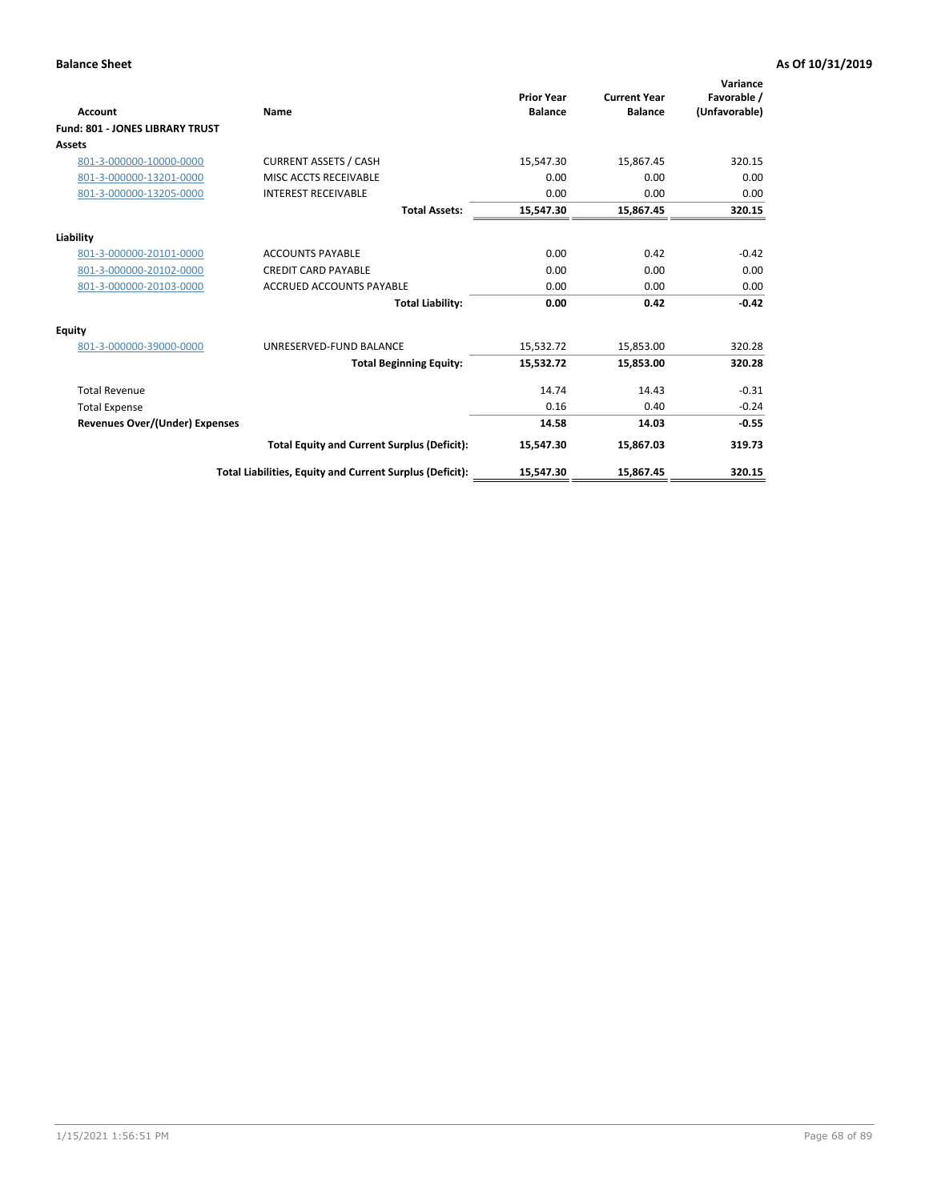| <b>Account</b>                         | Name                                                     | <b>Prior Year</b><br><b>Balance</b> | <b>Current Year</b><br><b>Balance</b> | Variance<br>Favorable /<br>(Unfavorable) |
|----------------------------------------|----------------------------------------------------------|-------------------------------------|---------------------------------------|------------------------------------------|
| <b>Fund: 801 - JONES LIBRARY TRUST</b> |                                                          |                                     |                                       |                                          |
| Assets                                 |                                                          |                                     |                                       |                                          |
| 801-3-000000-10000-0000                | <b>CURRENT ASSETS / CASH</b>                             | 15,547.30                           | 15,867.45                             | 320.15                                   |
| 801-3-000000-13201-0000                | MISC ACCTS RECEIVABLE                                    | 0.00                                | 0.00                                  | 0.00                                     |
| 801-3-000000-13205-0000                | <b>INTEREST RECEIVABLE</b>                               | 0.00                                | 0.00                                  | 0.00                                     |
|                                        | <b>Total Assets:</b>                                     | 15,547.30                           | 15,867.45                             | 320.15                                   |
| Liability                              |                                                          |                                     |                                       |                                          |
| 801-3-000000-20101-0000                | <b>ACCOUNTS PAYABLE</b>                                  | 0.00                                | 0.42                                  | $-0.42$                                  |
| 801-3-000000-20102-0000                | <b>CREDIT CARD PAYABLE</b>                               | 0.00                                | 0.00                                  | 0.00                                     |
| 801-3-000000-20103-0000                | <b>ACCRUED ACCOUNTS PAYABLE</b>                          | 0.00                                | 0.00                                  | 0.00                                     |
|                                        | <b>Total Liability:</b>                                  | 0.00                                | 0.42                                  | $-0.42$                                  |
| Equity                                 |                                                          |                                     |                                       |                                          |
| 801-3-000000-39000-0000                | UNRESERVED-FUND BALANCE                                  | 15,532.72                           | 15,853.00                             | 320.28                                   |
|                                        | <b>Total Beginning Equity:</b>                           | 15,532.72                           | 15,853.00                             | 320.28                                   |
| <b>Total Revenue</b>                   |                                                          | 14.74                               | 14.43                                 | $-0.31$                                  |
| <b>Total Expense</b>                   |                                                          | 0.16                                | 0.40                                  | $-0.24$                                  |
| <b>Revenues Over/(Under) Expenses</b>  |                                                          | 14.58                               | 14.03                                 | $-0.55$                                  |
|                                        | <b>Total Equity and Current Surplus (Deficit):</b>       | 15,547.30                           | 15,867.03                             | 319.73                                   |
|                                        | Total Liabilities, Equity and Current Surplus (Deficit): | 15,547.30                           | 15,867.45                             | 320.15                                   |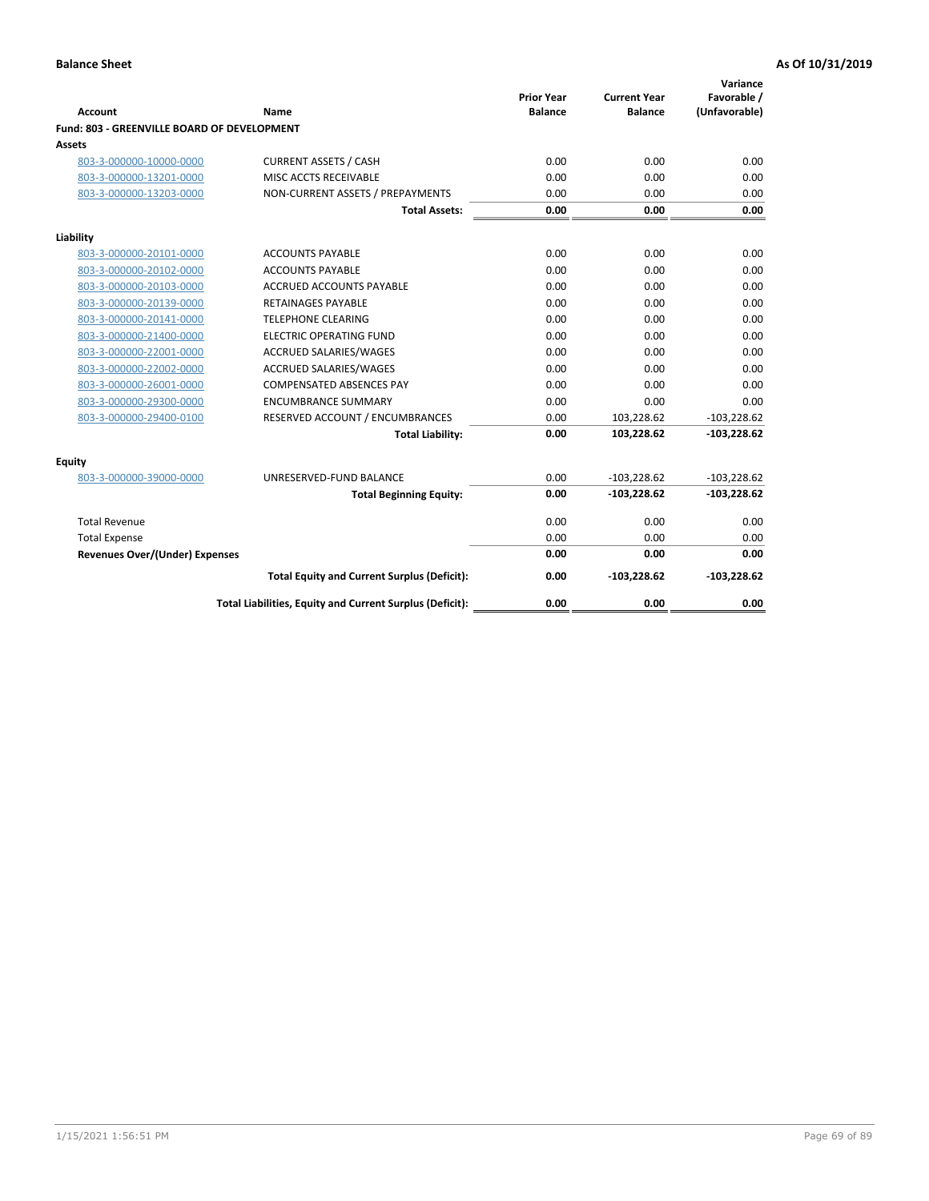| <b>Account</b>                              | Name                                                     | <b>Prior Year</b><br><b>Balance</b> | <b>Current Year</b><br><b>Balance</b> | Variance<br>Favorable /<br>(Unfavorable) |
|---------------------------------------------|----------------------------------------------------------|-------------------------------------|---------------------------------------|------------------------------------------|
| Fund: 803 - GREENVILLE BOARD OF DEVELOPMENT |                                                          |                                     |                                       |                                          |
| Assets                                      |                                                          |                                     |                                       |                                          |
| 803-3-000000-10000-0000                     | <b>CURRENT ASSETS / CASH</b>                             | 0.00                                | 0.00                                  | 0.00                                     |
| 803-3-000000-13201-0000                     | MISC ACCTS RECEIVABLE                                    | 0.00                                | 0.00                                  | 0.00                                     |
| 803-3-000000-13203-0000                     | NON-CURRENT ASSETS / PREPAYMENTS                         | 0.00                                | 0.00                                  | 0.00                                     |
|                                             | <b>Total Assets:</b>                                     | 0.00                                | 0.00                                  | 0.00                                     |
| Liability                                   |                                                          |                                     |                                       |                                          |
| 803-3-000000-20101-0000                     | <b>ACCOUNTS PAYABLE</b>                                  | 0.00                                | 0.00                                  | 0.00                                     |
| 803-3-000000-20102-0000                     | <b>ACCOUNTS PAYABLE</b>                                  | 0.00                                | 0.00                                  | 0.00                                     |
| 803-3-000000-20103-0000                     | <b>ACCRUED ACCOUNTS PAYABLE</b>                          | 0.00                                | 0.00                                  | 0.00                                     |
| 803-3-000000-20139-0000                     | <b>RETAINAGES PAYABLE</b>                                | 0.00                                | 0.00                                  | 0.00                                     |
| 803-3-000000-20141-0000                     | <b>TELEPHONE CLEARING</b>                                | 0.00                                | 0.00                                  | 0.00                                     |
| 803-3-000000-21400-0000                     | <b>ELECTRIC OPERATING FUND</b>                           | 0.00                                | 0.00                                  | 0.00                                     |
| 803-3-000000-22001-0000                     | ACCRUED SALARIES/WAGES                                   | 0.00                                | 0.00                                  | 0.00                                     |
| 803-3-000000-22002-0000                     | <b>ACCRUED SALARIES/WAGES</b>                            | 0.00                                | 0.00                                  | 0.00                                     |
| 803-3-000000-26001-0000                     | <b>COMPENSATED ABSENCES PAY</b>                          | 0.00                                | 0.00                                  | 0.00                                     |
| 803-3-000000-29300-0000                     | <b>ENCUMBRANCE SUMMARY</b>                               | 0.00                                | 0.00                                  | 0.00                                     |
| 803-3-000000-29400-0100                     | RESERVED ACCOUNT / ENCUMBRANCES                          | 0.00                                | 103,228.62                            | $-103,228.62$                            |
|                                             | <b>Total Liability:</b>                                  | 0.00                                | 103,228.62                            | $-103,228.62$                            |
| Equity                                      |                                                          |                                     |                                       |                                          |
| 803-3-000000-39000-0000                     | UNRESERVED-FUND BALANCE                                  | 0.00                                | $-103,228.62$                         | $-103,228.62$                            |
|                                             | <b>Total Beginning Equity:</b>                           | 0.00                                | $-103,228.62$                         | $-103,228.62$                            |
| <b>Total Revenue</b>                        |                                                          | 0.00                                | 0.00                                  | 0.00                                     |
| <b>Total Expense</b>                        |                                                          | 0.00                                | 0.00                                  | 0.00                                     |
| <b>Revenues Over/(Under) Expenses</b>       |                                                          | 0.00                                | 0.00                                  | 0.00                                     |
|                                             | <b>Total Equity and Current Surplus (Deficit):</b>       | 0.00                                | $-103,228.62$                         | $-103,228.62$                            |
|                                             | Total Liabilities, Equity and Current Surplus (Deficit): | 0.00                                | 0.00                                  | 0.00                                     |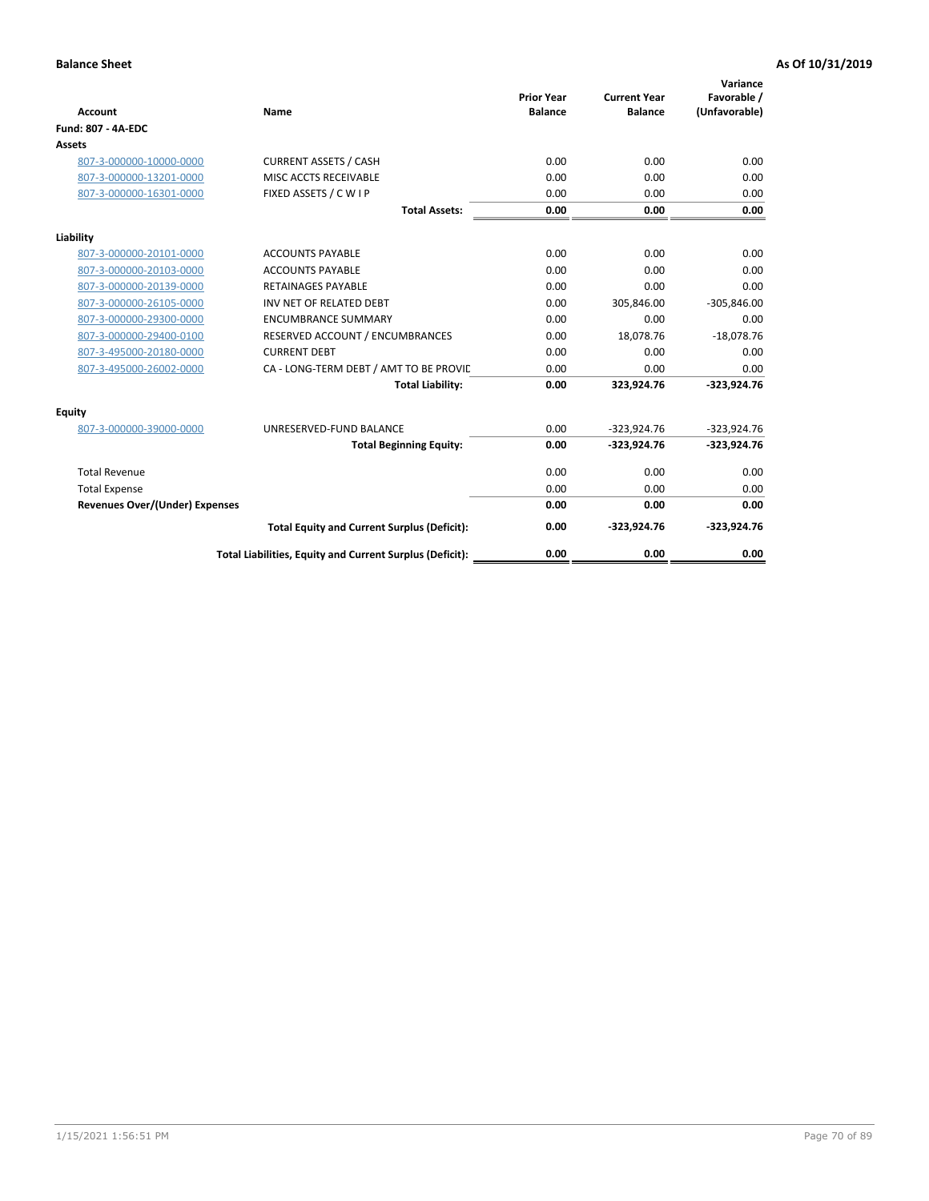| <b>Account</b>                 | Name                                                     | <b>Prior Year</b><br><b>Balance</b> | <b>Current Year</b><br><b>Balance</b> | Variance<br>Favorable /<br>(Unfavorable) |
|--------------------------------|----------------------------------------------------------|-------------------------------------|---------------------------------------|------------------------------------------|
| <b>Fund: 807 - 4A-EDC</b>      |                                                          |                                     |                                       |                                          |
| <b>Assets</b>                  |                                                          |                                     |                                       |                                          |
| 807-3-000000-10000-0000        | <b>CURRENT ASSETS / CASH</b>                             | 0.00                                | 0.00                                  | 0.00                                     |
| 807-3-000000-13201-0000        | MISC ACCTS RECEIVABLE                                    | 0.00                                | 0.00                                  | 0.00                                     |
| 807-3-000000-16301-0000        | FIXED ASSETS / C W I P                                   | 0.00                                | 0.00                                  | 0.00                                     |
|                                | <b>Total Assets:</b>                                     | 0.00                                | 0.00                                  | 0.00                                     |
| Liability                      |                                                          |                                     |                                       |                                          |
| 807-3-000000-20101-0000        | <b>ACCOUNTS PAYABLE</b>                                  | 0.00                                | 0.00                                  | 0.00                                     |
| 807-3-000000-20103-0000        | <b>ACCOUNTS PAYABLE</b>                                  | 0.00                                | 0.00                                  | 0.00                                     |
| 807-3-000000-20139-0000        | <b>RETAINAGES PAYABLE</b>                                | 0.00                                | 0.00                                  | 0.00                                     |
| 807-3-000000-26105-0000        | INV NET OF RELATED DEBT                                  | 0.00                                | 305,846.00                            | $-305,846.00$                            |
| 807-3-000000-29300-0000        | <b>ENCUMBRANCE SUMMARY</b>                               | 0.00                                | 0.00                                  | 0.00                                     |
| 807-3-000000-29400-0100        | RESERVED ACCOUNT / ENCUMBRANCES                          | 0.00                                | 18,078.76                             | $-18,078.76$                             |
| 807-3-495000-20180-0000        | <b>CURRENT DEBT</b>                                      | 0.00                                | 0.00                                  | 0.00                                     |
| 807-3-495000-26002-0000        | CA - LONG-TERM DEBT / AMT TO BE PROVIL                   | 0.00                                | 0.00                                  | 0.00                                     |
|                                | <b>Total Liability:</b>                                  | 0.00                                | 323,924.76                            | $-323,924.76$                            |
| Equity                         |                                                          |                                     |                                       |                                          |
| 807-3-000000-39000-0000        | UNRESERVED-FUND BALANCE                                  | 0.00                                | $-323,924.76$                         | $-323,924.76$                            |
|                                | <b>Total Beginning Equity:</b>                           | 0.00                                | $-323,924.76$                         | $-323,924.76$                            |
| <b>Total Revenue</b>           |                                                          | 0.00                                | 0.00                                  | 0.00                                     |
| <b>Total Expense</b>           |                                                          | 0.00                                | 0.00                                  | 0.00                                     |
| Revenues Over/(Under) Expenses |                                                          | 0.00                                | 0.00                                  | 0.00                                     |
|                                | <b>Total Equity and Current Surplus (Deficit):</b>       | 0.00                                | $-323,924.76$                         | $-323,924.76$                            |
|                                | Total Liabilities, Equity and Current Surplus (Deficit): | 0.00                                | 0.00                                  | 0.00                                     |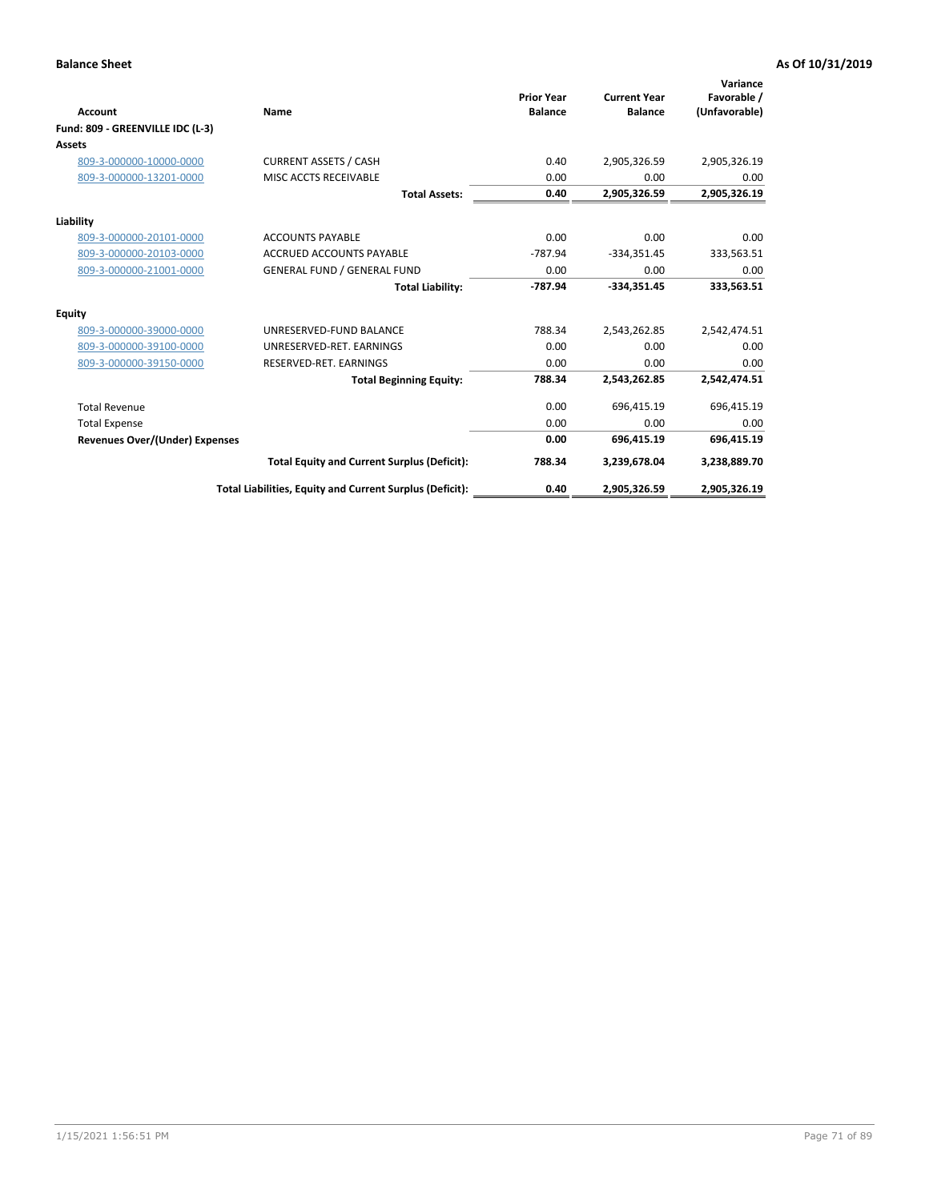| <b>Account</b>                   | Name                                                     | <b>Prior Year</b><br><b>Balance</b> | <b>Current Year</b><br><b>Balance</b> | Variance<br>Favorable /<br>(Unfavorable) |
|----------------------------------|----------------------------------------------------------|-------------------------------------|---------------------------------------|------------------------------------------|
| Fund: 809 - GREENVILLE IDC (L-3) |                                                          |                                     |                                       |                                          |
| <b>Assets</b>                    |                                                          |                                     |                                       |                                          |
| 809-3-000000-10000-0000          | <b>CURRENT ASSETS / CASH</b>                             | 0.40                                | 2,905,326.59                          | 2,905,326.19                             |
| 809-3-000000-13201-0000          | MISC ACCTS RECEIVABLE                                    | 0.00                                | 0.00                                  | 0.00                                     |
|                                  | <b>Total Assets:</b>                                     | 0.40                                | 2,905,326.59                          | 2,905,326.19                             |
| Liability                        |                                                          |                                     |                                       |                                          |
| 809-3-000000-20101-0000          | <b>ACCOUNTS PAYABLE</b>                                  | 0.00                                | 0.00                                  | 0.00                                     |
| 809-3-000000-20103-0000          | <b>ACCRUED ACCOUNTS PAYABLE</b>                          | $-787.94$                           | $-334,351.45$                         | 333,563.51                               |
| 809-3-000000-21001-0000          | <b>GENERAL FUND / GENERAL FUND</b>                       | 0.00                                | 0.00                                  | 0.00                                     |
|                                  | <b>Total Liability:</b>                                  | -787.94                             | $-334,351.45$                         | 333,563.51                               |
| <b>Equity</b>                    |                                                          |                                     |                                       |                                          |
| 809-3-000000-39000-0000          | UNRESERVED-FUND BALANCE                                  | 788.34                              | 2,543,262.85                          | 2,542,474.51                             |
| 809-3-000000-39100-0000          | UNRESERVED-RET, EARNINGS                                 | 0.00                                | 0.00                                  | 0.00                                     |
| 809-3-000000-39150-0000          | RESERVED-RET. EARNINGS                                   | 0.00                                | 0.00                                  | 0.00                                     |
|                                  | <b>Total Beginning Equity:</b>                           | 788.34                              | 2,543,262.85                          | 2,542,474.51                             |
| <b>Total Revenue</b>             |                                                          | 0.00                                | 696,415.19                            | 696,415.19                               |
| <b>Total Expense</b>             |                                                          | 0.00                                | 0.00                                  | 0.00                                     |
| Revenues Over/(Under) Expenses   |                                                          | 0.00                                | 696,415.19                            | 696,415.19                               |
|                                  | <b>Total Equity and Current Surplus (Deficit):</b>       | 788.34                              | 3,239,678.04                          | 3,238,889.70                             |
|                                  | Total Liabilities, Equity and Current Surplus (Deficit): | 0.40                                | 2,905,326.59                          | 2,905,326.19                             |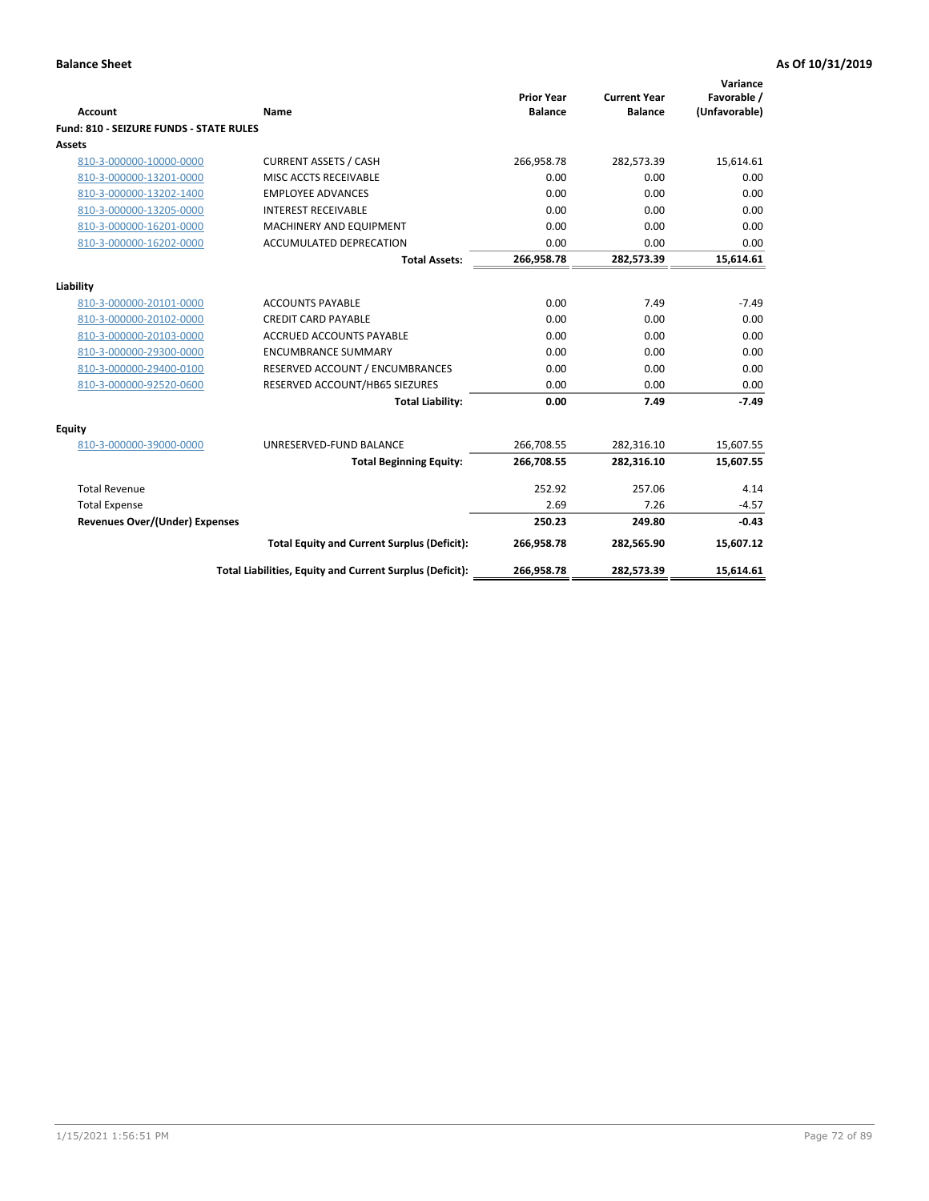| <b>Account</b>                                     | Name                                                     | <b>Prior Year</b><br><b>Balance</b> | <b>Current Year</b><br><b>Balance</b> | Variance<br>Favorable /<br>(Unfavorable) |
|----------------------------------------------------|----------------------------------------------------------|-------------------------------------|---------------------------------------|------------------------------------------|
| <b>Fund: 810 - SEIZURE FUNDS - STATE RULES</b>     |                                                          |                                     |                                       |                                          |
| <b>Assets</b>                                      |                                                          |                                     |                                       |                                          |
| 810-3-000000-10000-0000                            | <b>CURRENT ASSETS / CASH</b>                             | 266,958.78                          | 282,573.39                            | 15,614.61                                |
| 810-3-000000-13201-0000                            | MISC ACCTS RECEIVABLE                                    | 0.00                                | 0.00                                  | 0.00                                     |
| 810-3-000000-13202-1400                            | <b>EMPLOYEE ADVANCES</b>                                 | 0.00                                | 0.00                                  | 0.00                                     |
| 810-3-000000-13205-0000                            | <b>INTEREST RECEIVABLE</b>                               | 0.00                                | 0.00                                  | 0.00                                     |
| 810-3-000000-16201-0000                            | MACHINERY AND EQUIPMENT                                  | 0.00                                | 0.00                                  | 0.00                                     |
| 810-3-000000-16202-0000                            | ACCUMULATED DEPRECATION                                  | 0.00                                | 0.00                                  | 0.00                                     |
|                                                    | <b>Total Assets:</b>                                     | 266,958.78                          | 282,573.39                            | 15,614.61                                |
|                                                    |                                                          |                                     |                                       |                                          |
| Liability                                          | <b>ACCOUNTS PAYABLE</b>                                  | 0.00                                | 7.49                                  | $-7.49$                                  |
| 810-3-000000-20101-0000<br>810-3-000000-20102-0000 | <b>CREDIT CARD PAYABLE</b>                               | 0.00                                | 0.00                                  | 0.00                                     |
| 810-3-000000-20103-0000                            | <b>ACCRUED ACCOUNTS PAYABLE</b>                          | 0.00                                | 0.00                                  | 0.00                                     |
|                                                    | <b>ENCUMBRANCE SUMMARY</b>                               | 0.00                                | 0.00                                  | 0.00                                     |
| 810-3-000000-29300-0000                            |                                                          |                                     | 0.00                                  | 0.00                                     |
| 810-3-000000-29400-0100                            | RESERVED ACCOUNT / ENCUMBRANCES                          | 0.00                                |                                       |                                          |
| 810-3-000000-92520-0600                            | RESERVED ACCOUNT/HB65 SIEZURES                           | 0.00<br>0.00                        | 0.00<br>7.49                          | 0.00<br>$-7.49$                          |
|                                                    | <b>Total Liability:</b>                                  |                                     |                                       |                                          |
| Equity                                             |                                                          |                                     |                                       |                                          |
| 810-3-000000-39000-0000                            | UNRESERVED-FUND BALANCE                                  | 266,708.55                          | 282,316.10                            | 15,607.55                                |
|                                                    | <b>Total Beginning Equity:</b>                           | 266,708.55                          | 282,316.10                            | 15,607.55                                |
| <b>Total Revenue</b>                               |                                                          | 252.92                              | 257.06                                | 4.14                                     |
| <b>Total Expense</b>                               |                                                          | 2.69                                | 7.26                                  | $-4.57$                                  |
| Revenues Over/(Under) Expenses                     |                                                          | 250.23                              | 249.80                                | $-0.43$                                  |
|                                                    | <b>Total Equity and Current Surplus (Deficit):</b>       | 266,958.78                          | 282,565.90                            | 15,607.12                                |
|                                                    | Total Liabilities, Equity and Current Surplus (Deficit): | 266,958.78                          | 282,573.39                            | 15,614.61                                |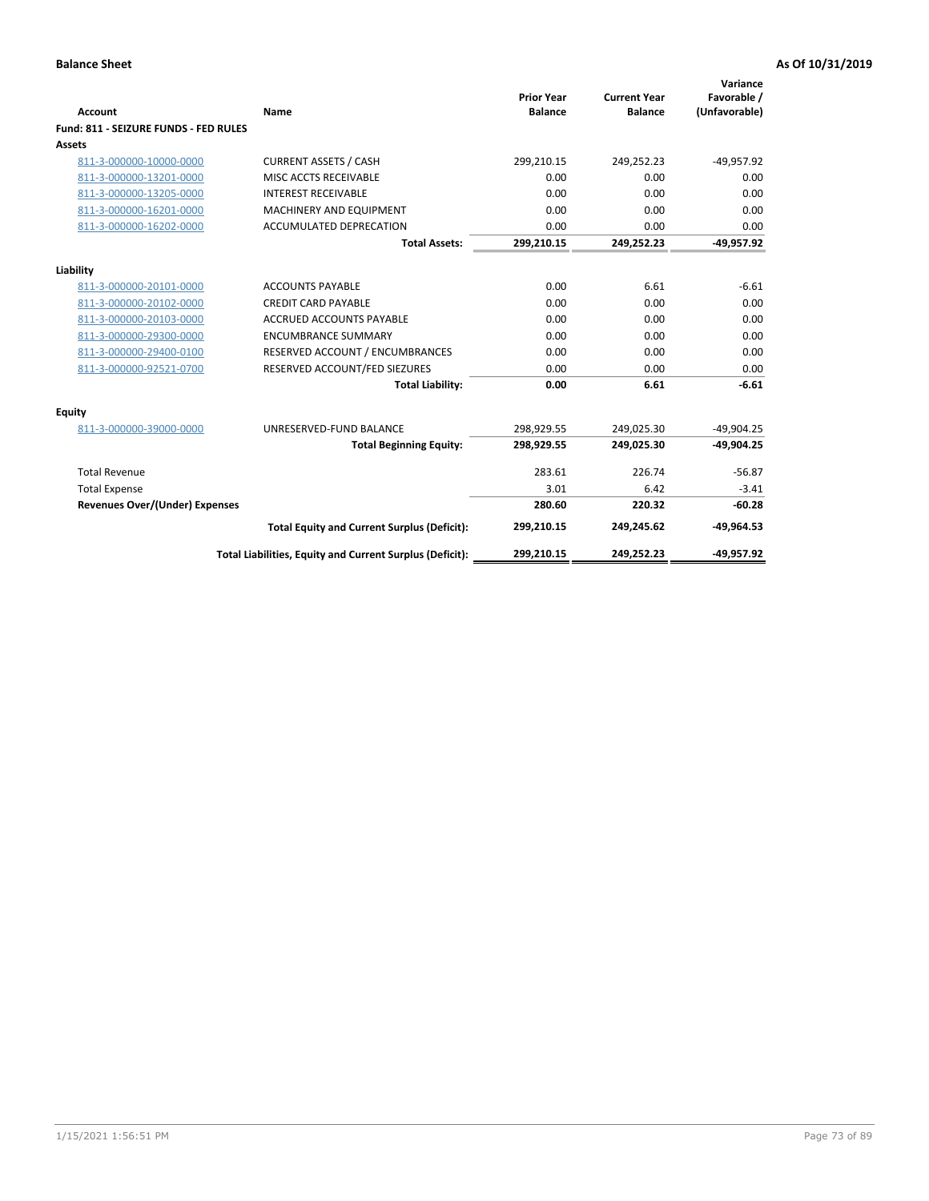| Account                               | Name                                                     | <b>Prior Year</b><br><b>Balance</b> | <b>Current Year</b><br><b>Balance</b> | Variance<br>Favorable /<br>(Unfavorable) |
|---------------------------------------|----------------------------------------------------------|-------------------------------------|---------------------------------------|------------------------------------------|
| Fund: 811 - SEIZURE FUNDS - FED RULES |                                                          |                                     |                                       |                                          |
| <b>Assets</b>                         |                                                          |                                     |                                       |                                          |
| 811-3-000000-10000-0000               | <b>CURRENT ASSETS / CASH</b>                             | 299,210.15                          | 249,252.23                            | $-49,957.92$                             |
| 811-3-000000-13201-0000               | MISC ACCTS RECEIVABLE                                    | 0.00                                | 0.00                                  | 0.00                                     |
| 811-3-000000-13205-0000               | <b>INTEREST RECEIVABLE</b>                               | 0.00                                | 0.00                                  | 0.00                                     |
| 811-3-000000-16201-0000               | <b>MACHINERY AND EQUIPMENT</b>                           | 0.00                                | 0.00                                  | 0.00                                     |
| 811-3-000000-16202-0000               | ACCUMULATED DEPRECATION                                  | 0.00                                | 0.00                                  | 0.00                                     |
|                                       | <b>Total Assets:</b>                                     | 299,210.15                          | 249,252.23                            | $-49,957.92$                             |
| Liability                             |                                                          |                                     |                                       |                                          |
| 811-3-000000-20101-0000               | <b>ACCOUNTS PAYABLE</b>                                  | 0.00                                | 6.61                                  | $-6.61$                                  |
| 811-3-000000-20102-0000               | <b>CREDIT CARD PAYABLE</b>                               | 0.00                                | 0.00                                  | 0.00                                     |
| 811-3-000000-20103-0000               | <b>ACCRUED ACCOUNTS PAYABLE</b>                          | 0.00                                | 0.00                                  | 0.00                                     |
| 811-3-000000-29300-0000               | <b>ENCUMBRANCE SUMMARY</b>                               | 0.00                                | 0.00                                  | 0.00                                     |
| 811-3-000000-29400-0100               | RESERVED ACCOUNT / ENCUMBRANCES                          | 0.00                                | 0.00                                  | 0.00                                     |
| 811-3-000000-92521-0700               | RESERVED ACCOUNT/FED SIEZURES                            | 0.00                                | 0.00                                  | 0.00                                     |
|                                       | <b>Total Liability:</b>                                  | 0.00                                | 6.61                                  | $-6.61$                                  |
| Equity                                |                                                          |                                     |                                       |                                          |
| 811-3-000000-39000-0000               | UNRESERVED-FUND BALANCE                                  | 298,929.55                          | 249,025.30                            | $-49,904.25$                             |
|                                       | <b>Total Beginning Equity:</b>                           | 298,929.55                          | 249,025.30                            | $-49,904.25$                             |
| <b>Total Revenue</b>                  |                                                          | 283.61                              | 226.74                                | $-56.87$                                 |
| <b>Total Expense</b>                  |                                                          | 3.01                                | 6.42                                  | $-3.41$                                  |
| Revenues Over/(Under) Expenses        |                                                          | 280.60                              | 220.32                                | $-60.28$                                 |
|                                       | <b>Total Equity and Current Surplus (Deficit):</b>       | 299,210.15                          | 249,245.62                            | $-49,964.53$                             |
|                                       | Total Liabilities, Equity and Current Surplus (Deficit): | 299,210.15                          | 249,252.23                            | -49,957.92                               |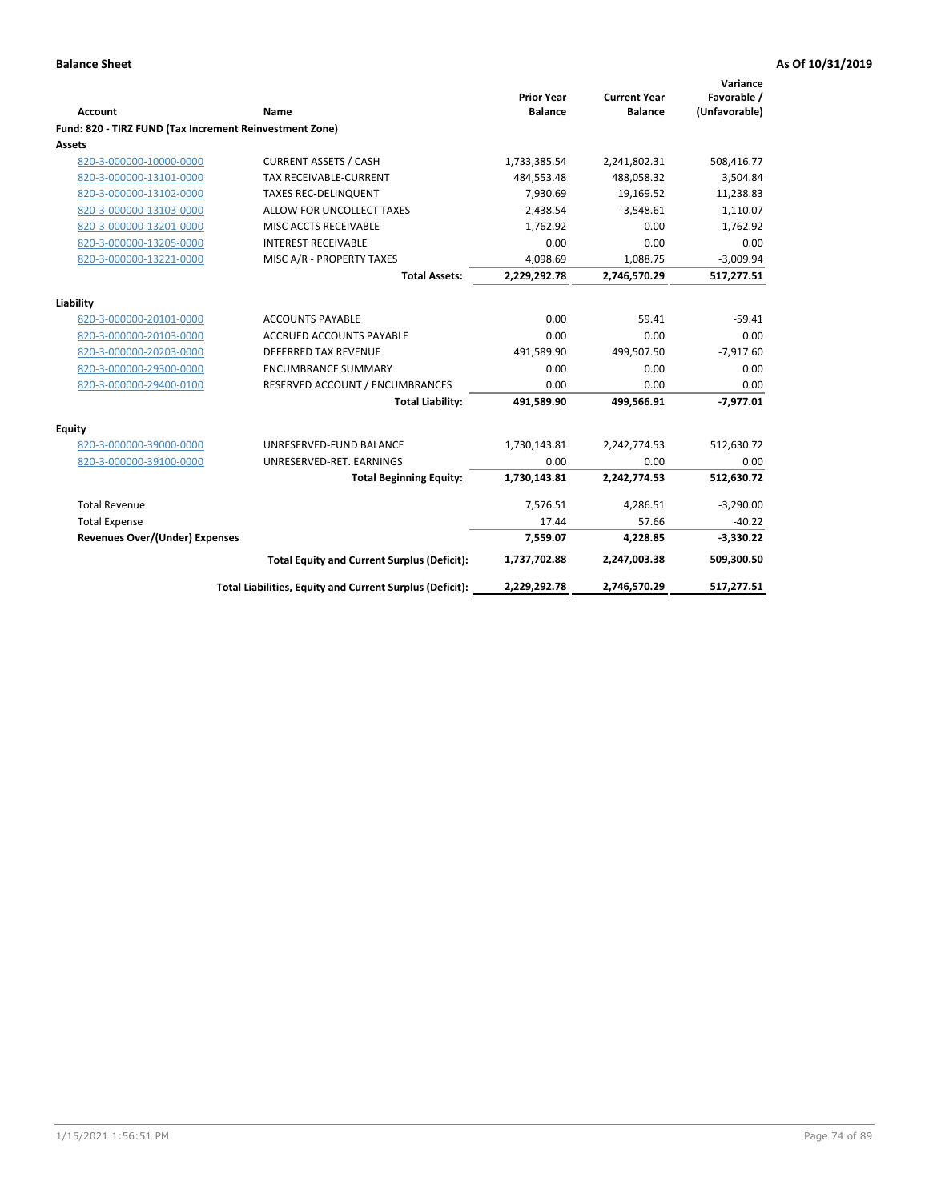|                                                         |                                                          | <b>Prior Year</b> | <b>Current Year</b> | Variance<br>Favorable / |
|---------------------------------------------------------|----------------------------------------------------------|-------------------|---------------------|-------------------------|
| <b>Account</b>                                          | <b>Name</b>                                              | <b>Balance</b>    | <b>Balance</b>      | (Unfavorable)           |
| Fund: 820 - TIRZ FUND (Tax Increment Reinvestment Zone) |                                                          |                   |                     |                         |
| Assets                                                  |                                                          |                   |                     |                         |
| 820-3-000000-10000-0000                                 | <b>CURRENT ASSETS / CASH</b>                             | 1,733,385.54      | 2,241,802.31        | 508,416.77              |
| 820-3-000000-13101-0000                                 | <b>TAX RECEIVABLE-CURRENT</b>                            | 484,553.48        | 488,058.32          | 3,504.84                |
| 820-3-000000-13102-0000                                 | <b>TAXES REC-DELINQUENT</b>                              | 7,930.69          | 19,169.52           | 11,238.83               |
| 820-3-000000-13103-0000                                 | ALLOW FOR UNCOLLECT TAXES                                | $-2,438.54$       | $-3,548.61$         | $-1,110.07$             |
| 820-3-000000-13201-0000                                 | MISC ACCTS RECEIVABLE                                    | 1,762.92          | 0.00                | $-1,762.92$             |
| 820-3-000000-13205-0000                                 | <b>INTEREST RECEIVABLE</b>                               | 0.00              | 0.00                | 0.00                    |
| 820-3-000000-13221-0000                                 | MISC A/R - PROPERTY TAXES                                | 4,098.69          | 1,088.75            | $-3,009.94$             |
|                                                         | <b>Total Assets:</b>                                     | 2,229,292.78      | 2,746,570.29        | 517,277.51              |
| Liability                                               |                                                          |                   |                     |                         |
| 820-3-000000-20101-0000                                 | <b>ACCOUNTS PAYABLE</b>                                  | 0.00              | 59.41               | $-59.41$                |
| 820-3-000000-20103-0000                                 | <b>ACCRUED ACCOUNTS PAYABLE</b>                          | 0.00              | 0.00                | 0.00                    |
| 820-3-000000-20203-0000                                 | <b>DEFERRED TAX REVENUE</b>                              | 491,589.90        | 499,507.50          | $-7,917.60$             |
| 820-3-000000-29300-0000                                 | <b>ENCUMBRANCE SUMMARY</b>                               | 0.00              | 0.00                | 0.00                    |
| 820-3-000000-29400-0100                                 | RESERVED ACCOUNT / ENCUMBRANCES                          | 0.00              | 0.00                | 0.00                    |
|                                                         | <b>Total Liability:</b>                                  | 491,589.90        | 499,566.91          | $-7,977.01$             |
| <b>Equity</b>                                           |                                                          |                   |                     |                         |
| 820-3-000000-39000-0000                                 | UNRESERVED-FUND BALANCE                                  | 1,730,143.81      | 2,242,774.53        | 512,630.72              |
| 820-3-000000-39100-0000                                 | UNRESERVED-RET. EARNINGS                                 | 0.00              | 0.00                | 0.00                    |
|                                                         | <b>Total Beginning Equity:</b>                           | 1,730,143.81      | 2,242,774.53        | 512,630.72              |
| <b>Total Revenue</b>                                    |                                                          | 7,576.51          | 4,286.51            | $-3,290.00$             |
| <b>Total Expense</b>                                    |                                                          | 17.44             | 57.66               | $-40.22$                |
| <b>Revenues Over/(Under) Expenses</b>                   |                                                          | 7,559.07          | 4,228.85            | $-3,330.22$             |
|                                                         | <b>Total Equity and Current Surplus (Deficit):</b>       | 1,737,702.88      | 2,247,003.38        | 509,300.50              |
|                                                         | Total Liabilities, Equity and Current Surplus (Deficit): | 2,229,292.78      | 2,746,570.29        | 517,277.51              |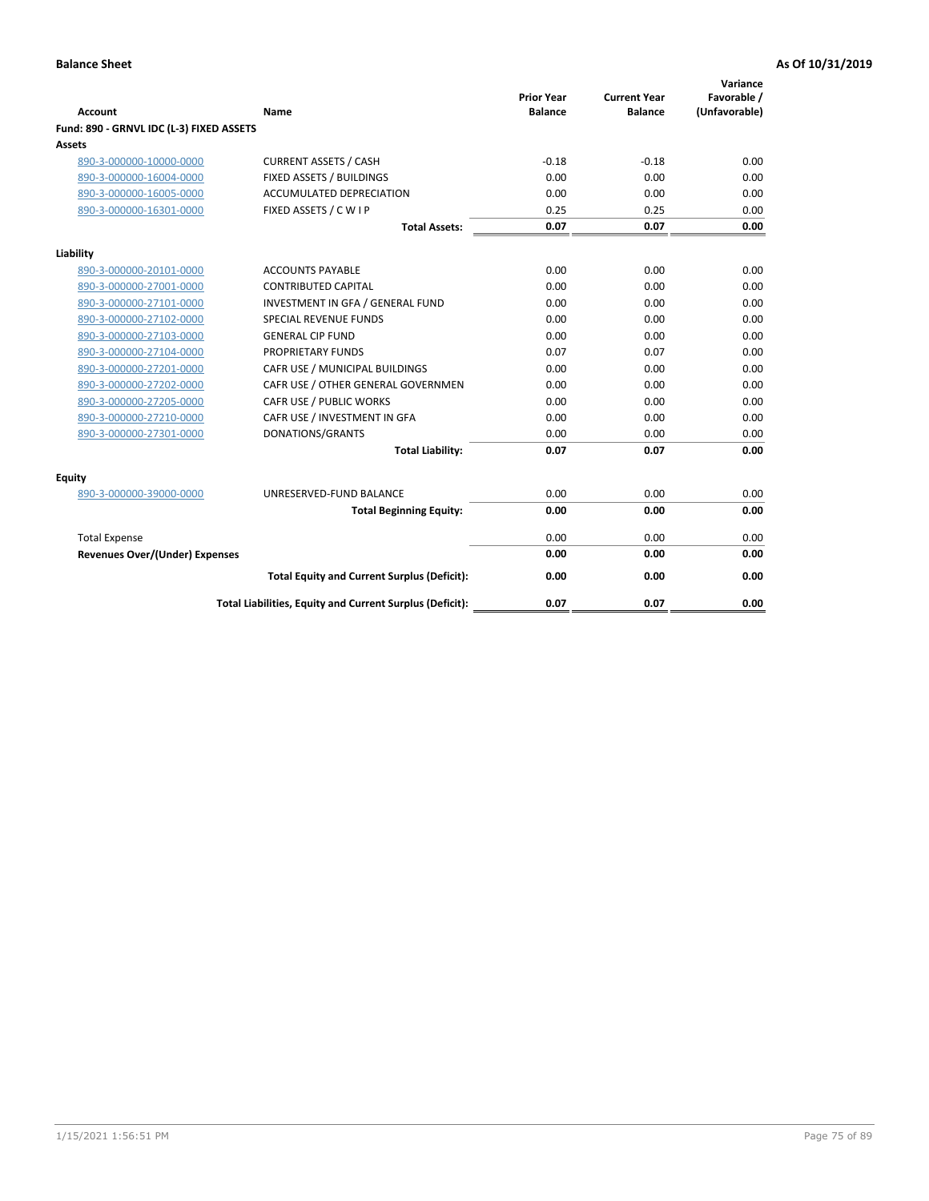| <b>Account</b>                           | Name                                                     | <b>Prior Year</b><br><b>Balance</b> | <b>Current Year</b><br><b>Balance</b> | Variance<br>Favorable /<br>(Unfavorable) |
|------------------------------------------|----------------------------------------------------------|-------------------------------------|---------------------------------------|------------------------------------------|
| Fund: 890 - GRNVL IDC (L-3) FIXED ASSETS |                                                          |                                     |                                       |                                          |
| <b>Assets</b>                            |                                                          |                                     |                                       |                                          |
| 890-3-000000-10000-0000                  | <b>CURRENT ASSETS / CASH</b>                             | $-0.18$                             | $-0.18$                               | 0.00                                     |
| 890-3-000000-16004-0000                  | FIXED ASSETS / BUILDINGS                                 | 0.00                                | 0.00                                  | 0.00                                     |
| 890-3-000000-16005-0000                  | <b>ACCUMULATED DEPRECIATION</b>                          | 0.00                                | 0.00                                  | 0.00                                     |
| 890-3-000000-16301-0000                  | FIXED ASSETS / C W I P                                   | 0.25                                | 0.25                                  | 0.00                                     |
|                                          | <b>Total Assets:</b>                                     | 0.07                                | 0.07                                  | 0.00                                     |
| Liability                                |                                                          |                                     |                                       |                                          |
| 890-3-000000-20101-0000                  | <b>ACCOUNTS PAYABLE</b>                                  | 0.00                                | 0.00                                  | 0.00                                     |
| 890-3-000000-27001-0000                  | <b>CONTRIBUTED CAPITAL</b>                               | 0.00                                | 0.00                                  | 0.00                                     |
| 890-3-000000-27101-0000                  | INVESTMENT IN GFA / GENERAL FUND                         | 0.00                                | 0.00                                  | 0.00                                     |
| 890-3-000000-27102-0000                  | SPECIAL REVENUE FUNDS                                    | 0.00                                | 0.00                                  | 0.00                                     |
| 890-3-000000-27103-0000                  | <b>GENERAL CIP FUND</b>                                  | 0.00                                | 0.00                                  | 0.00                                     |
| 890-3-000000-27104-0000                  | PROPRIETARY FUNDS                                        | 0.07                                | 0.07                                  | 0.00                                     |
| 890-3-000000-27201-0000                  | CAFR USE / MUNICIPAL BUILDINGS                           | 0.00                                | 0.00                                  | 0.00                                     |
| 890-3-000000-27202-0000                  | CAFR USE / OTHER GENERAL GOVERNMEN                       | 0.00                                | 0.00                                  | 0.00                                     |
| 890-3-000000-27205-0000                  | CAFR USE / PUBLIC WORKS                                  | 0.00                                | 0.00                                  | 0.00                                     |
| 890-3-000000-27210-0000                  | CAFR USE / INVESTMENT IN GFA                             | 0.00                                | 0.00                                  | 0.00                                     |
| 890-3-000000-27301-0000                  | DONATIONS/GRANTS                                         | 0.00                                | 0.00                                  | 0.00                                     |
|                                          | <b>Total Liability:</b>                                  | 0.07                                | 0.07                                  | 0.00                                     |
| Equity                                   |                                                          |                                     |                                       |                                          |
| 890-3-000000-39000-0000                  | UNRESERVED-FUND BALANCE                                  | 0.00                                | 0.00                                  | 0.00                                     |
|                                          | <b>Total Beginning Equity:</b>                           | 0.00                                | 0.00                                  | 0.00                                     |
| <b>Total Expense</b>                     |                                                          | 0.00                                | 0.00                                  | 0.00                                     |
| Revenues Over/(Under) Expenses           |                                                          | 0.00                                | 0.00                                  | 0.00                                     |
|                                          | <b>Total Equity and Current Surplus (Deficit):</b>       | 0.00                                | 0.00                                  | 0.00                                     |
|                                          | Total Liabilities, Equity and Current Surplus (Deficit): | 0.07                                | 0.07                                  | 0.00                                     |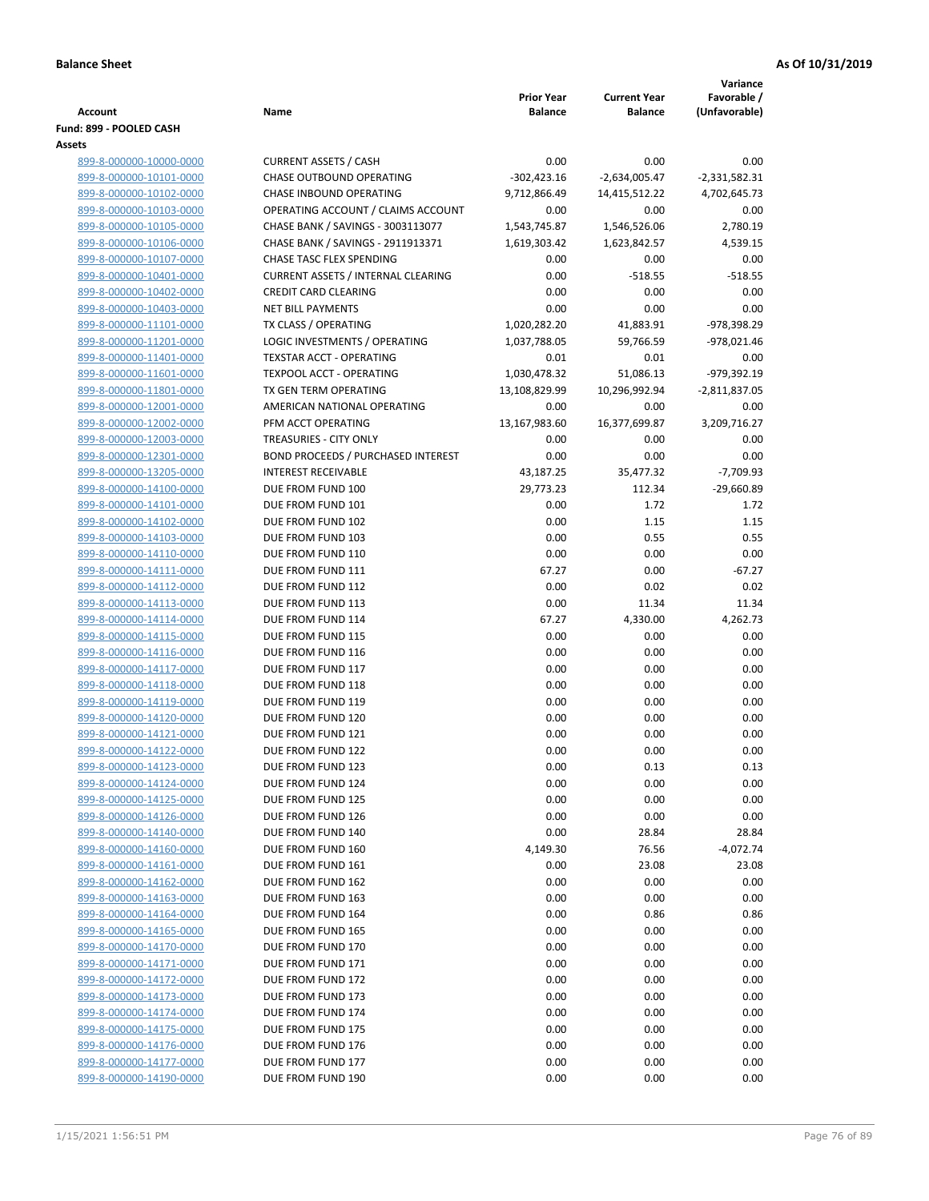|                                                    |                                                 | <b>Prior Year</b>      |                                       | Variance                     |
|----------------------------------------------------|-------------------------------------------------|------------------------|---------------------------------------|------------------------------|
| <b>Account</b>                                     | Name                                            | <b>Balance</b>         | <b>Current Year</b><br><b>Balance</b> | Favorable /<br>(Unfavorable) |
| Fund: 899 - POOLED CASH                            |                                                 |                        |                                       |                              |
| Assets                                             |                                                 |                        |                                       |                              |
| 899-8-000000-10000-0000                            | <b>CURRENT ASSETS / CASH</b>                    | 0.00                   | 0.00                                  | 0.00                         |
| 899-8-000000-10101-0000                            | <b>CHASE OUTBOUND OPERATING</b>                 | $-302,423.16$          | $-2,634,005.47$                       | $-2,331,582.31$              |
| 899-8-000000-10102-0000                            | CHASE INBOUND OPERATING                         | 9,712,866.49           | 14,415,512.22                         | 4,702,645.73                 |
| 899-8-000000-10103-0000                            | OPERATING ACCOUNT / CLAIMS ACCOUNT              | 0.00                   | 0.00                                  | 0.00                         |
| 899-8-000000-10105-0000                            | CHASE BANK / SAVINGS - 3003113077               | 1,543,745.87           | 1,546,526.06                          | 2,780.19                     |
| 899-8-000000-10106-0000                            | CHASE BANK / SAVINGS - 2911913371               | 1,619,303.42           | 1,623,842.57                          | 4,539.15                     |
| 899-8-000000-10107-0000                            | <b>CHASE TASC FLEX SPENDING</b>                 | 0.00                   | 0.00                                  | 0.00                         |
| 899-8-000000-10401-0000                            | <b>CURRENT ASSETS / INTERNAL CLEARING</b>       | 0.00                   | $-518.55$                             | $-518.55$                    |
| 899-8-000000-10402-0000                            | <b>CREDIT CARD CLEARING</b>                     | 0.00                   | 0.00                                  | 0.00                         |
| 899-8-000000-10403-0000                            | <b>NET BILL PAYMENTS</b>                        | 0.00                   | 0.00                                  | 0.00                         |
| 899-8-000000-11101-0000                            | TX CLASS / OPERATING                            | 1,020,282.20           | 41,883.91                             | -978,398.29                  |
| 899-8-000000-11201-0000                            | LOGIC INVESTMENTS / OPERATING                   | 1,037,788.05           | 59,766.59                             | $-978,021.46$                |
| 899-8-000000-11401-0000                            | TEXSTAR ACCT - OPERATING                        | 0.01                   | 0.01                                  | 0.00                         |
| 899-8-000000-11601-0000                            | <b>TEXPOOL ACCT - OPERATING</b>                 | 1,030,478.32           | 51,086.13                             | -979,392.19                  |
| 899-8-000000-11801-0000                            | TX GEN TERM OPERATING                           | 13,108,829.99          | 10,296,992.94                         | $-2,811,837.05$              |
| 899-8-000000-12001-0000                            | AMERICAN NATIONAL OPERATING                     | 0.00                   | 0.00                                  | 0.00                         |
| 899-8-000000-12002-0000                            | PFM ACCT OPERATING                              | 13,167,983.60          | 16,377,699.87                         | 3,209,716.27                 |
| 899-8-000000-12003-0000                            | TREASURIES - CITY ONLY                          | 0.00                   | 0.00                                  | 0.00                         |
| 899-8-000000-12301-0000                            | BOND PROCEEDS / PURCHASED INTEREST              | 0.00                   | 0.00                                  | 0.00                         |
| 899-8-000000-13205-0000                            | <b>INTEREST RECEIVABLE</b><br>DUE FROM FUND 100 | 43,187.25<br>29,773.23 | 35,477.32                             | $-7,709.93$<br>$-29,660.89$  |
| 899-8-000000-14100-0000<br>899-8-000000-14101-0000 | DUE FROM FUND 101                               | 0.00                   | 112.34<br>1.72                        | 1.72                         |
| 899-8-000000-14102-0000                            | DUE FROM FUND 102                               | 0.00                   | 1.15                                  | 1.15                         |
| 899-8-000000-14103-0000                            | DUE FROM FUND 103                               | 0.00                   | 0.55                                  | 0.55                         |
| 899-8-000000-14110-0000                            | DUE FROM FUND 110                               | 0.00                   | 0.00                                  | 0.00                         |
| 899-8-000000-14111-0000                            | DUE FROM FUND 111                               | 67.27                  | 0.00                                  | $-67.27$                     |
| 899-8-000000-14112-0000                            | DUE FROM FUND 112                               | 0.00                   | 0.02                                  | 0.02                         |
| 899-8-000000-14113-0000                            | DUE FROM FUND 113                               | 0.00                   | 11.34                                 | 11.34                        |
| 899-8-000000-14114-0000                            | DUE FROM FUND 114                               | 67.27                  | 4,330.00                              | 4,262.73                     |
| 899-8-000000-14115-0000                            | DUE FROM FUND 115                               | 0.00                   | 0.00                                  | 0.00                         |
| 899-8-000000-14116-0000                            | DUE FROM FUND 116                               | 0.00                   | 0.00                                  | 0.00                         |
| 899-8-000000-14117-0000                            | DUE FROM FUND 117                               | 0.00                   | 0.00                                  | 0.00                         |
| 899-8-000000-14118-0000                            | DUE FROM FUND 118                               | 0.00                   | 0.00                                  | 0.00                         |
| 899-8-000000-14119-0000                            | DUE FROM FUND 119                               | 0.00                   | 0.00                                  | 0.00                         |
| 899-8-000000-14120-0000                            | DUE FROM FUND 120                               | 0.00                   | 0.00                                  | 0.00                         |
| 899-8-000000-14121-0000                            | DUE FROM FUND 121                               | 0.00                   | 0.00                                  | 0.00                         |
| 899-8-000000-14122-0000                            | DUE FROM FUND 122                               | 0.00                   | 0.00                                  | 0.00                         |
| 899-8-000000-14123-0000                            | DUE FROM FUND 123                               | 0.00                   | 0.13                                  | 0.13                         |
| 899-8-000000-14124-0000                            | DUE FROM FUND 124                               | 0.00                   | 0.00                                  | 0.00                         |
| 899-8-000000-14125-0000                            | DUE FROM FUND 125                               | 0.00                   | 0.00                                  | 0.00                         |
| 899-8-000000-14126-0000                            | DUE FROM FUND 126                               | 0.00                   | 0.00                                  | 0.00                         |
| 899-8-000000-14140-0000                            | DUE FROM FUND 140                               | 0.00                   | 28.84                                 | 28.84                        |
| 899-8-000000-14160-0000                            | DUE FROM FUND 160                               | 4,149.30               | 76.56                                 | $-4,072.74$                  |
| 899-8-000000-14161-0000                            | DUE FROM FUND 161                               | 0.00                   | 23.08                                 | 23.08                        |
| 899-8-000000-14162-0000<br>899-8-000000-14163-0000 | DUE FROM FUND 162<br>DUE FROM FUND 163          | 0.00<br>0.00           | 0.00<br>0.00                          | 0.00<br>0.00                 |
| 899-8-000000-14164-0000                            | DUE FROM FUND 164                               | 0.00                   | 0.86                                  | 0.86                         |
| 899-8-000000-14165-0000                            | DUE FROM FUND 165                               | 0.00                   | 0.00                                  | 0.00                         |
| 899-8-000000-14170-0000                            | DUE FROM FUND 170                               | 0.00                   | 0.00                                  | 0.00                         |
| 899-8-000000-14171-0000                            | DUE FROM FUND 171                               | 0.00                   | 0.00                                  | 0.00                         |
| 899-8-000000-14172-0000                            | DUE FROM FUND 172                               | 0.00                   | 0.00                                  | 0.00                         |
| 899-8-000000-14173-0000                            | DUE FROM FUND 173                               | 0.00                   | 0.00                                  | 0.00                         |
| 899-8-000000-14174-0000                            | DUE FROM FUND 174                               | 0.00                   | 0.00                                  | 0.00                         |
| 899-8-000000-14175-0000                            | DUE FROM FUND 175                               | 0.00                   | 0.00                                  | 0.00                         |
| 899-8-000000-14176-0000                            | DUE FROM FUND 176                               | 0.00                   | 0.00                                  | 0.00                         |
| 899-8-000000-14177-0000                            | DUE FROM FUND 177                               | 0.00                   | 0.00                                  | 0.00                         |
| 899-8-000000-14190-0000                            | DUE FROM FUND 190                               | 0.00                   | 0.00                                  | 0.00                         |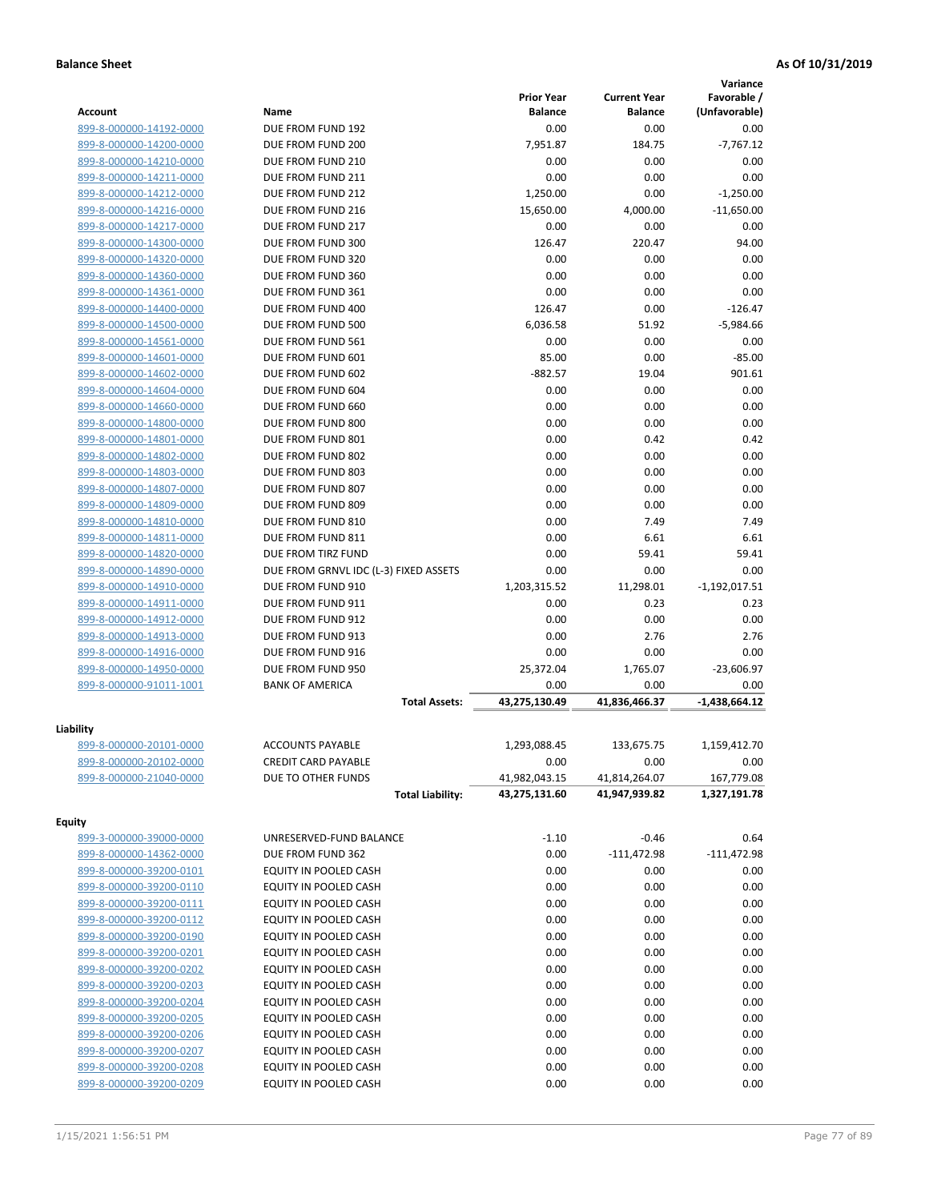|                         |                                       |                   |                     | Variance        |
|-------------------------|---------------------------------------|-------------------|---------------------|-----------------|
|                         |                                       | <b>Prior Year</b> | <b>Current Year</b> | Favorable /     |
| <b>Account</b>          | Name                                  | <b>Balance</b>    | <b>Balance</b>      | (Unfavorable)   |
| 899-8-000000-14192-0000 | DUE FROM FUND 192                     | 0.00              | 0.00                | 0.00            |
| 899-8-000000-14200-0000 | DUE FROM FUND 200                     | 7,951.87          | 184.75              | $-7,767.12$     |
| 899-8-000000-14210-0000 | DUE FROM FUND 210                     | 0.00              | 0.00                | 0.00            |
| 899-8-000000-14211-0000 | DUE FROM FUND 211                     | 0.00              | 0.00                | 0.00            |
| 899-8-000000-14212-0000 | DUE FROM FUND 212                     | 1,250.00          | 0.00                | $-1,250.00$     |
| 899-8-000000-14216-0000 | DUE FROM FUND 216                     | 15,650.00         | 4,000.00            | $-11,650.00$    |
| 899-8-000000-14217-0000 | DUE FROM FUND 217                     | 0.00              | 0.00                | 0.00            |
| 899-8-000000-14300-0000 | DUE FROM FUND 300                     | 126.47            | 220.47              | 94.00           |
| 899-8-000000-14320-0000 | DUE FROM FUND 320                     | 0.00              | 0.00                | 0.00            |
| 899-8-000000-14360-0000 | DUE FROM FUND 360                     | 0.00              | 0.00                | 0.00            |
| 899-8-000000-14361-0000 | DUE FROM FUND 361                     | 0.00              | 0.00                | 0.00            |
| 899-8-000000-14400-0000 | DUE FROM FUND 400                     | 126.47            | 0.00                | $-126.47$       |
| 899-8-000000-14500-0000 | DUE FROM FUND 500                     | 6,036.58          | 51.92               | $-5,984.66$     |
| 899-8-000000-14561-0000 | DUE FROM FUND 561                     | 0.00              | 0.00                | 0.00            |
| 899-8-000000-14601-0000 | DUE FROM FUND 601                     | 85.00             | 0.00                | $-85.00$        |
| 899-8-000000-14602-0000 | DUE FROM FUND 602                     | $-882.57$         | 19.04               | 901.61          |
| 899-8-000000-14604-0000 | DUE FROM FUND 604                     | 0.00              | 0.00                | 0.00            |
| 899-8-000000-14660-0000 | DUE FROM FUND 660                     | 0.00              | 0.00                | 0.00            |
| 899-8-000000-14800-0000 | DUE FROM FUND 800                     | 0.00              | 0.00                | 0.00            |
| 899-8-000000-14801-0000 | DUE FROM FUND 801                     | 0.00              | 0.42                | 0.42            |
| 899-8-000000-14802-0000 | DUE FROM FUND 802                     | 0.00              | 0.00                | 0.00            |
| 899-8-000000-14803-0000 | DUE FROM FUND 803                     | 0.00              | 0.00                | 0.00            |
| 899-8-000000-14807-0000 | DUE FROM FUND 807                     | 0.00              | 0.00                | 0.00            |
| 899-8-000000-14809-0000 | DUE FROM FUND 809                     | 0.00              | 0.00                | 0.00            |
| 899-8-000000-14810-0000 | DUE FROM FUND 810                     | 0.00              | 7.49                | 7.49            |
| 899-8-000000-14811-0000 | DUE FROM FUND 811                     | 0.00              | 6.61                | 6.61            |
| 899-8-000000-14820-0000 | DUE FROM TIRZ FUND                    | 0.00              | 59.41               | 59.41           |
| 899-8-000000-14890-0000 | DUE FROM GRNVL IDC (L-3) FIXED ASSETS | 0.00              | 0.00                | 0.00            |
| 899-8-000000-14910-0000 | DUE FROM FUND 910                     | 1,203,315.52      | 11,298.01           | $-1,192,017.51$ |
| 899-8-000000-14911-0000 | DUE FROM FUND 911                     | 0.00              | 0.23                | 0.23            |
| 899-8-000000-14912-0000 | DUE FROM FUND 912                     | 0.00              | 0.00                | 0.00            |
| 899-8-000000-14913-0000 | DUE FROM FUND 913                     | 0.00              | 2.76                | 2.76            |
| 899-8-000000-14916-0000 | DUE FROM FUND 916                     | 0.00              | 0.00                | 0.00            |
| 899-8-000000-14950-0000 | DUE FROM FUND 950                     | 25,372.04         | 1,765.07            | $-23,606.97$    |
| 899-8-000000-91011-1001 | <b>BANK OF AMERICA</b>                | 0.00              | 0.00                | 0.00            |
|                         | <b>Total Assets:</b>                  | 43,275,130.49     | 41,836,466.37       | $-1,438,664.12$ |
|                         |                                       |                   |                     |                 |
| Liability               |                                       |                   |                     |                 |
| 899-8-000000-20101-0000 | <b>ACCOUNTS PAYABLE</b>               | 1,293,088.45      | 133,675.75          | 1,159,412.70    |
| 899-8-000000-20102-0000 | <b>CREDIT CARD PAYABLE</b>            | 0.00              | 0.00                | 0.00            |
| 899-8-000000-21040-0000 | DUE TO OTHER FUNDS                    | 41,982,043.15     | 41,814,264.07       | 167,779.08      |
|                         | <b>Total Liability:</b>               | 43,275,131.60     | 41,947,939.82       | 1,327,191.78    |
|                         |                                       |                   |                     |                 |
| <b>Equity</b>           |                                       |                   |                     |                 |
| 899-3-000000-39000-0000 | UNRESERVED-FUND BALANCE               | $-1.10$           | $-0.46$             | 0.64            |
| 899-8-000000-14362-0000 | DUE FROM FUND 362                     | 0.00              | $-111,472.98$       | $-111,472.98$   |
| 899-8-000000-39200-0101 | EQUITY IN POOLED CASH                 | 0.00              | 0.00                | 0.00            |
| 899-8-000000-39200-0110 | EQUITY IN POOLED CASH                 | 0.00              | 0.00                | 0.00            |
| 899-8-000000-39200-0111 | EQUITY IN POOLED CASH                 | 0.00              | 0.00                | 0.00            |
| 899-8-000000-39200-0112 | EQUITY IN POOLED CASH                 | 0.00              | 0.00                | 0.00            |
| 899-8-000000-39200-0190 | EQUITY IN POOLED CASH                 | 0.00              | 0.00                | 0.00            |
| 899-8-000000-39200-0201 | EQUITY IN POOLED CASH                 | 0.00              | 0.00                | 0.00            |
| 899-8-000000-39200-0202 | EQUITY IN POOLED CASH                 | 0.00              | 0.00                | 0.00            |
| 899-8-000000-39200-0203 | EQUITY IN POOLED CASH                 | 0.00              | 0.00                | 0.00            |
| 899-8-000000-39200-0204 | EQUITY IN POOLED CASH                 | 0.00              | 0.00                | 0.00            |
| 899-8-000000-39200-0205 | EQUITY IN POOLED CASH                 | 0.00              | 0.00                | 0.00            |
| 899-8-000000-39200-0206 | EQUITY IN POOLED CASH                 | 0.00              | 0.00                | 0.00            |
| 899-8-000000-39200-0207 | EQUITY IN POOLED CASH                 | 0.00              | 0.00                | 0.00            |
| 899-8-000000-39200-0208 | EQUITY IN POOLED CASH                 | 0.00              | 0.00                | 0.00            |
| 899-8-000000-39200-0209 | EQUITY IN POOLED CASH                 | 0.00              | 0.00                | 0.00            |
|                         |                                       |                   |                     |                 |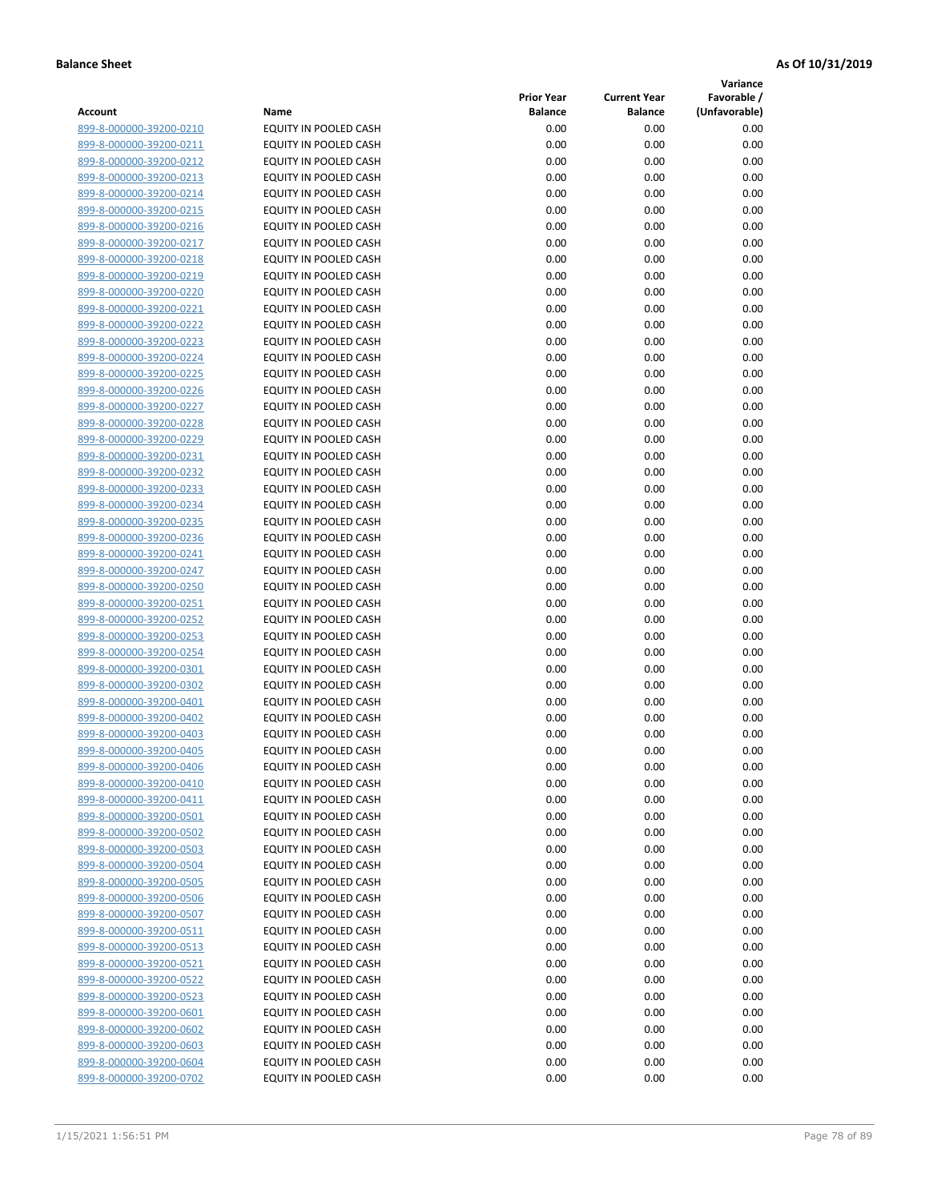**Variance**

| Account                                            | Name                                           | <b>Prior Year</b><br><b>Balance</b> | <b>Current Year</b><br><b>Balance</b> | Favorable /<br>(Unfavorable) |
|----------------------------------------------------|------------------------------------------------|-------------------------------------|---------------------------------------|------------------------------|
| 899-8-000000-39200-0210                            | EQUITY IN POOLED CASH                          | 0.00                                | 0.00                                  | 0.00                         |
| 899-8-000000-39200-0211                            | EQUITY IN POOLED CASH                          | 0.00                                | 0.00                                  | 0.00                         |
| 899-8-000000-39200-0212                            | EQUITY IN POOLED CASH                          | 0.00                                | 0.00                                  | 0.00                         |
| 899-8-000000-39200-0213                            | EQUITY IN POOLED CASH                          | 0.00                                | 0.00                                  | 0.00                         |
| 899-8-000000-39200-0214                            | <b>EQUITY IN POOLED CASH</b>                   | 0.00                                | 0.00                                  | 0.00                         |
| 899-8-000000-39200-0215                            | EQUITY IN POOLED CASH                          | 0.00                                | 0.00                                  | 0.00                         |
| 899-8-000000-39200-0216                            | EQUITY IN POOLED CASH                          | 0.00                                | 0.00                                  | 0.00                         |
| 899-8-000000-39200-0217                            | EQUITY IN POOLED CASH                          | 0.00                                | 0.00                                  | 0.00                         |
| 899-8-000000-39200-0218                            | EQUITY IN POOLED CASH                          | 0.00                                | 0.00                                  | 0.00                         |
| 899-8-000000-39200-0219                            | EQUITY IN POOLED CASH                          | 0.00                                | 0.00                                  | 0.00                         |
| 899-8-000000-39200-0220                            | EQUITY IN POOLED CASH                          | 0.00                                | 0.00                                  | 0.00                         |
| 899-8-000000-39200-0221                            | EQUITY IN POOLED CASH                          | 0.00                                | 0.00                                  | 0.00                         |
| 899-8-000000-39200-0222                            | EQUITY IN POOLED CASH                          | 0.00                                | 0.00                                  | 0.00                         |
| 899-8-000000-39200-0223                            | EQUITY IN POOLED CASH                          | 0.00                                | 0.00                                  | 0.00                         |
| 899-8-000000-39200-0224                            | EQUITY IN POOLED CASH                          | 0.00                                | 0.00                                  | 0.00                         |
| 899-8-000000-39200-0225                            | EQUITY IN POOLED CASH                          | 0.00                                | 0.00                                  | 0.00                         |
| 899-8-000000-39200-0226                            | EQUITY IN POOLED CASH                          | 0.00                                | 0.00                                  | 0.00                         |
| 899-8-000000-39200-0227                            | EQUITY IN POOLED CASH                          | 0.00                                | 0.00                                  | 0.00                         |
| 899-8-000000-39200-0228                            | EQUITY IN POOLED CASH                          | 0.00                                | 0.00                                  | 0.00                         |
| 899-8-000000-39200-0229                            | <b>EQUITY IN POOLED CASH</b>                   | 0.00                                | 0.00                                  | 0.00                         |
| 899-8-000000-39200-0231                            | <b>EQUITY IN POOLED CASH</b>                   | 0.00                                | 0.00                                  | 0.00                         |
| 899-8-000000-39200-0232                            | EQUITY IN POOLED CASH                          | 0.00                                | 0.00                                  | 0.00                         |
| 899-8-000000-39200-0233                            | <b>EQUITY IN POOLED CASH</b>                   | 0.00                                | 0.00                                  | 0.00                         |
| 899-8-000000-39200-0234                            | EQUITY IN POOLED CASH                          | 0.00                                | 0.00                                  | 0.00                         |
| 899-8-000000-39200-0235                            | EQUITY IN POOLED CASH                          | 0.00                                | 0.00                                  | 0.00                         |
| 899-8-000000-39200-0236                            | EQUITY IN POOLED CASH                          | 0.00                                | 0.00                                  | 0.00                         |
| 899-8-000000-39200-0241                            | EQUITY IN POOLED CASH                          | 0.00                                | 0.00                                  | 0.00                         |
| 899-8-000000-39200-0247                            | EQUITY IN POOLED CASH                          | 0.00                                | 0.00                                  | 0.00                         |
| 899-8-000000-39200-0250                            | EQUITY IN POOLED CASH                          | 0.00                                | 0.00                                  | 0.00                         |
| 899-8-000000-39200-0251                            | EQUITY IN POOLED CASH                          | 0.00                                | 0.00                                  | 0.00                         |
| 899-8-000000-39200-0252                            | EQUITY IN POOLED CASH                          | 0.00<br>0.00                        | 0.00<br>0.00                          | 0.00<br>0.00                 |
| 899-8-000000-39200-0253<br>899-8-000000-39200-0254 | EQUITY IN POOLED CASH<br>EQUITY IN POOLED CASH | 0.00                                | 0.00                                  | 0.00                         |
| 899-8-000000-39200-0301                            | EQUITY IN POOLED CASH                          | 0.00                                | 0.00                                  | 0.00                         |
| 899-8-000000-39200-0302                            | EQUITY IN POOLED CASH                          | 0.00                                | 0.00                                  | 0.00                         |
| 899-8-000000-39200-0401                            | EQUITY IN POOLED CASH                          | 0.00                                | 0.00                                  | 0.00                         |
| 899-8-000000-39200-0402                            | EQUITY IN POOLED CASH                          | 0.00                                | 0.00                                  | 0.00                         |
| 899-8-000000-39200-0403                            | EQUITY IN POOLED CASH                          | 0.00                                | 0.00                                  | 0.00                         |
| 899-8-000000-39200-0405                            | <b>EQUITY IN POOLED CASH</b>                   | 0.00                                | 0.00                                  | 0.00                         |
| 899-8-000000-39200-0406                            | EQUITY IN POOLED CASH                          | 0.00                                | 0.00                                  | 0.00                         |
| 899-8-000000-39200-0410                            | EQUITY IN POOLED CASH                          | 0.00                                | 0.00                                  | 0.00                         |
| 899-8-000000-39200-0411                            | EQUITY IN POOLED CASH                          | 0.00                                | 0.00                                  | 0.00                         |
| 899-8-000000-39200-0501                            | EQUITY IN POOLED CASH                          | 0.00                                | 0.00                                  | 0.00                         |
| 899-8-000000-39200-0502                            | EQUITY IN POOLED CASH                          | 0.00                                | 0.00                                  | 0.00                         |
| 899-8-000000-39200-0503                            | EQUITY IN POOLED CASH                          | 0.00                                | 0.00                                  | 0.00                         |
| 899-8-000000-39200-0504                            | EQUITY IN POOLED CASH                          | 0.00                                | 0.00                                  | 0.00                         |
| 899-8-000000-39200-0505                            | EQUITY IN POOLED CASH                          | 0.00                                | 0.00                                  | 0.00                         |
| 899-8-000000-39200-0506                            | EQUITY IN POOLED CASH                          | 0.00                                | 0.00                                  | 0.00                         |
| 899-8-000000-39200-0507                            | EQUITY IN POOLED CASH                          | 0.00                                | 0.00                                  | 0.00                         |
| 899-8-000000-39200-0511                            | <b>EQUITY IN POOLED CASH</b>                   | 0.00                                | 0.00                                  | 0.00                         |
| 899-8-000000-39200-0513                            | EQUITY IN POOLED CASH                          | 0.00                                | 0.00                                  | 0.00                         |
| 899-8-000000-39200-0521                            | EQUITY IN POOLED CASH                          | 0.00                                | 0.00                                  | 0.00                         |
| 899-8-000000-39200-0522                            | EQUITY IN POOLED CASH                          | 0.00                                | 0.00                                  | 0.00                         |
| 899-8-000000-39200-0523                            | EQUITY IN POOLED CASH                          | 0.00                                | 0.00                                  | 0.00                         |
| 899-8-000000-39200-0601                            | EQUITY IN POOLED CASH                          | 0.00                                | 0.00                                  | 0.00                         |
| 899-8-000000-39200-0602                            | EQUITY IN POOLED CASH                          | 0.00                                | 0.00                                  | 0.00                         |
| 899-8-000000-39200-0603<br>899-8-000000-39200-0604 | EQUITY IN POOLED CASH                          | 0.00                                | 0.00                                  | 0.00                         |
| 899-8-000000-39200-0702                            | EQUITY IN POOLED CASH<br>EQUITY IN POOLED CASH | 0.00<br>0.00                        | 0.00<br>0.00                          | 0.00<br>0.00                 |
|                                                    |                                                |                                     |                                       |                              |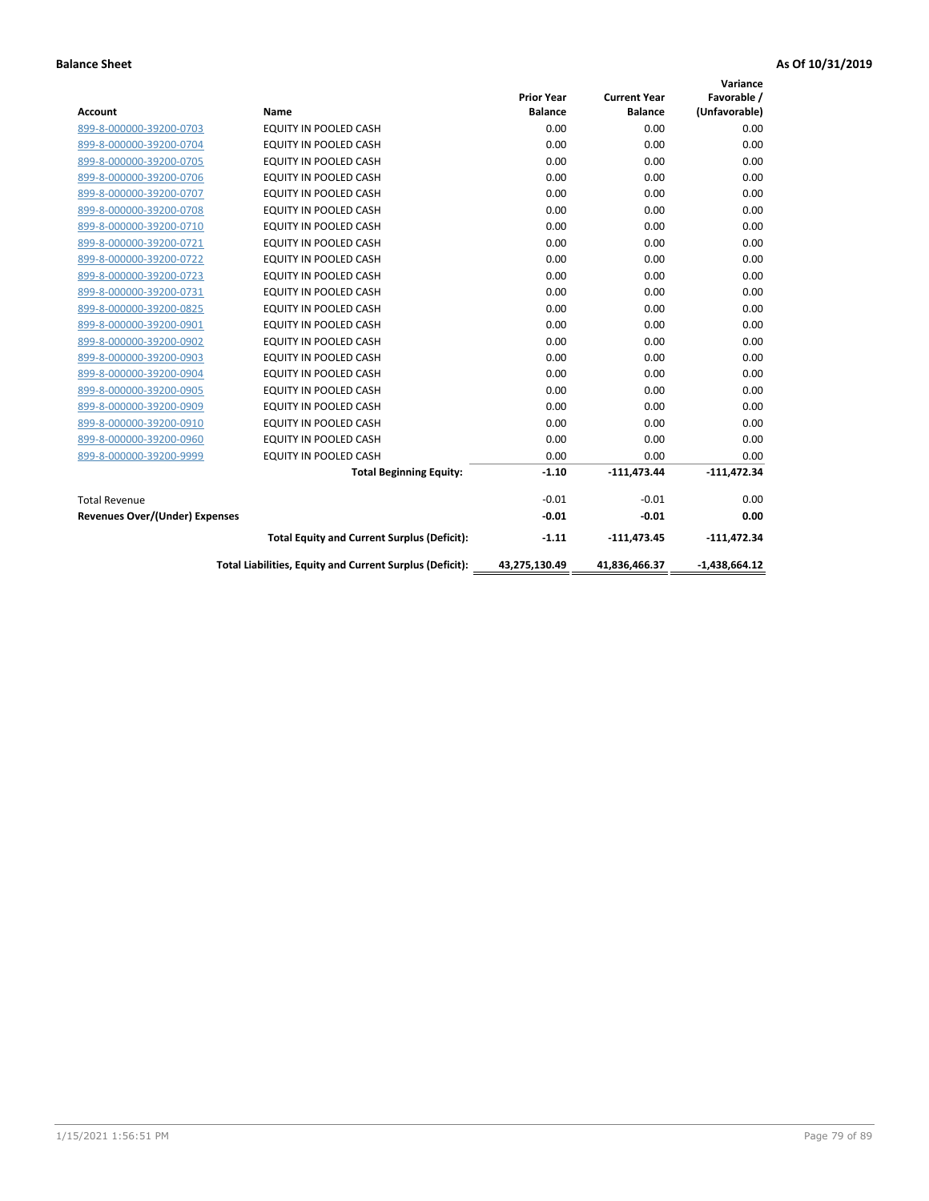|                                |                                                          |                   |                     | Variance        |
|--------------------------------|----------------------------------------------------------|-------------------|---------------------|-----------------|
|                                |                                                          | <b>Prior Year</b> | <b>Current Year</b> | Favorable /     |
| <b>Account</b>                 | <b>Name</b>                                              | <b>Balance</b>    | <b>Balance</b>      | (Unfavorable)   |
| 899-8-000000-39200-0703        | EQUITY IN POOLED CASH                                    | 0.00              | 0.00                | 0.00            |
| 899-8-000000-39200-0704        | EQUITY IN POOLED CASH                                    | 0.00              | 0.00                | 0.00            |
| 899-8-000000-39200-0705        | EQUITY IN POOLED CASH                                    | 0.00              | 0.00                | 0.00            |
| 899-8-000000-39200-0706        | <b>EQUITY IN POOLED CASH</b>                             | 0.00              | 0.00                | 0.00            |
| 899-8-000000-39200-0707        | <b>EQUITY IN POOLED CASH</b>                             | 0.00              | 0.00                | 0.00            |
| 899-8-000000-39200-0708        | <b>EQUITY IN POOLED CASH</b>                             | 0.00              | 0.00                | 0.00            |
| 899-8-000000-39200-0710        | EQUITY IN POOLED CASH                                    | 0.00              | 0.00                | 0.00            |
| 899-8-000000-39200-0721        | EQUITY IN POOLED CASH                                    | 0.00              | 0.00                | 0.00            |
| 899-8-000000-39200-0722        | <b>EQUITY IN POOLED CASH</b>                             | 0.00              | 0.00                | 0.00            |
| 899-8-000000-39200-0723        | <b>EQUITY IN POOLED CASH</b>                             | 0.00              | 0.00                | 0.00            |
| 899-8-000000-39200-0731        | <b>EQUITY IN POOLED CASH</b>                             | 0.00              | 0.00                | 0.00            |
| 899-8-000000-39200-0825        | EQUITY IN POOLED CASH                                    | 0.00              | 0.00                | 0.00            |
| 899-8-000000-39200-0901        | <b>EQUITY IN POOLED CASH</b>                             | 0.00              | 0.00                | 0.00            |
| 899-8-000000-39200-0902        | EQUITY IN POOLED CASH                                    | 0.00              | 0.00                | 0.00            |
| 899-8-000000-39200-0903        | <b>EQUITY IN POOLED CASH</b>                             | 0.00              | 0.00                | 0.00            |
| 899-8-000000-39200-0904        | <b>EQUITY IN POOLED CASH</b>                             | 0.00              | 0.00                | 0.00            |
| 899-8-000000-39200-0905        | EQUITY IN POOLED CASH                                    | 0.00              | 0.00                | 0.00            |
| 899-8-000000-39200-0909        | EQUITY IN POOLED CASH                                    | 0.00              | 0.00                | 0.00            |
| 899-8-000000-39200-0910        | <b>EQUITY IN POOLED CASH</b>                             | 0.00              | 0.00                | 0.00            |
| 899-8-000000-39200-0960        | <b>EQUITY IN POOLED CASH</b>                             | 0.00              | 0.00                | 0.00            |
| 899-8-000000-39200-9999        | EQUITY IN POOLED CASH                                    | 0.00              | 0.00                | 0.00            |
|                                | <b>Total Beginning Equity:</b>                           | $-1.10$           | $-111,473.44$       | $-111,472.34$   |
| <b>Total Revenue</b>           |                                                          | $-0.01$           | $-0.01$             | 0.00            |
| Revenues Over/(Under) Expenses |                                                          | $-0.01$           | $-0.01$             | 0.00            |
|                                | <b>Total Equity and Current Surplus (Deficit):</b>       | $-1.11$           | $-111,473.45$       | $-111,472.34$   |
|                                | Total Liabilities, Equity and Current Surplus (Deficit): | 43,275,130.49     | 41,836,466.37       | $-1,438,664.12$ |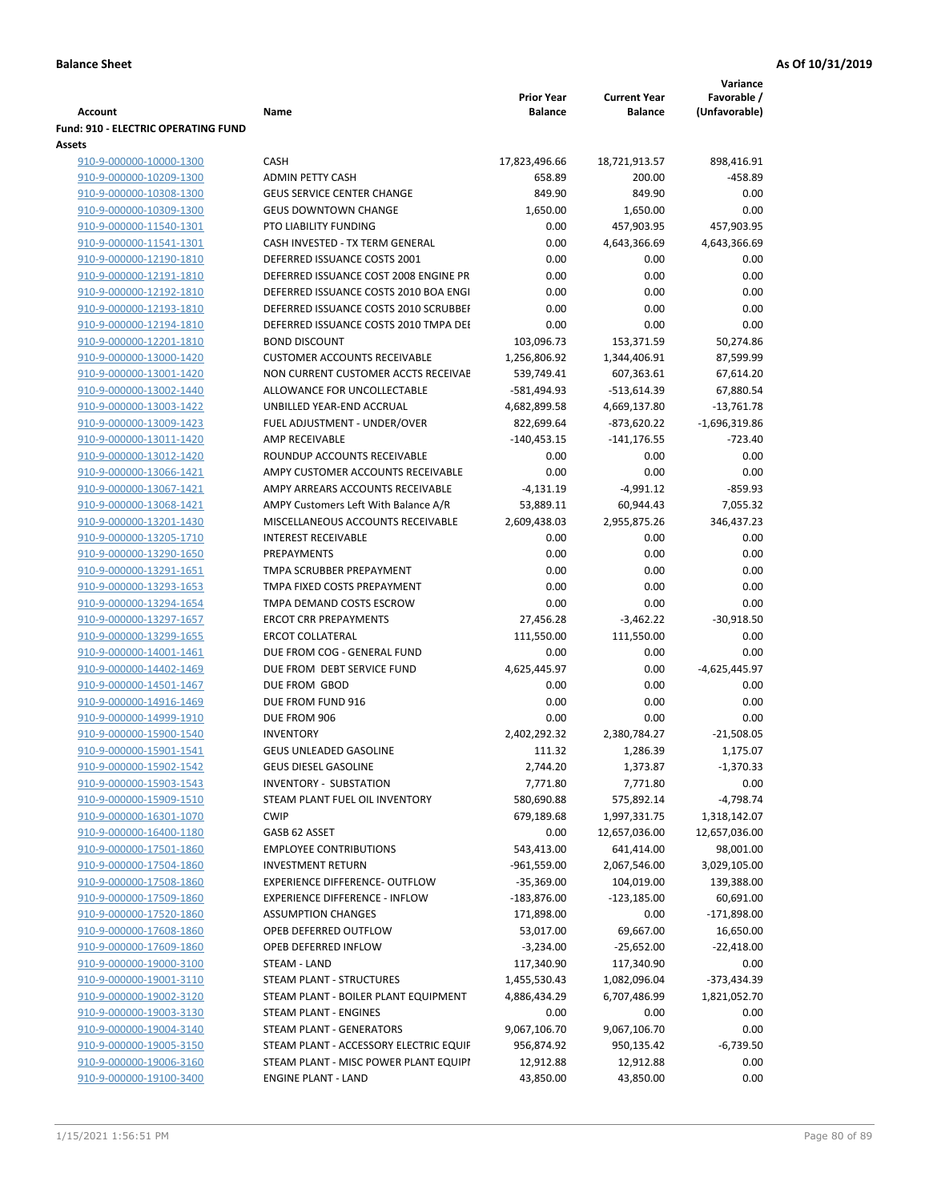|                                            |                                        |                   |                     | Variance        |
|--------------------------------------------|----------------------------------------|-------------------|---------------------|-----------------|
|                                            |                                        | <b>Prior Year</b> | <b>Current Year</b> | Favorable /     |
| Account                                    | Name                                   | <b>Balance</b>    | <b>Balance</b>      | (Unfavorable)   |
| <b>Fund: 910 - ELECTRIC OPERATING FUND</b> |                                        |                   |                     |                 |
| <b>Assets</b>                              |                                        |                   |                     |                 |
| 910-9-000000-10000-1300                    | <b>CASH</b>                            | 17,823,496.66     | 18,721,913.57       | 898,416.91      |
| 910-9-000000-10209-1300                    | <b>ADMIN PETTY CASH</b>                | 658.89            | 200.00              | $-458.89$       |
| 910-9-000000-10308-1300                    | <b>GEUS SERVICE CENTER CHANGE</b>      | 849.90            | 849.90              | 0.00            |
| 910-9-000000-10309-1300                    | <b>GEUS DOWNTOWN CHANGE</b>            | 1,650.00          | 1,650.00            | 0.00            |
| 910-9-000000-11540-1301                    | PTO LIABILITY FUNDING                  | 0.00              | 457,903.95          | 457,903.95      |
| 910-9-000000-11541-1301                    | CASH INVESTED - TX TERM GENERAL        | 0.00              | 4,643,366.69        | 4,643,366.69    |
| 910-9-000000-12190-1810                    | DEFERRED ISSUANCE COSTS 2001           | 0.00              | 0.00                | 0.00            |
| 910-9-000000-12191-1810                    | DEFERRED ISSUANCE COST 2008 ENGINE PR  | 0.00              | 0.00                | 0.00            |
| 910-9-000000-12192-1810                    | DEFERRED ISSUANCE COSTS 2010 BOA ENGI  | 0.00              | 0.00                | 0.00            |
| 910-9-000000-12193-1810                    | DEFERRED ISSUANCE COSTS 2010 SCRUBBEI  | 0.00              | 0.00                | 0.00            |
| 910-9-000000-12194-1810                    | DEFERRED ISSUANCE COSTS 2010 TMPA DEI  | 0.00              | 0.00                | 0.00            |
| 910-9-000000-12201-1810                    | <b>BOND DISCOUNT</b>                   | 103,096.73        | 153,371.59          | 50,274.86       |
| 910-9-000000-13000-1420                    | <b>CUSTOMER ACCOUNTS RECEIVABLE</b>    | 1,256,806.92      | 1,344,406.91        | 87,599.99       |
| 910-9-000000-13001-1420                    | NON CURRENT CUSTOMER ACCTS RECEIVAE    | 539,749.41        | 607,363.61          | 67,614.20       |
| 910-9-000000-13002-1440                    | ALLOWANCE FOR UNCOLLECTABLE            | -581,494.93       | $-513,614.39$       | 67,880.54       |
|                                            |                                        |                   |                     |                 |
| 910-9-000000-13003-1422                    | UNBILLED YEAR-END ACCRUAL              | 4,682,899.58      | 4,669,137.80        | $-13,761.78$    |
| 910-9-000000-13009-1423                    | FUEL ADJUSTMENT - UNDER/OVER           | 822,699.64        | $-873,620.22$       | $-1,696,319.86$ |
| 910-9-000000-13011-1420                    | AMP RECEIVABLE                         | $-140,453.15$     | $-141, 176.55$      | $-723.40$       |
| 910-9-000000-13012-1420                    | ROUNDUP ACCOUNTS RECEIVABLE            | 0.00              | 0.00                | 0.00            |
| 910-9-000000-13066-1421                    | AMPY CUSTOMER ACCOUNTS RECEIVABLE      | 0.00              | 0.00                | 0.00            |
| 910-9-000000-13067-1421                    | AMPY ARREARS ACCOUNTS RECEIVABLE       | $-4,131.19$       | $-4,991.12$         | $-859.93$       |
| 910-9-000000-13068-1421                    | AMPY Customers Left With Balance A/R   | 53,889.11         | 60,944.43           | 7,055.32        |
| 910-9-000000-13201-1430                    | MISCELLANEOUS ACCOUNTS RECEIVABLE      | 2,609,438.03      | 2,955,875.26        | 346,437.23      |
| 910-9-000000-13205-1710                    | <b>INTEREST RECEIVABLE</b>             | 0.00              | 0.00                | 0.00            |
| 910-9-000000-13290-1650                    | PREPAYMENTS                            | 0.00              | 0.00                | 0.00            |
| 910-9-000000-13291-1651                    | TMPA SCRUBBER PREPAYMENT               | 0.00              | 0.00                | 0.00            |
| 910-9-000000-13293-1653                    | TMPA FIXED COSTS PREPAYMENT            | 0.00              | 0.00                | 0.00            |
| 910-9-000000-13294-1654                    | TMPA DEMAND COSTS ESCROW               | 0.00              | 0.00                | 0.00            |
| 910-9-000000-13297-1657                    | <b>ERCOT CRR PREPAYMENTS</b>           | 27,456.28         | $-3,462.22$         | $-30,918.50$    |
| 910-9-000000-13299-1655                    | <b>ERCOT COLLATERAL</b>                | 111,550.00        | 111,550.00          | 0.00            |
| 910-9-000000-14001-1461                    | DUE FROM COG - GENERAL FUND            | 0.00              | 0.00                | 0.00            |
| 910-9-000000-14402-1469                    | DUE FROM DEBT SERVICE FUND             | 4,625,445.97      | 0.00                | -4,625,445.97   |
| 910-9-000000-14501-1467                    | DUE FROM GBOD                          | 0.00              | 0.00                | 0.00            |
| 910-9-000000-14916-1469                    | DUE FROM FUND 916                      | 0.00              | 0.00                | 0.00            |
| 910-9-000000-14999-1910                    | DUE FROM 906                           | 0.00              | 0.00                | 0.00            |
| 910-9-000000-15900-1540                    | <b>INVENTORY</b>                       | 2,402,292.32      | 2,380,784.27        | $-21,508.05$    |
| 910-9-000000-15901-1541                    | <b>GEUS UNLEADED GASOLINE</b>          | 111.32            | 1,286.39            | 1,175.07        |
| 910-9-000000-15902-1542                    | <b>GEUS DIESEL GASOLINE</b>            | 2,744.20          | 1,373.87            | $-1,370.33$     |
| 910-9-000000-15903-1543                    | INVENTORY - SUBSTATION                 | 7,771.80          | 7,771.80            | 0.00            |
| 910-9-000000-15909-1510                    | STEAM PLANT FUEL OIL INVENTORY         | 580,690.88        | 575,892.14          | $-4,798.74$     |
| 910-9-000000-16301-1070                    | <b>CWIP</b>                            | 679,189.68        | 1,997,331.75        | 1,318,142.07    |
|                                            | GASB 62 ASSET                          |                   |                     |                 |
| 910-9-000000-16400-1180                    |                                        | 0.00              | 12,657,036.00       | 12,657,036.00   |
| 910-9-000000-17501-1860                    | <b>EMPLOYEE CONTRIBUTIONS</b>          | 543,413.00        | 641,414.00          | 98,001.00       |
| 910-9-000000-17504-1860                    | <b>INVESTMENT RETURN</b>               | $-961,559.00$     | 2,067,546.00        | 3,029,105.00    |
| 910-9-000000-17508-1860                    | EXPERIENCE DIFFERENCE- OUTFLOW         | $-35,369.00$      | 104,019.00          | 139,388.00      |
| 910-9-000000-17509-1860                    | <b>EXPERIENCE DIFFERENCE - INFLOW</b>  | $-183,876.00$     | $-123,185.00$       | 60,691.00       |
| 910-9-000000-17520-1860                    | <b>ASSUMPTION CHANGES</b>              | 171,898.00        | 0.00                | $-171,898.00$   |
| 910-9-000000-17608-1860                    | OPEB DEFERRED OUTFLOW                  | 53,017.00         | 69,667.00           | 16,650.00       |
| 910-9-000000-17609-1860                    | OPEB DEFERRED INFLOW                   | $-3,234.00$       | $-25,652.00$        | $-22,418.00$    |
| 910-9-000000-19000-3100                    | STEAM - LAND                           | 117,340.90        | 117,340.90          | 0.00            |
| 910-9-000000-19001-3110                    | STEAM PLANT - STRUCTURES               | 1,455,530.43      | 1,082,096.04        | -373,434.39     |
| 910-9-000000-19002-3120                    | STEAM PLANT - BOILER PLANT EQUIPMENT   | 4,886,434.29      | 6,707,486.99        | 1,821,052.70    |
| 910-9-000000-19003-3130                    | STEAM PLANT - ENGINES                  | 0.00              | 0.00                | 0.00            |
| 910-9-000000-19004-3140                    | STEAM PLANT - GENERATORS               | 9,067,106.70      | 9,067,106.70        | 0.00            |
| 910-9-000000-19005-3150                    | STEAM PLANT - ACCESSORY ELECTRIC EQUIF | 956,874.92        | 950,135.42          | $-6,739.50$     |
| 910-9-000000-19006-3160                    | STEAM PLANT - MISC POWER PLANT EQUIPI  | 12,912.88         | 12,912.88           | 0.00            |
| 910-9-000000-19100-3400                    | <b>ENGINE PLANT - LAND</b>             | 43,850.00         | 43,850.00           | 0.00            |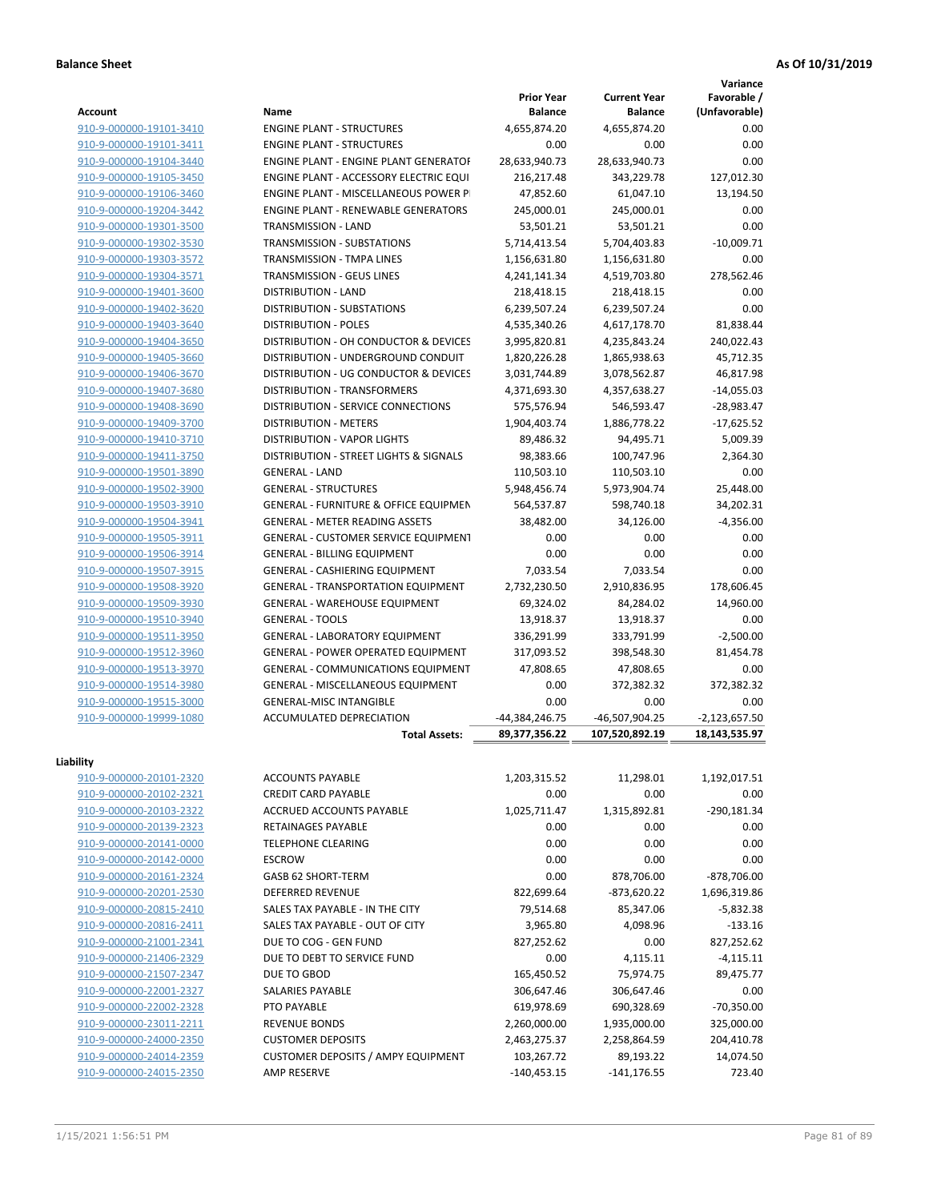**Variance**

| <b>Account</b>          | Name                                             | <b>Prior Year</b><br><b>Balance</b> | <b>Current Year</b><br><b>Balance</b> | Favorable /<br>(Unfavorable) |
|-------------------------|--------------------------------------------------|-------------------------------------|---------------------------------------|------------------------------|
| 910-9-000000-19101-3410 | <b>ENGINE PLANT - STRUCTURES</b>                 | 4,655,874.20                        | 4,655,874.20                          | 0.00                         |
| 910-9-000000-19101-3411 | <b>ENGINE PLANT - STRUCTURES</b>                 | 0.00                                | 0.00                                  | 0.00                         |
| 910-9-000000-19104-3440 | <b>ENGINE PLANT - ENGINE PLANT GENERATOF</b>     | 28,633,940.73                       | 28,633,940.73                         | 0.00                         |
| 910-9-000000-19105-3450 | ENGINE PLANT - ACCESSORY ELECTRIC EQUI           | 216,217.48                          | 343,229.78                            | 127,012.30                   |
| 910-9-000000-19106-3460 | <b>ENGINE PLANT - MISCELLANEOUS POWER P</b>      | 47,852.60                           | 61,047.10                             | 13,194.50                    |
| 910-9-000000-19204-3442 | <b>ENGINE PLANT - RENEWABLE GENERATORS</b>       | 245,000.01                          | 245,000.01                            | 0.00                         |
| 910-9-000000-19301-3500 | TRANSMISSION - LAND                              | 53,501.21                           | 53,501.21                             | 0.00                         |
| 910-9-000000-19302-3530 | TRANSMISSION - SUBSTATIONS                       | 5,714,413.54                        | 5,704,403.83                          | $-10,009.71$                 |
| 910-9-000000-19303-3572 | TRANSMISSION - TMPA LINES                        | 1,156,631.80                        | 1,156,631.80                          | 0.00                         |
| 910-9-000000-19304-3571 | TRANSMISSION - GEUS LINES                        | 4,241,141.34                        | 4,519,703.80                          | 278,562.46                   |
| 910-9-000000-19401-3600 | <b>DISTRIBUTION - LAND</b>                       | 218,418.15                          | 218,418.15                            | 0.00                         |
| 910-9-000000-19402-3620 | DISTRIBUTION - SUBSTATIONS                       | 6,239,507.24                        | 6,239,507.24                          | 0.00                         |
| 910-9-000000-19403-3640 | <b>DISTRIBUTION - POLES</b>                      | 4,535,340.26                        | 4,617,178.70                          | 81,838.44                    |
| 910-9-000000-19404-3650 | DISTRIBUTION - OH CONDUCTOR & DEVICES            | 3,995,820.81                        | 4,235,843.24                          | 240,022.43                   |
| 910-9-000000-19405-3660 | DISTRIBUTION - UNDERGROUND CONDUIT               | 1,820,226.28                        | 1,865,938.63                          | 45,712.35                    |
| 910-9-000000-19406-3670 | DISTRIBUTION - UG CONDUCTOR & DEVICES            |                                     |                                       |                              |
|                         | <b>DISTRIBUTION - TRANSFORMERS</b>               | 3,031,744.89                        | 3,078,562.87                          | 46,817.98                    |
| 910-9-000000-19407-3680 | <b>DISTRIBUTION - SERVICE CONNECTIONS</b>        | 4,371,693.30                        | 4,357,638.27                          | $-14,055.03$                 |
| 910-9-000000-19408-3690 |                                                  | 575,576.94                          | 546,593.47                            | $-28,983.47$                 |
| 910-9-000000-19409-3700 | <b>DISTRIBUTION - METERS</b>                     | 1,904,403.74                        | 1,886,778.22                          | $-17,625.52$                 |
| 910-9-000000-19410-3710 | DISTRIBUTION - VAPOR LIGHTS                      | 89,486.32                           | 94,495.71                             | 5,009.39                     |
| 910-9-000000-19411-3750 | DISTRIBUTION - STREET LIGHTS & SIGNALS           | 98,383.66                           | 100,747.96                            | 2,364.30                     |
| 910-9-000000-19501-3890 | <b>GENERAL - LAND</b>                            | 110,503.10                          | 110,503.10                            | 0.00                         |
| 910-9-000000-19502-3900 | <b>GENERAL - STRUCTURES</b>                      | 5,948,456.74                        | 5,973,904.74                          | 25,448.00                    |
| 910-9-000000-19503-3910 | <b>GENERAL - FURNITURE &amp; OFFICE EQUIPMEN</b> | 564,537.87                          | 598,740.18                            | 34,202.31                    |
| 910-9-000000-19504-3941 | <b>GENERAL - METER READING ASSETS</b>            | 38,482.00                           | 34,126.00                             | $-4,356.00$                  |
| 910-9-000000-19505-3911 | <b>GENERAL - CUSTOMER SERVICE EQUIPMENT</b>      | 0.00                                | 0.00                                  | 0.00                         |
| 910-9-000000-19506-3914 | <b>GENERAL - BILLING EQUIPMENT</b>               | 0.00                                | 0.00                                  | 0.00                         |
| 910-9-000000-19507-3915 | GENERAL - CASHIERING EQUIPMENT                   | 7,033.54                            | 7,033.54                              | 0.00                         |
| 910-9-000000-19508-3920 | <b>GENERAL - TRANSPORTATION EQUIPMENT</b>        | 2,732,230.50                        | 2,910,836.95                          | 178,606.45                   |
| 910-9-000000-19509-3930 | GENERAL - WAREHOUSE EQUIPMENT                    | 69,324.02                           | 84,284.02                             | 14,960.00                    |
| 910-9-000000-19510-3940 | <b>GENERAL - TOOLS</b>                           | 13,918.37                           | 13,918.37                             | 0.00                         |
| 910-9-000000-19511-3950 | GENERAL - LABORATORY EQUIPMENT                   | 336,291.99                          | 333,791.99                            | $-2,500.00$                  |
| 910-9-000000-19512-3960 | <b>GENERAL - POWER OPERATED EQUIPMENT</b>        | 317,093.52                          | 398,548.30                            | 81,454.78                    |
| 910-9-000000-19513-3970 | GENERAL - COMMUNICATIONS EQUIPMENT               | 47,808.65                           | 47,808.65                             | 0.00                         |
| 910-9-000000-19514-3980 | GENERAL - MISCELLANEOUS EQUIPMENT                | 0.00                                | 372,382.32                            | 372,382.32                   |
| 910-9-000000-19515-3000 | <b>GENERAL-MISC INTANGIBLE</b>                   | 0.00                                | 0.00                                  | 0.00                         |
| 910-9-000000-19999-1080 | ACCUMULATED DEPRECIATION                         | -44,384,246.75                      | -46,507,904.25                        | $-2,123,657.50$              |
|                         | <b>Total Assets:</b>                             | 89.377.356.22                       | 107,520,892.19                        | 18,143,535.97                |
| Liability               |                                                  |                                     |                                       |                              |
| 910-9-000000-20101-2320 | <b>ACCOUNTS PAYABLE</b>                          | 1,203,315.52                        | 11,298.01                             | 1,192,017.51                 |
| 910-9-000000-20102-2321 | <b>CREDIT CARD PAYABLE</b>                       | 0.00                                | 0.00                                  | 0.00                         |
| 910-9-000000-20103-2322 | ACCRUED ACCOUNTS PAYABLE                         | 1,025,711.47                        | 1,315,892.81                          | $-290,181.34$                |
| 910-9-000000-20139-2323 | RETAINAGES PAYABLE                               | 0.00                                | 0.00                                  | 0.00                         |
| 910-9-000000-20141-0000 | TELEPHONE CLEARING                               | 0.00                                | 0.00                                  | 0.00                         |
| 910-9-000000-20142-0000 | <b>ESCROW</b>                                    | 0.00                                | 0.00                                  | 0.00                         |
| 910-9-000000-20161-2324 | GASB 62 SHORT-TERM                               | 0.00                                | 878,706.00                            | $-878,706.00$                |
| 910-9-000000-20201-2530 | <b>DEFERRED REVENUE</b>                          | 822,699.64                          | $-873,620.22$                         | 1,696,319.86                 |
| 910-9-000000-20815-2410 | SALES TAX PAYABLE - IN THE CITY                  | 79,514.68                           | 85,347.06                             | $-5,832.38$                  |
| 910-9-000000-20816-2411 | SALES TAX PAYABLE - OUT OF CITY                  | 3,965.80                            | 4,098.96                              | $-133.16$                    |
| 910-9-000000-21001-2341 | DUE TO COG - GEN FUND                            | 827,252.62                          | 0.00                                  | 827,252.62                   |
| 910-9-000000-21406-2329 | DUE TO DEBT TO SERVICE FUND                      | 0.00                                | 4,115.11                              | $-4,115.11$                  |
| 910-9-000000-21507-2347 | DUE TO GBOD                                      | 165,450.52                          | 75,974.75                             | 89,475.77                    |
| 910-9-000000-22001-2327 | SALARIES PAYABLE                                 | 306,647.46                          | 306,647.46                            | 0.00                         |
| 910-9-000000-22002-2328 | PTO PAYABLE                                      | 619,978.69                          | 690,328.69                            | $-70,350.00$                 |
| 910-9-000000-23011-2211 | <b>REVENUE BONDS</b>                             |                                     |                                       |                              |
|                         |                                                  | 2,260,000.00                        | 1,935,000.00                          | 325,000.00                   |
| 910-9-000000-24000-2350 | <b>CUSTOMER DEPOSITS</b>                         | 2,463,275.37                        | 2,258,864.59                          | 204,410.78                   |
| 910-9-000000-24014-2359 | <b>CUSTOMER DEPOSITS / AMPY EQUIPMENT</b>        | 103,267.72                          | 89,193.22                             | 14,074.50                    |
| 910-9-000000-24015-2350 | AMP RESERVE                                      | $-140,453.15$                       | $-141, 176.55$                        | 723.40                       |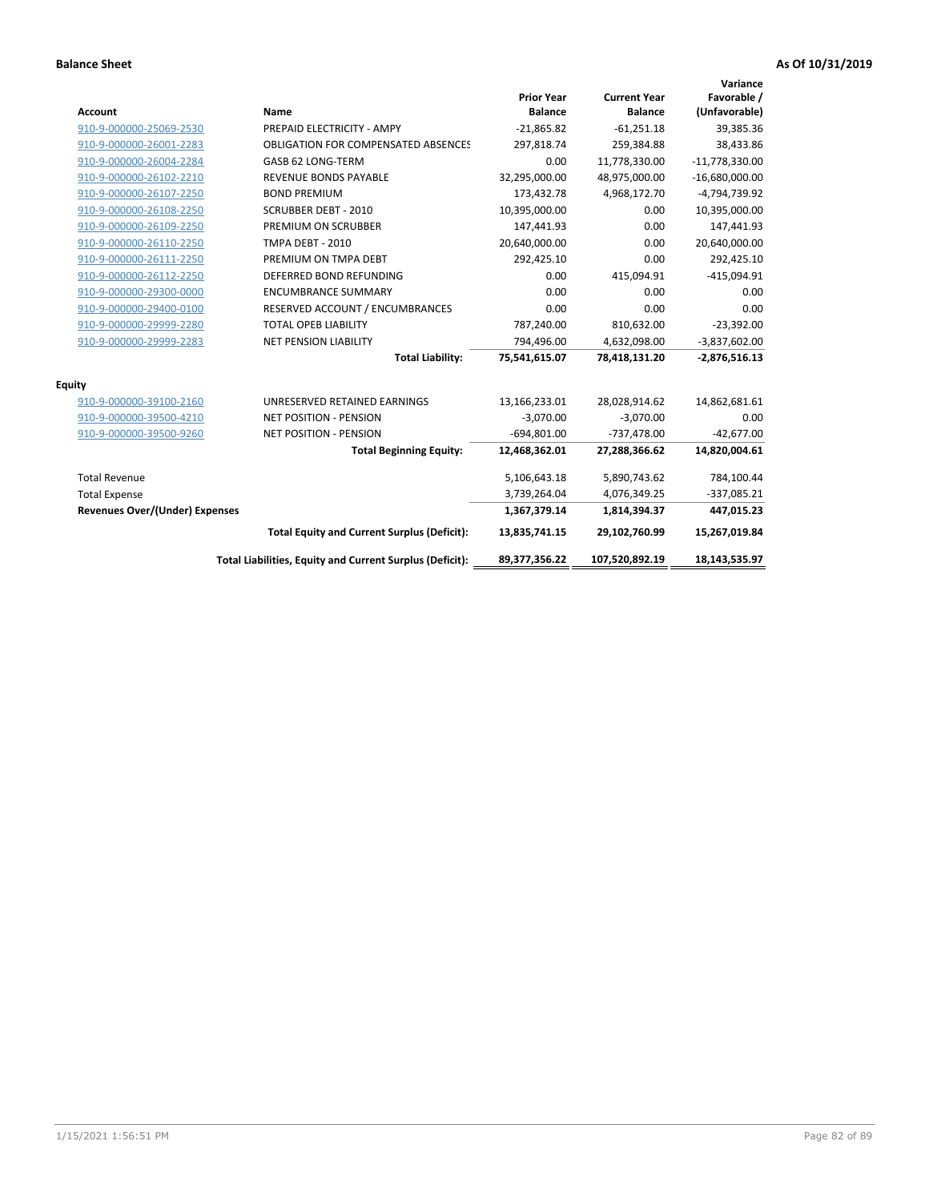| <b>Account</b>                        | Name                                                     | <b>Prior Year</b><br><b>Balance</b> | <b>Current Year</b><br><b>Balance</b> | Variance<br>Favorable /<br>(Unfavorable) |
|---------------------------------------|----------------------------------------------------------|-------------------------------------|---------------------------------------|------------------------------------------|
| 910-9-000000-25069-2530               | PREPAID ELECTRICITY - AMPY                               | $-21,865.82$                        | $-61,251.18$                          | 39,385.36                                |
| 910-9-000000-26001-2283               | <b>OBLIGATION FOR COMPENSATED ABSENCES</b>               | 297,818.74                          | 259,384.88                            | 38,433.86                                |
| 910-9-000000-26004-2284               | GASB 62 LONG-TERM                                        | 0.00                                | 11,778,330.00                         | $-11,778,330.00$                         |
| 910-9-000000-26102-2210               | <b>REVENUE BONDS PAYABLE</b>                             | 32,295,000.00                       | 48,975,000.00                         | $-16,680,000.00$                         |
| 910-9-000000-26107-2250               | <b>BOND PREMIUM</b>                                      | 173,432.78                          | 4,968,172.70                          | -4,794,739.92                            |
| 910-9-000000-26108-2250               | <b>SCRUBBER DEBT - 2010</b>                              | 10,395,000.00                       | 0.00                                  | 10,395,000.00                            |
| 910-9-000000-26109-2250               | PREMIUM ON SCRUBBER                                      | 147,441.93                          | 0.00                                  | 147,441.93                               |
| 910-9-000000-26110-2250               | <b>TMPA DEBT - 2010</b>                                  | 20,640,000.00                       | 0.00                                  | 20,640,000.00                            |
| 910-9-000000-26111-2250               | PREMIUM ON TMPA DEBT                                     | 292,425.10                          | 0.00                                  | 292,425.10                               |
| 910-9-000000-26112-2250               | DEFERRED BOND REFUNDING                                  | 0.00                                | 415,094.91                            | $-415,094.91$                            |
| 910-9-000000-29300-0000               | <b>ENCUMBRANCE SUMMARY</b>                               | 0.00                                | 0.00                                  | 0.00                                     |
| 910-9-000000-29400-0100               | RESERVED ACCOUNT / ENCUMBRANCES                          | 0.00                                | 0.00                                  | 0.00                                     |
| 910-9-000000-29999-2280               | <b>TOTAL OPEB LIABILITY</b>                              | 787,240.00                          | 810,632.00                            | $-23,392.00$                             |
| 910-9-000000-29999-2283               | NET PENSION LIABILITY                                    | 794,496.00                          | 4,632,098.00                          | $-3,837,602.00$                          |
|                                       | <b>Total Liability:</b>                                  | 75,541,615.07                       | 78,418,131.20                         | $-2,876,516.13$                          |
| <b>Equity</b>                         |                                                          |                                     |                                       |                                          |
| 910-9-000000-39100-2160               | UNRESERVED RETAINED EARNINGS                             | 13,166,233.01                       | 28,028,914.62                         | 14,862,681.61                            |
| 910-9-000000-39500-4210               | <b>NET POSITION - PENSION</b>                            | $-3,070.00$                         | $-3,070.00$                           | 0.00                                     |
| 910-9-000000-39500-9260               | <b>NET POSITION - PENSION</b>                            | $-694,801.00$                       | $-737,478.00$                         | $-42,677.00$                             |
|                                       | <b>Total Beginning Equity:</b>                           | 12,468,362.01                       | 27,288,366.62                         | 14,820,004.61                            |
| <b>Total Revenue</b>                  |                                                          | 5,106,643.18                        | 5,890,743.62                          | 784,100.44                               |
| <b>Total Expense</b>                  |                                                          | 3,739,264.04                        | 4,076,349.25                          | $-337,085.21$                            |
| <b>Revenues Over/(Under) Expenses</b> |                                                          | 1,367,379.14                        | 1,814,394.37                          | 447,015.23                               |
|                                       | <b>Total Equity and Current Surplus (Deficit):</b>       | 13,835,741.15                       | 29,102,760.99                         | 15,267,019.84                            |
|                                       | Total Liabilities, Equity and Current Surplus (Deficit): | 89,377,356.22                       | 107,520,892.19                        | 18,143,535.97                            |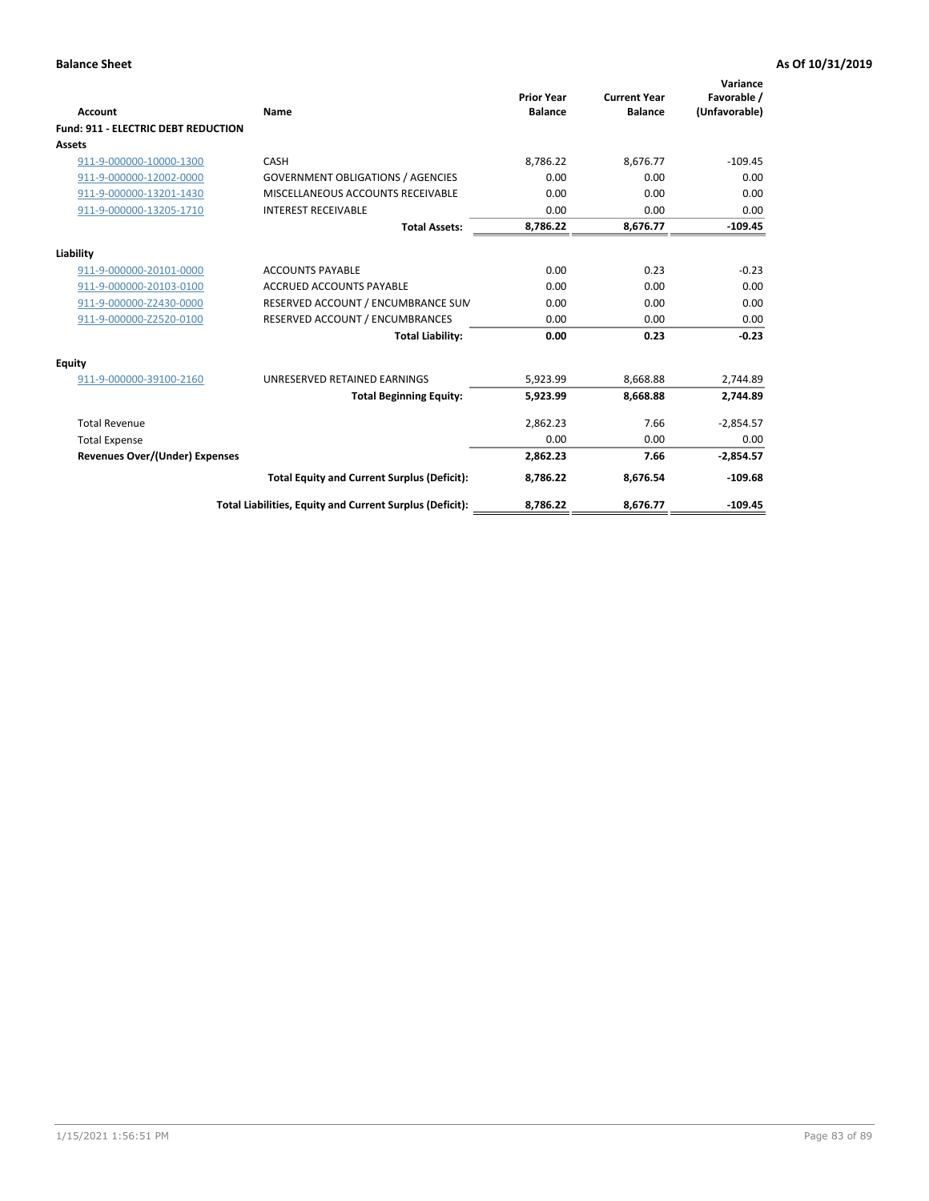| <b>Account</b>                             | Name                                                     | <b>Prior Year</b><br><b>Balance</b> | <b>Current Year</b><br><b>Balance</b> | Variance<br>Favorable /<br>(Unfavorable) |
|--------------------------------------------|----------------------------------------------------------|-------------------------------------|---------------------------------------|------------------------------------------|
| <b>Fund: 911 - ELECTRIC DEBT REDUCTION</b> |                                                          |                                     |                                       |                                          |
| Assets                                     |                                                          |                                     |                                       |                                          |
| 911-9-000000-10000-1300                    | CASH                                                     | 8,786.22                            | 8,676.77                              | $-109.45$                                |
| 911-9-000000-12002-0000                    | <b>GOVERNMENT OBLIGATIONS / AGENCIES</b>                 | 0.00                                | 0.00                                  | 0.00                                     |
| 911-9-000000-13201-1430                    | MISCELLANEOUS ACCOUNTS RECEIVABLE                        | 0.00                                | 0.00                                  | 0.00                                     |
| 911-9-000000-13205-1710                    | <b>INTEREST RECEIVABLE</b>                               | 0.00                                | 0.00                                  | 0.00                                     |
|                                            | <b>Total Assets:</b>                                     | 8,786.22                            | 8,676.77                              | $-109.45$                                |
| Liability                                  |                                                          |                                     |                                       |                                          |
| 911-9-000000-20101-0000                    | <b>ACCOUNTS PAYABLE</b>                                  | 0.00                                | 0.23                                  | $-0.23$                                  |
| 911-9-000000-20103-0100                    | <b>ACCRUED ACCOUNTS PAYABLE</b>                          | 0.00                                | 0.00                                  | 0.00                                     |
| 911-9-000000-Z2430-0000                    | RESERVED ACCOUNT / ENCUMBRANCE SUM                       | 0.00                                | 0.00                                  | 0.00                                     |
| 911-9-000000-Z2520-0100                    | RESERVED ACCOUNT / ENCUMBRANCES                          | 0.00                                | 0.00                                  | 0.00                                     |
|                                            | <b>Total Liability:</b>                                  | 0.00                                | 0.23                                  | $-0.23$                                  |
| <b>Equity</b>                              |                                                          |                                     |                                       |                                          |
| 911-9-000000-39100-2160                    | UNRESERVED RETAINED EARNINGS                             | 5,923.99                            | 8,668.88                              | 2,744.89                                 |
|                                            | <b>Total Beginning Equity:</b>                           | 5,923.99                            | 8.668.88                              | 2.744.89                                 |
| <b>Total Revenue</b>                       |                                                          | 2,862.23                            | 7.66                                  | $-2,854.57$                              |
| <b>Total Expense</b>                       |                                                          | 0.00                                | 0.00                                  | 0.00                                     |
| <b>Revenues Over/(Under) Expenses</b>      |                                                          | 2,862.23                            | 7.66                                  | $-2,854.57$                              |
|                                            | <b>Total Equity and Current Surplus (Deficit):</b>       | 8,786.22                            | 8,676.54                              | $-109.68$                                |
|                                            | Total Liabilities, Equity and Current Surplus (Deficit): | 8,786.22                            | 8,676.77                              | $-109.45$                                |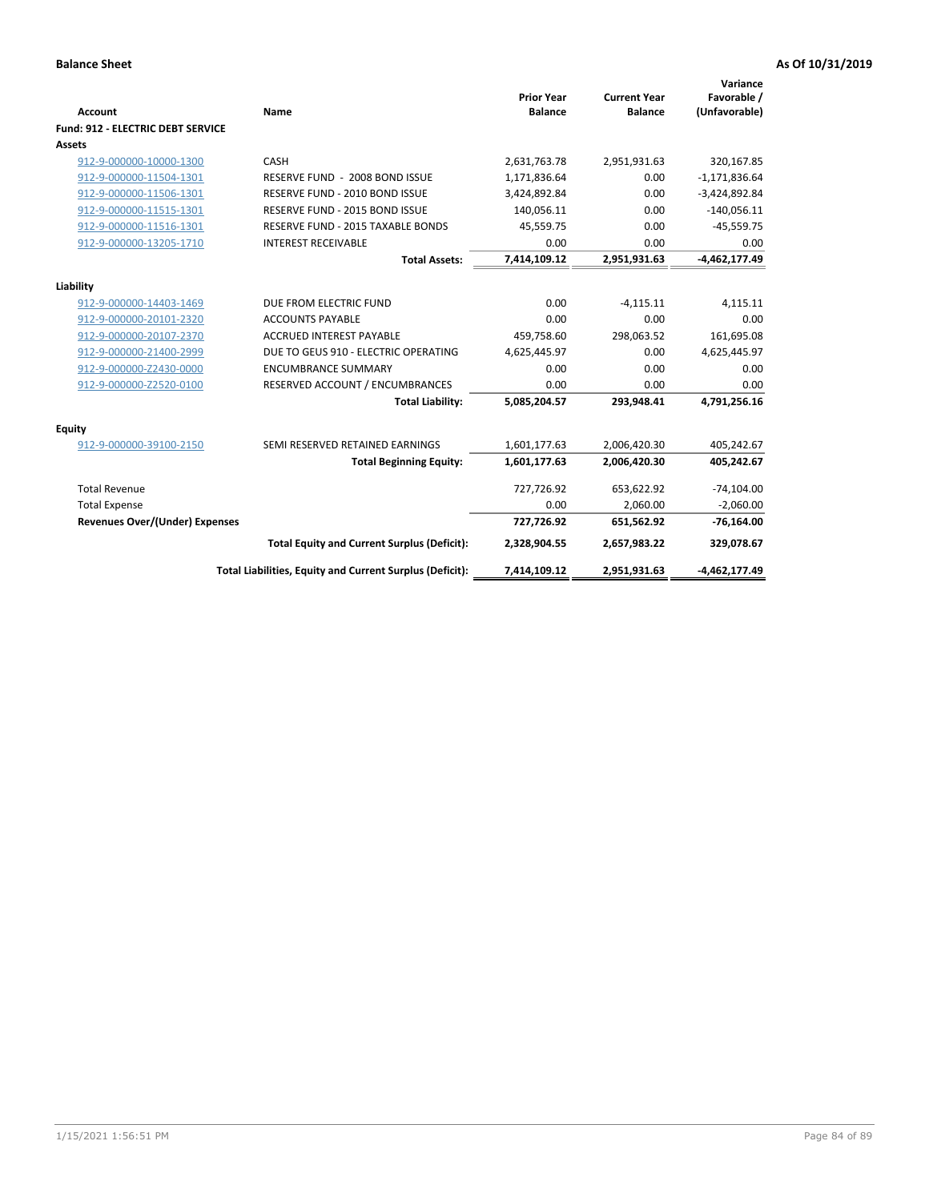| <b>Account</b>                    | Name                                                     | <b>Prior Year</b><br><b>Balance</b> | <b>Current Year</b><br><b>Balance</b> | Variance<br>Favorable /<br>(Unfavorable) |
|-----------------------------------|----------------------------------------------------------|-------------------------------------|---------------------------------------|------------------------------------------|
| Fund: 912 - ELECTRIC DEBT SERVICE |                                                          |                                     |                                       |                                          |
| <b>Assets</b>                     |                                                          |                                     |                                       |                                          |
| 912-9-000000-10000-1300           | CASH                                                     | 2,631,763.78                        | 2,951,931.63                          | 320,167.85                               |
| 912-9-000000-11504-1301           | RESERVE FUND - 2008 BOND ISSUE                           | 1,171,836.64                        | 0.00                                  | $-1,171,836.64$                          |
| 912-9-000000-11506-1301           | RESERVE FUND - 2010 BOND ISSUE                           | 3,424,892.84                        | 0.00                                  | $-3,424,892.84$                          |
| 912-9-000000-11515-1301           | RESERVE FUND - 2015 BOND ISSUE                           | 140,056.11                          | 0.00                                  | $-140,056.11$                            |
| 912-9-000000-11516-1301           | RESERVE FUND - 2015 TAXABLE BONDS                        | 45,559.75                           | 0.00                                  | $-45,559.75$                             |
| 912-9-000000-13205-1710           | <b>INTEREST RECEIVABLE</b>                               | 0.00                                | 0.00                                  | 0.00                                     |
|                                   | <b>Total Assets:</b>                                     | 7,414,109.12                        | 2,951,931.63                          | $-4,462,177.49$                          |
|                                   |                                                          |                                     |                                       |                                          |
| Liability                         |                                                          |                                     |                                       |                                          |
| 912-9-000000-14403-1469           | DUE FROM ELECTRIC FUND                                   | 0.00                                | $-4,115.11$                           | 4,115.11                                 |
| 912-9-000000-20101-2320           | <b>ACCOUNTS PAYABLE</b>                                  | 0.00                                | 0.00                                  | 0.00                                     |
| 912-9-000000-20107-2370           | <b>ACCRUED INTEREST PAYABLE</b>                          | 459,758.60                          | 298,063.52                            | 161,695.08                               |
| 912-9-000000-21400-2999           | DUE TO GEUS 910 - ELECTRIC OPERATING                     | 4,625,445.97                        | 0.00                                  | 4,625,445.97                             |
| 912-9-000000-Z2430-0000           | <b>ENCUMBRANCE SUMMARY</b>                               | 0.00                                | 0.00                                  | 0.00                                     |
| 912-9-000000-Z2520-0100           | RESERVED ACCOUNT / ENCUMBRANCES                          | 0.00                                | 0.00                                  | 0.00                                     |
|                                   | <b>Total Liability:</b>                                  | 5,085,204.57                        | 293,948.41                            | 4,791,256.16                             |
| <b>Equity</b>                     |                                                          |                                     |                                       |                                          |
| 912-9-000000-39100-2150           | SEMI RESERVED RETAINED EARNINGS                          | 1,601,177.63                        | 2,006,420.30                          | 405,242.67                               |
|                                   | <b>Total Beginning Equity:</b>                           | 1,601,177.63                        | 2,006,420.30                          | 405,242.67                               |
| <b>Total Revenue</b>              |                                                          | 727,726.92                          | 653,622.92                            | $-74,104.00$                             |
| <b>Total Expense</b>              |                                                          | 0.00                                | 2,060.00                              | $-2,060.00$                              |
| Revenues Over/(Under) Expenses    |                                                          | 727,726.92                          | 651,562.92                            | $-76,164.00$                             |
|                                   | <b>Total Equity and Current Surplus (Deficit):</b>       | 2,328,904.55                        | 2,657,983.22                          | 329,078.67                               |
|                                   | Total Liabilities, Equity and Current Surplus (Deficit): | 7,414,109.12                        | 2,951,931.63                          | -4,462,177.49                            |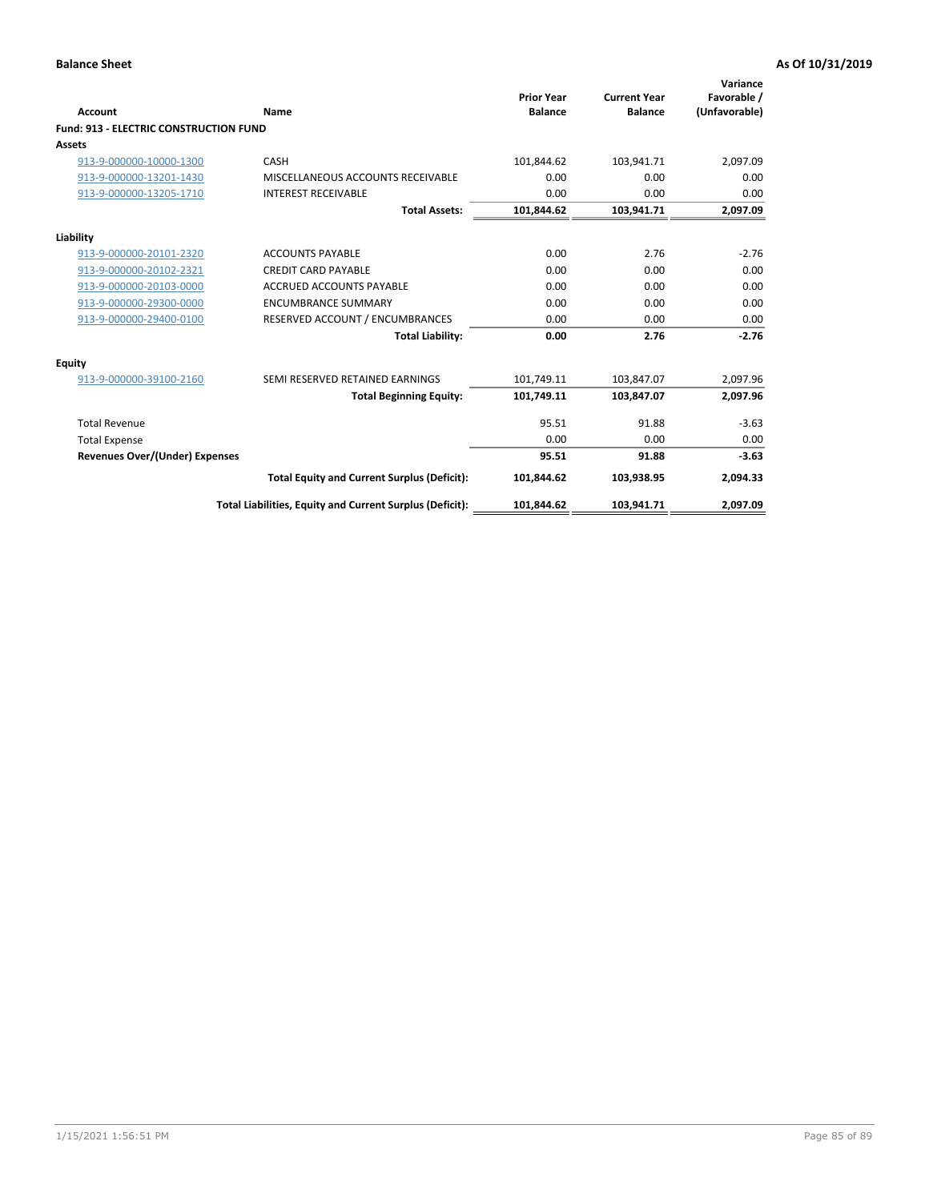| Account                                       | <b>Name</b>                                              | <b>Prior Year</b><br><b>Balance</b> | <b>Current Year</b><br><b>Balance</b> | Variance<br>Favorable /<br>(Unfavorable) |
|-----------------------------------------------|----------------------------------------------------------|-------------------------------------|---------------------------------------|------------------------------------------|
| <b>Fund: 913 - ELECTRIC CONSTRUCTION FUND</b> |                                                          |                                     |                                       |                                          |
| Assets                                        |                                                          |                                     |                                       |                                          |
| 913-9-000000-10000-1300                       | CASH                                                     | 101,844.62                          | 103,941.71                            | 2,097.09                                 |
| 913-9-000000-13201-1430                       | MISCELLANEOUS ACCOUNTS RECEIVABLE                        | 0.00                                | 0.00                                  | 0.00                                     |
| 913-9-000000-13205-1710                       | <b>INTEREST RECEIVABLE</b>                               | 0.00                                | 0.00                                  | 0.00                                     |
|                                               | <b>Total Assets:</b>                                     | 101,844.62                          | 103,941.71                            | 2,097.09                                 |
| Liability                                     |                                                          |                                     |                                       |                                          |
| 913-9-000000-20101-2320                       | <b>ACCOUNTS PAYABLE</b>                                  | 0.00                                | 2.76                                  | $-2.76$                                  |
| 913-9-000000-20102-2321                       | <b>CREDIT CARD PAYABLE</b>                               | 0.00                                | 0.00                                  | 0.00                                     |
| 913-9-000000-20103-0000                       | <b>ACCRUED ACCOUNTS PAYABLE</b>                          | 0.00                                | 0.00                                  | 0.00                                     |
| 913-9-000000-29300-0000                       | <b>ENCUMBRANCE SUMMARY</b>                               | 0.00                                | 0.00                                  | 0.00                                     |
| 913-9-000000-29400-0100                       | RESERVED ACCOUNT / ENCUMBRANCES                          | 0.00                                | 0.00                                  | 0.00                                     |
|                                               | <b>Total Liability:</b>                                  | 0.00                                | 2.76                                  | $-2.76$                                  |
| <b>Equity</b>                                 |                                                          |                                     |                                       |                                          |
| 913-9-000000-39100-2160                       | SEMI RESERVED RETAINED EARNINGS                          | 101,749.11                          | 103,847.07                            | 2,097.96                                 |
|                                               | <b>Total Beginning Equity:</b>                           | 101,749.11                          | 103,847.07                            | 2,097.96                                 |
| <b>Total Revenue</b>                          |                                                          | 95.51                               | 91.88                                 | $-3.63$                                  |
| <b>Total Expense</b>                          |                                                          | 0.00                                | 0.00                                  | 0.00                                     |
| Revenues Over/(Under) Expenses                |                                                          | 95.51                               | 91.88                                 | $-3.63$                                  |
|                                               | <b>Total Equity and Current Surplus (Deficit):</b>       | 101,844.62                          | 103,938.95                            | 2,094.33                                 |
|                                               | Total Liabilities, Equity and Current Surplus (Deficit): | 101,844.62                          | 103,941.71                            | 2,097.09                                 |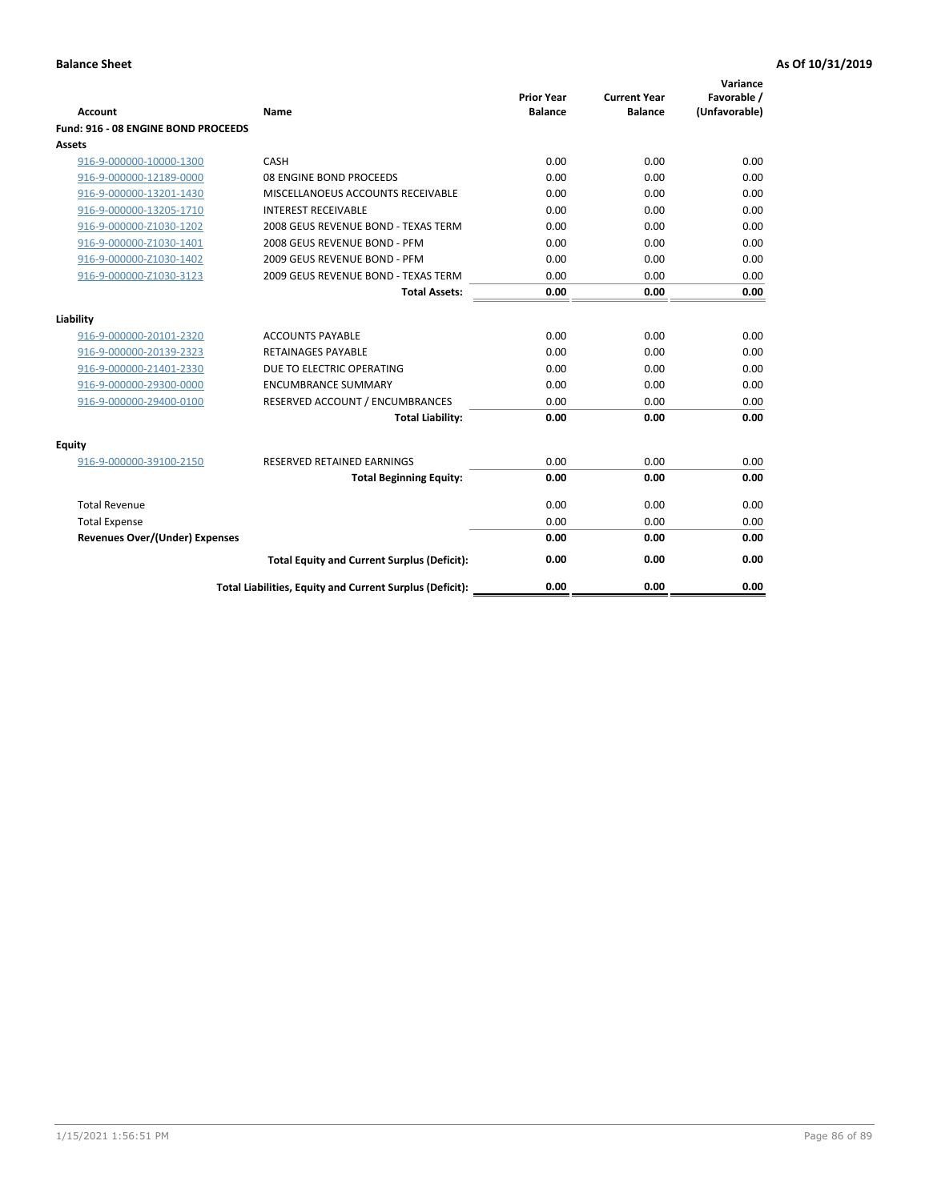| <b>Account</b>                        | Name                                                     | <b>Prior Year</b><br><b>Balance</b> | <b>Current Year</b><br><b>Balance</b> | Variance<br>Favorable /<br>(Unfavorable) |
|---------------------------------------|----------------------------------------------------------|-------------------------------------|---------------------------------------|------------------------------------------|
| Fund: 916 - 08 ENGINE BOND PROCEEDS   |                                                          |                                     |                                       |                                          |
| Assets                                |                                                          |                                     |                                       |                                          |
| 916-9-000000-10000-1300               | CASH                                                     | 0.00                                | 0.00                                  | 0.00                                     |
| 916-9-000000-12189-0000               | 08 ENGINE BOND PROCEEDS                                  | 0.00                                | 0.00                                  | 0.00                                     |
| 916-9-000000-13201-1430               | MISCELLANOEUS ACCOUNTS RECEIVABLE                        | 0.00                                | 0.00                                  | 0.00                                     |
| 916-9-000000-13205-1710               | <b>INTEREST RECEIVABLE</b>                               | 0.00                                | 0.00                                  | 0.00                                     |
| 916-9-000000-Z1030-1202               | 2008 GEUS REVENUE BOND - TEXAS TERM                      | 0.00                                | 0.00                                  | 0.00                                     |
| 916-9-000000-Z1030-1401               | 2008 GEUS REVENUE BOND - PFM                             | 0.00                                | 0.00                                  | 0.00                                     |
| 916-9-000000-Z1030-1402               | 2009 GEUS REVENUE BOND - PFM                             | 0.00                                | 0.00                                  | 0.00                                     |
| 916-9-000000-Z1030-3123               | 2009 GEUS REVENUE BOND - TEXAS TERM                      | 0.00                                | 0.00                                  | 0.00                                     |
|                                       | <b>Total Assets:</b>                                     | 0.00                                | 0.00                                  | 0.00                                     |
| Liability                             |                                                          |                                     |                                       |                                          |
| 916-9-000000-20101-2320               | <b>ACCOUNTS PAYABLE</b>                                  | 0.00                                | 0.00                                  | 0.00                                     |
| 916-9-000000-20139-2323               | <b>RETAINAGES PAYABLE</b>                                | 0.00                                | 0.00                                  | 0.00                                     |
| 916-9-000000-21401-2330               | DUE TO ELECTRIC OPERATING                                | 0.00                                | 0.00                                  | 0.00                                     |
| 916-9-000000-29300-0000               | <b>ENCUMBRANCE SUMMARY</b>                               | 0.00                                | 0.00                                  | 0.00                                     |
| 916-9-000000-29400-0100               | RESERVED ACCOUNT / ENCUMBRANCES                          | 0.00                                | 0.00                                  | 0.00                                     |
|                                       | <b>Total Liability:</b>                                  | 0.00                                | 0.00                                  | 0.00                                     |
| Equity                                |                                                          |                                     |                                       |                                          |
| 916-9-000000-39100-2150               | <b>RESERVED RETAINED EARNINGS</b>                        | 0.00                                | 0.00                                  | 0.00                                     |
|                                       | <b>Total Beginning Equity:</b>                           | 0.00                                | 0.00                                  | 0.00                                     |
| <b>Total Revenue</b>                  |                                                          | 0.00                                | 0.00                                  | 0.00                                     |
| <b>Total Expense</b>                  |                                                          | 0.00                                | 0.00                                  | 0.00                                     |
| <b>Revenues Over/(Under) Expenses</b> |                                                          | 0.00                                | 0.00                                  | 0.00                                     |
|                                       | <b>Total Equity and Current Surplus (Deficit):</b>       | 0.00                                | 0.00                                  | 0.00                                     |
|                                       | Total Liabilities, Equity and Current Surplus (Deficit): | 0.00                                | 0.00                                  | 0.00                                     |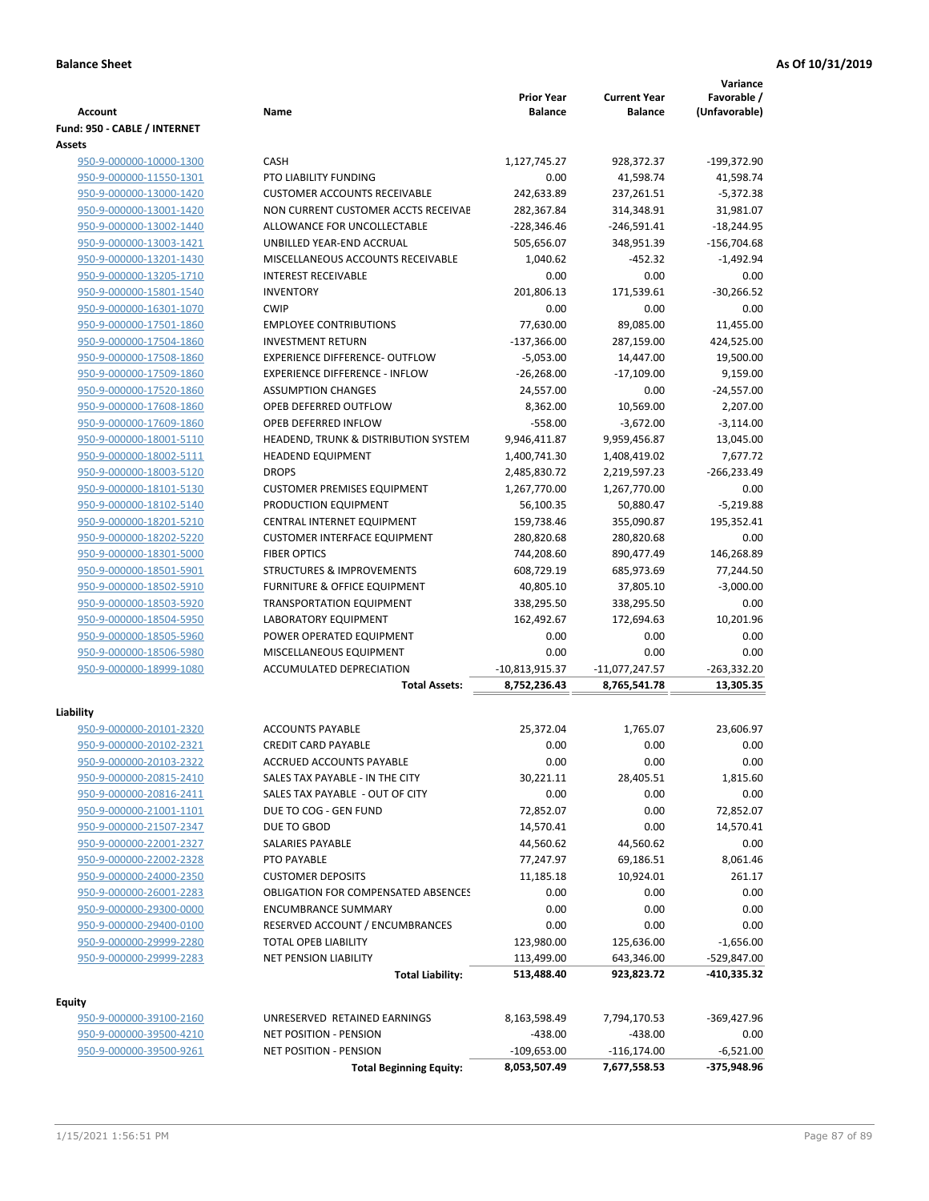|                                                    |                                                                          |                                     |                                       | Variance                     |
|----------------------------------------------------|--------------------------------------------------------------------------|-------------------------------------|---------------------------------------|------------------------------|
| <b>Account</b>                                     | Name                                                                     | <b>Prior Year</b><br><b>Balance</b> | <b>Current Year</b><br><b>Balance</b> | Favorable /<br>(Unfavorable) |
| Fund: 950 - CABLE / INTERNET                       |                                                                          |                                     |                                       |                              |
| Assets                                             |                                                                          |                                     |                                       |                              |
| 950-9-000000-10000-1300                            | CASH                                                                     | 1,127,745.27                        | 928,372.37                            | -199,372.90                  |
| 950-9-000000-11550-1301                            | PTO LIABILITY FUNDING                                                    | 0.00                                | 41,598.74                             | 41,598.74                    |
| 950-9-000000-13000-1420                            | <b>CUSTOMER ACCOUNTS RECEIVABLE</b>                                      | 242,633.89                          | 237,261.51                            | $-5,372.38$                  |
| 950-9-000000-13001-1420                            | NON CURRENT CUSTOMER ACCTS RECEIVAE                                      | 282,367.84                          | 314,348.91                            | 31,981.07                    |
| 950-9-000000-13002-1440                            | ALLOWANCE FOR UNCOLLECTABLE                                              | $-228,346.46$                       | $-246,591.41$                         | $-18,244.95$                 |
| 950-9-000000-13003-1421                            | UNBILLED YEAR-END ACCRUAL                                                | 505,656.07                          | 348,951.39                            | $-156,704.68$                |
| 950-9-000000-13201-1430                            | MISCELLANEOUS ACCOUNTS RECEIVABLE                                        | 1,040.62                            | $-452.32$                             | $-1,492.94$                  |
| 950-9-000000-13205-1710                            | <b>INTEREST RECEIVABLE</b>                                               | 0.00                                | 0.00                                  | 0.00                         |
| 950-9-000000-15801-1540                            | <b>INVENTORY</b>                                                         | 201,806.13                          | 171,539.61                            | $-30,266.52$                 |
| 950-9-000000-16301-1070                            | <b>CWIP</b>                                                              | 0.00                                | 0.00                                  | 0.00                         |
| 950-9-000000-17501-1860                            | <b>EMPLOYEE CONTRIBUTIONS</b>                                            | 77,630.00                           | 89,085.00                             | 11,455.00                    |
| 950-9-000000-17504-1860                            | <b>INVESTMENT RETURN</b>                                                 | $-137,366.00$                       | 287,159.00                            | 424,525.00                   |
| 950-9-000000-17508-1860                            | EXPERIENCE DIFFERENCE- OUTFLOW                                           | $-5,053.00$                         | 14,447.00                             | 19,500.00                    |
| 950-9-000000-17509-1860                            | <b>EXPERIENCE DIFFERENCE - INFLOW</b>                                    | $-26,268.00$                        | $-17,109.00$                          | 9,159.00                     |
| 950-9-000000-17520-1860                            | <b>ASSUMPTION CHANGES</b>                                                | 24,557.00                           | 0.00                                  | $-24,557.00$                 |
| 950-9-000000-17608-1860                            | OPEB DEFERRED OUTFLOW                                                    | 8,362.00                            | 10,569.00                             | 2,207.00                     |
| 950-9-000000-17609-1860                            | OPEB DEFERRED INFLOW                                                     | $-558.00$                           | $-3,672.00$                           | $-3,114.00$                  |
| 950-9-000000-18001-5110                            | HEADEND, TRUNK & DISTRIBUTION SYSTEM                                     | 9,946,411.87                        | 9,959,456.87                          | 13,045.00                    |
| 950-9-000000-18002-5111                            | <b>HEADEND EQUIPMENT</b>                                                 | 1,400,741.30                        | 1,408,419.02                          | 7,677.72                     |
| 950-9-000000-18003-5120                            | <b>DROPS</b>                                                             | 2,485,830.72                        | 2,219,597.23                          | $-266,233.49$                |
| 950-9-000000-18101-5130                            | <b>CUSTOMER PREMISES EQUIPMENT</b>                                       | 1,267,770.00                        | 1,267,770.00                          | 0.00                         |
| 950-9-000000-18102-5140                            | PRODUCTION EQUIPMENT                                                     | 56,100.35                           | 50,880.47                             | $-5,219.88$                  |
| 950-9-000000-18201-5210                            | CENTRAL INTERNET EQUIPMENT<br><b>CUSTOMER INTERFACE EQUIPMENT</b>        | 159,738.46                          | 355,090.87                            | 195,352.41<br>0.00           |
| 950-9-000000-18202-5220<br>950-9-000000-18301-5000 | <b>FIBER OPTICS</b>                                                      | 280,820.68<br>744,208.60            | 280,820.68<br>890,477.49              | 146,268.89                   |
| 950-9-000000-18501-5901                            | <b>STRUCTURES &amp; IMPROVEMENTS</b>                                     | 608,729.19                          | 685,973.69                            | 77,244.50                    |
| 950-9-000000-18502-5910                            | <b>FURNITURE &amp; OFFICE EQUIPMENT</b>                                  | 40,805.10                           | 37,805.10                             | $-3,000.00$                  |
| 950-9-000000-18503-5920                            | <b>TRANSPORTATION EQUIPMENT</b>                                          | 338,295.50                          | 338,295.50                            | 0.00                         |
| 950-9-000000-18504-5950                            | LABORATORY EQUIPMENT                                                     | 162,492.67                          | 172,694.63                            | 10,201.96                    |
| 950-9-000000-18505-5960                            | POWER OPERATED EQUIPMENT                                                 | 0.00                                | 0.00                                  | 0.00                         |
| 950-9-000000-18506-5980                            | MISCELLANEOUS EQUIPMENT                                                  | 0.00                                | 0.00                                  | 0.00                         |
| 950-9-000000-18999-1080                            | <b>ACCUMULATED DEPRECIATION</b>                                          | $-10,813,915.37$                    | $-11,077,247.57$                      | $-263,332.20$                |
|                                                    | <b>Total Assets:</b>                                                     | 8,752,236.43                        | 8,765,541.78                          | 13,305.35                    |
|                                                    |                                                                          |                                     |                                       |                              |
| Liability                                          |                                                                          |                                     |                                       |                              |
| 950-9-000000-20101-2320                            | <b>ACCOUNTS PAYABLE</b>                                                  | 25,372.04                           | 1,765.07                              | 23,606.97                    |
| 950-9-000000-20102-2321                            | <b>CREDIT CARD PAYABLE</b>                                               | 0.00                                | 0.00                                  | 0.00                         |
| 950-9-000000-20103-2322                            | ACCRUED ACCOUNTS PAYABLE                                                 | 0.00                                | 0.00                                  | 0.00                         |
| 950-9-000000-20815-2410                            | SALES TAX PAYABLE - IN THE CITY                                          | 30,221.11                           | 28,405.51                             | 1,815.60                     |
| 950-9-000000-20816-2411                            | SALES TAX PAYABLE - OUT OF CITY                                          | 0.00                                | 0.00                                  | 0.00                         |
| 950-9-000000-21001-1101                            | DUE TO COG - GEN FUND                                                    | 72,852.07                           | 0.00                                  | 72,852.07                    |
| 950-9-000000-21507-2347                            | DUE TO GBOD                                                              | 14,570.41                           | 0.00                                  | 14,570.41                    |
| 950-9-000000-22001-2327                            | SALARIES PAYABLE                                                         | 44,560.62                           | 44,560.62                             | 0.00                         |
| 950-9-000000-22002-2328                            | PTO PAYABLE                                                              | 77,247.97                           | 69,186.51                             | 8,061.46                     |
| 950-9-000000-24000-2350                            | <b>CUSTOMER DEPOSITS</b>                                                 | 11,185.18                           | 10,924.01                             | 261.17                       |
| 950-9-000000-26001-2283<br>950-9-000000-29300-0000 | <b>OBLIGATION FOR COMPENSATED ABSENCES</b><br><b>ENCUMBRANCE SUMMARY</b> | 0.00<br>0.00                        | 0.00<br>0.00                          | 0.00<br>0.00                 |
| 950-9-000000-29400-0100                            | RESERVED ACCOUNT / ENCUMBRANCES                                          | 0.00                                | 0.00                                  | 0.00                         |
| 950-9-000000-29999-2280                            | TOTAL OPEB LIABILITY                                                     | 123,980.00                          | 125,636.00                            | $-1,656.00$                  |
| 950-9-000000-29999-2283                            | <b>NET PENSION LIABILITY</b>                                             |                                     |                                       |                              |
|                                                    | <b>Total Liability:</b>                                                  | 113,499.00<br>513,488.40            | 643,346.00<br>923,823.72              | -529,847.00<br>-410,335.32   |
|                                                    |                                                                          |                                     |                                       |                              |
| <b>Equity</b>                                      |                                                                          |                                     |                                       |                              |
| 950-9-000000-39100-2160                            | UNRESERVED RETAINED EARNINGS                                             | 8,163,598.49                        | 7,794,170.53                          | -369,427.96                  |
| 950-9-000000-39500-4210                            | NET POSITION - PENSION                                                   | $-438.00$                           | $-438.00$                             | 0.00                         |
| 950-9-000000-39500-9261                            | <b>NET POSITION - PENSION</b>                                            | $-109,653.00$                       | $-116, 174.00$                        | $-6,521.00$                  |
|                                                    | <b>Total Beginning Equity:</b>                                           | 8,053,507.49                        | 7,677,558.53                          | -375,948.96                  |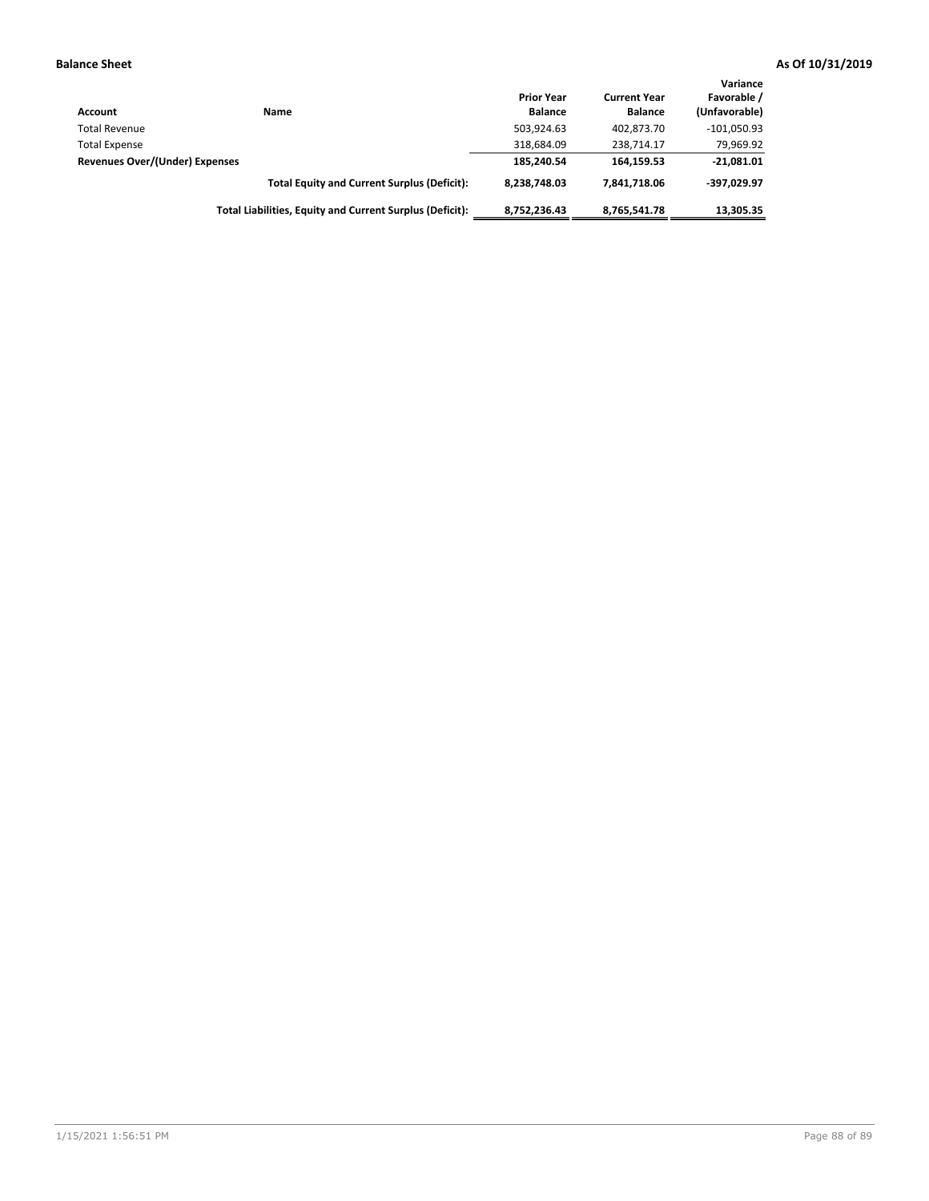| Account                        | Name                                                     | <b>Prior Year</b><br><b>Balance</b> | <b>Current Year</b><br><b>Balance</b> | Variance<br>Favorable /<br>(Unfavorable) |
|--------------------------------|----------------------------------------------------------|-------------------------------------|---------------------------------------|------------------------------------------|
| <b>Total Revenue</b>           |                                                          | 503,924.63                          | 402.873.70                            | $-101,050.93$                            |
| <b>Total Expense</b>           |                                                          | 318,684.09                          | 238.714.17                            | 79,969.92                                |
| Revenues Over/(Under) Expenses |                                                          | 185.240.54                          | 164.159.53                            | $-21,081.01$                             |
|                                | <b>Total Equity and Current Surplus (Deficit):</b>       | 8.238.748.03                        | 7.841.718.06                          | -397.029.97                              |
|                                | Total Liabilities, Equity and Current Surplus (Deficit): | 8,752,236.43                        | 8,765,541.78                          | 13,305.35                                |